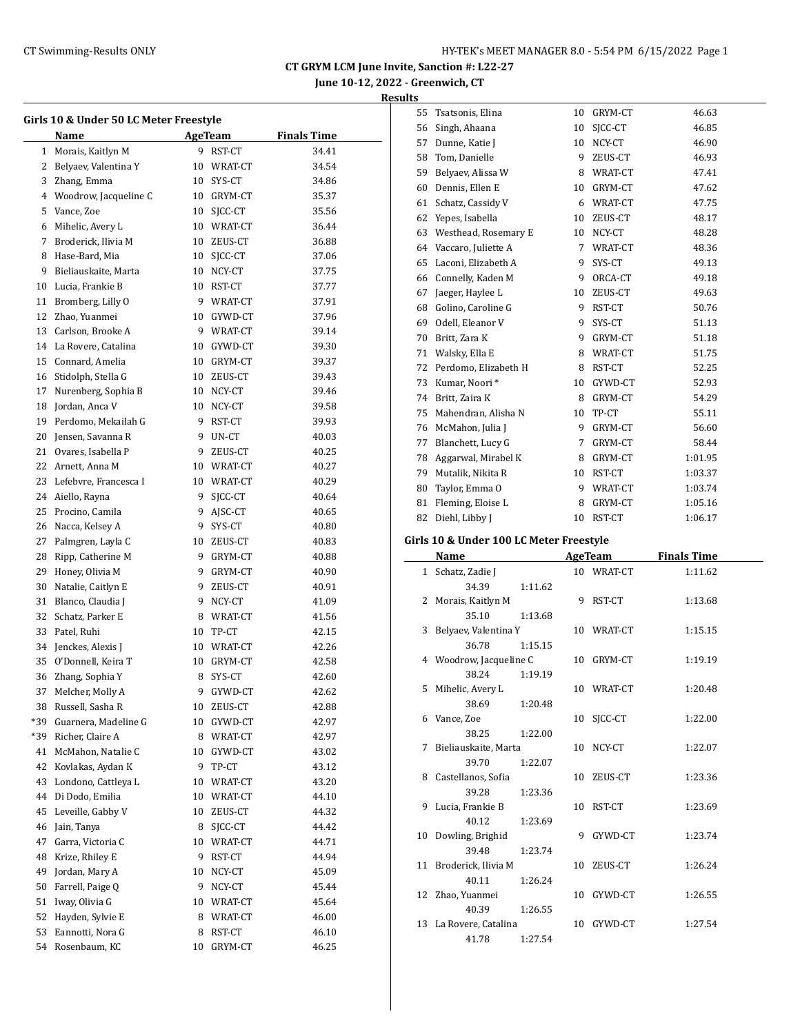**June 10-12, 2022 - Greenwich, CT**

|     | Girls 10 & Under 50 LC Meter Freestyle<br>Name |         | AgeTeam           | <b>Finals Time</b> |
|-----|------------------------------------------------|---------|-------------------|--------------------|
|     |                                                |         |                   |                    |
| 1   | Morais, Kaitlyn M                              | 9       | RST-CT            | 34.41              |
| 2   | Belyaev, Valentina Y                           | 10      | WRAT-CT           | 34.54              |
| 3   | Zhang, Emma                                    |         | 10 SYS-CT         | 34.86              |
| 4   | Woodrow, Jacqueline C                          |         | 10 GRYM-CT        | 35.37              |
| 5   | Vance, Zoe                                     |         | 10 SJCC-CT        | 35.56              |
| 6   | Mihelic, Avery L                               |         | 10 WRAT-CT        | 36.44              |
| 7   | Broderick, Ilivia M                            |         | 10 ZEUS-CT        | 36.88              |
| 8   | Hase-Bard, Mia                                 |         | 10 SJCC-CT        | 37.06              |
| 9   | Bieliauskaite, Marta                           |         | 10 NCY-CT         | 37.75              |
| 10  | Lucia, Frankie B                               |         | 10 RST-CT         | 37.77              |
| 11  | Bromberg, Lilly O                              |         | 9 WRAT-CT         | 37.91              |
| 12  | Zhao, Yuanmei                                  |         | 10 GYWD-CT        | 37.96              |
| 13  | Carlson, Brooke A                              |         | 9 WRAT-CT         | 39.14              |
|     | 14 La Rovere, Catalina                         |         | 10 GYWD-CT        | 39.30              |
| 15  | Connard, Amelia                                |         | 10 GRYM-CT        | 39.37              |
| 16  | Stidolph, Stella G                             |         | 10 ZEUS-CT        | 39.43              |
| 17  | Nurenberg, Sophia B                            |         | 10 NCY-CT         | 39.46              |
| 18  | Jordan, Anca V                                 |         | 10 NCY-CT         | 39.58              |
| 19  | Perdomo, Mekailah G                            |         | 9 RST-CT          | 39.93              |
| 20  | Jensen, Savanna R                              |         | 9 UN-CT           | 40.03              |
| 21  | Ovares, Isabella P                             |         | 9 ZEUS-CT         | 40.25              |
| 22  | Arnett, Anna M                                 |         | 10 WRAT-CT        | 40.27              |
| 23  | Lefebvre, Francesca I                          |         | 10 WRAT-CT        | 40.29              |
| 24  | Aiello, Rayna                                  | 9       | SJCC-CT           | 40.64              |
| 25  | Procino, Camila                                | 9.      | AJSC-CT           | 40.65              |
| 26  | Nacca, Kelsey A                                | 9       | SYS-CT            | 40.80              |
| 27  | Palmgren, Layla C                              |         | 10 ZEUS-CT        | 40.83              |
| 28  | Ripp, Catherine M                              |         | 9 GRYM-CT         | 40.88              |
| 29  | Honey, Olivia M                                |         | 9 GRYM-CT         | 40.90              |
| 30  | Natalie, Caitlyn E                             |         | 9 ZEUS-CT         | 40.91              |
| 31  | Blanco, Claudia J                              |         | 9 NCY-CT          | 41.09              |
| 32  | Schatz, Parker E                               |         | 8 WRAT-CT         | 41.56              |
| 33  | Patel, Ruhi                                    |         | 10 TP-CT          | 42.15              |
| 34  | Jenckes, Alexis J                              |         | 10 WRAT-CT        | 42.26              |
| 35  | O'Donnell, Keira T                             |         | 10 GRYM-CT        | 42.58              |
| 36  | Zhang, Sophia Y                                | 8       | SYS-CT            | 42.60              |
| 37  | Melcher, Molly A                               | 9       | GYWD-CT           | 42.62              |
| 38  | Russell, Sasha R                               | 10      | ZEUS-CT           | 42.88              |
| *39 | Guarnera, Madeline G                           | 10      | GYWD-CT           | 42.97              |
| *39 | Richer, Claire A                               | 8       | WRAT-CT           | 42.97              |
| 41  | McMahon, Natalie C                             | 10      | GYWD-CT           | 43.02              |
| 42  | Kovlakas, Aydan K                              | 9       | TP-CT             | 43.12              |
| 43  | Londono, Cattleya L                            | 10      | WRAT-CT           | 43.20              |
| 44  | Di Dodo, Emilia                                | 10      | WRAT-CT           | 44.10              |
| 45  | Leveille, Gabby V                              | 10      | ZEUS-CT           | 44.32              |
| 46  | Jain, Tanya                                    | 8       | SJCC-CT           | 44.42              |
| 47  | Garra, Victoria C                              | 10      | WRAT-CT           | 44.71              |
| 48  | Krize, Rhiley E                                | 9       | RST-CT            | 44.94              |
| 49  | Jordan, Mary A                                 | 10      | NCY-CT            | 45.09              |
| 50  | Farrell, Paige Q                               | 9       | NCY-CT            | 45.44              |
| 51  | Iway, Olivia G                                 | 10      | WRAT-CT           | 45.64              |
| 52  | Hayden, Sylvie E                               | 8       |                   | 46.00              |
| 53  |                                                |         | WRAT-CT           |                    |
| 54  | Eannotti, Nora G<br>Rosenbaum, KC              | 8<br>10 | RST-CT<br>GRYM-CT | 46.10<br>46.25     |
|     |                                                |         |                   |                    |

| 55                                      | Tsatsonis, Elina     | 10 | GRYM-CT | 46.63   |  |  |  |  |
|-----------------------------------------|----------------------|----|---------|---------|--|--|--|--|
| 56                                      | Singh, Ahaana        | 10 | SICC-CT | 46.85   |  |  |  |  |
| 57                                      | Dunne, Katie J       | 10 | NCY-CT  | 46.90   |  |  |  |  |
| 58                                      | Tom, Danielle        | 9  | ZEUS-CT | 46.93   |  |  |  |  |
| 59                                      | Belyaev, Alissa W    | 8  | WRAT-CT | 47.41   |  |  |  |  |
| 60                                      | Dennis, Ellen E      | 10 | GRYM-CT | 47.62   |  |  |  |  |
| 61                                      | Schatz, Cassidy V    | 6  | WRAT-CT | 47.75   |  |  |  |  |
| 62                                      | Yepes, Isabella      | 10 | ZEUS-CT | 48.17   |  |  |  |  |
| 63                                      | Westhead, Rosemary E | 10 | NCY-CT  | 48.28   |  |  |  |  |
| 64                                      | Vaccaro, Juliette A  | 7  | WRAT-CT | 48.36   |  |  |  |  |
| 65                                      | Laconi, Elizabeth A  | 9  | SYS-CT  | 49.13   |  |  |  |  |
| 66                                      | Connelly, Kaden M    | 9  | ORCA-CT | 49.18   |  |  |  |  |
| 67                                      | Jaeger, Haylee L     | 10 | ZEUS-CT | 49.63   |  |  |  |  |
| 68                                      | Golino, Caroline G   | 9  | RST-CT  | 50.76   |  |  |  |  |
| 69                                      | Odell, Eleanor V     | 9  | SYS-CT  | 51.13   |  |  |  |  |
| 70                                      | Britt, Zara K        | 9  | GRYM-CT | 51.18   |  |  |  |  |
| 71                                      | Walsky, Ella E       | 8  | WRAT-CT | 51.75   |  |  |  |  |
| 72                                      | Perdomo, Elizabeth H | 8  | RST-CT  | 52.25   |  |  |  |  |
| 73                                      | Kumar, Noori*        | 10 | GYWD-CT | 52.93   |  |  |  |  |
| 74                                      | Britt, Zaira K       | 8  | GRYM-CT | 54.29   |  |  |  |  |
| 75                                      | Mahendran, Alisha N  | 10 | TP-CT   | 55.11   |  |  |  |  |
| 76                                      | McMahon, Julia J     | 9  | GRYM-CT | 56.60   |  |  |  |  |
| 77                                      | Blanchett, Lucy G    | 7  | GRYM-CT | 58.44   |  |  |  |  |
| 78                                      | Aggarwal, Mirabel K  | 8  | GRYM-CT | 1:01.95 |  |  |  |  |
| 79                                      | Mutalik, Nikita R    | 10 | RST-CT  | 1:03.37 |  |  |  |  |
| 80                                      | Taylor, Emma O       | 9  | WRAT-CT | 1:03.74 |  |  |  |  |
| 81                                      | Fleming, Eloise L    | 8  | GRYM-CT | 1:05.16 |  |  |  |  |
| 82                                      | Diehl, Libby J       | 10 | RST-CT  | 1:06.17 |  |  |  |  |
| Girls 10 & Under 100 LC Meter Freestyle |                      |    |         |         |  |  |  |  |

| Name                    |         | AgeTeam    | <b>Finals Time</b> |
|-------------------------|---------|------------|--------------------|
| 1 Schatz, Zadie J       |         | 10 WRAT-CT | 1:11.62            |
| 34.39                   | 1:11.62 |            |                    |
| 2 Morais, Kaitlyn M     |         | 9 RST-CT   | 1:13.68            |
| 35.10                   | 1:13.68 |            |                    |
| 3 Belyaev, Valentina Y  |         | 10 WRAT-CT | 1:15.15            |
| 36.78                   | 1:15.15 |            |                    |
| 4 Woodrow, Jacqueline C |         | 10 GRYM-CT | 1:19.19            |
| 38.24                   | 1:19.19 |            |                    |
| 5 Mihelic, Avery L      |         | 10 WRAT-CT | 1:20.48            |
| 38.69                   | 1:20.48 |            |                    |
| 6 Vance, Zoe            | 10      | SICC-CT    | 1:22.00            |
| 38.25                   | 1:22.00 |            |                    |
| 7 Bieliauskaite, Marta  |         | 10 NCY-CT  | 1:22.07            |
| 39.70                   | 1:22.07 |            |                    |
| 8 Castellanos, Sofia    |         | 10 ZEUS-CT | 1:23.36            |
| 39.28                   | 1:23.36 |            |                    |
| 9 Lucia, Frankie B      |         | 10 RST-CT  | 1:23.69            |
| 40.12                   | 1:23.69 |            |                    |
| 10 Dowling, Brighid     |         | 9 GYWD-CT  | 1:23.74            |
| 39.48                   | 1:23.74 |            |                    |
| 11 Broderick, Ilivia M  |         | 10 ZEUS-CT | 1:26.24            |
| 40.11                   | 1:26.24 |            |                    |
| 12 Zhao, Yuanmei        |         | 10 GYWD-CT | 1:26.55            |
| 40.39                   | 1:26.55 |            |                    |
| 13 La Rovere, Catalina  |         | 10 GYWD-CT | 1:27.54            |
| 41.78                   | 1:27.54 |            |                    |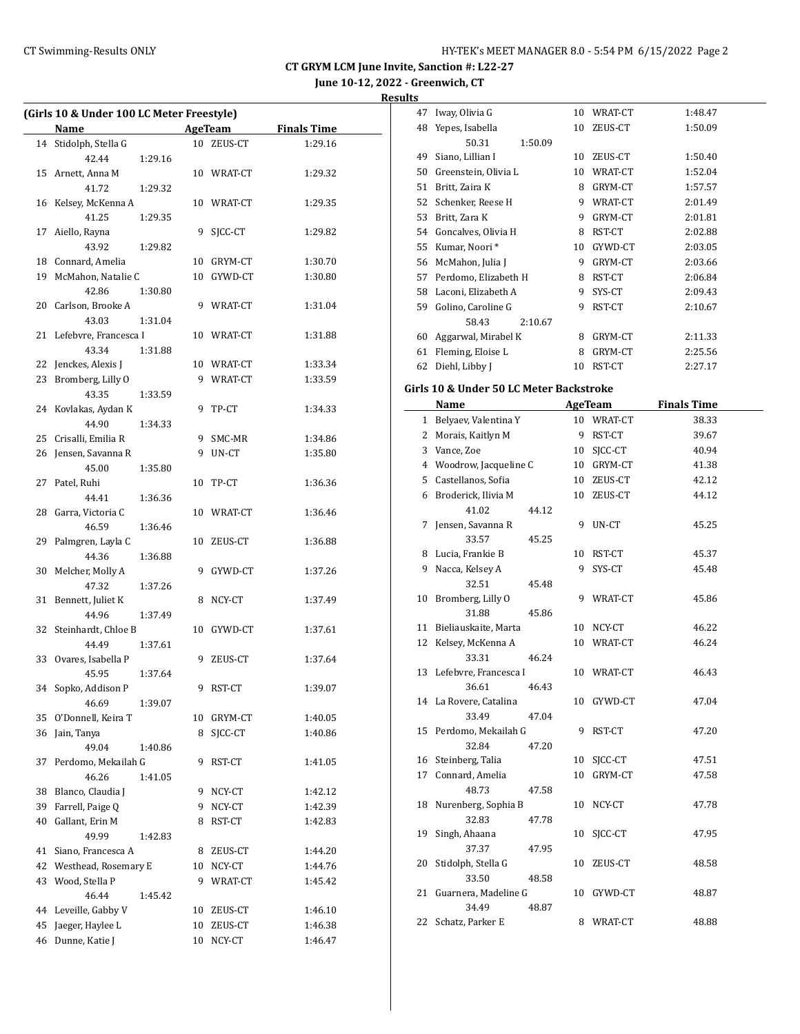| <b>Results</b> |                   |            |         |
|----------------|-------------------|------------|---------|
|                | 47 Iway, Olivia G | 10 WRAT-CT | 1:48.47 |

 $\overline{\phantom{a}}$ 

|    | (Girls 10 & Under 100 LC Meter Freestyle) |    |            |                    |  |  |
|----|-------------------------------------------|----|------------|--------------------|--|--|
|    | Name                                      |    | AgeTeam    | <b>Finals Time</b> |  |  |
| 14 | Stidolph, Stella G                        |    | 10 ZEUS-CT | 1:29.16            |  |  |
|    | 42.44<br>1:29.16                          |    |            |                    |  |  |
| 15 | Arnett, Anna M                            |    | 10 WRAT-CT | 1:29.32            |  |  |
|    | 1:29.32<br>41.72                          |    |            |                    |  |  |
| 16 | Kelsey, McKenna A                         |    | 10 WRAT-CT | 1:29.35            |  |  |
|    | 41.25<br>1:29.35                          |    |            |                    |  |  |
| 17 | Aiello, Rayna                             |    | 9 SJCC-CT  | 1:29.82            |  |  |
|    | 43.92<br>1:29.82                          |    |            |                    |  |  |
|    | 18 Connard, Amelia                        |    | 10 GRYM-CT | 1:30.70            |  |  |
| 19 | McMahon, Natalie C                        |    | 10 GYWD-CT | 1:30.80            |  |  |
|    | 42.86<br>1:30.80                          |    |            |                    |  |  |
|    | 20 Carlson, Brooke A                      |    | 9 WRAT-CT  | 1:31.04            |  |  |
|    | 43.03<br>1:31.04                          |    |            |                    |  |  |
| 21 | Lefebvre, Francesca I                     |    | 10 WRAT-CT | 1:31.88            |  |  |
|    | 43.34<br>1:31.88                          |    |            |                    |  |  |
| 22 | Jenckes, Alexis J                         |    | 10 WRAT-CT | 1:33.34            |  |  |
| 23 | Bromberg, Lilly O                         |    | 9 WRAT-CT  | 1:33.59            |  |  |
|    | 43.35<br>1:33.59                          |    |            |                    |  |  |
|    | 24 Kovlakas, Aydan K                      |    | 9 TP-CT    | 1:34.33            |  |  |
|    | 44.90<br>1:34.33                          |    |            |                    |  |  |
| 25 | Crisalli, Emilia R                        | 9. | SMC-MR     | 1:34.86            |  |  |
| 26 | Jensen, Savanna R                         | 9  | UN-CT      | 1:35.80            |  |  |
|    | 45.00                                     |    |            |                    |  |  |
|    | 1:35.80                                   |    |            |                    |  |  |
|    | 27 Patel, Ruhi                            |    | 10 TP-CT   | 1:36.36            |  |  |
|    | 44.41<br>1:36.36                          |    |            |                    |  |  |
| 28 | Garra, Victoria C                         |    | 10 WRAT-CT | 1:36.46            |  |  |
|    | 46.59<br>1:36.46                          |    |            |                    |  |  |
|    | 29 Palmgren, Layla C                      |    | 10 ZEUS-CT | 1:36.88            |  |  |
|    | 44.36<br>1:36.88                          |    |            |                    |  |  |
| 30 | Melcher, Molly A                          | 9. | GYWD-CT    | 1:37.26            |  |  |
|    | 47.32<br>1:37.26                          |    |            |                    |  |  |
| 31 | Bennett, Juliet K                         |    | 8 NCY-CT   | 1:37.49            |  |  |
|    | 44.96<br>1:37.49                          |    |            |                    |  |  |
| 32 | Steinhardt, Chloe B                       |    | 10 GYWD-CT | 1:37.61            |  |  |
|    | 44.49<br>1:37.61                          |    |            |                    |  |  |
|    | 33 Ovares, Isabella P                     |    | 9 ZEUS-CT  | 1:37.64            |  |  |
|    | 45.95<br>1:37.64                          |    |            |                    |  |  |
|    | 34 Sopko, Addison P                       |    | 9 RST-CT   | 1:39.07            |  |  |
|    | 46.69<br>1:39.07                          |    |            |                    |  |  |
| 35 | O'Donnell, Keira T                        | 10 | GRYM-CT    | 1:40.05            |  |  |
| 36 | Jain, Tanya                               | 8  | SJCC-CT    | 1:40.86            |  |  |
|    | 49.04<br>1:40.86                          |    |            |                    |  |  |
| 37 | Perdomo, Mekailah G                       | 9  | RST-CT     | 1:41.05            |  |  |
|    | 46.26<br>1:41.05                          |    |            |                    |  |  |
| 38 | Blanco, Claudia J                         | 9  | NCY-CT     | 1:42.12            |  |  |
| 39 | Farrell, Paige Q                          | 9  | NCY-CT     | 1:42.39            |  |  |
| 40 | Gallant, Erin M                           | 8  | RST-CT     | 1:42.83            |  |  |
|    | 49.99<br>1:42.83                          |    |            |                    |  |  |
| 41 | Siano, Francesca A                        | 8  | ZEUS-CT    | 1:44.20            |  |  |
| 42 | Westhead, Rosemary E                      |    | 10 NCY-CT  | 1:44.76            |  |  |
| 43 | Wood, Stella P                            | 9  | WRAT-CT    | 1:45.42            |  |  |
|    | 46.44<br>1:45.42                          |    |            |                    |  |  |
|    | 44 Leveille, Gabby V                      |    | 10 ZEUS-CT | 1:46.10            |  |  |
| 45 | Jaeger, Haylee L                          | 10 | ZEUS-CT    | 1:46.38            |  |  |
| 46 | Dunne, Katie J                            | 10 | NCY-CT     | 1:46.47            |  |  |
|    |                                           |    |            |                    |  |  |

| 48 | Yepes, Isabella                         |         | 10 | ZEUS-CT        | 1:50.09            |
|----|-----------------------------------------|---------|----|----------------|--------------------|
|    | 50.31                                   | 1:50.09 |    |                |                    |
| 49 | Siano, Lillian I                        |         | 10 | ZEUS-CT        | 1:50.40            |
| 50 | Greenstein, Olivia L                    |         |    | 10 WRAT-CT     | 1:52.04            |
| 51 | Britt, Zaira K                          |         |    | 8 GRYM-CT      | 1:57.57            |
| 52 | Schenker, Reese H                       |         |    | 9 WRAT-CT      | 2:01.49            |
| 53 | Britt, Zara K                           |         |    | 9 GRYM-CT      | 2:01.81            |
|    | 54 Goncalves, Olivia H                  |         |    | 8 RST-CT       | 2:02.88            |
| 55 | Kumar, Noori*                           |         |    | 10 GYWD-CT     | 2:03.05            |
| 56 | McMahon, Julia J                        |         |    | 9 GRYM-CT      | 2:03.66            |
| 57 | Perdomo, Elizabeth H                    |         |    | 8 RST-CT       | 2:06.84            |
| 58 | Laconi, Elizabeth A                     |         | 9  | SYS-CT         | 2:09.43            |
|    | 59 Golino, Caroline G                   |         | 9  | RST-CT         | 2:10.67            |
|    | 58.43                                   | 2:10.67 |    |                |                    |
| 60 | Aggarwal, Mirabel K                     |         | 8  | GRYM-CT        | 2:11.33            |
| 61 | Fleming, Eloise L                       |         | 8  | GRYM-CT        | 2:25.56            |
| 62 | Diehl, Libby J                          |         | 10 | RST-CT         | 2:27.17            |
|    |                                         |         |    |                |                    |
|    | Girls 10 & Under 50 LC Meter Backstroke |         |    |                |                    |
|    | Name                                    |         |    | <b>AgeTeam</b> | <b>Finals Time</b> |
|    | 1 Belyaev, Valentina Y                  |         |    | 10 WRAT-CT     | 38.33              |
|    | 2 Morais, Kaitlyn M                     |         |    | 9 RST-CT       | 39.67              |
| 3  | Vance, Zoe                              |         |    | 10 SICC-CT     | 40.94              |
|    | 4 Woodrow, Jacqueline C                 |         |    | 10 GRYM-CT     | 41.38              |
| 5  | Castellanos, Sofia                      |         |    | 10 ZEUS-CT     | 42.12              |
|    | 6 Broderick, Ilivia M                   |         |    | 10 ZEUS-CT     | 44.12              |
|    | 41.02                                   | 44.12   |    |                |                    |
| 7  | Jensen, Savanna R                       |         | 9  | UN-CT          | 45.25              |
|    | 33.57                                   | 45.25   |    |                |                    |
| 8  | Lucia, Frankie B                        |         | 10 | RST-CT         | 45.37              |
| 9  | Nacca, Kelsey A                         |         | 9  | SYS-CT         | 45.48              |
|    | 32.51                                   | 45.48   |    |                |                    |
| 10 | Bromberg, Lilly O                       |         | 9  | WRAT-CT        | 45.86              |
|    | 31.88                                   | 45.86   |    |                |                    |
| 11 | Bieliauskaite, Marta                    |         | 10 | NCY-CT         | 46.22              |
| 12 | Kelsey, McKenna A                       |         | 10 | WRAT-CT        | 46.24              |
|    | 33.31                                   | 46.24   |    |                |                    |
| 13 | Lefebvre, Francesca I                   |         | 10 | WRAT-CT        | 46.43              |
|    | 36.61                                   | 46.43   |    |                |                    |
| 14 | La Rovere, Catalina                     |         | 10 | GYWD-CT        | 47.04              |
|    | 33.49                                   | 47.04   |    |                |                    |
| 15 | Perdomo, Mekailah G                     |         | 9  | RST-CT         | 47.20              |
|    | 32.84                                   | 47.20   |    |                |                    |
| 16 | Steinberg, Talia                        |         | 10 | SJCC-CT        | 47.51              |
| 17 | Connard, Amelia                         |         | 10 | GRYM-CT        | 47.58              |
|    | 48.73                                   | 47.58   |    |                |                    |
| 18 | Nurenberg, Sophia B                     |         | 10 | NCY-CT         | 47.78              |
|    | 32.83                                   | 47.78   |    |                |                    |
| 19 | Singh, Ahaana                           |         | 10 | SJCC-CT        | 47.95              |
|    | 37.37                                   | 47.95   |    |                |                    |
| 20 | Stidolph, Stella G                      |         | 10 | ZEUS-CT        | 48.58              |
|    | 33.50                                   | 48.58   |    |                |                    |
| 21 | Guarnera, Madeline G                    |         | 10 | GYWD-CT        | 48.87              |
|    | 34.49                                   | 48.87   |    |                |                    |
| 22 | Schatz, Parker E                        |         | 8  | WRAT-CT        | 48.88              |
|    |                                         |         |    |                |                    |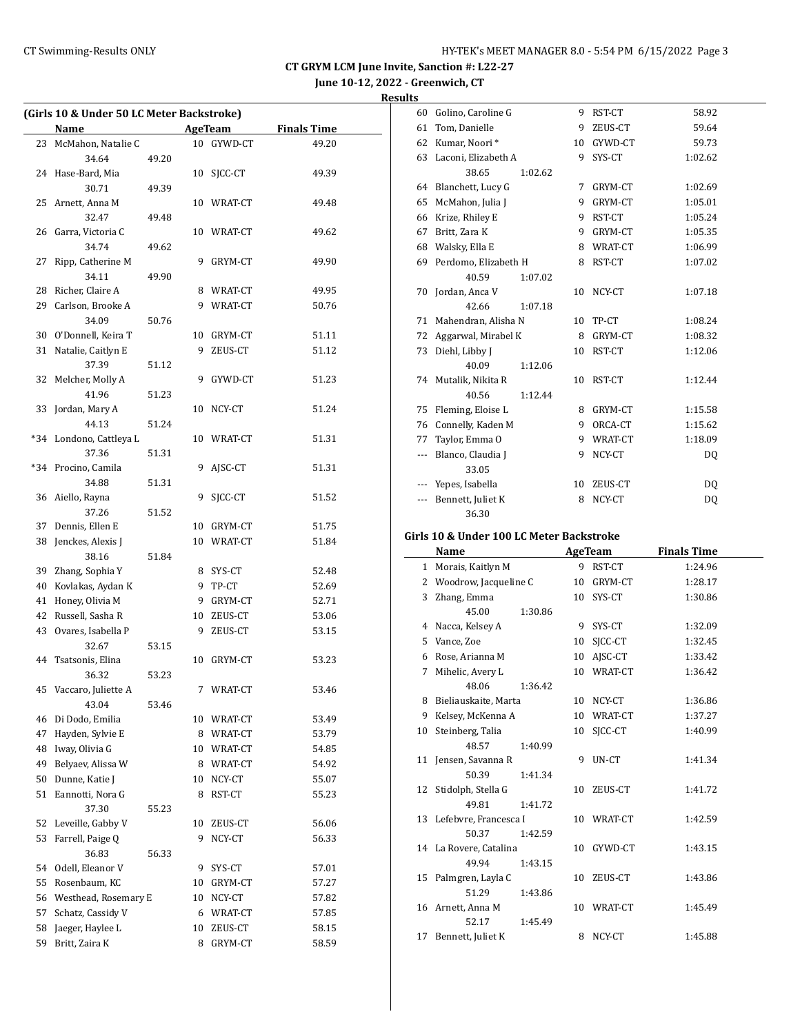**Results**

|    | Name                         |       |    | AgeTeam    | <b>Finals Time</b> |
|----|------------------------------|-------|----|------------|--------------------|
| 23 | McMahon, Natalie C           |       |    | 10 GYWD-CT | 49.20              |
|    | 34.64                        | 49.20 |    |            |                    |
|    | 24 Hase-Bard, Mia            |       | 10 | SJCC-CT    | 49.39              |
|    | 30.71                        | 49.39 |    |            |                    |
| 25 | Arnett, Anna M               |       |    | 10 WRAT-CT | 49.48              |
|    | 32.47                        | 49.48 |    |            |                    |
| 26 | Garra, Victoria C            |       |    | 10 WRAT-CT | 49.62              |
|    | 34.74                        | 49.62 |    |            |                    |
| 27 | Ripp, Catherine M            |       | 9  | GRYM-CT    | 49.90              |
|    | 34.11                        | 49.90 |    |            |                    |
| 28 | Richer, Claire A             |       |    | 8 WRAT-CT  | 49.95              |
| 29 | Carlson, Brooke A            |       |    | 9 WRAT-CT  | 50.76              |
|    | 34.09                        | 50.76 |    |            |                    |
|    | 30 O'Donnell, Keira T        |       |    | 10 GRYM-CT | 51.11              |
| 31 | Natalie, Caitlyn E           |       |    | 9 ZEUS-CT  | 51.12              |
|    | 37.39                        | 51.12 |    |            |                    |
| 32 | Melcher, Molly A             |       |    | 9 GYWD-CT  | 51.23              |
|    | 41.96                        | 51.23 |    |            |                    |
| 33 | Jordan, Mary A               |       |    | 10 NCY-CT  | 51.24              |
|    | 44.13                        | 51.24 |    |            |                    |
|    | *34 Londono, Cattleya L      |       |    | 10 WRAT-CT | 51.31              |
|    | 37.36                        | 51.31 |    |            |                    |
|    |                              |       | 9  | AJSC-CT    | 51.31              |
|    | *34 Procino, Camila<br>34.88 |       |    |            |                    |
|    |                              | 51.31 |    |            |                    |
|    | 36 Aiello, Rayna             |       | 9  | SICC-CT    | 51.52              |
|    | 37.26                        | 51.52 |    |            |                    |
| 37 | Dennis, Ellen E              |       |    | 10 GRYM-CT | 51.75              |
|    | 38 Jenckes, Alexis J         |       |    | 10 WRAT-CT | 51.84              |
|    | 38.16                        | 51.84 |    |            |                    |
| 39 | Zhang, Sophia Y              |       |    | 8 SYS-CT   | 52.48              |
| 40 | Kovlakas, Aydan K            |       |    | 9 TP-CT    | 52.69              |
| 41 | Honey, Olivia M              |       |    | 9 GRYM-CT  | 52.71              |
| 42 | Russell, Sasha R             |       |    | 10 ZEUS-CT | 53.06              |
| 43 | Ovares, Isabella P           |       |    | 9 ZEUS-CT  | 53.15              |
|    | 32.67                        | 53.15 |    |            |                    |
|    | 44 Tsatsonis, Elina          |       | 10 | GRYM-CT    | 53.23              |
|    | 36.32                        | 53.23 |    |            |                    |
| 45 | Vaccaro, Juliette A          |       | 7  | WRAT-CT    | 53.46              |
|    | 43.04                        | 53.46 |    |            |                    |
| 46 | Di Dodo, Emilia              |       |    | 10 WRAT-CT | 53.49              |
| 47 | Hayden, Sylvie E             |       |    | 8 WRAT-CT  | 53.79              |
| 48 | Iway, Olivia G               |       |    | 10 WRAT-CT | 54.85              |
| 49 | Belyaev, Alissa W            |       |    | 8 WRAT-CT  | 54.92              |
| 50 | Dunne, Katie J               |       | 10 | NCY-CT     | 55.07              |
| 51 | Eannotti, Nora G             |       | 8  | RST-CT     | 55.23              |
|    | 37.30                        | 55.23 |    |            |                    |
| 52 | Leveille, Gabby V            |       | 10 | ZEUS-CT    | 56.06              |
| 53 | Farrell, Paige Q             |       | 9  | NCY-CT     | 56.33              |
|    | 36.83                        | 56.33 |    |            |                    |
| 54 | Odell, Eleanor V             |       | 9  | SYS-CT     | 57.01              |
| 55 | Rosenbaum, KC                |       |    | 10 GRYM-CT | 57.27              |
| 56 | Westhead, Rosemary E         |       | 10 | NCY-CT     | 57.82              |
| 57 | Schatz, Cassidy V            |       |    | 6 WRAT-CT  | 57.85              |
|    |                              |       |    |            |                    |
| 58 | Jaeger, Haylee L             |       | 10 | ZEUS-CT    | 58.15              |

| 60  | Golino, Caroline G                 |         | 9                        | RST-CT         | 58.92   |  |
|-----|------------------------------------|---------|--------------------------|----------------|---------|--|
| 61  | Tom, Danielle                      |         | 9                        | ZEUS-CT        | 59.64   |  |
| 62  | Kumar, Noori*                      |         | 10                       | GYWD-CT        | 59.73   |  |
| 63  | Laconi, Elizabeth A                |         | 9                        | SYS-CT         | 1:02.62 |  |
|     | 38.65                              | 1:02.62 |                          |                |         |  |
| 64  | Blanchett, Lucy G                  |         | 7                        | GRYM-CT        | 1:02.69 |  |
| 65  | McMahon, Julia J                   |         | 9                        | GRYM-CT        | 1:05.01 |  |
| 66  | Krize, Rhiley E                    |         | 9                        | RST-CT         | 1:05.24 |  |
| 67  | Britt, Zara K                      |         | 9                        | GRYM-CT        | 1:05.35 |  |
| 68  | Walsky, Ella E                     |         | 8                        | WRAT-CT        | 1:06.99 |  |
| 69  | Perdomo, Elizabeth H               |         | 8                        | RST-CT         | 1:07.02 |  |
|     | 40.59                              | 1:07.02 |                          |                |         |  |
| 70  | Jordan, Anca V                     |         | 10                       | NCY-CT         | 1:07.18 |  |
|     | 42.66                              | 1:07.18 |                          |                |         |  |
| 71  | Mahendran, Alisha N                |         | 10                       | TP-CT          | 1:08.24 |  |
| 72  | Aggarwal, Mirabel K                |         | 8                        | GRYM-CT        | 1:08.32 |  |
| 73  | Diehl, Libby J                     |         | 10                       | RST-CT         | 1:12.06 |  |
|     | 40.09                              | 1:12.06 |                          |                |         |  |
|     | 74 Mutalik, Nikita R               |         | 10                       | RST-CT         | 1:12.44 |  |
|     | 40.56                              | 1:12.44 |                          |                |         |  |
| 75  | Fleming, Eloise L                  |         | 8                        | GRYM-CT        | 1:15.58 |  |
| 76  | Connelly, Kaden M                  |         | 9                        | ORCA-CT        | 1:15.62 |  |
| 77  | Taylor, Emma O                     |         | 9                        | <b>WRAT-CT</b> | 1:18.09 |  |
| --- | Blanco, Claudia J                  |         | 9                        | NCY-CT         | DQ      |  |
|     | 33.05                              |         |                          |                |         |  |
|     | Yepes, Isabella                    |         | 10                       | ZEUS-CT        | DQ      |  |
| --- | Bennett, Juliet K                  |         | 8                        | NCY-CT         | DQ      |  |
|     | 36.30                              |         |                          |                |         |  |
|     | $\cdot$ 1.40.0 FT. 1.400 T.C. 1.5. |         | $\overline{\phantom{a}}$ |                |         |  |

#### **Girls 10 & Under 100 LC Meter Backstroke**

|              | Name                     |         | <b>AgeTeam</b> |            | <b>Finals Time</b> |
|--------------|--------------------------|---------|----------------|------------|--------------------|
| $\mathbf{1}$ | Morais, Kaitlyn M        |         |                | 9 RST-CT   | 1:24.96            |
| 2            | Woodrow, Jacqueline C    |         | 10             | GRYM-CT    | 1:28.17            |
| 3            | Zhang, Emma              |         |                | 10 SYS-CT  | 1:30.86            |
|              | 45.00                    | 1:30.86 |                |            |                    |
|              | 4 Nacca, Kelsey A        |         |                | 9 SYS-CT   | 1:32.09            |
| 5            | Vance, Zoe               |         | 10             | SICC-CT    | 1:32.45            |
| 6            | Rose, Arianna M          |         | 10             | AISC-CT    | 1:33.42            |
| 7            | Mihelic, Avery L         |         |                | 10 WRAT-CT | 1:36.42            |
|              | 48.06                    | 1:36.42 |                |            |                    |
|              | 8 Bieliauskaite, Marta   |         |                | 10 NCY-CT  | 1:36.86            |
| 9            | Kelsey, McKenna A        |         |                | 10 WRAT-CT | 1:37.27            |
| 10           | Steinberg, Talia         |         |                | 10 SICC-CT | 1:40.99            |
|              | 48.57                    | 1:40.99 |                |            |                    |
|              | 11 Jensen, Savanna R     |         | 9              | UN-CT      | 1:41.34            |
|              | 50.39                    | 1:41.34 |                |            |                    |
|              | 12 Stidolph, Stella G    |         |                | 10 ZEUS-CT | 1:41.72            |
|              | 49.81                    | 1:41.72 |                |            |                    |
|              | 13 Lefebvre, Francesca I |         |                | 10 WRAT-CT | 1:42.59            |
|              | 50.37                    | 1:42.59 |                |            |                    |
|              | 14 La Rovere, Catalina   |         |                | 10 GYWD-CT | 1:43.15            |
|              | 49.94                    | 1:43.15 |                |            |                    |
|              | 15 Palmgren, Layla C     |         |                | 10 ZEUS-CT | 1:43.86            |
|              | 51.29                    | 1:43.86 |                |            |                    |
|              | 16 Arnett, Anna M        |         |                | 10 WRAT-CT | 1:45.49            |
|              | 52.17                    | 1:45.49 |                |            |                    |
| 17           | Bennett, Juliet K        |         | 8              | NCY-CT     | 1:45.88            |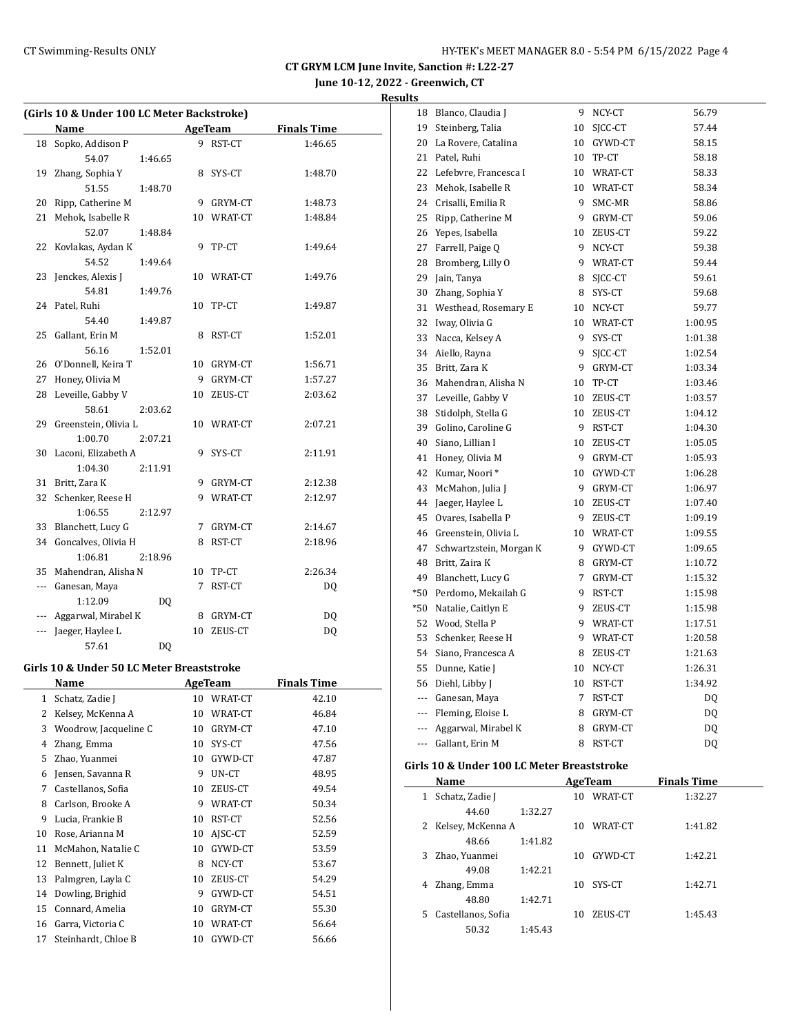|                | (Girls 10 & Under 100 LC Meter Backstroke) |         |                         |                    |
|----------------|--------------------------------------------|---------|-------------------------|--------------------|
|                | Name                                       |         | <b>AgeTeam</b>          | <b>Finals Time</b> |
| 18             | Sopko, Addison P                           |         | 9 RST-CT                | 1:46.65            |
|                | 54.07<br>1:46.65                           |         |                         |                    |
| 19             | Zhang, Sophia Y                            |         | 8 SYS-CT                | 1:48.70            |
|                | 51.55<br>1:48.70                           |         |                         |                    |
| 20             | Ripp, Catherine M                          |         | 9 GRYM-CT               | 1:48.73            |
| 21             | Mehok, Isabelle R                          |         | 10 WRAT-CT              | 1:48.84            |
|                | 52.07<br>1:48.84                           |         |                         |                    |
|                | 22 Kovlakas, Aydan K                       | 9       | TP-CT                   | 1:49.64            |
|                | 54.52<br>1:49.64                           |         |                         |                    |
|                | 23 Jenckes, Alexis J                       |         | 10 WRAT-CT              | 1:49.76            |
|                | 54.81<br>1:49.76                           |         |                         |                    |
|                | 24 Patel, Ruhi                             | 10      | TP-CT                   | 1:49.87            |
|                | 54.40<br>1:49.87                           |         |                         |                    |
| 25             | Gallant, Erin M                            | 8       | RST-CT                  | 1:52.01            |
|                | 56.16<br>1:52.01                           |         |                         |                    |
|                | 26 O'Donnell, Keira T                      |         | 10 GRYM-CT              | 1:56.71            |
| 27             | Honey, Olivia M                            |         | 9 GRYM-CT               | 1:57.27            |
| 28             | Leveille, Gabby V                          |         | 10 ZEUS-CT              | 2:03.62            |
|                | 58.61<br>2:03.62                           |         |                         |                    |
|                | 29 Greenstein, Olivia L                    |         | 10 WRAT-CT              | 2:07.21            |
|                | 1:00.70<br>2:07.21                         |         |                         |                    |
| 30             | Laconi, Elizabeth A                        | 9.      | SYS-CT                  | 2:11.91            |
|                | 1:04.30<br>2:11.91                         |         |                         |                    |
| 31             | Britt, Zara K                              |         | 9 GRYM-CT               | 2:12.38            |
| 32             | Schenker, Reese H                          |         | 9 WRAT-CT               | 2:12.97            |
|                | 1:06.55<br>2:12.97                         |         |                         |                    |
|                | 33 Blanchett, Lucy G                       |         | 7 GRYM-CT               | 2:14.67            |
|                | 34 Goncalves, Olivia H                     | 8       | RST-CT                  | 2:18.96            |
|                | 1:06.81<br>2:18.96                         |         |                         |                    |
|                | 35 Mahendran, Alisha N                     | 7       | 10 TP-CT                | 2:26.34            |
|                | --- Ganesan, Maya                          |         | RST-CT                  | DQ                 |
|                | 1:12.09<br>DQ<br>Aggarwal, Mirabel K       |         |                         |                    |
| ---            | Jaeger, Haylee L                           |         | 8 GRYM-CT<br>10 ZEUS-CT | DQ                 |
|                |                                            |         |                         | <b>DQ</b>          |
|                | 57.61<br>DQ                                |         |                         |                    |
|                | Girls 10 & Under 50 LC Meter Breaststroke  |         |                         |                    |
|                | Name                                       | AgeTeam |                         | <b>Finals Time</b> |
| 1              | Schatz, Zadie J                            | 10      | WRAT-CT                 | 42.10              |
| 2              | Kelsey, McKenna A                          | 10      | WRAT-CT                 | 46.84              |
| 3              | Woodrow, Jacqueline C                      | 10      | GRYM-CT                 | 47.10              |
| $\overline{4}$ | Zhang, Emma                                | 10      | SYS-CT                  | 47.56              |
| 5              | Zhao, Yuanmei                              | 10      | GYWD-CT                 | 47.87              |
| 6              | Jensen, Savanna R                          | 9       | UN-CT                   | 48.95              |
| 7              | Castellanos, Sofia                         | 10      | ZEUS-CT                 | 49.54              |
| 8              | Carlson, Brooke A                          | 9       | WRAT-CT                 | 50.34              |
| 9              | Lucia, Frankie B                           | 10      | RST-CT                  | 52.56              |
| 10             | Rose, Arianna M                            | 10      | AJSC-CT                 | 52.59              |
| 11             | McMahon, Natalie C                         | 10      | GYWD-CT                 | 53.59              |
| 12             | Bennett, Juliet K                          | 8       | NCY-CT                  | 53.67              |
| 13             | Palmgren, Layla C                          | 10      | ZEUS-CT                 | 54.29              |
| 14             | Dowling, Brighid                           | 9       | GYWD-CT                 | 54.51              |
| 15             | Connard, Amelia                            | 10      | GRYM-CT                 | 55.30              |
| 16             | Garra, Victoria C                          | 10      | WRAT-CT                 | 56.64              |
| 17             | Steinhardt, Chloe B                        | 10      | GYWD-CT                 | 56.66              |

| 18  | Blanco, Claudia J                          | 9           | NCY-CT     | 56.79              |  |
|-----|--------------------------------------------|-------------|------------|--------------------|--|
| 19  | Steinberg, Talia                           | 10          | SICC-CT    | 57.44              |  |
| 20  | La Rovere, Catalina                        | 10          | GYWD-CT    | 58.15              |  |
| 21  | Patel, Ruhi                                | 10          | TP-CT      | 58.18              |  |
| 22  | Lefebvre, Francesca I                      | 10          | WRAT-CT    | 58.33              |  |
| 23  | Mehok, Isabelle R                          |             | 10 WRAT-CT | 58.34              |  |
|     | 24 Crisalli, Emilia R                      | 9           | SMC-MR     | 58.86              |  |
| 25  | Ripp, Catherine M                          | 9           | GRYM-CT    | 59.06              |  |
|     | 26 Yepes, Isabella                         | 10          | ZEUS-CT    | 59.22              |  |
| 27  | Farrell, Paige Q                           | 9           | NCY-CT     | 59.38              |  |
| 28  | Bromberg, Lilly O                          |             | 9 WRAT-CT  | 59.44              |  |
| 29  | Jain, Tanya                                | 8           | SICC-CT    | 59.61              |  |
|     | 30 Zhang, Sophia Y                         |             | 8 SYS-CT   | 59.68              |  |
| 31  | Westhead, Rosemary E                       |             | 10 NCY-CT  | 59.77              |  |
| 32  | Iway, Olivia G                             |             | 10 WRAT-CT | 1:00.95            |  |
| 33  | Nacca, Kelsey A                            | 9           | SYS-CT     | 1:01.38            |  |
| 34  | Aiello, Rayna                              | 9           | SICC-CT    | 1:02.54            |  |
| 35  | Britt, Zara K                              | 9           | GRYM-CT    | 1:03.34            |  |
| 36  | Mahendran, Alisha N                        | 10          | TP-CT      | 1:03.46            |  |
| 37  | Leveille, Gabby V                          | 10          | ZEUS-CT    | 1:03.57            |  |
| 38  | Stidolph, Stella G                         | 10          | ZEUS-CT    | 1:04.12            |  |
| 39  | Golino, Caroline G                         | 9           | RST-CT     | 1:04.30            |  |
| 40  | Siano. Lillian I                           | 10          | ZEUS-CT    | 1:05.05            |  |
| 41  | Honey, Olivia M                            |             | 9 GRYM-CT  | 1:05.93            |  |
|     | 42 Kumar, Noori*                           |             | 10 GYWD-CT | 1:06.28            |  |
| 43  | McMahon, Julia J                           |             | 9 GRYM-CT  | 1:06.97            |  |
|     | 44 Jaeger, Haylee L                        |             | 10 ZEUS-CT | 1:07.40            |  |
|     | 45 Ovares, Isabella P                      | 9.          | ZEUS-CT    | 1:09.19            |  |
| 46  | Greenstein, Olivia L                       |             | 10 WRAT-CT | 1:09.55            |  |
| 47  | Schwartzstein, Morgan K                    | 9           | GYWD-CT    | 1:09.65            |  |
| 48  | Britt, Zaira K                             |             | 8 GRYM-CT  | 1:10.72            |  |
| 49  | Blanchett, Lucy G                          | $7^{\circ}$ | GRYM-CT    | 1:15.32            |  |
| *50 | Perdomo, Mekailah G                        | 9           | RST-CT     | 1:15.98            |  |
| *50 | Natalie, Caitlyn E                         | 9           | ZEUS-CT    | 1:15.98            |  |
| 52  | Wood, Stella P                             |             | 9 WRAT-CT  | 1:17.51            |  |
| 53  | Schenker, Reese H                          |             | 9 WRAT-CT  | 1:20.58            |  |
|     | 54 Siano, Francesca A                      |             | 8 ZEUS-CT  | 1:21.63            |  |
| 55  | Dunne, Katie J                             | 10          | NCY-CT     | 1:26.31            |  |
| 56  | Diehl, Libby J                             | 10          | RST-CT     | 1:34.92            |  |
| --- | Ganesan, Maya                              | 7           | RST-CT     | DQ                 |  |
| --- | Fleming, Eloise L                          | 8           | GRYM-CT    | DQ                 |  |
| --- | Aggarwal, Mirabel K                        | 8           | GRYM-CT    | DQ                 |  |
| --- | Gallant, Erin M                            | 8           | RST-CT     | DQ                 |  |
|     | Girls 10 & Under 100 LC Meter Breaststroke |             |            |                    |  |
|     | Name                                       |             | AgeTeam    | <b>Finals Time</b> |  |
| 1   | Schatz, Zadie J                            | 10          | WRAT-CT    | 1:32.27            |  |
|     |                                            |             |            |                    |  |

|    | Name                |         |    | <b>Age leam</b> | <b>Finals</b> Time |  |
|----|---------------------|---------|----|-----------------|--------------------|--|
|    | Schatz, Zadie J     |         | 10 | WRAT-CT         | 1:32.27            |  |
|    | 44.60               | 1:32.27 |    |                 |                    |  |
|    | 2 Kelsey, McKenna A |         | 10 | WRAT-CT         | 1:41.82            |  |
|    | 48.66               | 1:41.82 |    |                 |                    |  |
| 3. | Zhao, Yuanmei       |         | 10 | GYWD-CT         | 1:42.21            |  |
|    | 49.08               | 1:42.21 |    |                 |                    |  |
| 4  | Zhang, Emma         |         | 10 | SYS-CT          | 1:42.71            |  |
|    | 48.80               | 1:42.71 |    |                 |                    |  |
| 5. | Castellanos, Sofia  |         | 10 | ZEUS-CT         | 1:45.43            |  |
|    | 50.32               | 1:45.43 |    |                 |                    |  |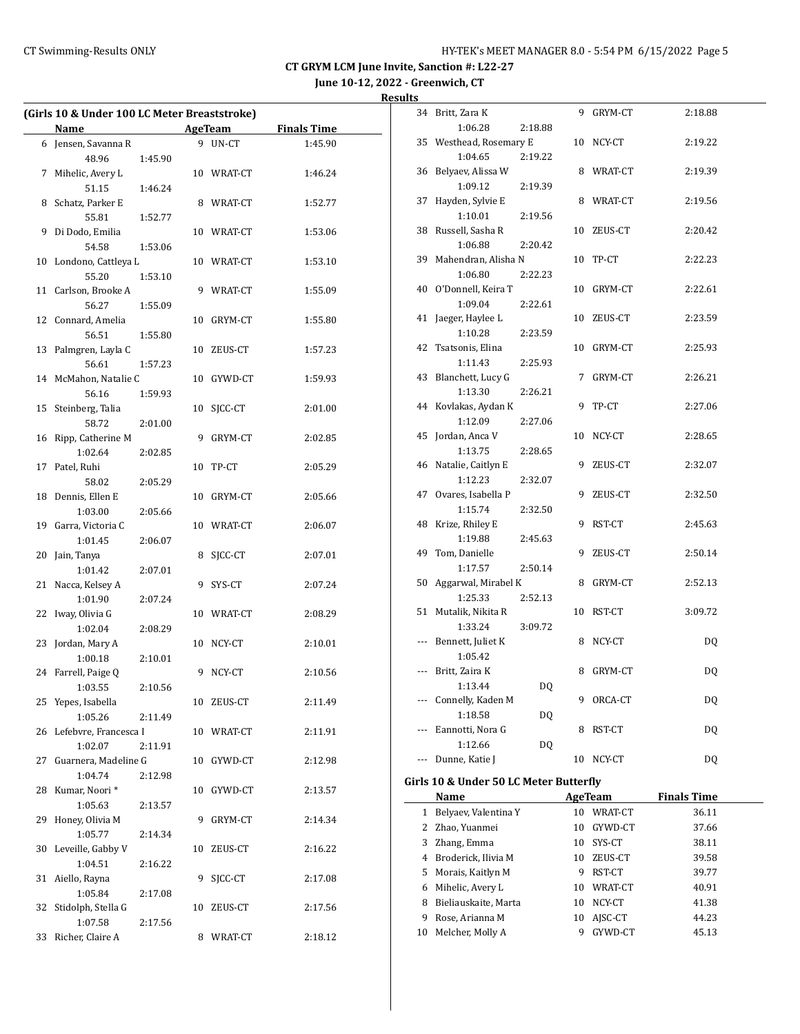**June 10-12, 2022 - Greenwich, CT**

|    | (Girls 10 & Under 100 LC Meter Breaststroke) |         |    |                |                    |  |  |
|----|----------------------------------------------|---------|----|----------------|--------------------|--|--|
|    | Name                                         |         |    | <b>AgeTeam</b> | <b>Finals Time</b> |  |  |
| 6  | Jensen, Savanna R                            |         | 9  | $UN-CT$        | 1:45.90            |  |  |
|    | 48.96                                        | 1:45.90 |    |                |                    |  |  |
| 7  | Mihelic, Avery L                             |         |    | 10 WRAT-CT     | 1:46.24            |  |  |
|    | 51.15                                        | 1:46.24 |    |                |                    |  |  |
| 8  | Schatz, Parker E                             |         |    | 8 WRAT-CT      | 1:52.77            |  |  |
|    | 55.81                                        | 1:52.77 |    |                |                    |  |  |
| 9  | Di Dodo, Emilia                              |         |    | 10 WRAT-CT     | 1:53.06            |  |  |
|    | 54.58                                        | 1:53.06 |    |                |                    |  |  |
| 10 | Londono, Cattleya L                          |         | 10 | WRAT-CT        | 1:53.10            |  |  |
|    | 55.20                                        | 1:53.10 |    |                |                    |  |  |
| 11 | Carlson, Brooke A                            |         | 9  | WRAT-CT        | 1:55.09            |  |  |
|    | 56.27                                        | 1:55.09 |    |                |                    |  |  |
| 12 | Connard, Amelia                              |         | 10 | GRYM-CT        | 1:55.80            |  |  |
|    | 56.51                                        | 1:55.80 |    |                |                    |  |  |
| 13 | Palmgren, Layla C                            |         | 10 | ZEUS-CT        | 1:57.23            |  |  |
|    | 56.61                                        | 1:57.23 |    |                |                    |  |  |
| 14 | McMahon, Natalie C                           |         | 10 | GYWD-CT        | 1:59.93            |  |  |
|    | 56.16                                        | 1:59.93 |    |                |                    |  |  |
| 15 | Steinberg, Talia                             |         | 10 | SICC-CT        | 2:01.00            |  |  |
|    | 58.72                                        | 2:01.00 |    |                |                    |  |  |
| 16 | Ripp, Catherine M                            |         | 9  | GRYM-CT        | 2:02.85            |  |  |
|    | 1:02.64                                      | 2:02.85 |    |                |                    |  |  |
| 17 | Patel, Ruhi                                  |         | 10 | TP-CT          | 2:05.29            |  |  |
|    | 58.02                                        | 2:05.29 |    |                |                    |  |  |
| 18 | Dennis, Ellen E                              |         | 10 | GRYM-CT        | 2:05.66            |  |  |
|    | 1:03.00                                      | 2:05.66 |    |                |                    |  |  |
| 19 | Garra, Victoria C                            |         | 10 | WRAT-CT        | 2:06.07            |  |  |
|    | 1:01.45                                      | 2:06.07 |    |                |                    |  |  |
| 20 | Jain, Tanya                                  |         | 8  | SJCC-CT        | 2:07.01            |  |  |
|    | 1:01.42                                      | 2:07.01 |    |                |                    |  |  |
| 21 | Nacca, Kelsey A                              |         | 9  | SYS-CT         | 2:07.24            |  |  |
|    | 1:01.90                                      | 2:07.24 |    | WRAT-CT        |                    |  |  |
| 22 | Iway, Olivia G                               |         | 10 |                | 2:08.29            |  |  |
| 23 | 1:02.04<br>Jordan, Mary A                    | 2:08.29 |    | 10 NCY-CT      |                    |  |  |
|    | 1:00.18                                      | 2:10.01 |    |                | 2:10.01            |  |  |
| 24 | Farrell, Paige Q                             |         | 9  | NCY-CT         | 2:10.56            |  |  |
|    | 1:03.55                                      | 2:10.56 |    |                |                    |  |  |
| 25 | Yepes, Isabella                              |         | 10 | ZEUS-CT        | 2:11.49            |  |  |
|    | 1:05.26                                      | 2:11.49 |    |                |                    |  |  |
| 26 | Lefebvre, Francesca I                        |         | 10 | WRAT-CT        | 2:11.91            |  |  |
|    | 1:02.07                                      | 2:11.91 |    |                |                    |  |  |
| 27 | Guarnera, Madeline G                         |         | 10 | GYWD-CT        | 2:12.98            |  |  |
|    | 1:04.74                                      | 2:12.98 |    |                |                    |  |  |
| 28 | Kumar, Noori*                                |         | 10 | GYWD-CT        | 2:13.57            |  |  |
|    | 1:05.63                                      | 2:13.57 |    |                |                    |  |  |
| 29 | Honey, Olivia M                              |         | 9  | GRYM-CT        | 2:14.34            |  |  |
|    | 1:05.77                                      | 2:14.34 |    |                |                    |  |  |
| 30 | Leveille, Gabby V                            |         | 10 | ZEUS-CT        | 2:16.22            |  |  |
|    | 1:04.51                                      | 2:16.22 |    |                |                    |  |  |
| 31 | Aiello, Rayna                                |         | 9  | SICC-CT        | 2:17.08            |  |  |
|    | 1:05.84                                      | 2:17.08 |    |                |                    |  |  |
| 32 | Stidolph, Stella G                           |         | 10 | ZEUS-CT        | 2:17.56            |  |  |
|    | 1:07.58                                      | 2:17.56 |    |                |                    |  |  |
| 33 | Richer, Claire A                             |         | 8  | WRAT-CT        | 2:18.12            |  |  |
|    |                                              |         |    |                |                    |  |  |

|              | 34 Britt, Zara K                       |         |          | 9 GRYM-CT          | 2:18.88            |  |
|--------------|----------------------------------------|---------|----------|--------------------|--------------------|--|
|              | 1:06.28                                | 2:18.88 |          |                    |                    |  |
|              | 35 Westhead, Rosemary E                |         |          | 10 NCY-CT          | 2:19.22            |  |
|              | 1:04.65                                | 2:19.22 |          |                    |                    |  |
|              | 36 Belyaev, Alissa W                   |         |          | 8 WRAT-CT          | 2:19.39            |  |
|              | 1:09.12                                | 2:19.39 |          |                    |                    |  |
|              | 37 Hayden, Sylvie E                    |         |          | 8 WRAT-CT          | 2:19.56            |  |
|              | 1:10.01                                | 2:19.56 |          |                    |                    |  |
|              | 38 Russell, Sasha R                    |         |          | 10 ZEUS-CT         | 2:20.42            |  |
|              | 1:06.88                                | 2:20.42 |          |                    |                    |  |
|              | 39 Mahendran, Alisha N                 |         |          | 10 TP-CT           | 2:22.23            |  |
|              | 1:06.80                                | 2:22.23 |          |                    |                    |  |
|              | 40 O'Donnell, Keira T                  |         |          | 10 GRYM-CT         | 2:22.61            |  |
|              | 1:09.04                                | 2:22.61 |          |                    |                    |  |
|              | 41 Jaeger, Haylee L                    |         |          | 10 ZEUS-CT         | 2:23.59            |  |
|              | 1:10.28                                | 2:23.59 |          |                    |                    |  |
|              | 42 Tsatsonis, Elina                    |         |          | 10 GRYM-CT         | 2:25.93            |  |
|              | 1:11.43                                | 2:25.93 |          |                    |                    |  |
|              | 43 Blanchett, Lucy G                   |         |          | 7 GRYM-CT          | 2:26.21            |  |
|              | 1:13.30                                | 2:26.21 |          |                    |                    |  |
|              | 44 Kovlakas, Aydan K                   |         |          | 9 TP-CT            | 2:27.06            |  |
|              | 1:12.09                                | 2:27.06 |          |                    |                    |  |
|              | 45 Jordan, Anca V                      |         |          | 10 NCY-CT          | 2:28.65            |  |
|              | 1:13.75                                | 2:28.65 |          |                    |                    |  |
|              | 46 Natalie, Caitlyn E                  |         |          | 9 ZEUS-CT          | 2:32.07            |  |
|              | 1:12.23                                | 2:32.07 |          |                    |                    |  |
|              | 47 Ovares, Isabella P                  |         |          | 9 ZEUS-CT          | 2:32.50            |  |
|              | 1:15.74                                | 2:32.50 |          |                    |                    |  |
|              | 48 Krize, Rhiley E                     |         |          | 9 RST-CT           | 2:45.63            |  |
|              | 1:19.88                                | 2:45.63 |          |                    |                    |  |
|              | 49 Tom, Danielle                       |         |          | 9 ZEUS-CT          | 2:50.14            |  |
|              | 1:17.57                                | 2:50.14 |          |                    |                    |  |
|              | 50 Aggarwal, Mirabel K                 |         |          | 8 GRYM-CT          | 2:52.13            |  |
|              | 1:25.33                                | 2:52.13 |          |                    |                    |  |
|              | 51 Mutalik, Nikita R<br>1:33.24        |         |          | 10 RST-CT          | 3:09.72            |  |
|              | --- Bennett, Juliet K                  | 3:09.72 |          | 8 NCY-CT           | DQ                 |  |
|              | 1:05.42                                |         |          |                    |                    |  |
|              | --- Britt, Zaira K                     |         |          | 8 GRYM-CT          | DQ                 |  |
|              | 1:13.44                                | DQ      |          |                    |                    |  |
|              | Connelly, Kaden M                      |         | 9.       | ORCA-CT            | DQ                 |  |
|              | 1:18.58                                | DQ      |          |                    |                    |  |
|              | Eannotti, Nora G                       |         | 8        | RST-CT             | DQ                 |  |
|              | 1:12.66                                | DQ      |          |                    |                    |  |
| ---          | Dunne, Katie J                         |         | 10       | NCY-CT             | DQ                 |  |
|              |                                        |         |          |                    |                    |  |
|              | Girls 10 & Under 50 LC Meter Butterfly |         |          |                    |                    |  |
|              | Name                                   |         |          | AgeTeam            | <b>Finals Time</b> |  |
| $\mathbf{1}$ | Belyaev, Valentina Y                   |         |          | 10 WRAT-CT         | 36.11              |  |
|              | 2 Zhao, Yuanmei                        |         | 10       | GYWD-CT            | 37.66              |  |
|              | 3 Zhang, Emma                          |         | 10       | SYS-CT             | 38.11              |  |
|              | 4 Broderick, Ilivia M                  |         | 10       | ZEUS-CT            | 39.58              |  |
|              | 5 Morais, Kaitlyn M                    |         | 9        | RST-CT             | 39.77              |  |
| 6            | Mihelic, Avery L                       |         | 10       | WRAT-CT            | 40.91              |  |
| 8<br>9       | Bieliauskaite, Marta                   |         | 10       | NCY-CT             | 41.38              |  |
|              |                                        |         |          |                    |                    |  |
| 10           | Rose, Arianna M<br>Melcher, Molly A    |         | 10<br>9. | AJSC-CT<br>GYWD-CT | 44.23<br>45.13     |  |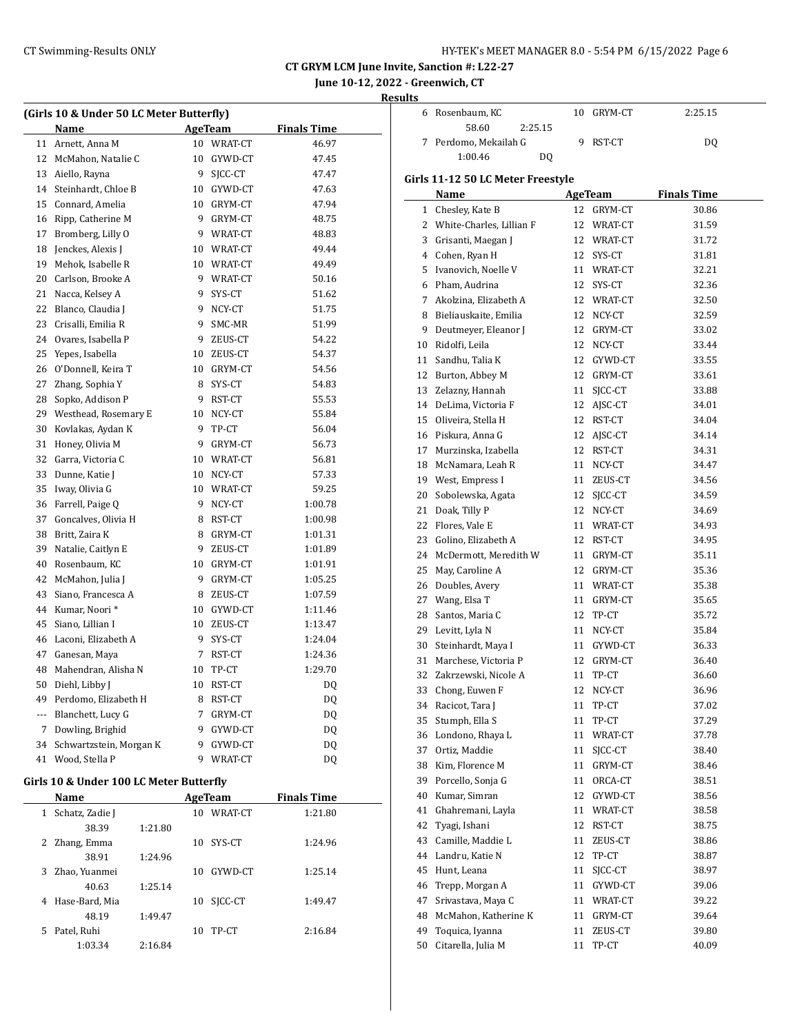**June 10-12, 2022 - Greenwich, CT**

**Results**

| (Girls 10 & Under 50 LC Meter Butterfly) |                         |             |                |                    |  |  |  |
|------------------------------------------|-------------------------|-------------|----------------|--------------------|--|--|--|
|                                          | Name                    |             | <b>AgeTeam</b> | <b>Finals Time</b> |  |  |  |
| 11                                       | Arnett, Anna M          |             | 10 WRAT-CT     | 46.97              |  |  |  |
| 12                                       | McMahon, Natalie C      | 10          | GYWD-CT        | 47.45              |  |  |  |
| 13                                       | Aiello, Rayna           | 9           | SICC-CT        | 47.47              |  |  |  |
| 14                                       | Steinhardt, Chloe B     |             | 10 GYWD-CT     | 47.63              |  |  |  |
| 15                                       | Connard, Amelia         |             | 10 GRYM-CT     | 47.94              |  |  |  |
| 16                                       | Ripp, Catherine M       | 9           | GRYM-CT        | 48.75              |  |  |  |
| 17                                       | Bromberg, Lilly O       |             | 9 WRAT-CT      | 48.83              |  |  |  |
| 18                                       | Jenckes, Alexis J       |             | 10 WRAT-CT     | 49.44              |  |  |  |
| 19                                       | Mehok, Isabelle R       |             | 10 WRAT-CT     | 49.49              |  |  |  |
| 20                                       | Carlson, Brooke A       | 9           | WRAT-CT        | 50.16              |  |  |  |
| 21                                       | Nacca, Kelsey A         | 9           | SYS-CT         | 51.62              |  |  |  |
| 22                                       | Blanco, Claudia J       | 9           | NCY-CT         | 51.75              |  |  |  |
| 23                                       | Crisalli, Emilia R      | 9           | SMC-MR         | 51.99              |  |  |  |
| 24                                       | Ovares, Isabella P      | 9           | ZEUS-CT        | 54.22              |  |  |  |
| 25                                       | Yepes, Isabella         |             | 10 ZEUS-CT     | 54.37              |  |  |  |
| 26                                       | O'Donnell, Keira T      |             | 10 GRYM-CT     | 54.56              |  |  |  |
| 27                                       | Zhang, Sophia Y         | 8           | SYS-CT         | 54.83              |  |  |  |
| 28                                       | Sopko, Addison P        | 9           | RST-CT         | 55.53              |  |  |  |
| 29                                       | Westhead, Rosemary E    | 10          | NCY-CT         | 55.84              |  |  |  |
| 30                                       | Kovlakas, Aydan K       | 9           | TP-CT          | 56.04              |  |  |  |
| 31                                       | Honey, Olivia M         |             | 9 GRYM-CT      | 56.73              |  |  |  |
| 32                                       | Garra, Victoria C       |             | 10 WRAT-CT     | 56.81              |  |  |  |
| 33                                       | Dunne, Katie J          | 10          | NCY-CT         | 57.33              |  |  |  |
| 35                                       | Iway, Olivia G          |             | 10 WRAT-CT     | 59.25              |  |  |  |
| 36                                       | Farrell, Paige Q        | 9           | NCY-CT         | 1:00.78            |  |  |  |
| 37                                       | Goncalves, Olivia H     |             | 8 RST-CT       | 1:00.98            |  |  |  |
| 38                                       | Britt, Zaira K          |             | 8 GRYM-CT      | 1:01.31            |  |  |  |
| 39                                       | Natalie, Caitlyn E      | 9           | ZEUS-CT        | 1:01.89            |  |  |  |
| 40                                       | Rosenbaum, KC           |             | 10 GRYM-CT     | 1:01.91            |  |  |  |
| 42                                       | McMahon, Julia J        | 9           | GRYM-CT        | 1:05.25            |  |  |  |
| 43                                       | Siano, Francesca A      | 8           | ZEUS-CT        | 1:07.59            |  |  |  |
| 44                                       | Kumar, Noori*           |             | 10 GYWD-CT     | 1:11.46            |  |  |  |
| 45                                       | Siano, Lillian I        |             | 10 ZEUS-CT     | 1:13.47            |  |  |  |
| 46                                       | Laconi, Elizabeth A     | 9           | SYS-CT         | 1:24.04            |  |  |  |
| 47                                       | Ganesan, Maya           | 7           | RST-CT         | 1:24.36            |  |  |  |
| 48                                       | Mahendran, Alisha N     | 10          | TP-CT          | 1:29.70            |  |  |  |
| 50                                       | Diehl, Libby J          | 10          | RST-CT         | DQ                 |  |  |  |
| 49                                       | Perdomo, Elizabeth H    | 8           | RST-CT         | DQ                 |  |  |  |
| ---                                      | Blanchett, Lucy G       | $7^{\circ}$ | GRYM-CT        | DQ                 |  |  |  |
| 7                                        | Dowling, Brighid        |             | 9 GYWD-CT      | DQ                 |  |  |  |
| 34                                       | Schwartzstein, Morgan K |             | 9 GYWD-CT      | DQ                 |  |  |  |
| 41                                       | Wood, Stella P          | 9           | WRAT-CT        | DQ                 |  |  |  |

# **Girls 10 & Under 100 LC Meter Butterfly**

| Name                        |         |    | AgeTeam | <b>Finals Time</b> |
|-----------------------------|---------|----|---------|--------------------|
| Schatz, Zadie J<br>1        |         | 10 | WRAT-CT | 1:21.80            |
| 38.39                       | 1:21.80 |    |         |                    |
| Zhang, Emma<br>$\mathbf{Z}$ |         | 10 | SYS-CT  | 1:24.96            |
| 38.91                       | 1:24.96 |    |         |                    |
| Zhao, Yuanmei<br>3.         |         | 10 | GYWD-CT | 1:25.14            |
| 40.63                       | 1:25.14 |    |         |                    |
| Hase-Bard. Mia<br>4         |         | 10 | SICC-CT | 1:49.47            |
| 48.19                       | 1:49.47 |    |         |                    |
| Patel, Ruhi<br>5.           |         | 10 | TP-CT   | 2:16.84            |
| 1:03.34                     | 2:16.84 |    |         |                    |

| นเเร |                                       |    |                       |                    |  |
|------|---------------------------------------|----|-----------------------|--------------------|--|
| 6    | Rosenbaum, KC                         | 10 | GRYM-CT               | 2:25.15            |  |
|      | 58.60<br>2:25.15                      |    |                       |                    |  |
| 7    | Perdomo, Mekailah G                   | 9  | RST-CT                | DQ                 |  |
|      | 1:00.46<br>DQ                         |    |                       |                    |  |
|      | Girls 11-12 50 LC Meter Freestyle     |    |                       |                    |  |
|      | Name                                  |    | AgeTeam               | <b>Finals Time</b> |  |
|      | 1 Chesley, Kate B                     |    | 12 GRYM-CT            | 30.86              |  |
|      | 2 White-Charles, Lillian F            |    | 12 WRAT-CT            | 31.59              |  |
|      | 3 Grisanti, Maegan J                  |    | 12 WRAT-CT            | 31.72              |  |
|      | 4 Cohen, Ryan H                       |    | 12 SYS-CT             | 31.81              |  |
|      | 5 Ivanovich, Noelle V                 |    | 11 WRAT-CT            | 32.21              |  |
|      | 6 Pham, Audrina                       |    | 12 SYS-CT             | 32.36              |  |
|      | 7 Akolzina, Elizabeth A               |    | 12 WRAT-CT            | 32.50              |  |
|      | 8 Bieliauskaite, Emilia               |    | 12 NCY-CT             | 32.59              |  |
| 9    | Deutmeyer, Eleanor J                  |    | 12 GRYM-CT            | 33.02              |  |
| 10   | Ridolfi, Leila                        |    | 12 NCY-CT             | 33.44              |  |
|      | 11 Sandhu, Talia K                    |    | 12 GYWD-CT            | 33.55              |  |
|      | 12 Burton, Abbey M                    |    | 12 GRYM-CT            | 33.61              |  |
|      | 13 Zelazny, Hannah                    |    | 11 SJCC-CT            | 33.88              |  |
|      | 14 DeLima, Victoria F                 |    | 12 AJSC-CT            | 34.01              |  |
|      | 15 Oliveira, Stella H                 |    | 12 RST-CT             | 34.04              |  |
|      | 16 Piskura, Anna G                    |    | 12 AJSC-CT            | 34.14              |  |
|      | 17 Murzinska, Izabella                |    | 12 RST-CT             | 34.31              |  |
|      | 18 McNamara, Leah R                   |    | 11 NCY-CT             | 34.47              |  |
|      | 19 West, Empress I                    |    | 11 ZEUS-CT            | 34.56              |  |
|      | 20 Sobolewska, Agata                  |    | 12 SJCC-CT            | 34.59              |  |
| 21   | Doak, Tilly P                         |    | 12 NCY-CT             | 34.69              |  |
| 22   | Flores, Vale E                        |    | 11 WRAT-CT            | 34.93              |  |
|      | 23 Golino, Elizabeth A                |    | 12 RST-CT             | 34.95              |  |
|      | 24 McDermott, Meredith W              |    | 11 GRYM-CT            | 35.11              |  |
|      | 25 May, Caroline A                    |    | 12 GRYM-CT            | 35.36              |  |
| 26   | Doubles, Avery                        |    | 11 WRAT-CT            | 35.38              |  |
|      | 27 Wang, Elsa T<br>28 Santos, Maria C |    | 11 GRYM-CT            | 35.65              |  |
|      | 29 Levitt, Lyla N                     |    | 12 TP-CT<br>11 NCY-CT | 35.72<br>35.84     |  |
|      | 30 Steinhardt, Maya I                 |    | 11 GYWD-CT            | 36.33              |  |
| 31   | Marchese, Victoria P                  |    | 12 GRYM-CT            | 36.40              |  |
| 32   | Zakrzewski, Nicole A                  | 11 | TP-CT                 | 36.60              |  |
| 33   | Chong, Euwen F                        | 12 | NCY-CT                | 36.96              |  |
| 34   | Racicot, Tara J                       | 11 | TP-CT                 | 37.02              |  |
| 35   | Stumph, Ella S                        | 11 | TP-CT                 | 37.29              |  |
| 36   | Londono, Rhaya L                      | 11 | WRAT-CT               | 37.78              |  |
| 37   | Ortiz, Maddie                         | 11 | SJCC-CT               | 38.40              |  |
| 38   | Kim, Florence M                       | 11 | GRYM-CT               | 38.46              |  |
| 39   | Porcello, Sonja G                     | 11 | ORCA-CT               | 38.51              |  |
| 40   | Kumar, Simran                         | 12 | GYWD-CT               | 38.56              |  |
| 41   | Ghahremani, Layla                     | 11 | WRAT-CT               | 38.58              |  |
| 42   | Tyagi, Ishani                         | 12 | RST-CT                | 38.75              |  |
| 43   | Camille, Maddie L                     | 11 | ZEUS-CT               | 38.86              |  |
| 44   | Landru, Katie N                       | 12 | TP-CT                 | 38.87              |  |
| 45   | Hunt, Leana                           | 11 | SJCC-CT               | 38.97              |  |
| 46   | Trepp, Morgan A                       | 11 | GYWD-CT               | 39.06              |  |
| 47   | Srivastava, Maya C                    | 11 | WRAT-CT               | 39.22              |  |
| 48   | McMahon, Katherine K                  | 11 | GRYM-CT               | 39.64              |  |
| 49   | Toquica, Iyanna                       | 11 | ZEUS-CT               | 39.80              |  |
| 50   | Citarella, Julia M                    | 11 | TP-CT                 | 40.09              |  |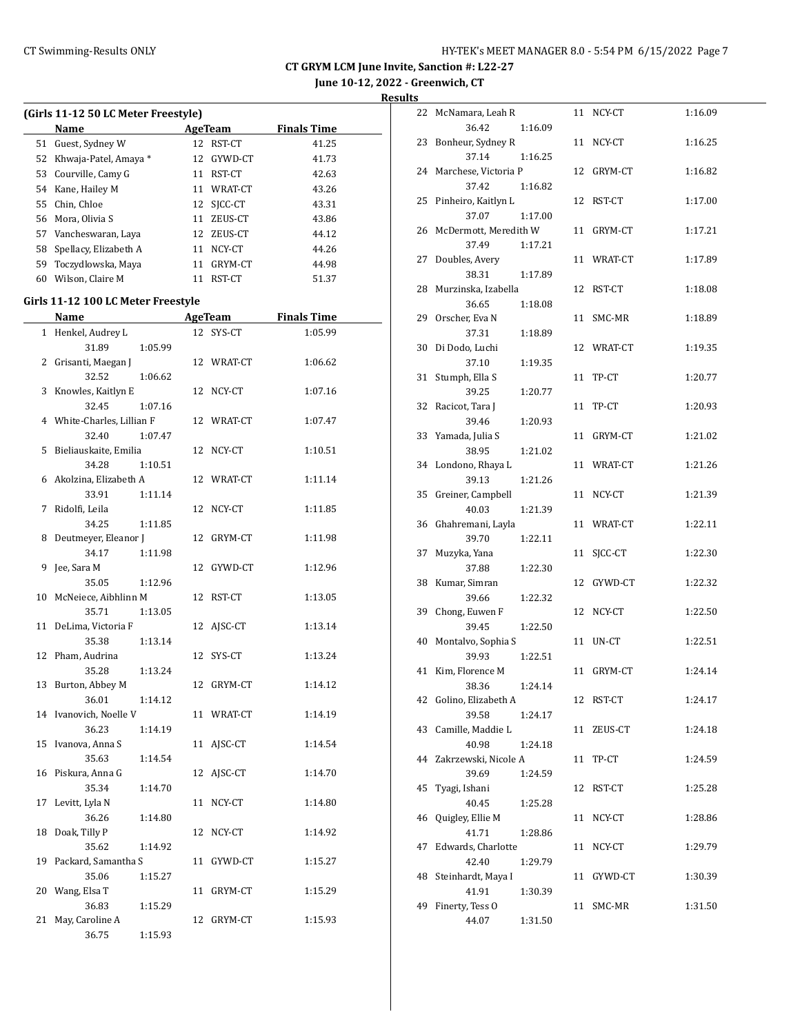**June 10-12, 2022 - Greenwich, CT**

| (Girls 11-12 50 LC Meter Freestyle) |                                        |    |                |                    |  |  |
|-------------------------------------|----------------------------------------|----|----------------|--------------------|--|--|
|                                     | Name                                   |    | <b>AgeTeam</b> | <b>Finals Time</b> |  |  |
| 51                                  | Guest, Sydney W                        |    | 12 RST-CT      | 41.25              |  |  |
| 52                                  | Khwaja-Patel, Amaya *                  |    | 12 GYWD-CT     | 41.73              |  |  |
|                                     | 53 Courville, Camy G                   |    | 11 RST-CT      | 42.63              |  |  |
|                                     | 54 Kane, Hailey M                      |    | 11 WRAT-CT     | 43.26              |  |  |
|                                     | 55 Chin, Chloe                         |    | 12 SJCC-CT     | 43.31              |  |  |
|                                     | 56 Mora, Olivia S                      |    | 11 ZEUS-CT     | 43.86              |  |  |
|                                     | 57 Vancheswaran, Laya                  |    | 12 ZEUS-CT     | 44.12              |  |  |
|                                     | 58 Spellacy, Elizabeth A               |    | 11 NCY-CT      | 44.26              |  |  |
|                                     | 59 Toczydlowska, Maya                  |    | 11 GRYM-CT     | 44.98              |  |  |
|                                     | 60 Wilson, Claire M                    |    | 11 RST-CT      | 51.37              |  |  |
|                                     |                                        |    |                |                    |  |  |
|                                     | Girls 11-12 100 LC Meter Freestyle     |    |                |                    |  |  |
|                                     | Name                                   |    | AgeTeam        | <b>Finals Time</b> |  |  |
|                                     | 1 Henkel, Audrey L                     |    | 12 SYS-CT      | 1:05.99            |  |  |
|                                     | 31.89<br>1:05.99                       |    |                |                    |  |  |
| 2                                   | Grisanti, Maegan J                     |    | 12 WRAT-CT     | 1:06.62            |  |  |
|                                     | 32.52<br>1:06.62                       |    |                |                    |  |  |
| 3                                   | Knowles, Kaitlyn E                     |    | 12 NCY-CT      | 1:07.16            |  |  |
|                                     | 32.45<br>1:07.16                       |    |                |                    |  |  |
|                                     | 4 White-Charles, Lillian F             |    | 12 WRAT-CT     | 1:07.47            |  |  |
|                                     | 32.40<br>1:07.47                       |    |                |                    |  |  |
| 5                                   | Bieliauskaite, Emilia                  |    | 12 NCY-CT      | 1:10.51            |  |  |
|                                     | 1:10.51<br>34.28                       |    |                |                    |  |  |
|                                     | 6 Akolzina, Elizabeth A                |    | 12 WRAT-CT     | 1:11.14            |  |  |
|                                     | 1:11.14<br>33.91                       |    |                |                    |  |  |
| 7                                   | Ridolfi, Leila                         |    | 12 NCY-CT      | 1:11.85            |  |  |
|                                     | 34.25<br>1:11.85                       |    |                |                    |  |  |
| 8                                   | Deutmeyer, Eleanor J                   | 12 | GRYM-CT        | 1:11.98            |  |  |
|                                     | 34.17<br>1:11.98                       |    |                |                    |  |  |
| 9                                   | Jee, Sara M<br>35.05                   | 12 | GYWD-CT        | 1:12.96            |  |  |
| 10                                  | 1:12.96<br>McNeiece, Aibhlinn M        |    | 12 RST-CT      | 1:13.05            |  |  |
|                                     | 35.71<br>1:13.05                       |    |                |                    |  |  |
| 11                                  |                                        |    |                | 1:13.14            |  |  |
|                                     | DeLima, Victoria F<br>35.38<br>1:13.14 |    | 12 AJSC-CT     |                    |  |  |
|                                     | 12 Pham, Audrina                       |    | 12 SYS-CT      | 1:13.24            |  |  |
|                                     | 35.28<br>1:13.24                       |    |                |                    |  |  |
|                                     | 13 Burton, Abbey M                     |    | 12 GRYM-CT     | 1:14.12            |  |  |
|                                     | 36.01<br>1:14.12                       |    |                |                    |  |  |
|                                     | 14 Ivanovich, Noelle V                 |    | 11 WRAT-CT     | 1:14.19            |  |  |
|                                     | 36.23<br>1:14.19                       |    |                |                    |  |  |
| 15                                  | Ivanova, Anna S                        |    | 11 AJSC-CT     | 1:14.54            |  |  |
|                                     | 35.63<br>1:14.54                       |    |                |                    |  |  |
| 16                                  | Piskura, Anna G                        |    | 12 AJSC-CT     | 1:14.70            |  |  |
|                                     | 35.34<br>1:14.70                       |    |                |                    |  |  |
| 17                                  | Levitt, Lyla N                         | 11 | NCY-CT         | 1:14.80            |  |  |
|                                     | 36.26<br>1:14.80                       |    |                |                    |  |  |
| 18                                  | Doak, Tilly P                          |    | 12 NCY-CT      | 1:14.92            |  |  |
|                                     | 35.62<br>1:14.92                       |    |                |                    |  |  |
|                                     | 19 Packard, Samantha S                 |    | 11 GYWD-CT     | 1:15.27            |  |  |
|                                     | 35.06<br>1:15.27                       |    |                |                    |  |  |
| 20                                  | Wang, Elsa T                           |    | 11 GRYM-CT     | 1:15.29            |  |  |
|                                     | 36.83<br>1:15.29                       |    |                |                    |  |  |
| 21                                  | May, Caroline A                        | 12 | GRYM-CT        | 1:15.93            |  |  |
|                                     | 36.75<br>1:15.93                       |    |                |                    |  |  |
|                                     |                                        |    |                |                    |  |  |

| 22 | McNamara, Leah R      |         |    | 11 NCY-CT  | 1:16.09 |
|----|-----------------------|---------|----|------------|---------|
|    | 36.42                 | 1:16.09 |    |            |         |
| 23 | Bonheur, Sydney R     |         | 11 | NCY-CT     | 1:16.25 |
|    | 37.14                 | 1:16.25 |    |            |         |
| 24 | Marchese, Victoria P  |         |    | 12 GRYM-CT | 1:16.82 |
|    | 37.42                 | 1:16.82 |    |            |         |
| 25 | Pinheiro, Kaitlyn L   |         |    | 12 RST-CT  | 1:17.00 |
|    | 37.07                 | 1:17.00 |    |            |         |
| 26 | McDermott, Meredith W |         |    | 11 GRYM-CT | 1:17.21 |
|    | 37.49                 | 1:17.21 |    |            |         |
| 27 | Doubles, Avery        |         | 11 | WRAT-CT    | 1:17.89 |
|    | 38.31                 | 1:17.89 |    |            |         |
| 28 | Murzinska, Izabella   |         |    | 12 RST-CT  | 1:18.08 |
|    | 36.65                 | 1:18.08 |    |            |         |
| 29 | Orscher, Eva N        |         | 11 | SMC-MR     | 1:18.89 |
|    | 37.31                 |         |    |            |         |
| 30 | Di Dodo, Luchi        | 1:18.89 |    |            |         |
|    |                       |         |    | 12 WRAT-CT | 1:19.35 |
|    | 37.10                 | 1:19.35 |    |            |         |
| 31 | Stumph, Ella S        |         | 11 | TP-CT      | 1:20.77 |
|    | 39.25                 | 1:20.77 |    |            |         |
| 32 | Racicot, Tara J       |         | 11 | TP-CT      | 1:20.93 |
|    | 39.46                 | 1:20.93 |    |            |         |
| 33 | Yamada, Julia S       |         | 11 | GRYM-CT    | 1:21.02 |
|    | 38.95                 | 1:21.02 |    |            |         |
| 34 | Londono, Rhaya L      |         | 11 | WRAT-CT    | 1:21.26 |
|    | 39.13                 | 1:21.26 |    |            |         |
| 35 | Greiner, Campbell     |         | 11 | NCY-CT     | 1:21.39 |
|    | 40.03                 | 1:21.39 |    |            |         |
| 36 | Ghahremani, Layla     |         | 11 | WRAT-CT    | 1:22.11 |
|    | 39.70                 | 1:22.11 |    |            |         |
| 37 | Muzyka, Yana          |         | 11 | SICC-CT    | 1:22.30 |
|    | 37.88                 | 1:22.30 |    |            |         |
| 38 | Kumar, Simran         |         |    | 12 GYWD-CT | 1:22.32 |
|    | 39.66                 | 1:22.32 |    |            |         |
| 39 | Chong, Euwen F        |         |    | 12 NCY-CT  | 1:22.50 |
|    | 39.45                 | 1:22.50 |    |            |         |
| 40 | Montalvo, Sophia S    |         | 11 | UN-CT      | 1:22.51 |
|    | 39.93                 | 1:22.51 |    |            |         |
| 41 | Kim, Florence M       |         | 11 | GRYM-CT    | 1:24.14 |
|    | 38.36                 | 1:24.14 |    |            |         |
| 42 | Golino, Elizabeth A   |         |    | 12 RST-CT  | 1:24.17 |
|    | 39.58                 | 1:24.17 |    |            |         |
| 43 | Camille, Maddie L     |         | 11 | ZEUS-CT    | 1:24.18 |
|    | 40.98                 | 1:24.18 |    |            |         |
| 44 | Zakrzewski, Nicole A  |         | 11 | TP-CT      | 1:24.59 |
|    | 39.69                 | 1:24.59 |    |            |         |
| 45 | Tyagi, Ishani         |         | 12 | RST-CT     | 1:25.28 |
|    | 40.45                 | 1:25.28 |    |            |         |
| 46 | Quigley, Ellie M      |         | 11 | NCY-CT     | 1:28.86 |
|    | 41.71                 | 1:28.86 |    |            |         |
| 47 | Edwards, Charlotte    |         | 11 | NCY-CT     | 1:29.79 |
|    | 42.40                 | 1:29.79 |    |            |         |
| 48 | Steinhardt, Maya I    |         | 11 | GYWD-CT    | 1:30.39 |
|    | 41.91                 | 1:30.39 |    |            |         |
| 49 | Finerty, Tess O       |         | 11 | SMC-MR     | 1:31.50 |
|    | 44.07                 | 1:31.50 |    |            |         |
|    |                       |         |    |            |         |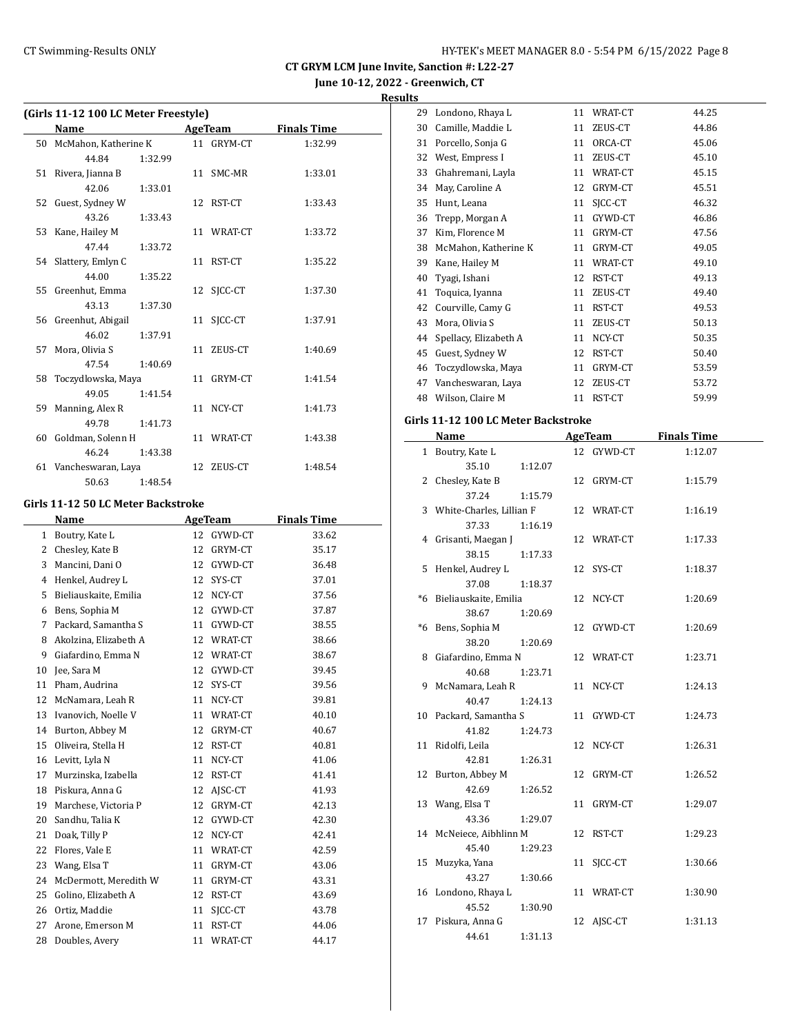**Results**

|  |  |  | 11-12 100 LC Meter Freestyle) |  |
|--|--|--|-------------------------------|--|

| (Girls 11-12 100 LC Meter Freestyle) |                         |         |  |                |                    |  |  |
|--------------------------------------|-------------------------|---------|--|----------------|--------------------|--|--|
|                                      | Name                    |         |  | <b>AgeTeam</b> | <b>Finals Time</b> |  |  |
|                                      | 50 McMahon, Katherine K |         |  | 11 GRYM-CT     | 1:32.99            |  |  |
|                                      | 44.84                   | 1:32.99 |  |                |                    |  |  |
|                                      | 51 Rivera, Jianna B     |         |  | 11 SMC-MR      | 1:33.01            |  |  |
|                                      | 42.06                   | 1:33.01 |  |                |                    |  |  |
|                                      | 52 Guest, Sydney W      |         |  | 12 RST-CT      | 1:33.43            |  |  |
|                                      | 43.26                   | 1:33.43 |  |                |                    |  |  |
|                                      | 53 Kane, Hailey M       |         |  | 11 WRAT-CT     | 1:33.72            |  |  |
|                                      | 47.44                   | 1:33.72 |  |                |                    |  |  |
|                                      | 54 Slattery, Emlyn C    |         |  | 11 RST-CT      | 1:35.22            |  |  |
|                                      | 44.00                   | 1:35.22 |  |                |                    |  |  |
|                                      | 55 Greenhut, Emma       |         |  | 12 SICC-CT     | 1:37.30            |  |  |
|                                      | 43.13                   | 1:37.30 |  |                |                    |  |  |
|                                      | 56 Greenhut, Abigail    |         |  | 11 SICC-CT     | 1:37.91            |  |  |
|                                      | 46.02                   | 1:37.91 |  |                |                    |  |  |
|                                      | 57 Mora, Olivia S       |         |  | 11 ZEUS-CT     | 1:40.69            |  |  |
|                                      | 47.54                   | 1:40.69 |  |                |                    |  |  |
| 58                                   | Toczydlowska, Maya      |         |  | 11 GRYM-CT     | 1:41.54            |  |  |
|                                      | 49.05                   | 1:41.54 |  |                |                    |  |  |
|                                      | 59 Manning, Alex R      |         |  | 11 NCY-CT      | 1:41.73            |  |  |
|                                      | 49.78                   | 1:41.73 |  |                |                    |  |  |
|                                      | 60 Goldman, Solenn H    |         |  | 11 WRAT-CT     | 1:43.38            |  |  |
|                                      | 46.24                   | 1:43.38 |  |                |                    |  |  |
|                                      | 61 Vancheswaran, Laya   |         |  | 12 ZEUS-CT     | 1:48.54            |  |  |
|                                      | 50.63                   | 1:48.54 |  |                |                    |  |  |

#### **Girls 11-12 50 LC Meter Backstroke**

|    | Name<br><b>AgeTeam</b> |    |         | <b>Finals Time</b> |
|----|------------------------|----|---------|--------------------|
| 1  | Boutry, Kate L         | 12 | GYWD-CT | 33.62              |
| 2  | Chesley, Kate B        | 12 | GRYM-CT | 35.17              |
| 3  | Mancini, Dani O        | 12 | GYWD-CT | 36.48              |
| 4  | Henkel, Audrey L       | 12 | SYS-CT  | 37.01              |
| 5  | Bieliauskaite, Emilia  | 12 | NCY-CT  | 37.56              |
| 6  | Bens, Sophia M         | 12 | GYWD-CT | 37.87              |
| 7  | Packard, Samantha S    | 11 | GYWD-CT | 38.55              |
| 8  | Akolzina, Elizabeth A  | 12 | WRAT-CT | 38.66              |
| 9  | Giafardino, Emma N     | 12 | WRAT-CT | 38.67              |
| 10 | Jee, Sara M            | 12 | GYWD-CT | 39.45              |
| 11 | Pham, Audrina          | 12 | SYS-CT  | 39.56              |
| 12 | McNamara, Leah R       | 11 | NCY-CT  | 39.81              |
| 13 | Ivanovich, Noelle V    | 11 | WRAT-CT | 40.10              |
| 14 | Burton, Abbey M        | 12 | GRYM-CT | 40.67              |
| 15 | Oliveira, Stella H     | 12 | RST-CT  | 40.81              |
| 16 | Levitt, Lyla N         | 11 | NCY-CT  | 41.06              |
| 17 | Murzinska, Izabella    | 12 | RST-CT  | 41.41              |
| 18 | Piskura, Anna G        | 12 | AISC-CT | 41.93              |
| 19 | Marchese, Victoria P   | 12 | GRYM-CT | 42.13              |
| 20 | Sandhu, Talia K        | 12 | GYWD-CT | 42.30              |
| 21 | Doak, Tilly P          | 12 | NCY-CT  | 42.41              |
| 22 | Flores, Vale E         | 11 | WRAT-CT | 42.59              |
| 23 | Wang, Elsa T           | 11 | GRYM-CT | 43.06              |
| 24 | McDermott, Meredith W  | 11 | GRYM-CT | 43.31              |
| 25 | Golino, Elizabeth A    | 12 | RST-CT  | 43.69              |
| 26 | Ortiz, Maddie          | 11 | SICC-CT | 43.78              |
| 27 | Arone, Emerson M       | 11 | RST-CT  | 44.06              |
| 28 | Doubles, Avery         | 11 | WRAT-CT | 44.17              |

| 29 | Londono, Rhaya L      | 11 | WRAT-CT | 44.25 |
|----|-----------------------|----|---------|-------|
| 30 | Camille, Maddie L     | 11 | ZEUS-CT | 44.86 |
| 31 | Porcello, Sonja G     | 11 | ORCA-CT | 45.06 |
| 32 | West, Empress I       | 11 | ZEUS-CT | 45.10 |
| 33 | Ghahremani, Layla     | 11 | WRAT-CT | 45.15 |
| 34 | May, Caroline A       | 12 | GRYM-CT | 45.51 |
| 35 | Hunt, Leana           | 11 | SICC-CT | 46.32 |
| 36 | Trepp, Morgan A       | 11 | GYWD-CT | 46.86 |
| 37 | Kim, Florence M       | 11 | GRYM-CT | 47.56 |
| 38 | McMahon, Katherine K  | 11 | GRYM-CT | 49.05 |
| 39 | Kane, Hailey M        | 11 | WRAT-CT | 49.10 |
| 40 | Tyagi, Ishani         | 12 | RST-CT  | 49.13 |
| 41 | Toquica, Iyanna       | 11 | ZEUS-CT | 49.40 |
| 42 | Courville, Camy G     | 11 | RST-CT  | 49.53 |
| 43 | Mora, Olivia S        | 11 | ZEUS-CT | 50.13 |
| 44 | Spellacy, Elizabeth A | 11 | NCY-CT  | 50.35 |
| 45 | Guest, Sydney W       | 12 | RST-CT  | 50.40 |
| 46 | Toczydlowska, Maya    | 11 | GRYM-CT | 53.59 |
| 47 | Vancheswaran, Laya    | 12 | ZEUS-CT | 53.72 |
| 48 | Wilson, Claire M      | 11 | RST-CT  | 59.99 |

#### **Girls 11-12 100 LC Meter Backstroke**

|    | Name                       |  | <b>AgeTeam</b> | <b>Finals Time</b> |  |
|----|----------------------------|--|----------------|--------------------|--|
|    | 1 Boutry, Kate L           |  | 12 GYWD-CT     | 1:12.07            |  |
|    | 35.10<br>1:12.07           |  |                |                    |  |
|    | 2 Chesley, Kate B          |  | 12 GRYM-CT     | 1:15.79            |  |
|    | 37.24<br>1:15.79           |  |                |                    |  |
|    | 3 White-Charles, Lillian F |  | 12 WRAT-CT     | 1:16.19            |  |
|    | 37.33<br>1:16.19           |  |                |                    |  |
|    | 4 Grisanti, Maegan J       |  | 12 WRAT-CT     | 1:17.33            |  |
|    | 38.15<br>1:17.33           |  |                |                    |  |
|    | 5 Henkel, Audrey L         |  | 12 SYS-CT      | 1:18.37            |  |
|    | 37.08<br>1:18.37           |  |                |                    |  |
|    | *6 Bieliauskaite, Emilia   |  | 12 NCY-CT      | 1:20.69            |  |
|    | 38.67<br>1:20.69           |  |                |                    |  |
|    | *6 Bens, Sophia M          |  | 12 GYWD-CT     | 1:20.69            |  |
|    | 38.20<br>1:20.69           |  |                |                    |  |
|    | 8 Giafardino, Emma N       |  | 12 WRAT-CT     | 1:23.71            |  |
|    | 40.68<br>1:23.71           |  |                |                    |  |
|    | 9 McNamara, Leah R         |  | 11 NCY-CT      | 1:24.13            |  |
|    | 40.47<br>1:24.13           |  |                |                    |  |
|    | 10 Packard, Samantha S     |  | 11 GYWD-CT     | 1:24.73            |  |
|    | 41.82<br>1:24.73           |  |                |                    |  |
|    | 11 Ridolfi, Leila          |  | 12 NCY-CT      | 1:26.31            |  |
|    | 42.81<br>1:26.31           |  |                |                    |  |
|    | 12 Burton, Abbey M         |  | 12 GRYM-CT     | 1:26.52            |  |
|    | 42.69<br>1:26.52           |  |                |                    |  |
|    | 13 Wang, Elsa T            |  | 11 GRYM-CT     | 1:29.07            |  |
|    | 43.36<br>1:29.07           |  |                |                    |  |
|    | 14 McNeiece, Aibhlinn M    |  | 12 RST-CT      | 1:29.23            |  |
|    | 45.40<br>1:29.23           |  |                |                    |  |
|    | 15 Muzyka, Yana            |  | 11 SJCC-CT     | 1:30.66            |  |
|    | 43.27<br>1:30.66           |  |                |                    |  |
|    | 16 Londono, Rhaya L        |  | 11 WRAT-CT     | 1:30.90            |  |
|    | 45.52<br>1:30.90           |  |                |                    |  |
| 17 | Piskura, Anna G            |  | 12 AJSC-CT     | 1:31.13            |  |
|    | 44.61<br>1:31.13           |  |                |                    |  |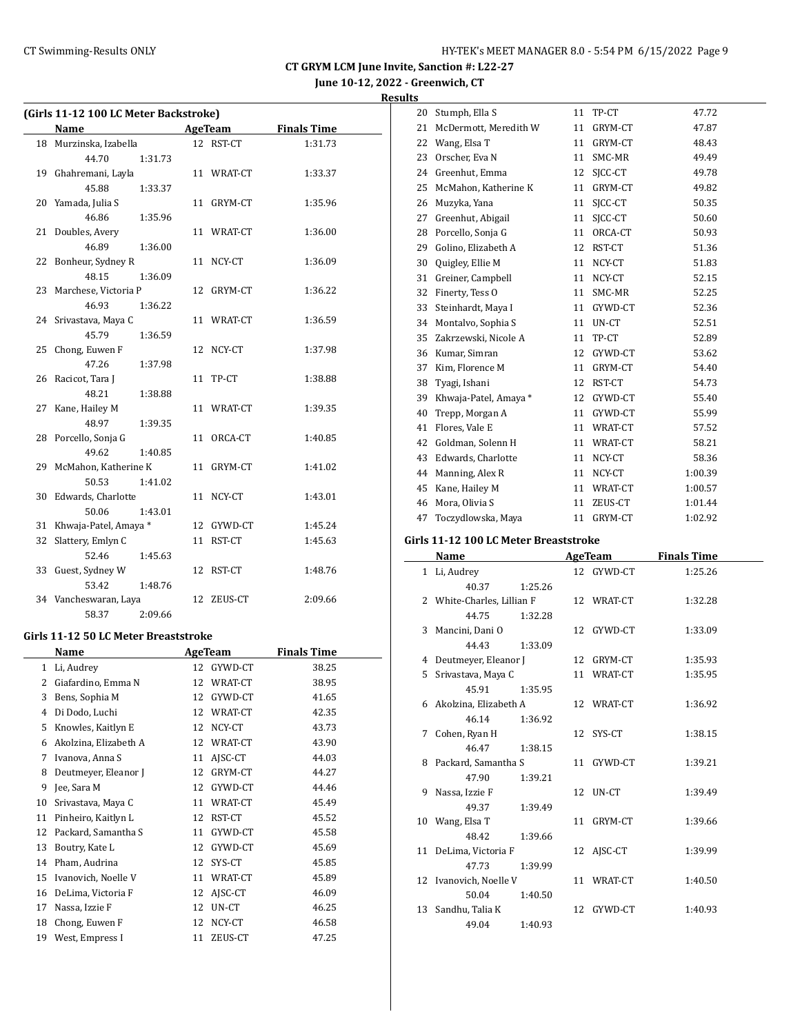# **Results**

| (Girls 11-12 100 LC Meter Backstroke) |                          |  |            |                    |  |  |
|---------------------------------------|--------------------------|--|------------|--------------------|--|--|
|                                       | <b>Name</b>              |  | AgeTeam    | <b>Finals Time</b> |  |  |
|                                       | 18 Murzinska, Izabella   |  | 12 RST-CT  | 1:31.73            |  |  |
|                                       | 44.70<br>1:31.73         |  |            |                    |  |  |
|                                       | 19 Ghahremani, Layla     |  | 11 WRAT-CT | 1:33.37            |  |  |
|                                       | 45.88<br>1:33.37         |  |            |                    |  |  |
|                                       | 20 Yamada, Julia S       |  | 11 GRYM-CT | 1:35.96            |  |  |
|                                       | 46.86<br>1:35.96         |  |            |                    |  |  |
|                                       | 21 Doubles, Avery        |  | 11 WRAT-CT | 1:36.00            |  |  |
|                                       | 46.89<br>1:36.00         |  |            |                    |  |  |
|                                       | 22 Bonheur, Sydney R     |  | 11 NCY-CT  | 1:36.09            |  |  |
|                                       | 48.15<br>1:36.09         |  |            |                    |  |  |
| 23                                    | Marchese, Victoria P     |  | 12 GRYM-CT | 1:36.22            |  |  |
|                                       | 46.93<br>1:36.22         |  |            |                    |  |  |
|                                       | 24 Srivastava, Maya C    |  | 11 WRAT-CT | 1:36.59            |  |  |
|                                       | 45.79<br>1:36.59         |  |            |                    |  |  |
| 25                                    | Chong, Euwen F           |  | 12 NCY-CT  | 1:37.98            |  |  |
|                                       | 47.26<br>1:37.98         |  |            |                    |  |  |
|                                       | 26 Racicot, Tara J       |  | 11 TP-CT   | 1:38.88            |  |  |
|                                       | 48.21<br>1:38.88         |  |            |                    |  |  |
| 27                                    | Kane, Hailey M           |  | 11 WRAT-CT | 1:39.35            |  |  |
|                                       | 48.97<br>1:39.35         |  |            |                    |  |  |
|                                       | 28 Porcello, Sonja G     |  | 11 ORCA-CT | 1:40.85            |  |  |
|                                       | 49.62<br>1:40.85         |  |            |                    |  |  |
|                                       | 29 McMahon, Katherine K  |  | 11 GRYM-CT | 1:41.02            |  |  |
|                                       | 50.53<br>1:41.02         |  |            |                    |  |  |
|                                       | 30 Edwards, Charlotte    |  | 11 NCY-CT  | 1:43.01            |  |  |
|                                       | 50.06<br>1:43.01         |  |            |                    |  |  |
|                                       | 31 Khwaja-Patel, Amaya * |  | 12 GYWD-CT | 1:45.24            |  |  |
| 32                                    | Slattery, Emlyn C        |  | 11 RST-CT  | 1:45.63            |  |  |
|                                       | 52.46<br>1:45.63         |  |            |                    |  |  |
| 33                                    | Guest, Sydney W          |  | 12 RST-CT  | 1:48.76            |  |  |
|                                       | 53.42<br>1:48.76         |  |            |                    |  |  |
|                                       | 34 Vancheswaran, Laya    |  | 12 ZEUS-CT | 2:09.66            |  |  |
|                                       | 58.37<br>2:09.66         |  |            |                    |  |  |

#### **Girls 11-12 50 LC Meter Breaststroke**

| Name |                       |    | <b>AgeTeam</b> | <b>Finals Time</b> |  |
|------|-----------------------|----|----------------|--------------------|--|
| 1    | Li, Audrey            | 12 | GYWD-CT        | 38.25              |  |
| 2    | Giafardino, Emma N    | 12 | WRAT-CT        | 38.95              |  |
| 3    | Bens, Sophia M        | 12 | GYWD-CT        | 41.65              |  |
| 4    | Di Dodo, Luchi        | 12 | WRAT-CT        | 42.35              |  |
| 5    | Knowles, Kaitlyn E    | 12 | NCY-CT         | 43.73              |  |
| 6    | Akolzina, Elizabeth A | 12 | WRAT-CT        | 43.90              |  |
| 7    | Ivanova, Anna S       | 11 | AISC-CT        | 44.03              |  |
| 8    | Deutmeyer, Eleanor J  | 12 | GRYM-CT        | 44.27              |  |
| 9    | Jee, Sara M           | 12 | GYWD-CT        | 44.46              |  |
| 10   | Srivastava, Maya C    | 11 | WRAT-CT        | 45.49              |  |
| 11   | Pinheiro, Kaitlyn L   | 12 | RST-CT         | 45.52              |  |
| 12   | Packard, Samantha S   | 11 | GYWD-CT        | 45.58              |  |
| 13   | Boutry, Kate L        | 12 | GYWD-CT        | 45.69              |  |
| 14   | Pham, Audrina         | 12 | SYS-CT         | 45.85              |  |
| 15   | Ivanovich, Noelle V   | 11 | WRAT-CT        | 45.89              |  |
| 16   | DeLima, Victoria F    | 12 | AJSC-CT        | 46.09              |  |
| 17   | Nassa, Izzie F        | 12 | UN-CT          | 46.25              |  |
| 18   | Chong, Euwen F        | 12 | NCY-CT         | 46.58              |  |
| 19   | West, Empress I       | 11 | ZEUS-CT        | 47.25              |  |

| 20 | Stumph, Ella S        | 11 | TP-CT   | 47.72   |
|----|-----------------------|----|---------|---------|
| 21 | McDermott, Meredith W | 11 | GRYM-CT | 47.87   |
| 22 | Wang, Elsa T          | 11 | GRYM-CT | 48.43   |
| 23 | Orscher, Eva N        | 11 | SMC-MR  | 49.49   |
| 24 | Greenhut, Emma        | 12 | SICC-CT | 49.78   |
| 25 | McMahon, Katherine K  | 11 | GRYM-CT | 49.82   |
| 26 | Muzyka, Yana          | 11 | SICC-CT | 50.35   |
| 27 | Greenhut, Abigail     | 11 | SICC-CT | 50.60   |
| 28 | Porcello, Sonja G     | 11 | ORCA-CT | 50.93   |
| 29 | Golino, Elizabeth A   | 12 | RST-CT  | 51.36   |
| 30 | Quigley, Ellie M      | 11 | NCY-CT  | 51.83   |
| 31 | Greiner, Campbell     | 11 | NCY-CT  | 52.15   |
| 32 | Finerty, Tess O       | 11 | SMC-MR  | 52.25   |
| 33 | Steinhardt, Maya I    | 11 | GYWD-CT | 52.36   |
| 34 | Montalvo, Sophia S    | 11 | UN-CT   | 52.51   |
| 35 | Zakrzewski, Nicole A  | 11 | TP-CT   | 52.89   |
| 36 | Kumar, Simran         | 12 | GYWD-CT | 53.62   |
| 37 | Kim, Florence M       | 11 | GRYM-CT | 54.40   |
| 38 | Tyagi, Ishani         | 12 | RST-CT  | 54.73   |
| 39 | Khwaja-Patel, Amaya * | 12 | GYWD-CT | 55.40   |
| 40 | Trepp, Morgan A       | 11 | GYWD-CT | 55.99   |
| 41 | Flores, Vale E        | 11 | WRAT-CT | 57.52   |
| 42 | Goldman, Solenn H     | 11 | WRAT-CT | 58.21   |
| 43 | Edwards, Charlotte    | 11 | NCY-CT  | 58.36   |
| 44 | Manning, Alex R       | 11 | NCY-CT  | 1:00.39 |
| 45 | Kane, Hailey M        | 11 | WRAT-CT | 1:00.57 |
| 46 | Mora, Olivia S        | 11 | ZEUS-CT | 1:01.44 |
| 47 | Toczydlowska, Maya    | 11 | GRYM-CT | 1:02.92 |

## **Girls 11-12 100 LC Meter Breaststroke**

|   | Name                       |         | <b>AgeTeam</b> | <b>Finals Time</b> |
|---|----------------------------|---------|----------------|--------------------|
|   | 1 Li, Audrey               |         | 12 GYWD-CT     | 1:25.26            |
|   | 40.37                      | 1:25.26 |                |                    |
|   | 2 White-Charles, Lillian F |         | 12 WRAT-CT     | 1:32.28            |
|   | 44.75                      | 1:32.28 |                |                    |
|   | 3 Mancini, Dani O          |         | 12 GYWD-CT     | 1:33.09            |
|   | 44.43                      | 1:33.09 |                |                    |
|   | 4 Deutmeyer, Eleanor J     |         | 12 GRYM-CT     | 1:35.93            |
|   | 5 Srivastava, Maya C       |         | 11 WRAT-CT     | 1:35.95            |
|   | 45.91                      | 1:35.95 |                |                    |
|   | 6 Akolzina, Elizabeth A    |         | 12 WRAT-CT     | 1:36.92            |
|   | 46.14                      | 1:36.92 |                |                    |
| 7 | Cohen, Ryan H              |         | 12 SYS-CT      | 1:38.15            |
|   | 46.47                      | 1:38.15 |                |                    |
|   | 8 Packard, Samantha S      |         | 11 GYWD-CT     | 1:39.21            |
|   | 47.90                      | 1:39.21 |                |                    |
|   | 9 Nassa, Izzie F           |         | 12 UN-CT       | 1:39.49            |
|   | 49.37                      | 1:39.49 |                |                    |
|   | 10 Wang, Elsa T            |         | 11 GRYM-CT     | 1:39.66            |
|   | 48.42                      | 1:39.66 |                |                    |
|   | 11 DeLima, Victoria F      |         | 12 AISC-CT     | 1:39.99            |
|   | 47.73                      | 1:39.99 |                |                    |
|   | 12 Ivanovich, Noelle V     |         | 11 WRAT-CT     | 1:40.50            |
|   | 50.04                      | 1:40.50 |                |                    |
|   | 13 Sandhu, Talia K         |         | 12 GYWD-CT     | 1:40.93            |
|   | 49.04                      | 1:40.93 |                |                    |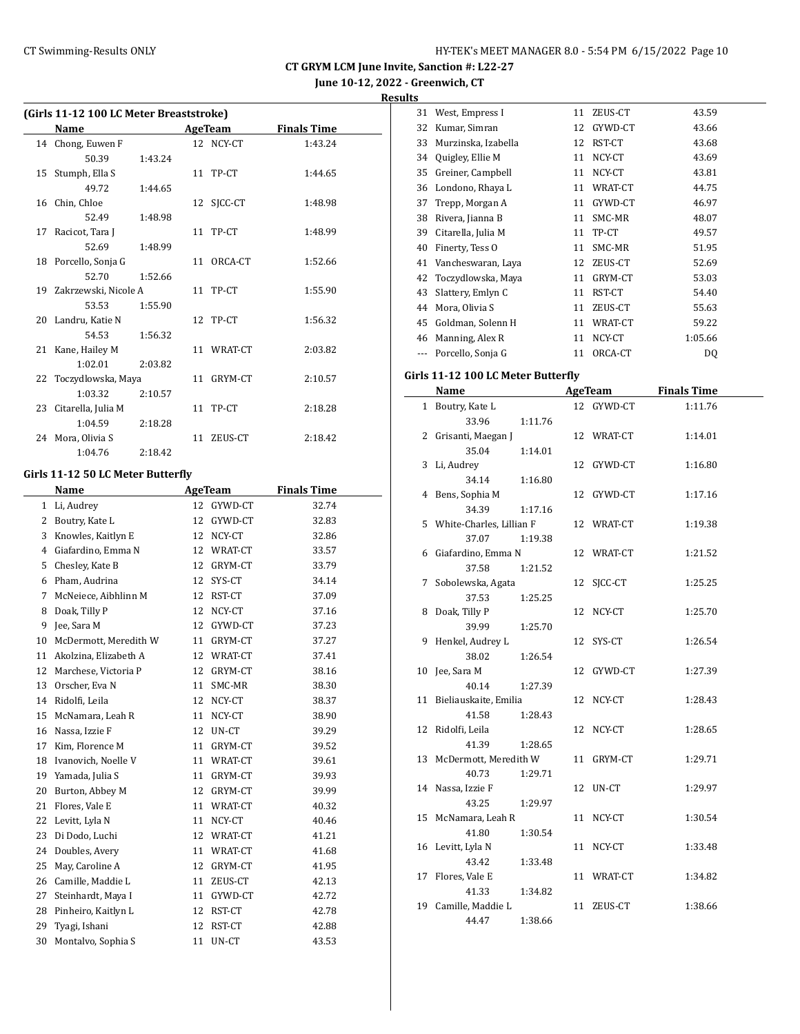**June 10-12, 2022 - Greenwich, CT Results**<br>31 West En

|  |  |  | (Girls 11-12 100 LC Meter Breaststroke) |  |
|--|--|--|-----------------------------------------|--|
|  |  |  |                                         |  |

|    | Name                    |         |    | AgeTeam    | <b>Finals Time</b> |
|----|-------------------------|---------|----|------------|--------------------|
|    | 14 Chong, Euwen F       |         |    | 12 NCY-CT  | 1:43.24            |
|    | 50.39                   | 1:43.24 |    |            |                    |
|    | 15 Stumph, Ella S       |         |    | 11 TP-CT   | 1:44.65            |
|    | 49.72                   | 1:44.65 |    |            |                    |
|    | 16 Chin, Chloe          |         |    | 12 SJCC-CT | 1:48.98            |
|    | 52.49                   | 1:48.98 |    |            |                    |
| 17 | Racicot, Tara J         |         |    | 11 TP-CT   | 1:48.99            |
|    | 52.69                   | 1:48.99 |    |            |                    |
|    | 18 Porcello, Sonja G    |         |    | 11 ORCA-CT | 1:52.66            |
|    | 52.70                   | 1:52.66 |    |            |                    |
|    | 19 Zakrzewski, Nicole A |         |    | 11 TP-CT   | 1:55.90            |
|    | 53.53                   | 1:55.90 |    |            |                    |
|    | 20 Landru, Katie N      |         |    | 12 TP-CT   | 1:56.32            |
|    | 54.53                   | 1:56.32 |    |            |                    |
| 21 | Kane, Hailey M          |         |    | 11 WRAT-CT | 2:03.82            |
|    | 1:02.01                 | 2:03.82 |    |            |                    |
|    | 22 Toczydlowska, Maya   |         |    | 11 GRYM-CT | 2:10.57            |
|    | 1:03.32                 | 2:10.57 |    |            |                    |
| 23 | Citarella, Julia M      |         | 11 | TP-CT      | 2:18.28            |
|    | 1:04.59                 | 2:18.28 |    |            |                    |
|    | 24 Mora, Olivia S       |         | 11 | ZEUS-CT    | 2:18.42            |
|    | 1:04.76                 | 2:18.42 |    |            |                    |

#### **Girls 11-12 50 LC Meter Butterfly**

|    | Name                  |    | <b>AgeTeam</b> | <b>Finals Time</b> |
|----|-----------------------|----|----------------|--------------------|
| 1  | Li, Audrey            | 12 | GYWD-CT        | 32.74              |
| 2  | Boutry, Kate L        | 12 | GYWD-CT        | 32.83              |
| 3  | Knowles, Kaitlyn E    | 12 | NCY-CT         | 32.86              |
| 4  | Giafardino, Emma N    | 12 | WRAT-CT        | 33.57              |
| 5  | Chesley, Kate B       | 12 | GRYM-CT        | 33.79              |
| 6  | Pham, Audrina         | 12 | SYS-CT         | 34.14              |
| 7  | McNeiece, Aibhlinn M  | 12 | RST-CT         | 37.09              |
| 8  | Doak, Tilly P         | 12 | NCY-CT         | 37.16              |
| 9  | Jee, Sara M           | 12 | GYWD-CT        | 37.23              |
| 10 | McDermott, Meredith W | 11 | GRYM-CT        | 37.27              |
| 11 | Akolzina, Elizabeth A | 12 | WRAT-CT        | 37.41              |
| 12 | Marchese, Victoria P  | 12 | GRYM-CT        | 38.16              |
| 13 | Orscher, Eva N        | 11 | SMC-MR         | 38.30              |
| 14 | Ridolfi, Leila        | 12 | NCY-CT         | 38.37              |
| 15 | McNamara, Leah R      | 11 | NCY-CT         | 38.90              |
| 16 | Nassa, Izzie F        | 12 | UN-CT          | 39.29              |
| 17 | Kim, Florence M       | 11 | GRYM-CT        | 39.52              |
| 18 | Ivanovich, Noelle V   | 11 | WRAT-CT        | 39.61              |
| 19 | Yamada, Julia S       | 11 | GRYM-CT        | 39.93              |
| 20 | Burton, Abbey M       | 12 | GRYM-CT        | 39.99              |
| 21 | Flores, Vale E        | 11 | WRAT-CT        | 40.32              |
| 22 | Levitt, Lyla N        | 11 | NCY-CT         | 40.46              |
| 23 | Di Dodo, Luchi        | 12 | WRAT-CT        | 41.21              |
| 24 | Doubles, Avery        | 11 | WRAT-CT        | 41.68              |
| 25 | May, Caroline A       | 12 | GRYM-CT        | 41.95              |
| 26 | Camille, Maddie L     | 11 | ZEUS-CT        | 42.13              |
| 27 | Steinhardt, Maya I    | 11 | GYWD-CT        | 42.72              |
| 28 | Pinheiro, Kaitlyn L   | 12 | RST-CT         | 42.78              |
| 29 | Tyagi, Ishani         | 12 | RST-CT         | 42.88              |
| 30 | Montalvo, Sophia S    | 11 | UN-CT          | 43.53              |

| 31 | West, Empress I                    |    | 11 ZEUS-CT     | 43.59              |
|----|------------------------------------|----|----------------|--------------------|
| 32 | Kumar, Simran                      | 12 | GYWD-CT        | 43.66              |
| 33 | Murzinska, Izabella                |    | 12 RST-CT      | 43.68              |
|    | 34 Quigley, Ellie M                |    | 11 NCY-CT      | 43.69              |
| 35 | Greiner, Campbell                  |    | 11 NCY-CT      | 43.81              |
|    | 36 Londono, Rhaya L                |    | 11 WRAT-CT     | 44.75              |
| 37 | Trepp, Morgan A                    |    | 11 GYWD-CT     | 46.97              |
| 38 | Rivera, Jianna B                   |    | 11 SMC-MR      | 48.07              |
| 39 | Citarella, Julia M                 |    | 11 TP-CT       | 49.57              |
|    | 40 Finerty, Tess O                 |    | 11 SMC-MR      | 51.95              |
| 41 | Vancheswaran, Laya                 |    | 12 ZEUS-CT     | 52.69              |
| 42 | Toczydlowska, Maya                 |    | 11 GRYM-CT     | 53.03              |
| 43 | Slattery, Emlyn C                  |    | 11 RST-CT      | 54.40              |
| 44 | Mora, Olivia S                     |    | 11 ZEUS-CT     | 55.63              |
|    | 45 Goldman, Solenn H               |    | 11 WRAT-CT     | 59.22              |
|    | 46 Manning, Alex R                 |    | 11 NCY-CT      | 1:05.66            |
|    | --- Porcello, Sonja G              |    | 11 ORCA-CT     | DQ                 |
|    |                                    |    |                |                    |
|    | Girls 11-12 100 LC Meter Butterfly |    |                |                    |
|    | Name                               |    | <b>AgeTeam</b> | <b>Finals Time</b> |
|    | 1 Boutry, Kate L                   |    | 12 GYWD-CT     | 1:11.76            |
|    | 33.96<br>1:11.76                   |    |                |                    |
|    | 2 Grisanti, Maegan J               |    | 12 WRAT-CT     | 1:14.01            |
|    | 35.04<br>1:14.01                   |    |                |                    |
| 3  | Li, Audrey                         | 12 | GYWD-CT        | 1:16.80            |
|    | 34.14<br>1:16.80                   |    |                |                    |
| 4  | Bens, Sophia M                     | 12 | GYWD-CT        | 1:17.16            |
|    | 34.39<br>1:17.16                   |    |                |                    |
| 5  | White-Charles, Lillian F           |    | 12 WRAT-CT     | 1:19.38            |
|    | 37.07<br>1:19.38                   |    |                |                    |
| 6  | Giafardino, Emma N                 |    | 12 WRAT-CT     | 1:21.52            |
|    | 37.58<br>1:21.52                   |    |                |                    |
| 7  | Sobolewska, Agata                  | 12 | SJCC-CT        | 1:25.25            |
| 8  | 37.53<br>1:25.25<br>Doak, Tilly P  |    | 12 NCY-CT      | 1:25.70            |
|    | 39.99<br>1:25.70                   |    |                |                    |
| 9  | Henkel, Audrey L                   |    | 12 SYS-CT      | 1:26.54            |
|    | 38.02<br>1:26.54                   |    |                |                    |
| 10 | Jee, Sara M                        | 12 | GYWD-CT        | 1:27.39            |
|    | 40.14<br>1:27.39                   |    |                |                    |
|    | 11 Bieliauskaite, Emilia           |    | 12 NCY-CT      | 1:28.43            |
|    | 41.58<br>1:28.43                   |    |                |                    |
| 12 | Ridolfi, Leila                     |    | 12 NCY-CT      | 1:28.65            |
|    | 41.39<br>1:28.65                   |    |                |                    |
| 13 | McDermott, Meredith W              | 11 | GRYM-CT        | 1:29.71            |
|    | 40.73<br>1:29.71                   |    |                |                    |
| 14 | Nassa, Izzie F                     | 12 | UN-CT          | 1:29.97            |
|    | 43.25<br>1:29.97                   |    |                |                    |
| 15 | McNamara, Leah R                   |    | 11 NCY-CT      | 1:30.54            |
|    | 41.80<br>1:30.54                   |    |                |                    |
|    | 16 Levitt, Lyla N                  |    | 11 NCY-CT      | 1:33.48            |
|    | 43.42<br>1:33.48                   |    |                |                    |

41.33 1:34.82 19 Camille, Maddie L 11 ZEUS-CT 1:38.66 44.47 1:38.66

17 Flores, Vale E 11 WRAT-CT 1:34.82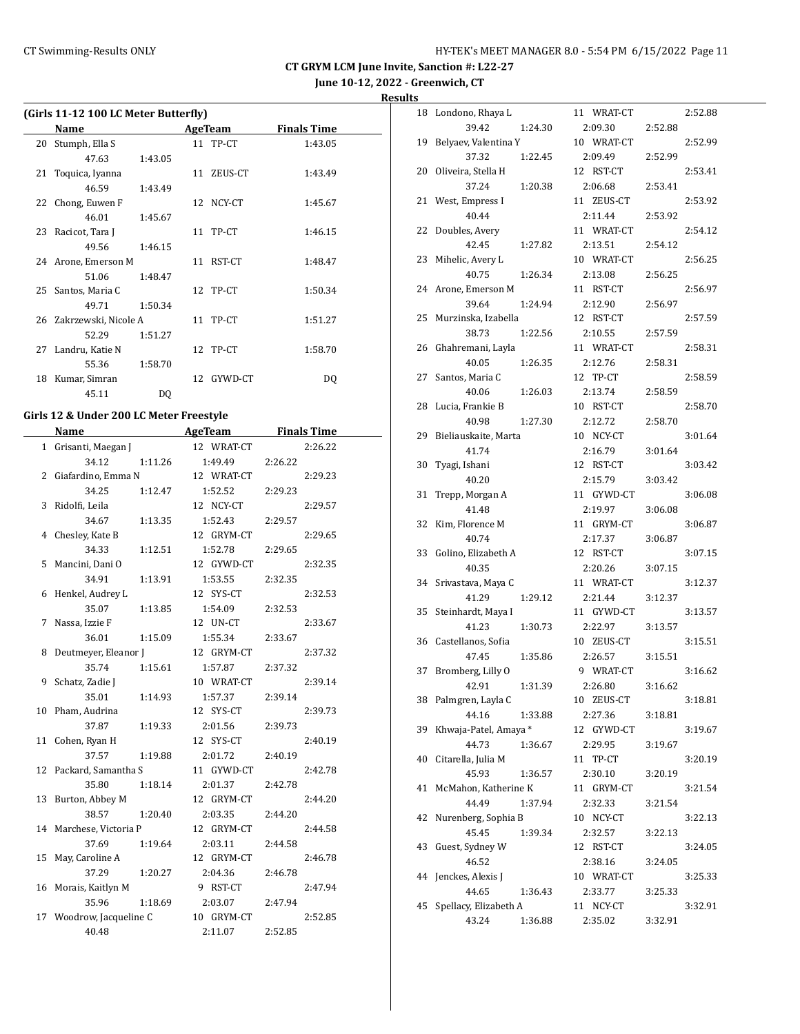**June 10-12, 2022 - Greenwich, CT**

**Results**

| (Girls 11-12 100 LC Meter Butterfly) |                         |         |  |            |                    |  |  |
|--------------------------------------|-------------------------|---------|--|------------|--------------------|--|--|
|                                      | Name                    |         |  | AgeTeam    | <b>Finals Time</b> |  |  |
| 20                                   | Stumph, Ella S          |         |  | 11 TP-CT   | 1:43.05            |  |  |
|                                      | 47.63                   | 1:43.05 |  |            |                    |  |  |
|                                      | 21 Toquica, Iyanna      |         |  | 11 ZEUS-CT | 1:43.49            |  |  |
|                                      | 46.59                   | 1:43.49 |  |            |                    |  |  |
|                                      | 22 Chong, Euwen F       |         |  | 12 NCY-CT  | 1:45.67            |  |  |
|                                      | 46.01                   | 1:45.67 |  |            |                    |  |  |
|                                      | 23 Racicot, Tara J      |         |  | 11 TP-CT   | 1:46.15            |  |  |
|                                      | 49.56                   | 1:46.15 |  |            |                    |  |  |
|                                      | 24 Arone, Emerson M     |         |  | 11 RST-CT  | 1:48.47            |  |  |
|                                      | 51.06                   | 1:48.47 |  |            |                    |  |  |
|                                      | 25 Santos, Maria C      |         |  | 12 TP-CT   | 1:50.34            |  |  |
|                                      | 49.71                   | 1:50.34 |  |            |                    |  |  |
|                                      | 26 Zakrzewski, Nicole A |         |  | 11 TP-CT   | 1:51.27            |  |  |
|                                      | 52.29                   | 1:51.27 |  |            |                    |  |  |
|                                      | 27 Landru, Katie N      |         |  | 12 TP-CT   | 1:58.70            |  |  |
|                                      | 55.36                   | 1:58.70 |  |            |                    |  |  |
| 18                                   | Kumar, Simran           |         |  | 12 GYWD-CT | DO.                |  |  |
|                                      | 45.11                   | DO.     |  |            |                    |  |  |

# **Girls 12 & Under 200 LC Meter Freestyle**

|    | Name                    | <b>AgeTeam</b> | <b>Finals Time</b> |
|----|-------------------------|----------------|--------------------|
|    | 1 Grisanti, Maegan J    | 12 WRAT-CT     | 2:26.22            |
|    | 34.12<br>1:11.26        | 1:49.49        | 2:26.22            |
|    | 2 Giafardino, Emma N    | 12 WRAT-CT     | 2:29.23            |
|    | 34.25<br>1:12.47        | 1:52.52        | 2:29.23            |
|    | 3 Ridolfi, Leila        | 12 NCY-CT      | 2:29.57            |
|    | 34.67<br>1:13.35        | 1:52.43        | 2:29.57            |
|    | 4 Chesley, Kate B       | 12 GRYM-CT     | 2:29.65            |
|    | 34.33<br>1:12.51        | 1:52.78        | 2:29.65            |
|    | 5 Mancini, Dani O       | 12 GYWD-CT     | 2:32.35            |
|    | 34.91<br>1:13.91        | 1:53.55        | 2:32.35            |
|    | 6 Henkel, Audrey L      | 12 SYS-CT      | 2:32.53            |
|    | 35.07<br>1:13.85        | 1:54.09        | 2:32.53            |
| 7  | Nassa, Izzie F          | 12 UN-CT       | 2:33.67            |
|    | 36.01<br>1:15.09        | 1:55.34        | 2:33.67            |
| 8  | Deutmeyer, Eleanor J    | 12 GRYM-CT     | 2:37.32            |
|    | 35.74<br>1:15.61        | 1:57.87        | 2:37.32            |
| 9  | Schatz, Zadie J         | 10 WRAT-CT     | 2:39.14            |
|    | 35.01<br>1:14.93        | 1:57.37        | 2:39.14            |
|    | 10 Pham, Audrina        | 12 SYS-CT      | 2:39.73            |
|    | 37.87<br>1:19.33        | 2:01.56        | 2:39.73            |
|    | 11 Cohen, Ryan H        | 12 SYS-CT      | 2:40.19            |
|    | 37.57<br>1:19.88        | 2:01.72        | 2:40.19            |
|    | 12 Packard, Samantha S  | 11 GYWD-CT     | 2:42.78            |
|    | 35.80<br>1:18.14        | 2:01.37        | 2:42.78            |
|    | 13 Burton, Abbey M      | 12 GRYM-CT     | 2:44.20            |
|    | 38.57<br>1:20.40        | 2:03.35        | 2:44.20            |
|    | 14 Marchese, Victoria P | 12 GRYM-CT     | 2:44.58            |
|    | 37.69<br>1:19.64        | 2:03.11        | 2:44.58            |
| 15 | May, Caroline A         | 12 GRYM-CT     | 2:46.78            |
|    | 37.29<br>1:20.27        | 2:04.36        | 2:46.78            |
|    | 16 Morais, Kaitlyn M    | 9 RST-CT       | 2:47.94            |
|    | 35.96<br>1:18.69        | 2:03.07        | 2:47.94            |
| 17 | Woodrow, Jacqueline C   | 10 GRYM-CT     | 2:52.85            |
|    | 40.48                   | 2:11.07        | 2:52.85            |

| 18 | Londono, Rhaya L      | 11 WRAT-CT    |         | 2:52.88 |
|----|-----------------------|---------------|---------|---------|
|    | 39.42<br>1:24.30      | 2:09.30       | 2:52.88 |         |
| 19 | Belyaev, Valentina Y  | 10 WRAT-CT    |         | 2:52.99 |
|    | 37.32<br>1:22.45      | 2:09.49       | 2:52.99 |         |
| 20 | Oliveira, Stella H    | 12 RST-CT     |         | 2:53.41 |
|    | 37.24<br>1:20.38      | 2:06.68       | 2:53.41 |         |
| 21 | West, Empress I       | 11 ZEUS-CT    |         | 2:53.92 |
|    | 40.44                 | 2:11.44       | 2:53.92 |         |
| 22 | Doubles, Avery        | 11 WRAT-CT    |         | 2:54.12 |
|    | 42.45<br>1:27.82      | 2:13.51       | 2:54.12 |         |
| 23 | Mihelic, Avery L      | 10 WRAT-CT    |         | 2:56.25 |
|    | 40.75<br>1:26.34      | 2:13.08       | 2:56.25 |         |
| 24 | Arone, Emerson M      | 11 RST-CT     |         | 2:56.97 |
|    | 39.64<br>1:24.94      | 2:12.90       | 2:56.97 |         |
| 25 | Murzinska, Izabella   | 12 RST-CT     |         | 2:57.59 |
|    | 38.73<br>1:22.56      | 2:10.55       | 2:57.59 |         |
| 26 | Ghahremani, Layla     | 11 WRAT-CT    |         | 2:58.31 |
|    | 40.05<br>1:26.35      | 2:12.76       | 2:58.31 |         |
| 27 | Santos, Maria C       | 12 TP-CT      |         | 2:58.59 |
|    | 40.06<br>1:26.03      | 2:13.74       | 2:58.59 |         |
| 28 | Lucia, Frankie B      | 10 RST-CT     |         | 2:58.70 |
|    | 40.98<br>1:27.30      | 2:12.72       | 2:58.70 |         |
| 29 | Bieliauskaite, Marta  | 10 NCY-CT     |         | 3:01.64 |
|    | 41.74                 | 2:16.79       | 3:01.64 |         |
| 30 | Tyagi, Ishani         | 12 RST-CT     |         | 3:03.42 |
|    | 40.20                 | 2:15.79       | 3:03.42 |         |
| 31 | Trepp, Morgan A       | 11 GYWD-CT    |         | 3:06.08 |
|    | 41.48                 | 2:19.97       | 3:06.08 |         |
| 32 | Kim, Florence M       | 11 GRYM-CT    |         | 3:06.87 |
|    | 40.74                 | 2:17.37       | 3:06.87 |         |
| 33 | Golino, Elizabeth A   | 12 RST-CT     |         | 3:07.15 |
|    | 40.35                 | 2:20.26       | 3:07.15 |         |
| 34 | Srivastava, Maya C    | 11 WRAT-CT    |         | 3:12.37 |
|    | 41.29<br>1:29.12      | 2:21.44       | 3:12.37 |         |
| 35 | Steinhardt, Maya I    | 11 GYWD-CT    |         | 3:13.57 |
|    | 41.23<br>1:30.73      | 2:22.97       | 3:13.57 |         |
| 36 | Castellanos, Sofia    | 10 ZEUS-CT    |         | 3:15.51 |
|    | 47.45<br>1:35.86      | 2:26.57       | 3:15.51 |         |
| 37 | Bromberg, Lilly O     | 9 WRAT-CT     |         | 3:16.62 |
|    | 1:31.39<br>42.91      | 2:26.80       | 3:16.62 |         |
| 38 | Palmgren, Layla C     | 10 ZEUS-CT    |         | 3:18.81 |
|    | 44.16<br>1:33.88      | 2:27.36       | 3:18.81 |         |
| 39 | Khwaja-Patel, Amaya * | 12 GYWD-CT    |         | 3:19.67 |
|    | 44.73<br>1:36.67      | 2:29.95       | 3:19.67 |         |
| 40 | Citarella, Julia M    | 11<br>TP-CT   |         | 3:20.19 |
|    | 45.93<br>1:36.57      | 2:30.10       | 3:20.19 |         |
| 41 | McMahon, Katherine K  | GRYM-CT<br>11 |         | 3:21.54 |
|    | 44.49<br>1:37.94      | 2:32.33       | 3:21.54 |         |
| 42 | Nurenberg, Sophia B   | 10 NCY-CT     |         | 3:22.13 |
|    | 45.45<br>1:39.34      | 2:32.57       | 3:22.13 |         |
| 43 | Guest, Sydney W       | 12 RST-CT     |         | 3:24.05 |
|    | 46.52                 | 2:38.16       | 3:24.05 |         |
| 44 | Jenckes, Alexis J     | 10 WRAT-CT    |         | 3:25.33 |
|    | 44.65<br>1:36.43      | 2:33.77       | 3:25.33 |         |
| 45 | Spellacy, Elizabeth A | NCY-CT<br>11  |         | 3:32.91 |
|    | 43.24<br>1:36.88      | 2:35.02       | 3:32.91 |         |
|    |                       |               |         |         |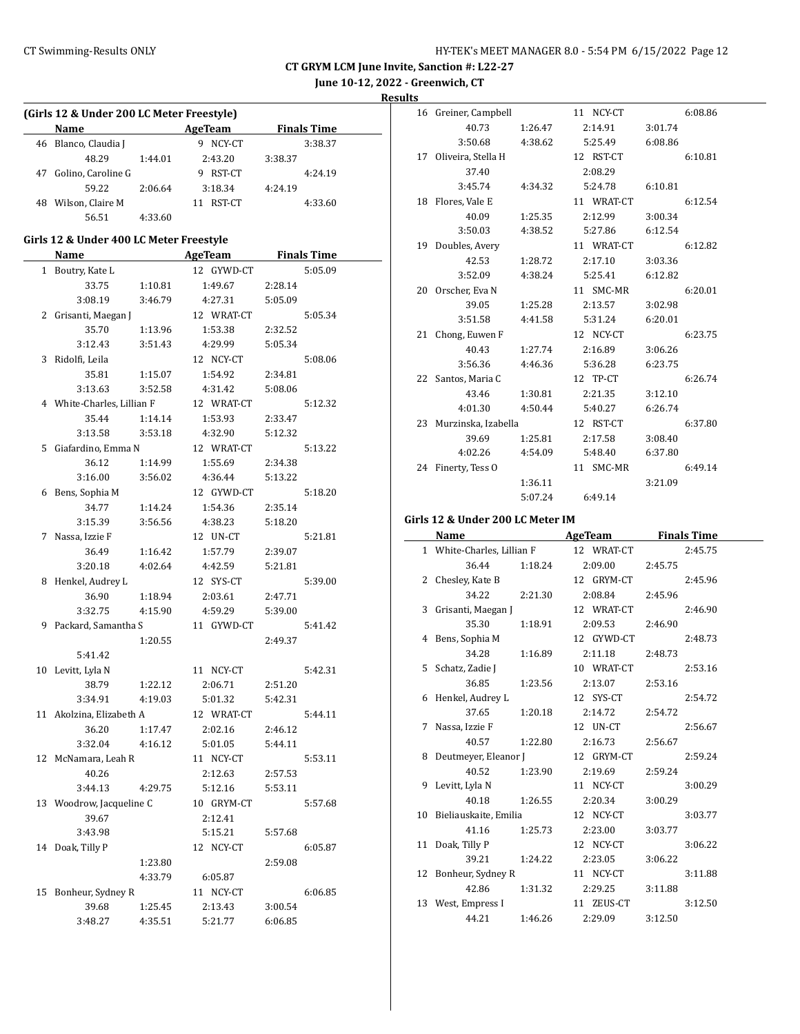**June 10-12, 2022 - Greenwich, CT**

**Results**

| (Girls 12 & Under 200 LC Meter Freestyle) |         |                          |         |                    |
|-------------------------------------------|---------|--------------------------|---------|--------------------|
| Name                                      |         | AgeTeam                  |         | <b>Finals Time</b> |
| 46 Blanco, Claudia J                      |         | 9 NCY-CT                 |         | 3:38.37            |
| 48.29                                     | 1:44.01 | 2:43.20                  | 3:38.37 |                    |
| 47 Golino, Caroline G                     |         | 9 RST-CT                 |         | 4:24.19            |
| 59.22                                     | 2:06.64 | 3:18.34                  | 4:24.19 |                    |
| 48 Wilson, Claire M                       |         | 11 RST-CT                |         | 4:33.60            |
| 56.51                                     | 4:33.60 |                          |         |                    |
| Girls 12 & Under 400 LC Meter Freestyle   |         |                          |         |                    |
|                                           |         | Name AgeTeam Finals Time |         |                    |
| 1 Boutry, Kate L                          |         | 12 GYWD-CT               |         | 5:05.09            |
| 33.75                                     | 1:10.81 | 1:49.67                  | 2:28.14 |                    |
| 3:08.19                                   | 3:46.79 | 4:27.31                  | 5:05.09 |                    |
| 2 Grisanti, Maegan J                      |         | 12 WRAT-CT               |         | 5:05.34            |
| 35.70                                     | 1:13.96 | 1:53.38                  | 2:32.52 |                    |
| 3:12.43                                   | 3:51.43 | 4:29.99                  | 5:05.34 |                    |
| 3 Ridolfi, Leila                          |         | 12 NCY-CT                |         | 5:08.06            |
| 35.81                                     | 1:15.07 | 1:54.92                  | 2:34.81 |                    |
| 3:13.63                                   | 3:52.58 | 4:31.42                  | 5:08.06 |                    |
| 4 White-Charles, Lillian F                |         | 12 WRAT-CT               |         | 5:12.32            |
| 35.44                                     | 1:14.14 | 1:53.93                  | 2:33.47 |                    |
| 3:13.58                                   | 3:53.18 | 4:32.90                  | 5:12.32 |                    |
| 5 Giafardino, Emma N                      |         | 12 WRAT-CT               |         | 5:13.22            |
| 36.12                                     | 1:14.99 | 1:55.69                  | 2:34.38 |                    |
| 3:16.00                                   | 3:56.02 | 4:36.44                  | 5:13.22 |                    |
| 6 Bens, Sophia M                          |         | 12 GYWD-CT               |         | 5:18.20            |
| 34.77                                     | 1:14.24 | 1:54.36                  | 2:35.14 |                    |
| 3:15.39                                   | 3:56.56 | 4:38.23                  | 5:18.20 |                    |
| 7 Nassa, Izzie F                          |         | 12 UN-CT                 |         | 5:21.81            |
| 36.49                                     | 1:16.42 | 1:57.79                  | 2:39.07 |                    |
| 3:20.18                                   | 4:02.64 | 4:42.59                  | 5:21.81 |                    |
| 8 Henkel, Audrey L                        |         | 12 SYS-CT                |         | 5:39.00            |
| 36.90                                     | 1:18.94 | 2:03.61                  | 2:47.71 |                    |
| 3:32.75                                   | 4:15.90 | 4:59.29                  | 5:39.00 |                    |
| 9 Packard, Samantha S                     |         | 11 GYWD-CT               |         | 5:41.42            |
|                                           | 1:20.55 |                          | 2:49.37 |                    |
| 5:41.42                                   |         |                          |         |                    |
| 10 Levitt, Lyla N                         |         | 11 NCY-CT                |         | 5:42.31            |
| 38.79                                     | 1:22.12 | 2:06.71                  | 2:51.20 |                    |
| 3:34.91                                   | 4:19.03 | 5:01.32                  | 5:42.31 |                    |
| 11 Akolzina, Elizabeth A                  |         | 12 WRAT-CT               |         | 5:44.11            |
| 36.20                                     | 1:17.47 | 2:02.16                  | 2:46.12 |                    |
| 3:32.04                                   | 4:16.12 | 5:01.05                  | 5:44.11 |                    |
| 12 McNamara, Leah R                       |         | 11 NCY-CT                |         | 5:53.11            |
| 40.26                                     |         | 2:12.63                  | 2:57.53 |                    |
| 3:44.13                                   | 4:29.75 | 5:12.16                  | 5:53.11 |                    |
| 13 Woodrow, Jacqueline C                  |         | 10 GRYM-CT               |         | 5:57.68            |
| 39.67                                     |         | 2:12.41                  |         |                    |
| 3:43.98                                   |         | 5:15.21                  | 5:57.68 |                    |
| 14 Doak, Tilly P                          |         | 12 NCY-CT                |         | 6:05.87            |
|                                           | 1:23.80 |                          | 2:59.08 |                    |
|                                           | 4:33.79 | 6:05.87                  |         |                    |
| 15 Bonheur, Sydney R                      |         | 11 NCY-CT                |         | 6:06.85            |
| 39.68                                     | 1:25.45 | 2:13.43                  | 3:00.54 |                    |
| 3:48.27                                   | 4:35.51 | 5:21.77                  | 6:06.85 |                    |

| 16 | Greiner, Campbell      |         | 11 NCY-CT  |         | 6:08.86 |
|----|------------------------|---------|------------|---------|---------|
|    | 40.73                  | 1:26.47 | 2:14.91    | 3:01.74 |         |
|    | 3:50.68                | 4:38.62 | 5:25.49    | 6:08.86 |         |
| 17 | Oliveira, Stella H     |         | 12 RST-CT  |         | 6:10.81 |
|    | 37.40                  |         | 2:08.29    |         |         |
|    | 3:45.74                | 4:34.32 | 5:24.78    | 6:10.81 |         |
| 18 | Flores, Vale E         |         | 11 WRAT-CT |         | 6:12.54 |
|    | 40.09                  | 1:25.35 | 2:12.99    | 3:00.34 |         |
|    | 3:50.03                | 4:38.52 | 5:27.86    | 6:12.54 |         |
| 19 | Doubles, Avery         |         | 11 WRAT-CT |         | 6:12.82 |
|    | 42.53                  | 1:28.72 | 2:17.10    | 3:03.36 |         |
|    | 3:52.09                | 4:38.24 | 5:25.41    | 6:12.82 |         |
| 20 | Orscher, Eva N         |         | 11 SMC-MR  |         | 6:20.01 |
|    | 39.05                  | 1:25.28 | 2:13.57    | 3:02.98 |         |
|    | 3:51.58                | 4:41.58 | 5:31.24    | 6:20.01 |         |
| 21 | Chong, Euwen F         |         | 12 NCY-CT  |         | 6:23.75 |
|    | 40.43                  | 1:27.74 | 2:16.89    | 3:06.26 |         |
|    | 3:56.36                | 4:46.36 | 5:36.28    | 6:23.75 |         |
| 22 | Santos, Maria C        |         | 12 TP-CT   |         | 6:26.74 |
|    | 43.46                  | 1:30.81 | 2:21.35    | 3:12.10 |         |
|    | 4:01.30                | 4:50.44 | 5:40.27    | 6:26.74 |         |
|    | 23 Murzinska, Izabella |         | 12 RST-CT  |         | 6:37.80 |
|    | 39.69                  | 1:25.81 | 2:17.58    | 3:08.40 |         |
|    | 4:02.26                | 4:54.09 | 5:48.40    | 6:37.80 |         |
| 24 | Finerty, Tess O        |         | 11 SMC-MR  |         | 6:49.14 |
|    |                        | 1:36.11 |            | 3:21.09 |         |
|    |                        | 5:07.24 | 6:49.14    |         |         |

#### **Girls 12 & Under 200 LC Meter IM**

| Name                                  |         | AgeTeam                       | <b>Finals Time</b> |
|---------------------------------------|---------|-------------------------------|--------------------|
| 1 White-Charles, Lillian F 12 WRAT-CT |         |                               | 2:45.75            |
| 36.44                                 |         | 1:18.24 2:09.00               | 2:45.75            |
| 2 Chesley, Kate B                     |         |                               | 12 GRYM-CT 2:45.96 |
| 34.22 2:21.30                         |         | 2:08.84 2:45.96               |                    |
| 3 Grisanti, Maegan J 12 WRAT-CT       |         |                               | 2:46.90            |
| 35.30                                 |         | 1:18.91 2:09.53 2:46.90       |                    |
| 4 Bens, Sophia M                      |         | 12 GYWD-CT                    | 2:48.73            |
|                                       |         | 34.28 1:16.89 2:11.18 2:48.73 |                    |
| 5 Schatz, Zadie J                     |         | 10 WRAT-CT                    | 2:53.16            |
| 36.85 1:23.56                         |         | 2:13.07                       | 2:53.16            |
| 6 Henkel, Audrey L                    |         | 12 SYS-CT                     | 2:54.72            |
| 37.65 1:20.18                         |         | 2:14.72                       | 2:54.72            |
| 7 Nassa, Izzie F                      |         | 12 UN-CT                      | 2:56.67            |
| 40.57 1:22.80                         |         | 2:16.73                       | 2:56.67            |
| 8 Deutmeyer, Eleanor J 12 GRYM-CT     |         |                               | 2:59.24            |
|                                       |         | 40.52 1:23.90 2:19.69         | 2:59.24            |
| 9 Levitt, Lyla N                      |         | 11 NCY-CT                     | 3:00.29            |
|                                       |         | 40.18 1:26.55 2:20.34         | 3:00.29            |
| 10 Bieliauskaite, Emilia              |         | 12 NCY-CT                     | 3:03.77            |
| 41.16                                 | 1:25.73 | 2:23.00                       | 3:03.77            |
| 11 Doak, Tilly P                      |         | 12 NCY-CT                     | 3:06.22            |
| 39.21 1:24.22                         |         | 2:23.05                       | 3:06.22            |
| 12 Bonheur, Sydney R                  |         | 11 NCY-CT                     | 3:11.88            |
| 42.86 1:31.32                         |         | 2:29.25                       | 3:11.88            |
| 13 West, Empress I                    |         | 11 ZEUS-CT                    | 3:12.50            |
| 44.21                                 | 1:46.26 | 2:29.09                       | 3:12.50            |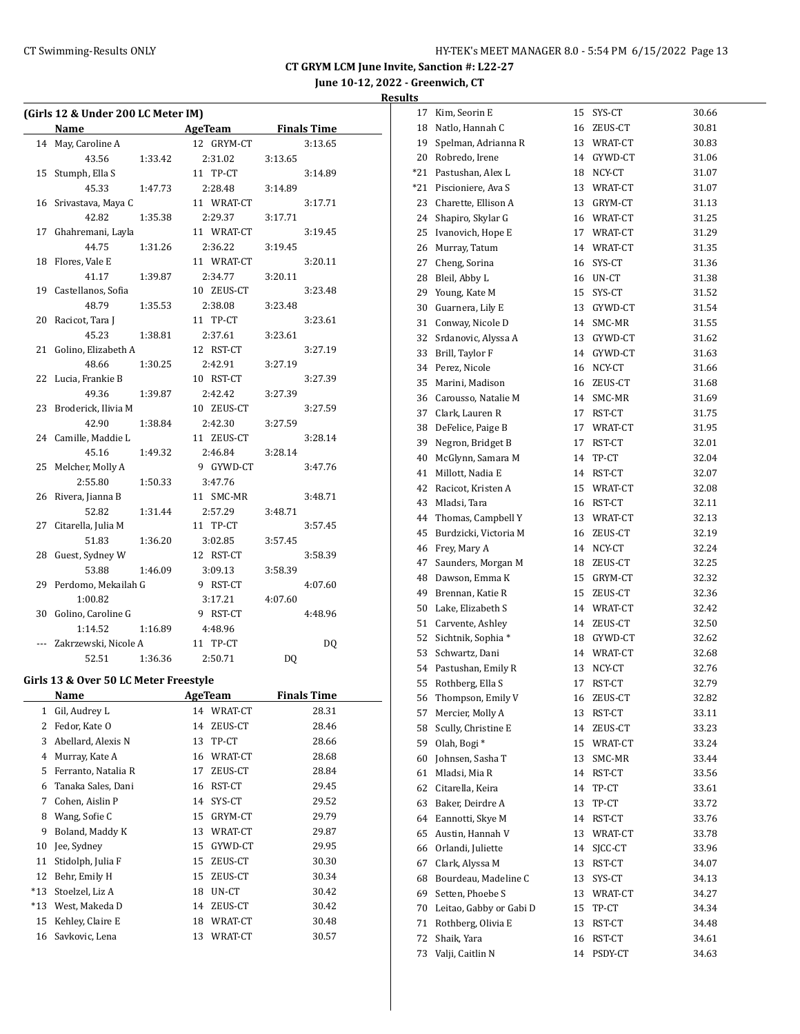# **June 10-12, 2022 - Greenwich, CT**

| (Girls 12 & Under 200 LC Meter IM) |                                       |         |                |                                      |                |                    |  |  |
|------------------------------------|---------------------------------------|---------|----------------|--------------------------------------|----------------|--------------------|--|--|
|                                    | Name                                  |         |                | <b>Example 2 AgeTeam</b> Finals Time |                |                    |  |  |
| 14                                 | May, Caroline A                       |         |                | 12 GRYM-CT                           |                | 3:13.65            |  |  |
|                                    | 43.56                                 | 1:33.42 |                | 2:31.02                              | 3:13.65        |                    |  |  |
| 15                                 | Stumph, Ella S                        |         |                | 11 TP-CT                             |                | 3:14.89            |  |  |
|                                    | 45.33                                 | 1:47.73 |                | 2:28.48                              | 3:14.89        |                    |  |  |
|                                    | 16 Srivastava, Maya C                 |         |                | 11 WRAT-CT                           |                | 3:17.71            |  |  |
|                                    | 42.82                                 | 1:35.38 |                | 2:29.37                              | 3:17.71        |                    |  |  |
|                                    | 17 Ghahremani, Layla                  |         |                | 11 WRAT-CT                           |                | 3:19.45            |  |  |
|                                    | 44.75                                 | 1:31.26 |                | 2:36.22                              | 3:19.45        |                    |  |  |
| 18                                 | Flores, Vale E                        |         |                | 11 WRAT-CT                           |                | 3:20.11            |  |  |
|                                    | 41.17                                 | 1:39.87 |                | 2:34.77                              | 3:20.11        |                    |  |  |
| 19                                 | Castellanos, Sofia                    |         |                | 10 ZEUS-CT                           |                | 3:23.48            |  |  |
|                                    | 48.79                                 | 1:35.53 |                | 2:38.08                              | 3:23.48        |                    |  |  |
| 20                                 | Racicot, Tara J                       |         |                | 11 TP-CT                             |                | 3:23.61            |  |  |
|                                    | 45.23                                 | 1:38.81 |                | 2:37.61                              | 3:23.61        |                    |  |  |
| 21                                 | Golino, Elizabeth A                   |         |                | 12 RST-CT                            |                | 3:27.19            |  |  |
|                                    | 48.66                                 | 1:30.25 |                | 2:42.91                              | 3:27.19        |                    |  |  |
| 22                                 | Lucia, Frankie B                      |         |                | 10 RST-CT                            |                | 3:27.39            |  |  |
|                                    | 49.36                                 | 1:39.87 |                | 2:42.42                              | 3:27.39        |                    |  |  |
| 23                                 | Broderick, Ilivia M                   |         |                | 10 ZEUS-CT                           |                | 3:27.59            |  |  |
|                                    | 42.90                                 | 1:38.84 |                | 2:42.30                              | 3:27.59        |                    |  |  |
| 24                                 | Camille, Maddie L                     |         |                | 11 ZEUS-CT                           |                | 3:28.14            |  |  |
|                                    | 45.16                                 | 1:49.32 |                | 2:46.84                              | 3:28.14        |                    |  |  |
| 25                                 | Melcher, Molly A                      |         |                | 9 GYWD-CT                            |                | 3:47.76            |  |  |
|                                    | 2:55.80                               | 1:50.33 |                | 3:47.76                              |                |                    |  |  |
| 26                                 | Rivera, Jianna B                      |         |                | 11 SMC-MR                            |                | 3:48.71            |  |  |
|                                    | 52.82                                 | 1:31.44 |                | 2:57.29                              | 3:48.71        |                    |  |  |
| 27                                 | Citarella, Julia M                    |         |                | 11 TP-CT                             |                | 3:57.45            |  |  |
|                                    | 51.83                                 | 1:36.20 |                | 3:02.85                              | 3:57.45        |                    |  |  |
| 28                                 | Guest, Sydney W                       |         |                | 12 RST-CT                            |                | 3:58.39            |  |  |
| 29                                 | 53.88<br>Perdomo, Mekailah G          | 1:46.09 |                | 3:09.13<br>9 RST-CT                  | 3:58.39        |                    |  |  |
|                                    | 1:00.82                               |         |                |                                      |                | 4:07.60            |  |  |
| 30                                 | Golino, Caroline G                    |         |                | 3:17.21<br>9 RST-CT                  | 4:07.60        | 4:48.96            |  |  |
|                                    | 1:14.52                               | 1:16.89 |                | 4:48.96                              |                |                    |  |  |
|                                    | --- Zakrzewski, Nicole A              |         |                | 11 TP-CT                             |                | DQ                 |  |  |
|                                    | 52.51                                 | 1:36.36 |                | 2:50.71                              | D <sub>0</sub> |                    |  |  |
|                                    |                                       |         |                |                                      |                |                    |  |  |
|                                    | Girls 13 & Over 50 LC Meter Freestyle |         |                |                                      |                |                    |  |  |
|                                    | <b>Name</b>                           |         | <b>AgeTeam</b> |                                      |                | <b>Finals Time</b> |  |  |
| 1                                  | Gil, Audrey L                         |         | 14             | WRAT-CT                              |                | 28.31              |  |  |
| 2                                  | Fedor, Kate O                         |         | 14             | ZEUS-CT                              |                | 28.46              |  |  |
| 3                                  | Abellard, Alexis N                    |         | 13             | TP-CT                                |                | 28.66              |  |  |
| 4                                  | Murray, Kate A                        |         | 16             | WRAT-CT                              |                | 28.68              |  |  |
| 5                                  | Ferranto, Natalia R                   |         | 17             | ZEUS-CT                              |                | 28.84              |  |  |
| 6                                  | Tanaka Sales, Dani                    |         | 16             | RST-CT                               |                | 29.45              |  |  |
| 7                                  | Cohen, Aislin P                       |         | 14             | SYS-CT                               |                | 29.52              |  |  |
| 8                                  | Wang, Sofie C                         |         | 15             | GRYM-CT                              |                | 29.79              |  |  |
| 9                                  | Boland, Maddy K                       |         | 13             | WRAT-CT                              |                | 29.87              |  |  |
| 10                                 | Jee, Sydney                           |         | 15             | GYWD-CT                              |                | 29.95              |  |  |
| 11                                 | Stidolph, Julia F                     |         | 15             | ZEUS-CT                              |                | 30.30              |  |  |
| 12                                 | Behr, Emily H                         |         | 15             | ZEUS-CT                              |                | 30.34              |  |  |
| *13                                | Stoelzel, Liz A                       |         | 18             | UN-CT                                |                | 30.42              |  |  |
| *13                                | West, Makeda D                        |         | 14             | ZEUS-CT                              |                | 30.42              |  |  |
| 15                                 | Kehley, Claire E                      |         | 18             | WRAT-CT                              |                | 30.48              |  |  |
| 16                                 | Savkovic, Lena                        |         | 13             | WRAT-CT                              |                | 30.57              |  |  |

| 17    | Kim, Seorin E           | 15 | SYS-CT     | 30.66 |
|-------|-------------------------|----|------------|-------|
| 18    | Natlo, Hannah C         | 16 | ZEUS-CT    | 30.81 |
| 19    | Spelman, Adrianna R     | 13 | WRAT-CT    | 30.83 |
| 20    | Robredo, Irene          | 14 | GYWD-CT    | 31.06 |
| $*21$ | Pastushan, Alex L       | 18 | NCY-CT     | 31.07 |
| *21   | Piscioniere, Ava S      | 13 | WRAT-CT    | 31.07 |
| 23    | Charette, Ellison A     | 13 | GRYM-CT    | 31.13 |
| 24    | Shapiro, Skylar G       |    | 16 WRAT-CT | 31.25 |
| 25    | Ivanovich, Hope E       | 17 | WRAT-CT    | 31.29 |
| 26    | Murray, Tatum           | 14 | WRAT-CT    | 31.35 |
| 27    | Cheng, Sorina           | 16 | SYS-CT     | 31.36 |
| 28    | Bleil, Abby L           | 16 | UN-CT      | 31.38 |
| 29    | Young, Kate M           | 15 | SYS-CT     | 31.52 |
| 30    | Guarnera, Lily E        | 13 | GYWD-CT    | 31.54 |
| 31    | Conway, Nicole D        | 14 | SMC-MR     | 31.55 |
| 32    | Srdanovic, Alyssa A     | 13 | GYWD-CT    | 31.62 |
| 33    | Brill, Taylor F         | 14 | GYWD-CT    | 31.63 |
| 34    | Perez, Nicole           | 16 | NCY-CT     | 31.66 |
| 35    | Marini, Madison         | 16 | ZEUS-CT    | 31.68 |
| 36    | Carousso, Natalie M     | 14 | SMC-MR     | 31.69 |
| 37    | Clark, Lauren R         | 17 | RST-CT     | 31.75 |
| 38    | DeFelice, Paige B       | 17 | WRAT-CT    | 31.95 |
| 39    | Negron, Bridget B       | 17 | RST-CT     | 32.01 |
| 40    | McGlynn, Samara M       | 14 | TP-CT      | 32.04 |
| 41    | Millott, Nadia E        | 14 | RST-CT     |       |
|       |                         | 15 |            | 32.07 |
| 42    | Racicot, Kristen A      |    | WRAT-CT    | 32.08 |
| 43    | Mladsi, Tara            | 16 | RST-CT     | 32.11 |
| 44    | Thomas, Campbell Y      | 13 | WRAT-CT    | 32.13 |
| 45    | Burdzicki, Victoria M   | 16 | ZEUS-CT    | 32.19 |
| 46    | Frey, Mary A            | 14 | NCY-CT     | 32.24 |
| 47    | Saunders, Morgan M      | 18 | ZEUS-CT    | 32.25 |
| 48    | Dawson, Emma K          | 15 | GRYM-CT    | 32.32 |
| 49    | Brennan, Katie R        | 15 | ZEUS-CT    | 32.36 |
| 50    | Lake, Elizabeth S       |    | 14 WRAT-CT | 32.42 |
| 51    | Carvente, Ashley        | 14 | ZEUS-CT    | 32.50 |
| 52    | Sichtnik, Sophia *      | 18 | GYWD-CT    | 32.62 |
| 53    | Schwartz, Dani          | 14 | WRAT-CT    | 32.68 |
| 54    | Pastushan, Emily R      | 13 | NCY-CT     | 32.76 |
| 55    | Rothberg, Ella S        | 17 | RST-CT     | 32.79 |
| 56    | Thompson, Emily V       | 16 | ZEUS-CT    | 32.82 |
| 57    | Mercier, Molly A        | 13 | RST-CT     | 33.11 |
| 58    | Scully, Christine E     | 14 | ZEUS-CT    | 33.23 |
| 59    | Olah, Bogi*             | 15 | WRAT-CT    | 33.24 |
| 60    | Johnsen, Sasha T        | 13 | SMC-MR     | 33.44 |
| 61    | Mladsi, Mia R           | 14 | RST-CT     | 33.56 |
| 62    | Citarella, Keira        | 14 | TP-CT      | 33.61 |
| 63    | Baker, Deirdre A        | 13 | TP-CT      | 33.72 |
| 64    | Eannotti, Skye M        | 14 | RST-CT     | 33.76 |
| 65    | Austin, Hannah V        | 13 | WRAT-CT    | 33.78 |
| 66    | Orlandi, Juliette       | 14 | SJCC-CT    | 33.96 |
| 67    | Clark, Alyssa M         | 13 | RST-CT     | 34.07 |
| 68    | Bourdeau, Madeline C    | 13 | SYS-CT     | 34.13 |
| 69    | Setten, Phoebe S        | 13 | WRAT-CT    | 34.27 |
| 70    | Leitao, Gabby or Gabi D | 15 | TP-CT      | 34.34 |
| 71    | Rothberg, Olivia E      | 13 | RST-CT     | 34.48 |
| 72    | Shaik, Yara             | 16 | RST-CT     | 34.61 |
| 73    | Valji, Caitlin N        | 14 | PSDY-CT    | 34.63 |
|       |                         |    |            |       |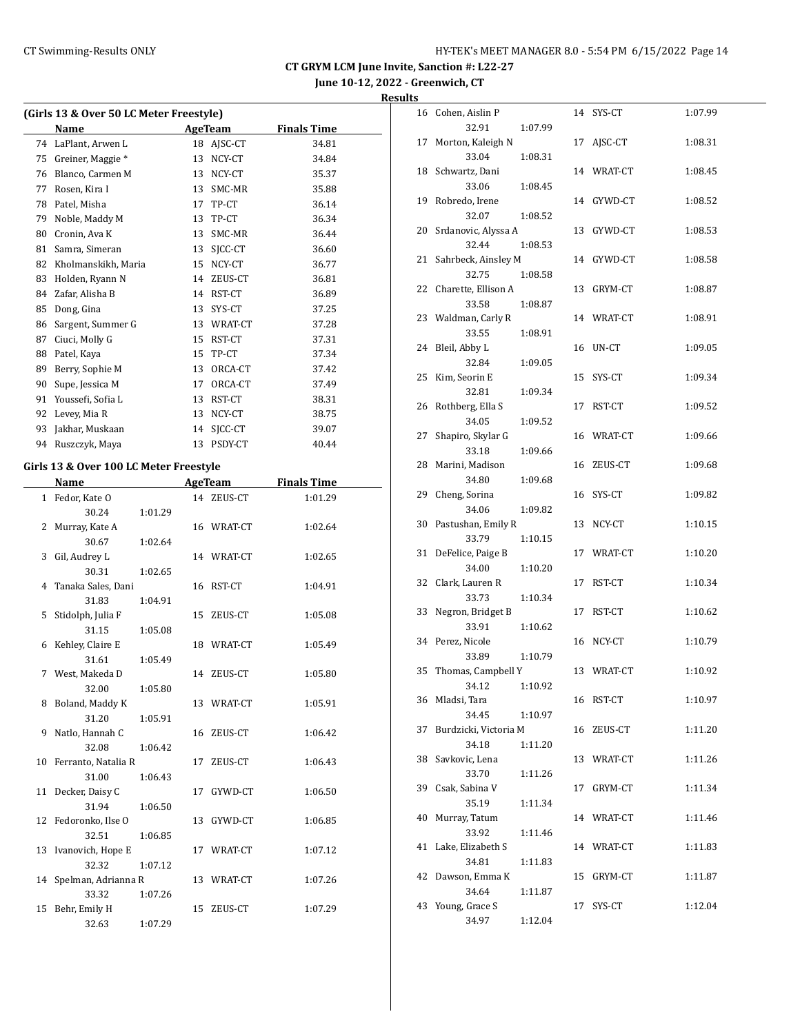**June 10-12, 2022 - Greenwich, CT**

**Results**

| (Girls 13 & Over 50 LC Meter Freestyle) |    |         |                    |  |  |  |  |  |
|-----------------------------------------|----|---------|--------------------|--|--|--|--|--|
| Name                                    |    |         | <b>Finals Time</b> |  |  |  |  |  |
| LaPlant, Arwen L                        | 18 | AJSC-CT | 34.81              |  |  |  |  |  |
| Greiner, Maggie *                       | 13 | NCY-CT  | 34.84              |  |  |  |  |  |
| Blanco, Carmen M                        | 13 | NCY-CT  | 35.37              |  |  |  |  |  |
| Rosen, Kira I                           | 13 | SMC-MR  | 35.88              |  |  |  |  |  |
| Patel, Misha                            | 17 | TP-CT   | 36.14              |  |  |  |  |  |
| Noble, Maddy M                          | 13 | TP-CT   | 36.34              |  |  |  |  |  |
| Cronin, Ava K                           | 13 | SMC-MR  | 36.44              |  |  |  |  |  |
| Samra, Simeran                          | 13 | SICC-CT | 36.60              |  |  |  |  |  |
| Kholmanskikh, Maria                     | 15 | NCY-CT  | 36.77              |  |  |  |  |  |
| Holden, Ryann N                         | 14 | ZEUS-CT | 36.81              |  |  |  |  |  |
| Zafar, Alisha B                         | 14 | RST-CT  | 36.89              |  |  |  |  |  |
| Dong, Gina                              | 13 | SYS-CT  | 37.25              |  |  |  |  |  |
| Sargent, Summer G                       | 13 | WRAT-CT | 37.28              |  |  |  |  |  |
| Ciuci, Molly G                          | 15 | RST-CT  | 37.31              |  |  |  |  |  |
| Patel, Kaya                             | 15 | TP-CT   | 37.34              |  |  |  |  |  |
| Berry, Sophie M                         | 13 | ORCA-CT | 37.42              |  |  |  |  |  |
| Supe, Jessica M                         | 17 | ORCA-CT | 37.49              |  |  |  |  |  |
| Youssefi, Sofia L                       | 13 | RST-CT  | 38.31              |  |  |  |  |  |
| Levey, Mia R                            | 13 | NCY-CT  | 38.75              |  |  |  |  |  |
| Jakhar, Muskaan                         | 14 | SICC-CT | 39.07              |  |  |  |  |  |
| Ruszczyk, Maya                          | 13 | PSDY-CT | 40.44              |  |  |  |  |  |
|                                         |    |         | <b>AgeTeam</b>     |  |  |  |  |  |

# **Girls 13 & Over 100 LC Meter Freestyle**

|              | Name                   |         |    | <b>AgeTeam</b> | <b>Finals Time</b> |
|--------------|------------------------|---------|----|----------------|--------------------|
| $\mathbf{1}$ | Fedor, Kate O          |         |    | 14 ZEUS-CT     | 1:01.29            |
|              | 30.24                  | 1:01.29 |    |                |                    |
| 2            | Murray, Kate A         |         |    | 16 WRAT-CT     | 1:02.64            |
|              | 30.67                  | 1:02.64 |    |                |                    |
| 3            | Gil, Audrey L          |         |    | 14 WRAT-CT     | 1:02.65            |
|              | 30.31                  | 1:02.65 |    |                |                    |
|              | 4 Tanaka Sales, Dani   |         | 16 | RST-CT         | 1:04.91            |
|              | 31.83                  | 1:04.91 |    |                |                    |
| 5            | Stidolph, Julia F      |         | 15 | ZEUS-CT        | 1:05.08            |
|              | 31.15                  | 1:05.08 |    |                |                    |
| 6            | Kehley, Claire E       |         |    | 18 WRAT-CT     | 1:05.49            |
|              | 31.61                  | 1:05.49 |    |                |                    |
|              | 7 West, Makeda D       |         |    | 14 ZEUS-CT     | 1:05.80            |
|              | 32.00                  | 1:05.80 |    |                |                    |
| 8            | Boland, Maddy K        |         |    | 13 WRAT-CT     | 1:05.91            |
|              | 31.20                  | 1:05.91 |    |                |                    |
| 9            | Natlo, Hannah C        |         | 16 | ZEUS-CT        | 1:06.42            |
|              | 32.08                  | 1:06.42 |    |                |                    |
|              | 10 Ferranto, Natalia R |         | 17 | ZEUS-CT        | 1:06.43            |
|              | 31.00                  | 1:06.43 |    |                |                    |
|              | 11 Decker, Daisy C     |         | 17 | GYWD-CT        | 1:06.50            |
|              | 31.94                  | 1:06.50 |    |                |                    |
|              | 12 Fedoronko, Ilse O   |         | 13 | GYWD-CT        | 1:06.85            |
|              | 32.51                  | 1:06.85 |    |                |                    |
|              | 13 Ivanovich, Hope E   |         |    | 17 WRAT-CT     | 1:07.12            |
|              | 32.32                  | 1:07.12 |    |                |                    |
|              | 14 Spelman, Adrianna R |         |    | 13 WRAT-CT     | 1:07.26            |
|              | 33.32                  | 1:07.26 |    |                |                    |
| 15           | Behr, Emily H          |         | 15 | ZEUS-CT        | 1:07.29            |
|              | 32.63                  | 1:07.29 |    |                |                    |

|    | 16 Cohen, Aislin P             |         |    | 14 SYS-CT  | 1:07.99 |
|----|--------------------------------|---------|----|------------|---------|
|    | 32.91                          | 1:07.99 |    |            |         |
| 17 | Morton, Kaleigh N              |         | 17 | AISC-CT    | 1:08.31 |
|    | 33.04                          | 1:08.31 |    | 14 WRAT-CT |         |
|    | 18 Schwartz, Dani<br>33.06     | 1:08.45 |    |            | 1:08.45 |
| 19 | Robredo, Irene                 |         |    | 14 GYWD-CT | 1:08.52 |
|    | 32.07                          | 1:08.52 |    |            |         |
|    | 20 Srdanovic, Alyssa A         |         | 13 | GYWD-CT    | 1:08.53 |
|    | 32.44                          | 1:08.53 |    |            |         |
|    | 21 Sahrbeck, Ainsley M         |         |    | 14 GYWD-CT | 1:08.58 |
|    | 32.75                          | 1:08.58 |    |            |         |
|    | 22 Charette, Ellison A         |         | 13 | GRYM-CT    | 1:08.87 |
|    | 33.58                          | 1:08.87 |    |            |         |
|    | 23 Waldman, Carly R            |         |    | 14 WRAT-CT | 1:08.91 |
|    | 33.55                          | 1:08.91 |    |            |         |
| 24 | Bleil, Abby L                  |         | 16 | UN-CT      | 1:09.05 |
|    | 32.84                          | 1:09.05 |    |            |         |
| 25 | Kim, Seorin E                  |         | 15 | SYS-CT     | 1:09.34 |
|    | 32.81                          | 1:09.34 |    |            |         |
| 26 | Rothberg, Ella S               |         | 17 | RST-CT     | 1:09.52 |
| 27 | 34.05<br>Shapiro, Skylar G     | 1:09.52 |    | 16 WRAT-CT | 1:09.66 |
|    | 33.18                          | 1:09.66 |    |            |         |
|    | 28 Marini, Madison             |         | 16 | ZEUS-CT    | 1:09.68 |
|    | 34.80                          | 1:09.68 |    |            |         |
| 29 | Cheng, Sorina                  |         | 16 | SYS-CT     | 1:09.82 |
|    | 34.06                          | 1:09.82 |    |            |         |
|    | 30 Pastushan, Emily R          |         | 13 | NCY-CT     | 1:10.15 |
|    | 33.79                          | 1:10.15 |    |            |         |
| 31 | DeFelice, Paige B              |         | 17 | WRAT-CT    | 1:10.20 |
|    | 34.00                          | 1:10.20 |    |            |         |
| 32 | Clark, Lauren R                |         | 17 | RST-CT     | 1:10.34 |
|    | 33.73                          | 1:10.34 |    |            |         |
| 33 | Negron, Bridget B              |         | 17 | RST-CT     | 1:10.62 |
|    | 33.91                          | 1:10.62 |    |            |         |
|    | 34 Perez, Nicole               |         |    | 16 NCY-CT  | 1:10.79 |
|    | 33.89<br>35 Thomas, Campbell Y | 1:10.79 |    | 13 WRAT-CT | 1:10.92 |
|    | 34.12   1:10.92                |         |    |            |         |
|    | 36 Mladsi, Tara                |         |    | 16 RST-CT  | 1:10.97 |
|    | 34.45                          | 1:10.97 |    |            |         |
| 37 | Burdzicki, Victoria M          |         |    | 16 ZEUS-CT | 1:11.20 |
|    | 34.18                          | 1:11.20 |    |            |         |
| 38 | Savkovic, Lena                 |         |    | 13 WRAT-CT | 1:11.26 |
|    | 33.70                          | 1:11.26 |    |            |         |
| 39 | Csak, Sabina V                 |         | 17 | GRYM-CT    | 1:11.34 |
|    | 35.19                          | 1:11.34 |    |            |         |
| 40 | Murray, Tatum                  |         |    | 14 WRAT-CT | 1:11.46 |
|    | 33.92                          | 1:11.46 |    |            |         |
| 41 | Lake, Elizabeth S              |         |    | 14 WRAT-CT | 1:11.83 |
|    | 34.81                          | 1:11.83 |    |            |         |
| 42 | Dawson, Emma K                 |         | 15 | GRYM-CT    | 1:11.87 |
| 43 | 34.64<br>Young, Grace S        | 1:11.87 | 17 | SYS-CT     | 1:12.04 |
|    | 34.97                          | 1:12.04 |    |            |         |
|    |                                |         |    |            |         |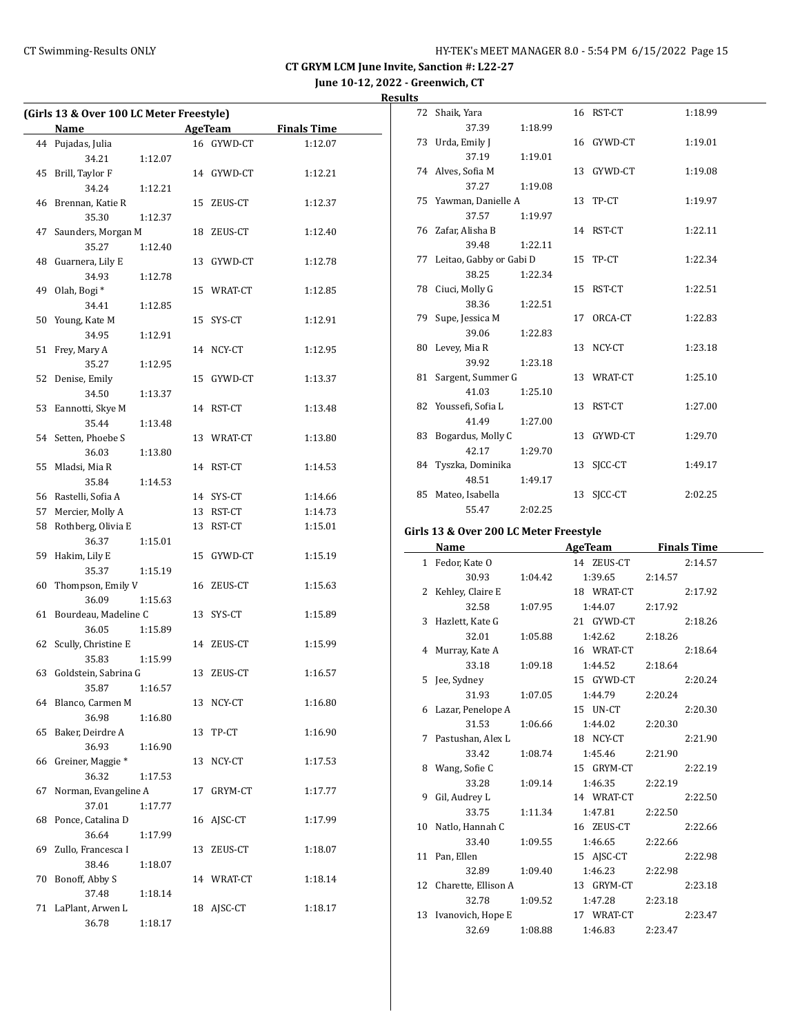**June 10-12, 2022 - Greenwich, CT**

| <b>Results</b> |
|----------------|
|----------------|

| (Girls 13 & Over 100 LC Meter Freestyle) |                              |         |    |            |                    |  |
|------------------------------------------|------------------------------|---------|----|------------|--------------------|--|
|                                          | Name                         |         |    | AgeTeam    | <b>Finals Time</b> |  |
| 44                                       | Pujadas, Julia               |         |    | 16 GYWD-CT | 1:12.07            |  |
|                                          | 34.21                        | 1:12.07 |    |            |                    |  |
| 45                                       | Brill, Taylor F              |         |    | 14 GYWD-CT | 1:12.21            |  |
|                                          | 34.24                        | 1:12.21 |    |            |                    |  |
| 46                                       | Brennan, Katie R             |         | 15 | ZEUS-CT    | 1:12.37            |  |
|                                          | 35.30                        | 1:12.37 |    |            |                    |  |
| 47                                       | Saunders, Morgan M           |         | 18 | ZEUS-CT    | 1:12.40            |  |
|                                          | 35.27                        | 1:12.40 |    |            |                    |  |
| 48                                       | Guarnera, Lily E             |         | 13 | GYWD-CT    | 1:12.78            |  |
|                                          | 34.93                        | 1:12.78 |    |            |                    |  |
| 49                                       | Olah, Bogi*                  |         |    | 15 WRAT-CT | 1:12.85            |  |
|                                          | 34.41                        | 1:12.85 |    |            |                    |  |
| 50                                       | Young, Kate M                |         | 15 | SYS-CT     | 1:12.91            |  |
|                                          | 34.95                        | 1:12.91 |    |            |                    |  |
| 51                                       | Frey, Mary A                 |         |    | 14 NCY-CT  | 1:12.95            |  |
|                                          | 35.27                        | 1:12.95 |    |            |                    |  |
| 52                                       | Denise, Emily                |         | 15 | GYWD-CT    | 1:13.37            |  |
|                                          | 34.50                        | 1:13.37 |    |            |                    |  |
| 53                                       | Eannotti, Skye M             |         | 14 | RST-CT     | 1:13.48            |  |
|                                          | 35.44                        | 1:13.48 |    |            |                    |  |
| 54                                       | Setten, Phoebe S             |         | 13 | WRAT-CT    | 1:13.80            |  |
|                                          | 36.03                        | 1:13.80 |    |            |                    |  |
| 55                                       | Mladsi, Mia R                |         |    | 14 RST-CT  | 1:14.53            |  |
|                                          | 35.84                        | 1:14.53 |    |            |                    |  |
|                                          | 56 Rastelli, Sofia A         |         |    | 14 SYS-CT  | 1:14.66            |  |
| 57                                       | Mercier, Molly A             |         |    | 13 RST-CT  | 1:14.73            |  |
| 58                                       | Rothberg, Olivia E           |         | 13 | RST-CT     | 1:15.01            |  |
|                                          | 36.37                        | 1:15.01 |    |            |                    |  |
| 59                                       | Hakim, Lily E                |         | 15 |            |                    |  |
|                                          | 35.37                        |         |    | GYWD-CT    | 1:15.19            |  |
|                                          |                              | 1:15.19 |    |            |                    |  |
| 60                                       | Thompson, Emily V            |         | 16 | ZEUS-CT    | 1:15.63            |  |
|                                          | 36.09                        | 1:15.63 |    |            |                    |  |
| 61                                       | Bourdeau, Madeline C         |         |    | 13 SYS-CT  | 1:15.89            |  |
|                                          | 36.05                        | 1:15.89 |    |            |                    |  |
| 62                                       | Scully, Christine E          |         |    | 14 ZEUS-CT | 1:15.99            |  |
|                                          | 35.83                        | 1:15.99 |    |            |                    |  |
| 63                                       | Goldstein, Sabrina G         |         | 13 | ZEUS-CT    | 1:16.57            |  |
|                                          | 35.87   1:16.57              |         |    |            |                    |  |
| 64                                       | Blanco, Carmen M             |         | 13 | NCY-CT     | 1:16.80            |  |
|                                          | 36.98                        | 1:16.80 |    |            |                    |  |
| 65                                       | Baker, Deirdre A             |         | 13 | TP-CT      | 1:16.90            |  |
|                                          | 36.93                        | 1:16.90 |    |            |                    |  |
| 66                                       | Greiner, Maggie <sup>*</sup> |         | 13 | NCY-CT     | 1:17.53            |  |
|                                          | 36.32                        | 1:17.53 |    |            |                    |  |
| 67                                       | Norman, Evangeline A         |         | 17 | GRYM-CT    | 1:17.77            |  |
|                                          | 37.01                        | 1:17.77 |    |            |                    |  |
| 68                                       | Ponce, Catalina D            |         | 16 | AJSC-CT    | 1:17.99            |  |
|                                          | 36.64                        | 1:17.99 |    |            |                    |  |
| 69                                       | Zullo, Francesca I           |         | 13 | ZEUS-CT    | 1:18.07            |  |
|                                          | 38.46                        | 1:18.07 |    |            |                    |  |
| 70                                       | Bonoff, Abby S               |         | 14 | WRAT-CT    | 1:18.14            |  |
|                                          | 37.48                        | 1:18.14 |    |            |                    |  |
| 71                                       | LaPlant, Arwen L             |         | 18 | AJSC-CT    | 1:18.17            |  |
|                                          | 36.78                        | 1:18.17 |    |            |                    |  |

|    | 72 Shaik, Yara                       |         |    | 16 RST-CT  | 1:18.99 |
|----|--------------------------------------|---------|----|------------|---------|
|    | 37.39                                | 1:18.99 |    |            |         |
|    | 73 Urda, Emily J                     |         |    | 16 GYWD-CT | 1:19.01 |
|    | 37.19                                | 1:19.01 |    |            |         |
|    | 74 Alves, Sofia M                    |         |    | 13 GYWD-CT | 1:19.08 |
|    | 37.27                                | 1:19.08 |    |            |         |
|    | 75 Yawman, Danielle A                |         |    | 13 TP-CT   | 1:19.97 |
|    | 37.57                                | 1:19.97 |    |            |         |
|    | 76 Zafar, Alisha B                   |         |    | 14 RST-CT  | 1:22.11 |
|    | 39.48                                | 1:22.11 |    |            |         |
|    | 77 Leitao, Gabby or Gabi D           |         |    | 15 TP-CT   | 1:22.34 |
|    | 38.25                                | 1:22.34 |    |            |         |
|    | 78 Ciuci, Molly G                    |         |    | 15 RST-CT  | 1:22.51 |
|    | 38.36                                | 1:22.51 |    |            |         |
|    | 79 Supe, Jessica M                   |         | 17 | ORCA-CT    | 1:22.83 |
|    | 39.06                                | 1:22.83 |    |            |         |
|    | 80 Levey, Mia R                      |         |    | 13 NCY-CT  | 1:23.18 |
|    | 39.92                                | 1:23.18 |    |            |         |
| 81 | Sargent, Summer G                    |         |    | 13 WRAT-CT | 1:25.10 |
|    | 41.03                                | 1:25.10 |    |            |         |
|    | 82 Youssefi, Sofia L                 |         |    | 13 RST-CT  | 1:27.00 |
|    | 41.49                                | 1:27.00 |    |            |         |
| 83 | Bogardus, Molly C                    |         |    | 13 GYWD-CT | 1:29.70 |
|    | 42.17                                | 1:29.70 |    |            |         |
|    | 84 Tyszka, Dominika                  |         | 13 | SICC-CT    | 1:49.17 |
|    | 48.51                                | 1:49.17 |    |            |         |
|    | 85 Mateo, Isabella                   |         | 13 | SICC-CT    | 2:02.25 |
|    | 55.47                                | 2:02.25 |    |            |         |
|    | de 49.0.0  200 J.C.Materi Freezetale |         |    |            |         |

#### **Girls 13 & Over 200 LC Meter Freestyle**

| Name                   |         | <b>Example 2 AgeTeam</b> Finals Time |         |
|------------------------|---------|--------------------------------------|---------|
| 1 Fedor, Kate O        |         | 14 ZEUS-CT                           | 2:14.57 |
| 30.93                  | 1:04.42 | 1:39.65                              | 2:14.57 |
| 2 Kehley, Claire E     |         | 18 WRAT-CT                           | 2:17.92 |
| 32.58                  | 1:07.95 | 1:44.07                              | 2:17.92 |
| 3 Hazlett, Kate G      |         | 21 GYWD-CT                           | 2:18.26 |
| 32.01                  |         | 1:05.88 1:42.62                      | 2:18.26 |
| 4 Murray, Kate A       |         | 16 WRAT-CT                           | 2:18.64 |
| 33.18                  | 1:09.18 | 1:44.52                              | 2:18.64 |
| 5 Jee, Sydney          |         | 15 GYWD-CT                           | 2:20.24 |
| 31.93                  |         | 1:07.05 1:44.79                      | 2:20.24 |
| 6 Lazar, Penelope A    |         | 15 UN-CT                             | 2:20.30 |
| 31.53                  | 1:06.66 | 1:44.02                              | 2:20.30 |
| 7 Pastushan, Alex L    |         | 18 NCY-CT                            | 2:21.90 |
| 33.42                  |         | 1:08.74 1:45.46 2:21.90              |         |
| 8 Wang, Sofie C        |         | 15 GRYM-CT                           | 2:22.19 |
| 33.28                  | 1:09.14 | 1:46.35                              | 2:22.19 |
| 9 Gil, Audrey L        |         | 14 WRAT-CT                           | 2:22.50 |
| 33.75                  | 1:11.34 | 1:47.81                              | 2:22.50 |
| 10 Natlo, Hannah C     |         | 16 ZEUS-CT                           | 2:22.66 |
| 33.40                  | 1:09.55 | 1:46.65                              | 2:22.66 |
| 11 Pan, Ellen          |         | 15 AJSC-CT                           | 2:22.98 |
| 32.89                  | 1:09.40 | 1:46.23 2:22.98                      |         |
| 12 Charette, Ellison A |         | 13 GRYM-CT                           | 2:23.18 |
| 32.78                  | 1:09.52 | 1:47.28                              | 2:23.18 |
| 13 Ivanovich, Hope E   |         | 17 WRAT-CT                           | 2:23.47 |
| 32.69                  | 1:08.88 | 1:46.83                              | 2:23.47 |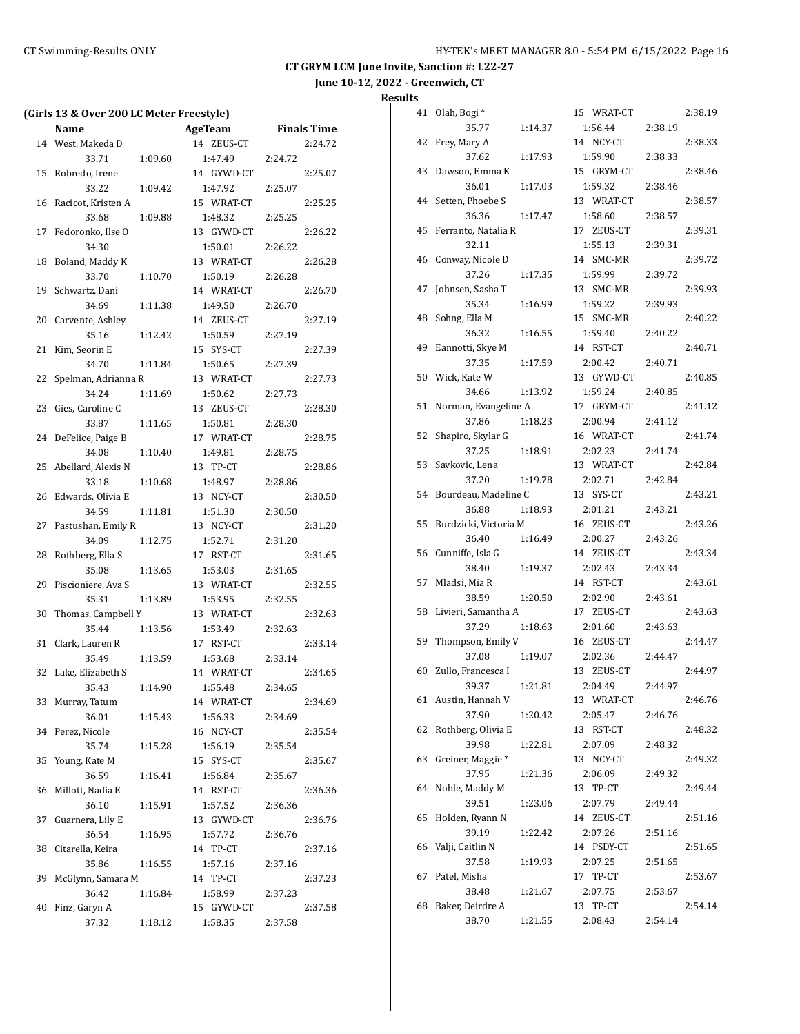**June 10-12, 2022 - Greenwich, CT**

|    | (Girls 13 & Over 200 LC Meter Freestyle) |         |                       |         |                    |  |  |  |
|----|------------------------------------------|---------|-----------------------|---------|--------------------|--|--|--|
|    | <b>Name</b>                              |         | AgeTeam               |         | <b>Finals Time</b> |  |  |  |
| 14 | West, Makeda D                           |         | 14 ZEUS-CT            |         | 2:24.72            |  |  |  |
|    | 33.71                                    | 1:09.60 | 1:47.49               | 2:24.72 |                    |  |  |  |
| 15 | Robredo, Irene                           |         | 14 GYWD-CT            |         | 2:25.07            |  |  |  |
|    | 33.22                                    | 1:09.42 | 1:47.92               | 2:25.07 |                    |  |  |  |
| 16 | Racicot, Kristen A                       |         | 15 WRAT-CT            |         | 2:25.25            |  |  |  |
|    | 33.68                                    | 1:09.88 | 1:48.32               | 2:25.25 |                    |  |  |  |
| 17 | Fedoronko, Ilse O                        |         | 13 GYWD-CT            |         | 2:26.22            |  |  |  |
|    | 34.30                                    |         | 1:50.01               | 2:26.22 |                    |  |  |  |
| 18 | Boland, Maddy K                          |         | 13 WRAT-CT            |         | 2:26.28            |  |  |  |
|    | 33.70                                    | 1:10.70 | 1:50.19               | 2:26.28 |                    |  |  |  |
| 19 | Schwartz, Dani                           |         | 14 WRAT-CT            |         | 2:26.70            |  |  |  |
|    | 34.69                                    | 1:11.38 | 1:49.50               | 2:26.70 |                    |  |  |  |
| 20 | Carvente, Ashley                         |         | 14 ZEUS-CT            |         | 2:27.19            |  |  |  |
|    | 35.16                                    | 1:12.42 | 1:50.59               | 2:27.19 |                    |  |  |  |
| 21 | Kim, Seorin E                            |         | 15 SYS-CT             |         | 2:27.39            |  |  |  |
|    | 34.70                                    | 1:11.84 | 1:50.65               | 2:27.39 |                    |  |  |  |
| 22 | Spelman, Adrianna R                      |         | 13 WRAT-CT            |         | 2:27.73            |  |  |  |
|    | 34.24                                    | 1:11.69 | 1:50.62               | 2:27.73 |                    |  |  |  |
| 23 | Gies, Caroline C                         |         | 13 ZEUS-CT            |         | 2:28.30            |  |  |  |
|    | 33.87                                    | 1:11.65 | 1:50.81               | 2:28.30 |                    |  |  |  |
| 24 | DeFelice, Paige B                        |         | 17 WRAT-CT            |         | 2:28.75            |  |  |  |
|    | 34.08                                    | 1:10.40 | 1:49.81               | 2:28.75 |                    |  |  |  |
| 25 | Abellard, Alexis N                       |         | 13 TP-CT              |         | 2:28.86            |  |  |  |
|    | 33.18                                    | 1:10.68 | 1:48.97               | 2:28.86 |                    |  |  |  |
| 26 | Edwards, Olivia E                        |         | 13 NCY-CT             |         | 2:30.50            |  |  |  |
|    | 34.59                                    | 1:11.81 | 1:51.30               | 2:30.50 |                    |  |  |  |
| 27 | Pastushan, Emily R                       |         | 13 NCY-CT             |         | 2:31.20            |  |  |  |
|    | 34.09                                    | 1:12.75 | 1:52.71               | 2:31.20 |                    |  |  |  |
| 28 | Rothberg, Ella S                         |         | 17 RST-CT             |         | 2:31.65            |  |  |  |
|    | 35.08                                    | 1:13.65 | 1:53.03               | 2:31.65 |                    |  |  |  |
| 29 | Piscioniere, Ava S                       |         | 13 WRAT-CT            |         | 2:32.55            |  |  |  |
|    | 35.31                                    | 1:13.89 | 1:53.95               | 2:32.55 |                    |  |  |  |
| 30 | Thomas, Campbell Y                       |         | 13 WRAT-CT            |         | 2:32.63            |  |  |  |
|    | 35.44                                    | 1:13.56 | 1:53.49               | 2:32.63 |                    |  |  |  |
| 31 | Clark, Lauren R                          |         | 17 RST-CT             |         | 2:33.14            |  |  |  |
|    | 35.49                                    | 1:13.59 | 1:53.68               | 2:33.14 |                    |  |  |  |
| 32 | Lake, Elizabeth S                        |         | 14 WRAT-CT            |         | 2:34.65            |  |  |  |
|    | 35.43                                    | 1:14.90 | 1:55.48               | 2:34.65 |                    |  |  |  |
| 33 | Murray, Tatum                            |         | 14 WRAT-CT            |         | 2:34.69            |  |  |  |
|    | 36.01                                    | 1:15.43 | 1:56.33               | 2:34.69 |                    |  |  |  |
| 34 | Perez, Nicole                            |         | 16 NCY-CT             |         | 2:35.54            |  |  |  |
|    | 35.74                                    | 1:15.28 | 1:56.19               | 2:35.54 |                    |  |  |  |
| 35 | Young, Kate M                            |         | 15 SYS-CT             |         | 2:35.67            |  |  |  |
|    | 36.59                                    |         |                       |         |                    |  |  |  |
| 36 | Millott, Nadia E                         | 1:16.41 | 1:56.84<br>14 RST-CT  | 2:35.67 | 2:36.36            |  |  |  |
|    | 36.10                                    |         |                       |         |                    |  |  |  |
|    |                                          | 1:15.91 | 1:57.52<br>13 GYWD-CT | 2:36.36 |                    |  |  |  |
| 37 | Guarnera, Lily E<br>36.54                |         |                       |         | 2:36.76            |  |  |  |
|    |                                          | 1:16.95 | 1:57.72               | 2:36.76 |                    |  |  |  |
| 38 | Citarella, Keira                         |         | 14 TP-CT              |         | 2:37.16            |  |  |  |
|    | 35.86                                    | 1:16.55 | 1:57.16               | 2:37.16 |                    |  |  |  |
| 39 | McGlynn, Samara M                        |         | 14 TP-CT              |         | 2:37.23            |  |  |  |
| 40 | 36.42                                    | 1:16.84 | 1:58.99               | 2:37.23 |                    |  |  |  |
|    | Finz, Garyn A                            |         | 15 GYWD-CT            |         | 2:37.58            |  |  |  |
|    | 37.32                                    | 1:18.12 | 1:58.35               | 2:37.58 |                    |  |  |  |

| 41 | Olah, Bogi*           |         | 15<br>WRAT-CT |         | 2:38.19 |
|----|-----------------------|---------|---------------|---------|---------|
|    | 35.77                 | 1:14.37 | 1:56.44       | 2:38.19 |         |
| 42 | Frey, Mary A          |         | 14 NCY-CT     |         | 2:38.33 |
|    | 37.62                 | 1:17.93 | 1:59.90       | 2:38.33 |         |
| 43 | Dawson, Emma K        |         | 15 GRYM-CT    |         | 2:38.46 |
|    | 36.01                 | 1:17.03 | 1:59.32       | 2:38.46 |         |
| 44 | Setten, Phoebe S      |         | 13 WRAT-CT    |         | 2:38.57 |
|    | 36.36                 | 1:17.47 | 1:58.60       | 2:38.57 |         |
| 45 | Ferranto, Natalia R   |         | 17 ZEUS-CT    |         | 2:39.31 |
|    | 32.11                 |         | 1:55.13       | 2:39.31 |         |
| 46 | Conway, Nicole D      |         | 14 SMC-MR     |         | 2:39.72 |
|    | 37.26                 | 1:17.35 | 1:59.99       | 2:39.72 |         |
| 47 | Johnsen, Sasha T      |         | 13 SMC-MR     |         | 2:39.93 |
|    | 35.34                 | 1:16.99 | 1:59.22       | 2:39.93 |         |
| 48 | Sohng, Ella M         |         | 15 SMC-MR     |         | 2:40.22 |
|    |                       |         |               |         |         |
|    | 36.32                 | 1:16.55 | 1:59.40       | 2:40.22 |         |
| 49 | Eannotti, Skye M      |         | 14 RST-CT     |         | 2:40.71 |
|    | 37.35                 | 1:17.59 | 2:00.42       | 2:40.71 |         |
| 50 | Wick, Kate W          |         | 13 GYWD-CT    |         | 2:40.85 |
|    | 34.66                 | 1:13.92 | 1:59.24       | 2:40.85 |         |
| 51 | Norman, Evangeline A  |         | 17 GRYM-CT    |         | 2:41.12 |
|    | 37.86                 | 1:18.23 | 2:00.94       | 2:41.12 |         |
| 52 | Shapiro, Skylar G     |         | 16 WRAT-CT    |         | 2:41.74 |
|    | 37.25                 | 1:18.91 | 2:02.23       | 2:41.74 |         |
| 53 | Savkovic, Lena        |         | 13 WRAT-CT    |         | 2:42.84 |
|    | 37.20                 | 1:19.78 | 2:02.71       | 2:42.84 |         |
| 54 | Bourdeau, Madeline C  |         | 13 SYS-CT     |         | 2:43.21 |
|    | 36.88                 | 1:18.93 | 2:01.21       | 2:43.21 |         |
| 55 | Burdzicki, Victoria M |         | 16 ZEUS-CT    |         | 2:43.26 |
|    | 36.40                 | 1:16.49 | 2:00.27       | 2:43.26 |         |
| 56 | Cunniffe, Isla G      |         | 14 ZEUS-CT    |         | 2:43.34 |
|    | 38.40                 | 1:19.37 | 2:02.43       | 2:43.34 |         |
| 57 | Mladsi, Mia R         |         | 14 RST-CT     |         | 2:43.61 |
|    | 38.59                 | 1:20.50 | 2:02.90       | 2:43.61 |         |
| 58 | Livieri, Samantha A   |         | ZEUS-CT<br>17 |         | 2:43.63 |
|    | 37.29                 | 1:18.63 | 2:01.60       | 2:43.63 |         |
| 59 | Thompson, Emily V     |         | 16 ZEUS-CT    |         | 2:44.47 |
|    | 37.08                 | 1:19.07 | 2:02.36       | 2:44.47 |         |
| 60 | Zullo, Francesca I    |         | 13<br>ZEUS-CT |         | 2:44.97 |
|    | 39.37                 | 1:21.81 | 2:04.49       | 2:44.97 |         |
| 61 | Austin, Hannah V      |         | 13 WRAT-CT    |         | 2:46.76 |
|    | 37.90                 | 1:20.42 | 2:05.47       | 2:46.76 |         |
| 62 | Rothberg, Olivia E    |         | 13 RST-CT     |         | 2:48.32 |
|    | 39.98                 | 1:22.81 | 2:07.09       | 2:48.32 |         |
| 63 | Greiner, Maggie *     |         | 13 NCY-CT     |         | 2:49.32 |
|    | 37.95                 | 1:21.36 | 2:06.09       | 2:49.32 |         |
| 64 | Noble, Maddy M        |         | 13<br>TP-CT   |         | 2:49.44 |
|    | 39.51                 | 1:23.06 | 2:07.79       | 2:49.44 |         |
| 65 | Holden, Ryann N       |         | 14 ZEUS-CT    |         | 2:51.16 |
|    | 39.19                 | 1:22.42 | 2:07.26       | 2:51.16 |         |
| 66 | Valji, Caitlin N      |         | 14 PSDY-CT    |         | 2:51.65 |
|    |                       |         |               |         |         |
|    | 37.58<br>Patel, Misha | 1:19.93 | 2:07.25<br>17 | 2:51.65 |         |
| 67 |                       |         | TP-CT         |         | 2:53.67 |
|    | 38.48                 | 1:21.67 | 2:07.75       | 2:53.67 |         |
| 68 | Baker, Deirdre A      |         | 13<br>TP-CT   |         | 2:54.14 |
|    | 38.70                 | 1:21.55 | 2:08.43       | 2:54.14 |         |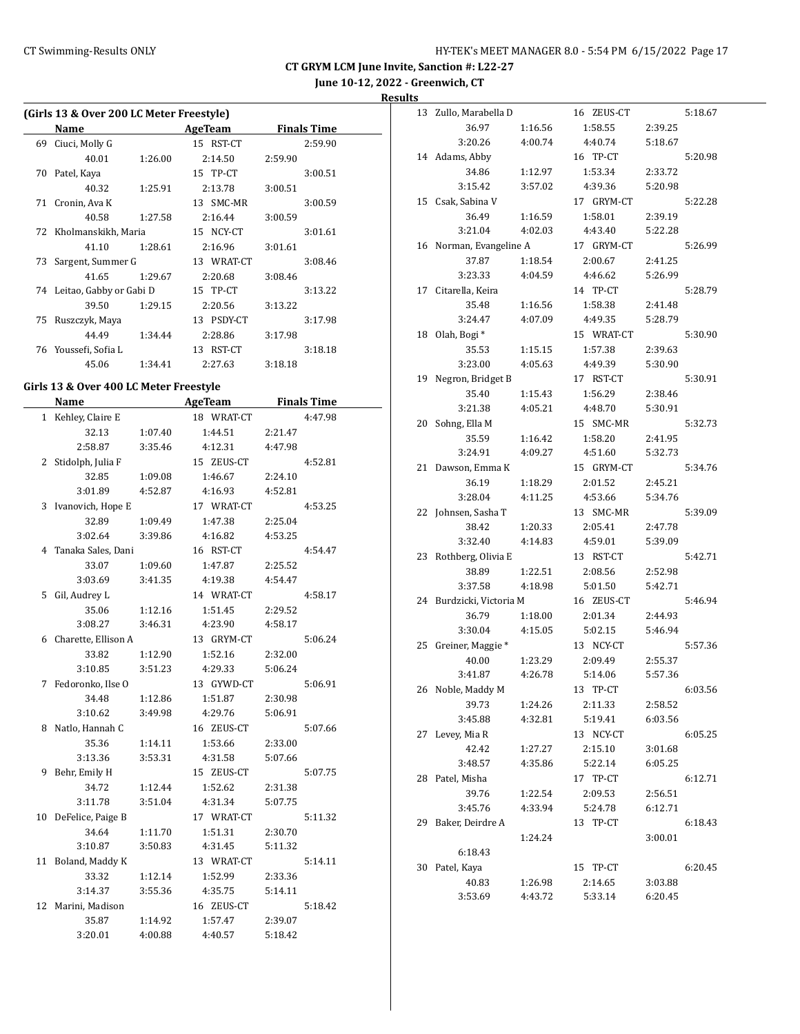**June 10-12, 2022 - Greenwich, CT**

**Results**

|    |                                          |         |                |         | June 10 14,7       |
|----|------------------------------------------|---------|----------------|---------|--------------------|
|    | (Girls 13 & Over 200 LC Meter Freestyle) |         |                |         |                    |
|    | Name                                     |         | <b>AgeTeam</b> |         | <b>Finals Time</b> |
| 69 | Ciuci, Molly G                           |         | 15 RST-CT      |         | 2:59.90            |
|    | 40.01                                    | 1:26.00 | 2:14.50        | 2:59.90 |                    |
| 70 | Patel, Kaya                              |         | 15 TP-CT       |         | 3:00.51            |
|    | 40.32                                    | 1:25.91 | 2:13.78        | 3:00.51 |                    |
| 71 | Cronin, Ava K                            |         | 13 SMC-MR      |         | 3:00.59            |
|    | 40.58                                    | 1:27.58 | 2:16.44        | 3:00.59 |                    |
| 72 | Kholmanskikh, Maria                      |         | 15 NCY-CT      |         | 3:01.61            |
|    | 41.10                                    | 1:28.61 | 2:16.96        | 3:01.61 |                    |
| 73 | Sargent, Summer G                        |         | 13 WRAT-CT     |         | 3:08.46            |
|    | 41.65                                    | 1:29.67 | 2:20.68        | 3:08.46 |                    |
|    | 74 Leitao, Gabby or Gabi D               |         | 15 TP-CT       |         | 3:13.22            |
|    | 39.50                                    | 1:29.15 | 2:20.56        | 3:13.22 |                    |
| 75 | Ruszczyk, Maya                           |         | 13 PSDY-CT     |         | 3:17.98            |
|    | 44.49                                    | 1:34.44 | 2:28.86        | 3:17.98 |                    |
|    | 76 Youssefi, Sofia L                     |         | 13 RST-CT      |         | 3:18.18            |
|    | 45.06                                    |         |                |         |                    |
|    |                                          | 1:34.41 | 2:27.63        | 3:18.18 |                    |
|    | Girls 13 & Over 400 LC Meter Freestyle   |         |                |         |                    |
|    | Name                                     |         | <b>AgeTeam</b> |         | <b>Finals Time</b> |
|    | 1 Kehley, Claire E                       |         | 18 WRAT-CT     |         | 4:47.98            |
|    | 32.13                                    | 1:07.40 | 1:44.51        | 2:21.47 |                    |
|    | 2:58.87                                  | 3:35.46 | 4:12.31        | 4:47.98 |                    |
| 2  | Stidolph, Julia F                        |         | 15 ZEUS-CT     |         | 4:52.81            |
|    | 32.85                                    | 1:09.08 | 1:46.67        | 2:24.10 |                    |
|    | 3:01.89                                  | 4:52.87 | 4:16.93        | 4:52.81 |                    |
|    | 3 Ivanovich, Hope E                      |         | 17 WRAT-CT     |         | 4:53.25            |
|    | 32.89                                    | 1:09.49 | 1:47.38        | 2:25.04 |                    |
|    | 3:02.64                                  | 3:39.86 | 4:16.82        | 4:53.25 |                    |
|    | 4 Tanaka Sales, Dani                     |         | 16 RST-CT      |         | 4:54.47            |
|    | 33.07                                    | 1:09.60 | 1:47.87        | 2:25.52 |                    |
|    | 3:03.69                                  | 3:41.35 | 4:19.38        | 4:54.47 |                    |
| 5  | Gil, Audrey L                            |         | 14 WRAT-CT     |         | 4:58.17            |
|    | 35.06                                    | 1:12.16 | 1:51.45        | 2:29.52 |                    |
|    | 3:08.27                                  | 3:46.31 | 4:23.90        | 4:58.17 |                    |
|    | 6 Charette, Ellison A                    |         | 13 GRYM-CT     |         | 5:06.24            |
|    | 33.82                                    | 1:12.90 | 1:52.16        | 2:32.00 |                    |
|    | 3:10.85                                  | 3:51.23 | 4:29.33        | 5:06.24 |                    |
| 7  | Fedoronko, Ilse O                        |         | 13 GYWD-CT     |         | 5:06.91            |
|    | 34.48                                    | 1:12.86 | 1:51.87        | 2:30.98 |                    |
|    | 3:10.62                                  | 3:49.98 | 4:29.76        | 5:06.91 |                    |
| 8  | Natlo, Hannah C                          |         | 16 ZEUS-CT     |         | 5:07.66            |
|    | 35.36                                    | 1:14.11 | 1:53.66        | 2:33.00 |                    |
|    | 3:13.36                                  | 3:53.31 | 4:31.58        | 5:07.66 |                    |
| 9  | Behr, Emily H                            |         | 15 ZEUS-CT     |         | 5:07.75            |
|    | 34.72                                    | 1:12.44 | 1:52.62        | 2:31.38 |                    |
|    |                                          |         |                |         |                    |

3:11.78 3:51.04 4:31.34 5:07.75 10 DeFelice, Paige B 17 WRAT-CT 5:11.32 34.64 1:11.70 1:51.31 2:30.70 3:10.87 3:50.83 4:31.45 5:11.32 11 Boland, Maddy K 13 WRAT-CT 5:14.11 33.32 1:12.14 1:52.99 2:33.36 3:14.37 3:55.36 4:35.75 5:14.11 12 Marini, Madison 16 ZEUS-CT 5:18.42 35.87 1:14.92 1:57.47 2:39.07 3:20.01 4:00.88 4:40.57 5:18.42

| 13 | Zullo, Marabella D           |                    | 16 ZEUS-CT         |                    | 5:18.67 |
|----|------------------------------|--------------------|--------------------|--------------------|---------|
|    | 36.97                        | 1:16.56            | 1:58.55            | 2:39.25            |         |
|    | 3:20.26                      | 4:00.74            | 4:40.74            | 5:18.67            |         |
|    | 14 Adams, Abby               |                    | 16 TP-CT           |                    | 5:20.98 |
|    | 34.86                        | 1:12.97            | 1:53.34            | 2:33.72            |         |
|    | 3:15.42                      | 3:57.02            | 4:39.36            | 5:20.98            |         |
| 15 | Csak, Sabina V               |                    | 17 GRYM-CT         |                    | 5:22.28 |
|    | 36.49                        | 1:16.59            | 1:58.01            | 2:39.19            |         |
|    | 3:21.04                      | 4:02.03            | 4:43.40            | 5:22.28            |         |
| 16 | Norman, Evangeline A         |                    | 17 GRYM-CT         |                    | 5:26.99 |
|    | 37.87                        | 1:18.54            | 2:00.67            | 2:41.25            |         |
|    | 3:23.33                      | 4:04.59            | 4:46.62            | 5:26.99            |         |
| 17 | Citarella, Keira             |                    | 14 TP-CT           |                    | 5:28.79 |
|    | 35.48                        | 1:16.56            | 1:58.38            | 2:41.48            |         |
|    | 3:24.47                      | 4:07.09            | 4:49.35            | 5:28.79            |         |
| 18 | Olah, Bogi*                  |                    | 15 WRAT-CT         |                    | 5:30.90 |
|    | 35.53                        | 1:15.15            | 1:57.38            | 2:39.63            |         |
|    | 3:23.00                      | 4:05.63            | 4:49.39            | 5:30.90            |         |
| 19 | Negron, Bridget B            |                    | 17 RST-CT          |                    | 5:30.91 |
|    | 35.40                        |                    |                    |                    |         |
|    | 3:21.38                      | 1:15.43<br>4:05.21 | 1:56.29<br>4:48.70 | 2:38.46<br>5:30.91 |         |
|    | Sohng, Ella M                |                    | SMC-MR             |                    |         |
| 20 |                              |                    | 15                 |                    | 5:32.73 |
|    | 35.59                        | 1:16.42            | 1:58.20            | 2:41.95            |         |
|    | 3:24.91                      | 4:09.27            | 4:51.60            | 5:32.73            |         |
| 21 | Dawson, Emma K               |                    | 15 GRYM-CT         |                    | 5:34.76 |
|    | 36.19                        | 1:18.29            | 2:01.52            | 2:45.21            |         |
|    | 3:28.04                      | 4:11.25            | 4:53.66            | 5:34.76            |         |
| 22 | Johnsen, Sasha T             |                    | 13 SMC-MR          |                    | 5:39.09 |
|    | 38.42                        | 1:20.33            | 2:05.41            | 2:47.78            |         |
|    | 3:32.40                      | 4:14.83            | 4:59.01            | 5:39.09            |         |
| 23 | Rothberg, Olivia E           |                    | 13 RST-CT          |                    | 5:42.71 |
|    | 38.89                        | 1:22.51            | 2:08.56            | 2:52.98            |         |
|    | 3:37.58                      | 4:18.98            | 5:01.50            | 5:42.71            |         |
| 24 | Burdzicki, Victoria M        |                    | 16 ZEUS-CT         |                    | 5:46.94 |
|    | 36.79                        | 1:18.00            | 2:01.34            | 2:44.93            |         |
|    | 3:30.04                      | 4:15.05            | 5:02.15            | 5:46.94            |         |
| 25 | Greiner, Maggie <sup>*</sup> |                    | 13 NCY-CT          |                    | 5:57.36 |
|    | 40.00                        | 1:23.29            | 2:09.49            | 2:55.37            |         |
|    | 3:41.87                      | 4:26.78            | 5:14.06            | 5:57.36            |         |
| 26 | Noble, Maddy M               |                    | 13 TP-CT           |                    | 6:03.56 |
|    | 39.73                        | 1:24.26            | 2:11.33            | 2:58.52            |         |
|    | 3:45.88                      | 4:32.81            | 5:19.41            | 6:03.56            |         |
| 27 | Levey, Mia R                 |                    | 13 NCY-CT          |                    | 6:05.25 |
|    | 42.42                        | 1:27.27            | 2:15.10            | 3:01.68            |         |
|    | 3:48.57                      | 4:35.86            | 5:22.14            | 6:05.25            |         |
| 28 | Patel, Misha                 |                    | 17 TP-CT           |                    | 6:12.71 |
|    | 39.76                        | 1:22.54            | 2:09.53            | 2:56.51            |         |
|    | 3:45.76                      | 4:33.94            | 5:24.78            | 6:12.71            |         |
| 29 | Baker, Deirdre A             |                    | 13 TP-CT           |                    | 6:18.43 |
|    |                              | 1:24.24            |                    | 3:00.01            |         |
|    | 6:18.43                      |                    |                    |                    |         |
| 30 | Patel, Kaya                  |                    | 15 TP-CT           |                    | 6:20.45 |
|    |                              |                    |                    |                    |         |
|    | 40.83                        | 1:26.98            | 2:14.65            | 3:03.88            |         |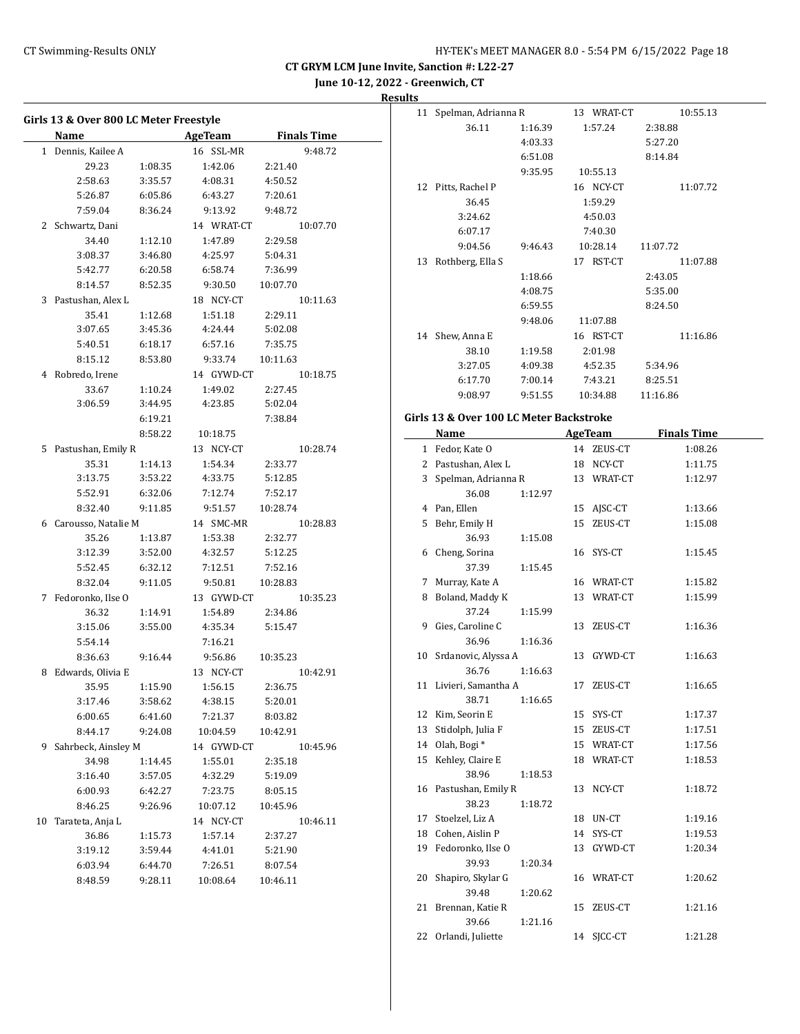**June 10-12, 2022 - Greenwich, CT**

## **Results**

|    | Girls 13 & Over 800 LC Meter Freestyle |         |                |                    |
|----|----------------------------------------|---------|----------------|--------------------|
|    | Name                                   |         | <b>AgeTeam</b> | <b>Finals Time</b> |
|    | 1 Dennis, Kailee A                     |         | 16 SSL-MR      | 9:48.72            |
|    | 29.23                                  | 1:08.35 | 1:42.06        | 2:21.40            |
|    | 2:58.63                                | 3:35.57 | 4:08.31        | 4:50.52            |
|    | 5:26.87                                | 6:05.86 | 6:43.27        | 7:20.61            |
|    | 7:59.04                                | 8:36.24 | 9:13.92        | 9:48.72            |
|    | 2 Schwartz, Dani                       |         | 14 WRAT-CT     | 10:07.70           |
|    | 34.40                                  | 1:12.10 | 1:47.89        | 2:29.58            |
|    | 3:08.37                                | 3:46.80 | 4:25.97        | 5:04.31            |
|    | 5:42.77                                | 6:20.58 | 6:58.74        | 7:36.99            |
|    | 8:14.57                                | 8:52.35 | 9:30.50        | 10:07.70           |
| 3  | Pastushan, Alex L                      |         | 18 NCY-CT      | 10:11.63           |
|    | 35.41                                  | 1:12.68 | 1:51.18        | 2:29.11            |
|    | 3:07.65                                |         | 4:24.44        | 5:02.08            |
|    |                                        | 3:45.36 |                |                    |
|    | 5:40.51                                | 6:18.17 | 6:57.16        | 7:35.75            |
|    | 8:15.12                                | 8:53.80 | 9:33.74        | 10:11.63           |
|    | 4 Robredo, Irene                       |         | 14 GYWD-CT     | 10:18.75           |
|    | 33.67                                  | 1:10.24 | 1:49.02        | 2:27.45            |
|    | 3:06.59                                | 3:44.95 | 4:23.85        | 5:02.04            |
|    |                                        | 6:19.21 |                | 7:38.84            |
|    |                                        | 8:58.22 | 10:18.75       |                    |
|    | 5 Pastushan, Emily R                   |         | 13 NCY-CT      | 10:28.74           |
|    | 35.31                                  | 1:14.13 | 1:54.34        | 2:33.77            |
|    | 3:13.75                                | 3:53.22 | 4:33.75        | 5:12.85            |
|    | 5:52.91                                | 6:32.06 | 7:12.74        | 7:52.17            |
|    | 8:32.40                                | 9:11.85 | 9:51.57        | 10:28.74           |
|    | 6 Carousso, Natalie M                  |         | 14 SMC-MR      | 10:28.83           |
|    | 35.26                                  | 1:13.87 | 1:53.38        | 2:32.77            |
|    | 3:12.39                                | 3:52.00 | 4:32.57        | 5:12.25            |
|    | 5:52.45                                | 6:32.12 | 7:12.51        | 7:52.16            |
|    | 8:32.04                                | 9:11.05 | 9:50.81        | 10:28.83           |
| 7  | Fedoronko, Ilse O                      |         | 13 GYWD-CT     | 10:35.23           |
|    | 36.32                                  | 1:14.91 | 1:54.89        | 2:34.86            |
|    | 3:15.06                                | 3:55.00 | 4:35.34        | 5:15.47            |
|    | 5:54.14                                |         | 7:16.21        |                    |
|    | 8:36.63                                | 9:16.44 | 9:56.86        | 10:35.23           |
| 8  | Edwards, Olivia E                      |         | 13 NCY-CT      | 10:42.91           |
|    | 35.95                                  | 1:15.90 | 1:56.15        | 2:36.75            |
|    | 3:17.46                                | 3:58.62 | 4:38.15        | 5:20.01            |
|    | 6:00.65                                | 6:41.60 | 7:21.37        | 8:03.82            |
|    | 8:44.17                                | 9:24.08 | 10:04.59       | 10:42.91           |
| 9  | Sahrbeck, Ainsley M                    |         | 14 GYWD-CT     | 10:45.96           |
|    |                                        |         |                |                    |
|    | 34.98                                  | 1:14.45 | 1:55.01        | 2:35.18            |
|    | 3:16.40                                | 3:57.05 | 4:32.29        | 5:19.09            |
|    | 6:00.93                                | 6:42.27 | 7:23.75        | 8:05.15            |
|    | 8:46.25                                | 9:26.96 | 10:07.12       | 10:45.96           |
| 10 | Tarateta, Anja L                       |         | 14 NCY-CT      | 10:46.11           |
|    | 36.86                                  | 1:15.73 | 1:57.14        | 2:37.27            |
|    | 3:19.12                                | 3:59.44 | 4:41.01        | 5:21.90            |
|    | 6:03.94                                | 6:44.70 | 7:26.51        | 8:07.54            |
|    | 8:48.59                                | 9:28.11 | 10:08.64       | 10:46.11           |
|    |                                        |         |                |                    |

| 11 | Spelman, Adrianna R |         | 13 WRAT-CT   | 10:55.13 |
|----|---------------------|---------|--------------|----------|
|    | 36.11               | 1:16.39 | 1:57.24      | 2:38.88  |
|    |                     | 4:03.33 |              | 5:27.20  |
|    |                     | 6:51.08 |              | 8:14.84  |
|    |                     | 9:35.95 | 10:55.13     |          |
| 12 | Pitts, Rachel P     |         | NCY-CT<br>16 | 11:07.72 |
|    | 36.45               |         | 1:59.29      |          |
|    | 3:24.62             |         | 4:50.03      |          |
|    | 6:07.17             |         | 7:40.30      |          |
|    | 9:04.56             | 9:46.43 | 10:28.14     | 11:07.72 |
| 13 | Rothberg, Ella S    |         | RST-CT<br>17 | 11:07.88 |
|    |                     | 1:18.66 |              | 2:43.05  |
|    |                     | 4:08.75 |              | 5:35.00  |
|    |                     | 6:59.55 |              | 8:24.50  |
|    |                     | 9:48.06 | 11:07.88     |          |
| 14 | Shew, Anna E        |         | RST-CT<br>16 | 11:16.86 |
|    | 38.10               | 1:19.58 | 2:01.98      |          |
|    | 3:27.05             | 4:09.38 | 4:52.35      | 5:34.96  |
|    | 6:17.70             | 7:00.14 | 7:43.21      | 8:25.51  |
|    | 9:08.97             | 9:51.55 | 10:34.88     | 11:16.86 |

# **Girls 13 & Over 100 LC Meter Backstroke**

|    | Name                   |    | <b>AgeTeam</b> | <b>Finals Time</b> |
|----|------------------------|----|----------------|--------------------|
|    | 1 Fedor, Kate O        |    | 14 ZEUS-CT     | 1:08.26            |
|    | 2 Pastushan, Alex L    |    | 18 NCY-CT      | 1:11.75            |
|    | 3 Spelman, Adrianna R  |    | 13 WRAT-CT     | 1:12.97            |
|    | 36.08<br>1:12.97       |    |                |                    |
|    | 4 Pan, Ellen           |    | 15 AJSC-CT     | 1:13.66            |
|    | 5 Behr, Emily H        |    | 15 ZEUS-CT     | 1:15.08            |
|    | 36.93<br>1:15.08       |    |                |                    |
|    | 6 Cheng, Sorina        |    | 16 SYS-CT      | 1:15.45            |
|    | 37.39<br>1:15.45       |    |                |                    |
| 7  | Murray, Kate A         |    | 16 WRAT-CT     | 1:15.82            |
| 8  | Boland, Maddy K        |    | 13 WRAT-CT     | 1:15.99            |
|    | 37.24<br>1:15.99       |    |                |                    |
|    | 9 Gies, Caroline C     |    | 13 ZEUS-CT     | 1:16.36            |
|    | 36.96<br>1:16.36       |    |                |                    |
|    | 10 Srdanovic, Alyssa A |    | 13 GYWD-CT     | 1:16.63            |
|    | 36.76<br>1:16.63       |    |                |                    |
|    | 11 Livieri, Samantha A | 17 | ZEUS-CT        | 1:16.65            |
|    | 38.71<br>1:16.65       |    |                |                    |
|    | 12 Kim, Seorin E       |    | 15 SYS-CT      | 1:17.37            |
|    | 13 Stidolph, Julia F   |    | 15 ZEUS-CT     | 1:17.51            |
|    | 14 Olah, Bogi*         |    | 15 WRAT-CT     | 1:17.56            |
| 15 | Kehley, Claire E       |    | 18 WRAT-CT     | 1:18.53            |
|    | 38.96<br>1:18.53       |    |                |                    |
|    | 16 Pastushan, Emily R  |    | 13 NCY-CT      | 1:18.72            |
|    | 38.23<br>1:18.72       |    |                |                    |
|    | 17 Stoelzel, Liz A     |    | 18 UN-CT       | 1:19.16            |
|    | 18 Cohen, Aislin P     |    | 14 SYS-CT      | 1:19.53            |
|    | 19 Fedoronko, Ilse O   |    | 13 GYWD-CT     | 1:20.34            |
|    | 39.93<br>1:20.34       |    |                |                    |
| 20 | Shapiro, Skylar G      |    | 16 WRAT-CT     | 1:20.62            |
|    | 39.48<br>1:20.62       |    |                |                    |
| 21 | Brennan, Katie R       | 15 | ZEUS-CT        | 1:21.16            |
|    | 39.66<br>1:21.16       |    |                |                    |
| 22 | Orlandi, Juliette      | 14 | SJCC-CT        | 1:21.28            |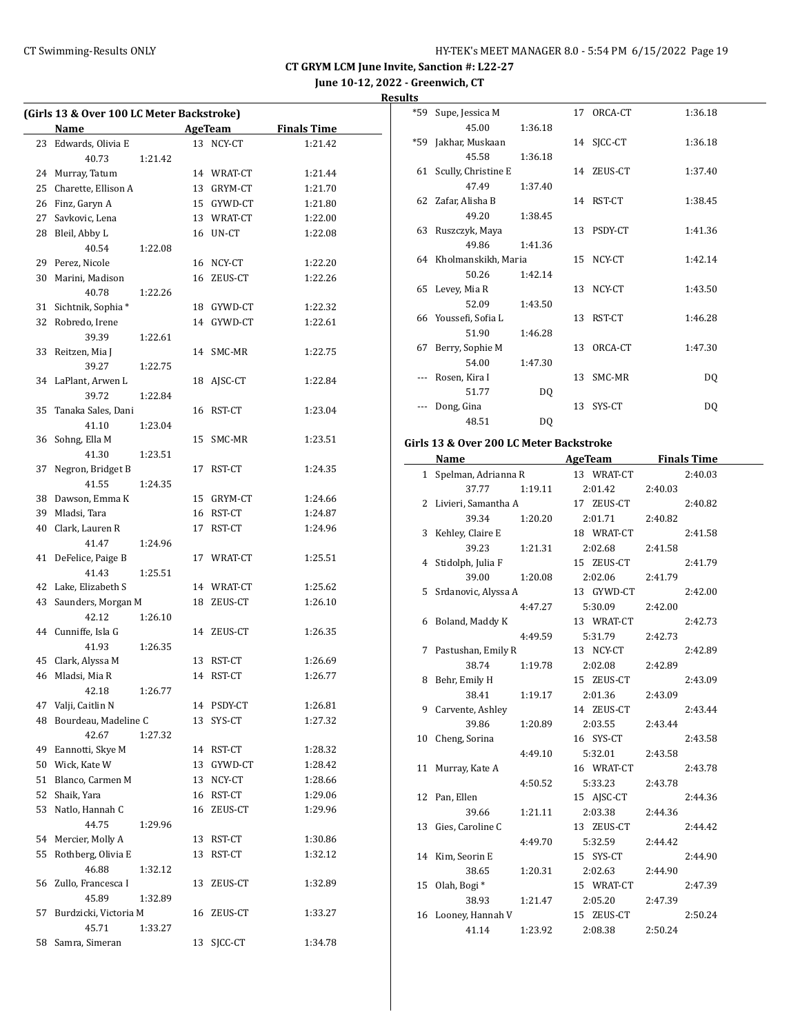**June 10-12, 2022 - Greenwich, CT**

## **Results**

| (Girls 13 & Over 100 LC Meter Backstroke) |                       |         |    |            |                    |
|-------------------------------------------|-----------------------|---------|----|------------|--------------------|
|                                           | <b>Name</b>           |         |    | AgeTeam    | <b>Finals Time</b> |
| 23                                        | Edwards, Olivia E     |         |    | 13 NCY-CT  | 1:21.42            |
|                                           | 40.73                 | 1:21.42 |    |            |                    |
| 24                                        | Murray, Tatum         |         |    | 14 WRAT-CT | 1:21.44            |
| 25                                        | Charette, Ellison A   |         |    | 13 GRYM-CT | 1:21.70            |
| 26                                        | Finz, Garyn A         |         |    | 15 GYWD-CT | 1:21.80            |
| 27                                        | Savkovic, Lena        |         |    | 13 WRAT-CT | 1:22.00            |
| 28                                        | Bleil, Abby L         |         |    | 16 UN-CT   | 1:22.08            |
|                                           | 40.54                 | 1:22.08 |    |            |                    |
|                                           | 29 Perez, Nicole      |         |    | 16 NCY-CT  | 1:22.20            |
| 30                                        | Marini, Madison       |         |    | 16 ZEUS-CT | 1:22.26            |
|                                           | 40.78                 | 1:22.26 |    |            |                    |
| 31                                        | Sichtnik, Sophia*     |         |    | 18 GYWD-CT | 1:22.32            |
| 32                                        | Robredo, Irene        |         |    | 14 GYWD-CT | 1:22.61            |
|                                           | 39.39                 | 1:22.61 |    |            |                    |
| 33                                        | Reitzen, Mia J        |         | 14 | SMC-MR     | 1:22.75            |
|                                           | 39.27                 | 1:22.75 |    |            |                    |
| 34                                        | LaPlant, Arwen L      |         | 18 | AJSC-CT    | 1:22.84            |
|                                           | 39.72                 | 1:22.84 |    |            |                    |
| 35                                        | Tanaka Sales, Dani    |         | 16 | RST-CT     | 1:23.04            |
|                                           | 41.10                 | 1:23.04 |    |            |                    |
| 36                                        | Sohng, Ella M         |         | 15 | SMC-MR     | 1:23.51            |
|                                           | 41.30                 | 1:23.51 |    |            |                    |
| 37                                        | Negron, Bridget B     |         | 17 | RST-CT     | 1:24.35            |
|                                           | 41.55                 | 1:24.35 |    |            |                    |
|                                           | 38 Dawson, Emma K     |         |    | 15 GRYM-CT | 1:24.66            |
| 39                                        | Mladsi, Tara          |         |    | 16 RST-CT  | 1:24.87            |
|                                           |                       |         |    |            |                    |
| 40                                        | Clark, Lauren R       |         |    | 17 RST-CT  | 1:24.96            |
|                                           | 41.47                 | 1:24.96 |    |            |                    |
| 41                                        | DeFelice, Paige B     |         |    | 17 WRAT-CT | 1:25.51            |
|                                           | 41.43                 | 1:25.51 |    |            |                    |
| 42                                        | Lake, Elizabeth S     |         |    | 14 WRAT-CT | 1:25.62            |
| 43                                        | Saunders, Morgan M    |         |    | 18 ZEUS-CT | 1:26.10            |
|                                           | 42.12                 | 1:26.10 |    |            |                    |
|                                           | 44 Cunniffe, Isla G   |         |    | 14 ZEUS-CT | 1:26.35            |
|                                           | 41.93                 | 1:26.35 |    |            |                    |
| 45                                        | Clark, Alyssa M       |         | 13 | RST-CT     | 1:26.69            |
| 46                                        | Mladsi, Mia R         |         | 14 | RST-CT     | 1:26.77            |
|                                           | 42.18                 | 1:26.77 |    |            |                    |
| 47                                        | Valji, Caitlin N      |         | 14 | PSDY-CT    | 1:26.81            |
| 48                                        | Bourdeau, Madeline C  |         | 13 | SYS-CT     | 1:27.32            |
|                                           | 42.67                 | 1:27.32 |    |            |                    |
| 49                                        | Eannotti, Skye M      |         |    | 14 RST-CT  | 1:28.32            |
| 50                                        | Wick, Kate W          |         |    | 13 GYWD-CT | 1:28.42            |
| 51                                        | Blanco, Carmen M      |         |    | 13 NCY-CT  | 1:28.66            |
| 52                                        | Shaik, Yara           |         | 16 | RST-CT     | 1:29.06            |
| 53                                        | Natlo, Hannah C       |         | 16 | ZEUS-CT    | 1:29.96            |
|                                           | 44.75                 | 1:29.96 |    |            |                    |
| 54                                        | Mercier, Molly A      |         | 13 | RST-CT     | 1:30.86            |
| 55                                        | Rothberg, Olivia E    |         | 13 | RST-CT     | 1:32.12            |
|                                           | 46.88                 | 1:32.12 |    |            |                    |
| 56                                        | Zullo, Francesca I    |         | 13 | ZEUS-CT    | 1:32.89            |
|                                           | 45.89                 | 1:32.89 |    |            |                    |
| 57                                        | Burdzicki, Victoria M |         | 16 | ZEUS-CT    | 1:33.27            |
|                                           | 45.71                 | 1:33.27 |    |            |                    |
| 58                                        | Samra, Simeran        |         | 13 | SJCC-CT    | 1:34.78            |
|                                           |                       |         |    |            |                    |

|       | *59 Supe, Jessica M    |         |    | 17 ORCA-CT | 1:36.18 |
|-------|------------------------|---------|----|------------|---------|
|       | 45.00                  | 1:36.18 |    |            |         |
| $*59$ | Jakhar, Muskaan        |         |    | 14 SJCC-CT | 1:36.18 |
|       | 45.58                  | 1:36.18 |    |            |         |
|       | 61 Scully, Christine E |         |    | 14 ZEUS-CT | 1:37.40 |
|       | 47.49                  | 1:37.40 |    |            |         |
|       | 62 Zafar, Alisha B     |         |    | 14 RST-CT  | 1:38.45 |
|       | 49.20                  | 1:38.45 |    |            |         |
|       | 63 Ruszczyk, Maya      |         |    | 13 PSDY-CT | 1:41.36 |
|       | 49.86                  | 1:41.36 |    |            |         |
|       | 64 Kholmanskikh, Maria |         |    | 15 NCY-CT  | 1:42.14 |
|       | 50.26                  | 1:42.14 |    |            |         |
|       | 65 Levey, Mia R        |         |    | 13 NCY-CT  | 1:43.50 |
|       | 52.09                  | 1:43.50 |    |            |         |
|       | 66 Youssefi, Sofia L   |         |    | 13 RST-CT  | 1:46.28 |
|       | 51.90                  | 1:46.28 |    |            |         |
| 67    | Berry, Sophie M        |         | 13 | ORCA-CT    | 1:47.30 |
|       | 54.00                  | 1:47.30 |    |            |         |
|       | Rosen, Kira I          |         |    | 13 SMC-MR  | DQ      |
|       | 51.77                  | DQ      |    |            |         |
|       | Dong, Gina             |         | 13 | SYS-CT     | DQ      |
|       | 48.51                  | DQ      |    |            |         |
|       |                        |         |    |            |         |

# **Girls 13 & Over 200 LC Meter Backstroke**

| Name                  |         | <b>AgeTeam</b>  | <b>Finals Time</b> |  |
|-----------------------|---------|-----------------|--------------------|--|
| 1 Spelman, Adrianna R |         | 13 WRAT-CT      | 2:40.03            |  |
| 37.77                 |         | 1:19.11 2:01.42 | 2:40.03            |  |
| 2 Livieri, Samantha A |         | 17 ZEUS-CT      | 2:40.82            |  |
| 39.34                 | 1:20.20 | 2:01.71         | 2:40.82            |  |
| 3 Kehley, Claire E    |         | 18 WRAT-CT      | 2:41.58            |  |
| 39.23                 | 1:21.31 | 2:02.68         | 2:41.58            |  |
| 4 Stidolph, Julia F   |         | 15 ZEUS-CT      | 2:41.79            |  |
| 39.00                 | 1:20.08 | 2:02.06         | 2:41.79            |  |
| 5 Srdanovic, Alyssa A |         | 13 GYWD-CT      | 2:42.00            |  |
|                       | 4:47.27 | 5:30.09         | 2:42.00            |  |
| 6 Boland, Maddy K     |         | 13 WRAT-CT      | 2:42.73            |  |
|                       | 4:49.59 | 5:31.79         | 2:42.73            |  |
| 7 Pastushan, Emily R  |         | 13 NCY-CT       | 2:42.89            |  |
| 38.74                 | 1:19.78 | 2:02.08         | 2:42.89            |  |
| 8 Behr, Emily H       |         | 15 ZEUS-CT      | 2:43.09            |  |
| 38.41                 | 1:19.17 | 2:01.36         | 2:43.09            |  |
| 9 Carvente, Ashley    |         | 14 ZEUS-CT      | 2:43.44            |  |
| 39.86                 | 1:20.89 | 2:03.55         | 2:43.44            |  |
| 10 Cheng, Sorina      |         | 16 SYS-CT       | 2:43.58            |  |
|                       | 4:49.10 | 5:32.01         | 2:43.58            |  |
| 11 Murray, Kate A     |         | 16 WRAT-CT      | 2:43.78            |  |
|                       | 4:50.52 | 5:33.23         | 2:43.78            |  |
| 12 Pan, Ellen         |         | 15 AJSC-CT      | 2:44.36            |  |
| 39.66                 | 1:21.11 | 2:03.38         | 2:44.36            |  |
| 13 Gies, Caroline C   |         | 13 ZEUS-CT      | 2:44.42            |  |
|                       | 4:49.70 | 5:32.59         | 2:44.42            |  |
| 14 Kim, Seorin E      |         | 15 SYS-CT       | 2:44.90            |  |
| 38.65                 | 1:20.31 | 2:02.63         | 2:44.90            |  |
| 15 Olah, Bogi *       |         | 15 WRAT-CT      | 2:47.39            |  |
| 38.93                 | 1:21.47 | 2:05.20         | 2:47.39            |  |
| 16 Looney, Hannah V   |         | 15 ZEUS-CT      | 2:50.24            |  |
| 41.14                 | 1:23.92 | 2:08.38         | 2:50.24            |  |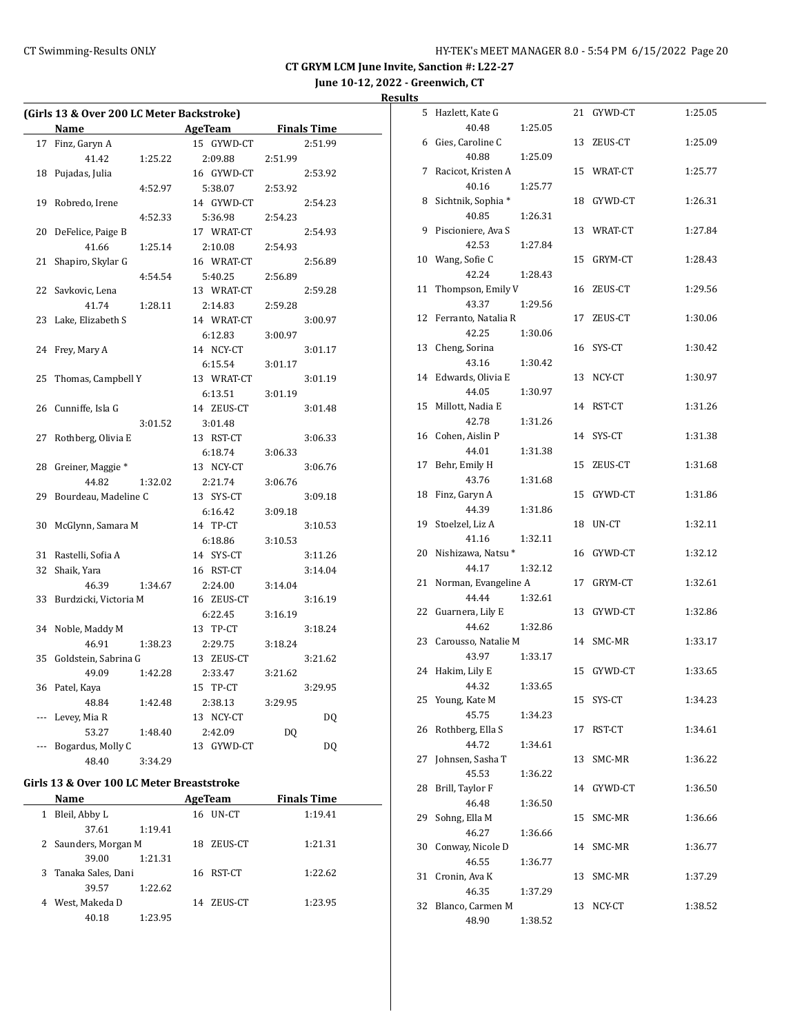# **June 10-12, 2022 - Greenwich, CT**

| Results |  |
|---------|--|
|         |  |

| (Girls 13 & Over 200 LC Meter Backstroke) |                       |         |               |                    |         |  |
|-------------------------------------------|-----------------------|---------|---------------|--------------------|---------|--|
|                                           | Name                  |         | AgeTeam       | <b>Finals Time</b> |         |  |
| 17                                        | Finz, Garyn A         |         | 15 GYWD-CT    |                    | 2:51.99 |  |
|                                           | 41.42                 | 1:25.22 | 2:09.88       | 2:51.99            |         |  |
| 18                                        | Pujadas, Julia        |         | 16 GYWD-CT    |                    | 2:53.92 |  |
|                                           |                       | 4:52.97 | 5:38.07       | 2:53.92            |         |  |
| 19                                        | Robredo, Irene        |         | 14 GYWD-CT    |                    | 2:54.23 |  |
|                                           |                       | 4:52.33 | 5:36.98       | 2:54.23            |         |  |
| 20                                        | DeFelice, Paige B     |         | 17 WRAT-CT    |                    | 2:54.93 |  |
|                                           | 41.66                 | 1:25.14 | 2:10.08       | 2:54.93            |         |  |
| 21                                        | Shapiro, Skylar G     |         | 16 WRAT-CT    |                    | 2:56.89 |  |
|                                           |                       | 4:54.54 | 5:40.25       | 2:56.89            |         |  |
| 22                                        | Savkovic, Lena        |         | 13 WRAT-CT    |                    | 2:59.28 |  |
|                                           | 41.74                 | 1:28.11 | 2:14.83       | 2:59.28            |         |  |
| 23                                        | Lake, Elizabeth S     |         | 14 WRAT-CT    |                    | 3:00.97 |  |
|                                           |                       |         | 6:12.83       | 3:00.97            |         |  |
| 24                                        | Frey, Mary A          |         | 14 NCY-CT     |                    | 3:01.17 |  |
|                                           |                       |         | 6:15.54       | 3:01.17            |         |  |
| 25                                        | Thomas, Campbell Y    |         | 13 WRAT-CT    |                    | 3:01.19 |  |
|                                           |                       |         | 6:13.51       | 3:01.19            |         |  |
| 26                                        | Cunniffe, Isla G      |         | 14 ZEUS-CT    |                    | 3:01.48 |  |
|                                           |                       | 3:01.52 | 3:01.48       |                    |         |  |
| 27                                        | Rothberg, Olivia E    |         | 13 RST-CT     |                    | 3:06.33 |  |
|                                           |                       |         | 6:18.74       | 3:06.33            |         |  |
| 28                                        | Greiner, Maggie *     |         | 13 NCY-CT     |                    | 3:06.76 |  |
|                                           | 44.82                 | 1:32.02 | 2:21.74       | 3:06.76            |         |  |
| 29                                        | Bourdeau, Madeline C  |         | 13 SYS-CT     |                    | 3:09.18 |  |
|                                           |                       |         | 6:16.42       | 3:09.18            |         |  |
| 30                                        | McGlynn, Samara M     |         | 14 TP-CT      |                    | 3:10.53 |  |
|                                           |                       |         | 6:18.86       | 3:10.53            |         |  |
| 31                                        | Rastelli, Sofia A     |         | 14 SYS-CT     |                    | 3:11.26 |  |
| 32                                        | Shaik, Yara           |         | 16 RST-CT     |                    | 3:14.04 |  |
|                                           | 46.39                 | 1:34.67 | 2:24.00       | 3:14.04            |         |  |
| 33                                        | Burdzicki, Victoria M |         | 16 ZEUS-CT    |                    | 3:16.19 |  |
|                                           |                       |         | 6:22.45       | 3:16.19            |         |  |
| 34                                        | Noble, Maddy M        |         | 13 TP-CT      |                    | 3:18.24 |  |
|                                           | 46.91                 | 1:38.23 | 2:29.75       | 3:18.24            |         |  |
| 35                                        | Goldstein, Sabrina G  |         | 13 ZEUS-CT    |                    | 3:21.62 |  |
|                                           | 49.09                 | 1:42.28 | 2:33.47       | 3:21.62            |         |  |
| 36                                        | Patel, Kaya           |         | 15 TP-CT      |                    | 3:29.95 |  |
|                                           | 48.84                 | 1:42.48 | 2:38.13       | 3:29.95            |         |  |
| ---                                       | Levey, Mia R          |         | 13 NCY-CT     |                    | DQ      |  |
|                                           | 53.27                 | 1:48.40 | 2:42.09       | DQ                 |         |  |
| ---                                       | Bogardus, Molly C     |         | 13<br>GYWD-CT |                    | DQ      |  |
|                                           | 48.40                 | 3:34.29 |               |                    |         |  |

#### **Girls 13 & Over 100 LC Meter Breaststroke**

|   | Name                 |         |     | <b>AgeTeam</b> | <b>Finals Time</b> |  |
|---|----------------------|---------|-----|----------------|--------------------|--|
| 1 | Bleil, Abby L        |         | 16. | UN-CT          | 1:19.41            |  |
|   | 37.61                | 1:19.41 |     |                |                    |  |
|   | 2 Saunders, Morgan M |         | 18  | ZEUS-CT        | 1:21.31            |  |
|   | 39.00                | 1:21.31 |     |                |                    |  |
|   | 3 Tanaka Sales, Dani |         |     | 16 RST-CT      | 1:22.62            |  |
|   | 39.57                | 1:22.62 |     |                |                    |  |
| 4 | West, Makeda D       |         | 14  | ZEUS-CT        | 1:23.95            |  |
|   | 40.18                | 1:23.95 |     |                |                    |  |

| 5  | Hazlett, Kate G        |         |    | 21 GYWD-CT | 1:25.05 |
|----|------------------------|---------|----|------------|---------|
|    | 40.48                  | 1:25.05 |    |            |         |
|    | 6 Gies, Caroline C     |         |    | 13 ZEUS-CT | 1:25.09 |
|    | 40.88                  | 1:25.09 |    |            |         |
| 7  | Racicot, Kristen A     |         |    | 15 WRAT-CT | 1:25.77 |
|    | 40.16                  | 1:25.77 |    |            |         |
| 8  | Sichtnik, Sophia*      |         |    | 18 GYWD-CT | 1:26.31 |
|    | 40.85                  | 1:26.31 |    |            |         |
| 9  | Piscioniere, Ava S     |         |    | 13 WRAT-CT | 1:27.84 |
|    | 42.53                  | 1:27.84 |    |            |         |
|    | 10 Wang, Sofie C       |         |    | 15 GRYM-CT | 1:28.43 |
|    | 42.24                  | 1:28.43 |    |            |         |
| 11 | Thompson, Emily V      |         |    | 16 ZEUS-CT | 1:29.56 |
|    | 43.37                  | 1:29.56 |    |            |         |
| 12 | Ferranto, Natalia R    |         |    | 17 ZEUS-CT | 1:30.06 |
|    | 42.25                  | 1:30.06 |    |            |         |
| 13 | Cheng, Sorina          |         |    | 16 SYS-CT  | 1:30.42 |
|    | 43.16                  | 1:30.42 |    |            |         |
|    | 14 Edwards, Olivia E   |         |    | 13 NCY-CT  | 1:30.97 |
|    | 44.05                  | 1:30.97 |    |            |         |
| 15 | Millott, Nadia E       |         |    | 14 RST-CT  | 1:31.26 |
|    | 42.78                  | 1:31.26 |    |            |         |
|    | 16 Cohen, Aislin P     |         |    | 14 SYS-CT  | 1:31.38 |
|    | 44.01                  | 1:31.38 |    |            |         |
| 17 | Behr, Emily H          |         |    | 15 ZEUS-CT | 1:31.68 |
|    | 43.76                  | 1:31.68 |    |            |         |
| 18 | Finz, Garyn A          |         |    | 15 GYWD-CT | 1:31.86 |
|    | 44.39                  | 1:31.86 |    |            |         |
| 19 | Stoelzel, Liz A        |         |    | 18 UN-CT   | 1:32.11 |
|    | 41.16                  | 1:32.11 |    |            |         |
| 20 | Nishizawa, Natsu*      |         |    | 16 GYWD-CT | 1:32.12 |
|    | 44.17                  | 1:32.12 |    |            |         |
| 21 | Norman, Evangeline A   |         |    | 17 GRYM-CT | 1:32.61 |
|    | 44.44                  | 1:32.61 |    |            |         |
| 22 | Guarnera, Lily E       |         |    | 13 GYWD-CT | 1:32.86 |
|    | 44.62                  | 1:32.86 |    |            |         |
|    | 23 Carousso, Natalie M |         |    | 14 SMC-MR  | 1:33.17 |
|    | 43.97                  | 1:33.17 |    |            |         |
| 24 | Hakim, Lily E          |         |    | 15 GYWD-CT | 1:33.65 |
|    | 44.32                  | 1:33.65 |    |            |         |
| 25 | Young, Kate M          |         |    | 15 SYS-CT  | 1:34.23 |
|    | 45.75                  | 1:34.23 |    |            |         |
| 26 | Rothberg, Ella S       |         | 17 | RST-CT     | 1:34.61 |
|    | 44.72                  | 1:34.61 |    |            |         |
| 27 | Johnsen, Sasha T       |         | 13 | SMC-MR     | 1:36.22 |
|    | 45.53                  | 1:36.22 |    |            |         |
| 28 | Brill, Taylor F        |         |    | 14 GYWD-CT | 1:36.50 |
|    | 46.48                  | 1:36.50 |    |            |         |
| 29 | Sohng, Ella M          |         | 15 | SMC-MR     | 1:36.66 |
|    | 46.27                  | 1:36.66 |    |            |         |
| 30 | Conway, Nicole D       |         |    | 14 SMC-MR  | 1:36.77 |
|    | 46.55                  | 1:36.77 |    |            |         |
| 31 | Cronin, Ava K          |         | 13 | SMC-MR     | 1:37.29 |
|    | 46.35                  | 1:37.29 |    |            |         |
| 32 | Blanco, Carmen M       |         | 13 | NCY-CT     | 1:38.52 |
|    | 48.90                  | 1:38.52 |    |            |         |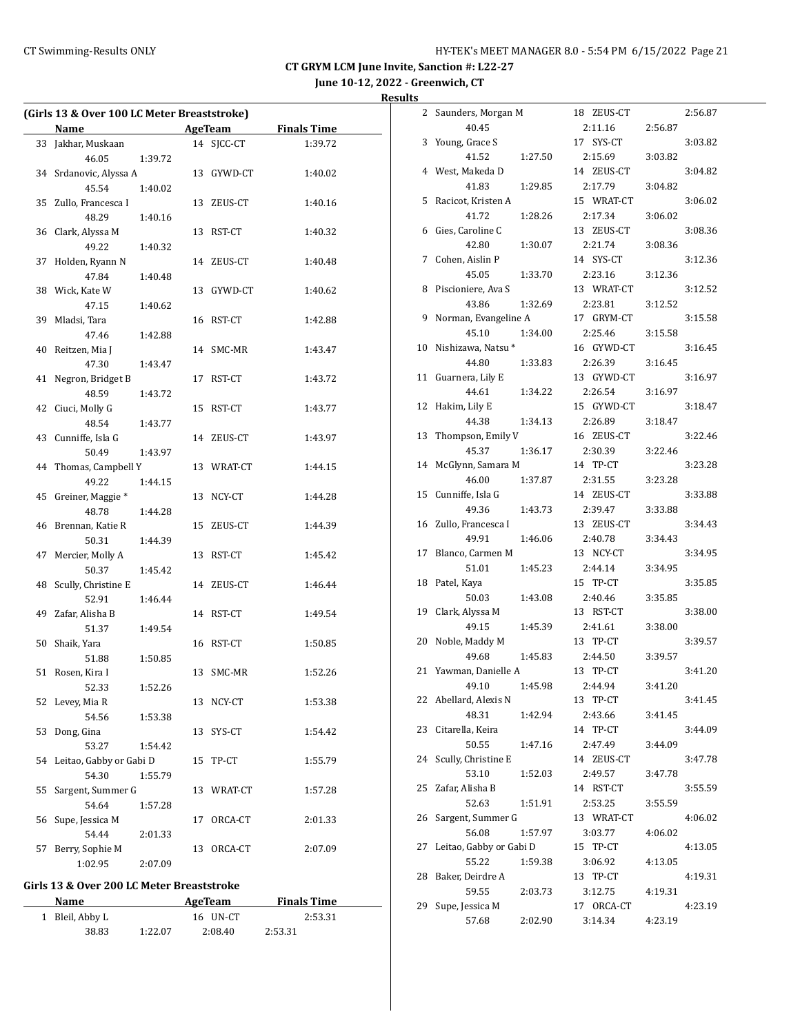**June 10-12, 2022 - Greenwich, CT**

**Results**

|    | (Girls 13 & Over 100 LC Meter Breaststroke) |         |    |            |                    |
|----|---------------------------------------------|---------|----|------------|--------------------|
|    | Name                                        |         |    | AgeTeam    | <b>Finals Time</b> |
| 33 | Jakhar, Muskaan                             |         |    | 14 SJCC-CT | 1:39.72            |
|    | 46.05                                       | 1:39.72 |    |            |                    |
| 34 | Srdanovic, Alyssa A                         |         |    | 13 GYWD-CT | 1:40.02            |
|    | 45.54                                       | 1:40.02 |    |            |                    |
| 35 | Zullo, Francesca I                          |         | 13 | ZEUS-CT    | 1:40.16            |
|    | 48.29                                       | 1:40.16 |    |            |                    |
|    | 36 Clark, Alyssa M                          |         | 13 | RST-CT     | 1:40.32            |
|    | 49.22                                       | 1:40.32 |    |            |                    |
| 37 | Holden, Ryann N                             |         |    | 14 ZEUS-CT | 1:40.48            |
|    | 47.84                                       | 1:40.48 |    |            |                    |
|    | 38 Wick, Kate W                             |         | 13 | GYWD-CT    | 1:40.62            |
|    | 47.15                                       | 1:40.62 |    |            |                    |
| 39 | Mladsi, Tara                                |         |    | 16 RST-CT  | 1:42.88            |
|    | 47.46                                       | 1:42.88 |    |            |                    |
| 40 | Reitzen, Mia J                              |         |    | 14 SMC-MR  | 1:43.47            |
|    | 47.30                                       | 1:43.47 |    |            |                    |
| 41 | Negron, Bridget B                           |         | 17 | RST-CT     | 1:43.72            |
|    | 48.59                                       | 1:43.72 |    |            |                    |
| 42 | Ciuci, Molly G                              |         | 15 | RST-CT     | 1:43.77            |
|    | 48.54                                       | 1:43.77 |    |            |                    |
| 43 | Cunniffe, Isla G                            |         |    | 14 ZEUS-CT | 1:43.97            |
|    | 50.49                                       | 1:43.97 |    |            |                    |
|    | 44 Thomas, Campbell Y                       |         |    | 13 WRAT-CT | 1:44.15            |
|    | 49.22                                       | 1:44.15 |    |            |                    |
| 45 | Greiner, Maggie <sup>*</sup>                |         |    | 13 NCY-CT  | 1:44.28            |
|    | 48.78                                       |         |    |            |                    |
|    | 46 Brennan, Katie R                         | 1:44.28 | 15 | ZEUS-CT    | 1:44.39            |
|    |                                             |         |    |            |                    |
| 47 | 50.31<br>Mercier, Molly A                   | 1:44.39 | 13 | RST-CT     | 1:45.42            |
|    | 50.37                                       | 1:45.42 |    |            |                    |
| 48 | Scully, Christine E                         |         | 14 |            | 1:46.44            |
|    |                                             |         |    | ZEUS-CT    |                    |
|    | 52.91<br>Zafar, Alisha B                    | 1:46.44 |    |            |                    |
| 49 |                                             |         |    | 14 RST-CT  | 1:49.54            |
|    | 51.37                                       | 1:49.54 |    |            |                    |
| 50 | Shaik, Yara                                 |         |    | 16 RST-CT  | 1:50.85            |
|    | 51.88                                       | 1:50.85 |    |            |                    |
|    | 51 Rosen, Kira I                            |         |    | 13 SMC-MR  | 1:52.26            |
|    | 52.33                                       | 1:52.26 |    |            |                    |
|    | 52 Levey, Mia R                             |         | 13 | NCY-CT     | 1:53.38            |
|    | 54.56                                       | 1:53.38 |    |            |                    |
| 53 | Dong, Gina                                  |         | 13 | SYS-CT     | 1:54.42            |
|    | 53.27                                       | 1:54.42 |    |            |                    |
| 54 | Leitao, Gabby or Gabi D                     |         | 15 | TP-CT      | 1:55.79            |
|    | 54.30                                       | 1:55.79 |    |            |                    |
| 55 | Sargent, Summer G                           |         | 13 | WRAT-CT    | 1:57.28            |
|    | 54.64                                       | 1:57.28 |    |            |                    |
| 56 | Supe, Jessica M                             |         | 17 | ORCA-CT    | 2:01.33            |
|    | 54.44                                       | 2:01.33 |    |            |                    |
| 57 | Berry, Sophie M                             |         | 13 | ORCA-CT    | 2:07.09            |
|    | 1:02.95                                     | 2:07.09 |    |            |                    |

# **Girls 13 & Over 200 LC Meter Breaststroke**

| Name            |         | AgeTeam  | <b>Finals Time</b> |  |
|-----------------|---------|----------|--------------------|--|
| 1 Bleil, Abby L |         | 16 UN-CT | 2:53.31            |  |
| 38.83           | 1:22.07 | 2:08.40  | 2:53.31            |  |

| 2  | Saunders, Morgan M               |         | 18 ZEUS-CT          |         | 2:56.87 |
|----|----------------------------------|---------|---------------------|---------|---------|
|    | 40.45                            |         | 2:11.16             | 2:56.87 |         |
| 3  | Young, Grace S                   |         | 17 SYS-CT           |         | 3:03.82 |
|    | 41.52                            | 1:27.50 | 2:15.69             | 3:03.82 |         |
| 4  | West, Makeda D                   |         | 14 ZEUS-CT          |         | 3:04.82 |
|    | 41.83                            | 1:29.85 | 2:17.79             | 3:04.82 |         |
| 5  | Racicot, Kristen A               |         | 15 WRAT-CT          |         | 3:06.02 |
|    | 41.72                            | 1:28.26 | 2:17.34             | 3:06.02 |         |
| 6  | Gies, Caroline C                 |         | 13 ZEUS-CT          |         | 3:08.36 |
|    | 42.80                            | 1:30.07 | 2:21.74             | 3:08.36 |         |
| 7  | Cohen, Aislin P                  |         | 14 SYS-CT           |         | 3:12.36 |
|    | 45.05                            | 1:33.70 | 2:23.16             | 3:12.36 |         |
| 8  | Piscioniere, Ava S               |         | 13 WRAT-CT          |         | 3:12.52 |
|    | 43.86                            | 1:32.69 | 2:23.81             | 3:12.52 |         |
| 9  | Norman, Evangeline A             |         | 17 GRYM-CT          |         | 3:15.58 |
|    | 45.10                            | 1:34.00 | 2:25.46             | 3:15.58 |         |
| 10 | Nishizawa, Natsu*                |         | 16 GYWD-CT          |         | 3:16.45 |
|    | 44.80                            | 1:33.83 | 2:26.39             | 3:16.45 |         |
| 11 | Guarnera, Lily E                 |         | 13 GYWD-CT          |         | 3:16.97 |
|    | 44.61                            | 1:34.22 | 2:26.54             | 3:16.97 |         |
| 12 | Hakim, Lily E                    |         | 15 GYWD-CT          |         | 3:18.47 |
|    | 44.38                            | 1:34.13 | 2:26.89             | 3:18.47 |         |
| 13 | Thompson, Emily V                |         | 16 ZEUS-CT          |         | 3:22.46 |
|    | 45.37                            | 1:36.17 | 2:30.39             | 3:22.46 |         |
| 14 | McGlynn, Samara M                |         | 14 TP-CT            |         | 3:23.28 |
|    | 46.00                            | 1:37.87 | 2:31.55             | 3:23.28 |         |
| 15 | Cunniffe, Isla G                 |         | 14 ZEUS-CT          |         | 3:33.88 |
|    | 49.36                            | 1:43.73 | 2:39.47             | 3:33.88 |         |
| 16 | Zullo, Francesca I               |         | 13 ZEUS-CT          |         | 3:34.43 |
|    | 49.91                            | 1:46.06 | 2:40.78             | 3:34.43 |         |
| 17 | Blanco, Carmen M                 |         | 13 NCY-CT           |         | 3:34.95 |
|    | 51.01                            | 1:45.23 | 2:44.14             | 3:34.95 |         |
| 18 | Patel, Kaya                      |         | 15 TP-CT            |         | 3:35.85 |
|    | 50.03                            | 1:43.08 | 2:40.46             | 3:35.85 |         |
| 19 | Clark, Alyssa M                  |         | 13 RST-CT           |         | 3:38.00 |
|    | 49.15                            | 1:45.39 | 2:41.61             | 3:38.00 |         |
| 20 | Noble, Maddy M                   |         | 13 TP-CT            |         | 3:39.57 |
|    | 49.68                            | 1:45.83 | 2:44.50             | 3:39.57 |         |
| 21 | Yawman, Danielle A               |         | 13 TP-CT            |         | 3:41.20 |
|    | 49.10                            | 1:45.98 | 2:44.94             | 3:41.20 |         |
|    | 22 Abellard, Alexis N            |         | 13 TP-CT            |         | 3:41.45 |
|    | 48.31                            | 1:42.94 | 2:43.66             | 3:41.45 |         |
| 23 | Citarella, Keira                 |         | 14 TP-CT            |         | 3:44.09 |
|    | 50.55                            | 1:47.16 | 2:47.49             | 3:44.09 |         |
| 24 | Scully, Christine E              |         | 14 ZEUS-CT          |         | 3:47.78 |
| 25 | 53.10<br>Zafar, Alisha B         | 1:52.03 | 2:49.57             | 3:47.78 |         |
|    |                                  |         | 14 RST-CT           |         | 3:55.59 |
|    | 52.63                            | 1:51.91 | 2:53.25             | 3:55.59 |         |
| 26 | Sargent, Summer G                |         | 13 WRAT-CT          |         | 4:06.02 |
| 27 | 56.08<br>Leitao, Gabby or Gabi D | 1:57.97 | 3:03.77<br>TP-CT    | 4:06.02 |         |
|    | 55.22                            |         | 15                  |         | 4:13.05 |
| 28 | Baker, Deirdre A                 | 1:59.38 | 3:06.92<br>13 TP-CT | 4:13.05 |         |
|    | 59.55                            |         | 3:12.75             |         | 4:19.31 |
| 29 | Supe, Jessica M                  | 2:03.73 | 17 ORCA-CT          | 4:19.31 | 4:23.19 |
|    | 57.68                            | 2:02.90 | 3:14.34             | 4:23.19 |         |
|    |                                  |         |                     |         |         |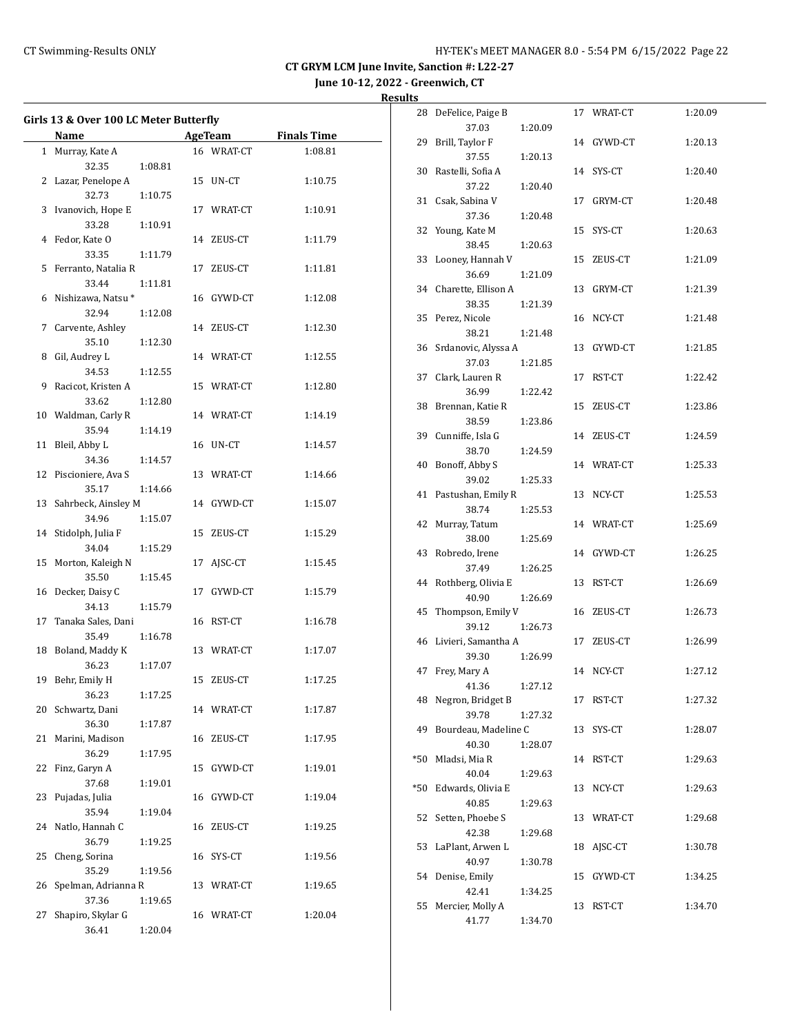**June 10-12, 2022 - Greenwich, CT**

|    | Girls 13 & Over 100 LC Meter Butterfly<br>AgeTeam<br><b>Finals Time</b><br>Name |         |  |            |         |  |
|----|---------------------------------------------------------------------------------|---------|--|------------|---------|--|
|    | 1 Murray, Kate A                                                                |         |  | 16 WRAT-CT | 1:08.81 |  |
|    | 32.35                                                                           | 1:08.81 |  |            |         |  |
|    | 2 Lazar, Penelope A                                                             |         |  | 15 UN-CT   | 1:10.75 |  |
|    | 32.73                                                                           | 1:10.75 |  |            |         |  |
|    | 3 Ivanovich, Hope E                                                             |         |  | 17 WRAT-CT | 1:10.91 |  |
|    | 33.28                                                                           | 1:10.91 |  |            |         |  |
|    | 4 Fedor, Kate O                                                                 |         |  | 14 ZEUS-CT | 1:11.79 |  |
|    | 33.35                                                                           | 1:11.79 |  |            |         |  |
| 5  | Ferranto, Natalia R                                                             |         |  | 17 ZEUS-CT | 1:11.81 |  |
|    | 33.44                                                                           | 1:11.81 |  |            |         |  |
|    | 6 Nishizawa, Natsu *                                                            |         |  | 16 GYWD-CT | 1:12.08 |  |
|    | 32.94                                                                           | 1:12.08 |  |            |         |  |
| 7  | Carvente, Ashley                                                                |         |  | 14 ZEUS-CT | 1:12.30 |  |
|    | 35.10                                                                           | 1:12.30 |  |            |         |  |
| 8  | Gil, Audrey L                                                                   |         |  | 14 WRAT-CT | 1:12.55 |  |
|    | 34.53                                                                           | 1:12.55 |  |            |         |  |
| 9  | Racicot, Kristen A                                                              |         |  |            |         |  |
|    | 33.62                                                                           | 1:12.80 |  | 15 WRAT-CT | 1:12.80 |  |
|    | 10 Waldman, Carly R                                                             |         |  | 14 WRAT-CT | 1:14.19 |  |
|    | 35.94                                                                           |         |  |            |         |  |
| 11 | Bleil, Abby L                                                                   | 1:14.19 |  | 16 UN-CT   | 1:14.57 |  |
|    | 34.36                                                                           |         |  |            |         |  |
|    | 12 Piscioniere, Ava S                                                           | 1:14.57 |  | 13 WRAT-CT |         |  |
|    | 35.17                                                                           |         |  |            | 1:14.66 |  |
| 13 | Sahrbeck, Ainsley M                                                             | 1:14.66 |  | 14 GYWD-CT | 1:15.07 |  |
|    | 34.96                                                                           |         |  |            |         |  |
| 14 | Stidolph, Julia F                                                               | 1:15.07 |  | 15 ZEUS-CT | 1:15.29 |  |
|    | 34.04                                                                           |         |  |            |         |  |
| 15 | Morton, Kaleigh N                                                               | 1:15.29 |  | 17 AJSC-CT | 1:15.45 |  |
|    | 35.50                                                                           | 1:15.45 |  |            |         |  |
|    | 16 Decker, Daisy C                                                              |         |  | 17 GYWD-CT | 1:15.79 |  |
|    | 34.13                                                                           | 1:15.79 |  |            |         |  |
|    | 17 Tanaka Sales, Dani                                                           |         |  | 16 RST-CT  | 1:16.78 |  |
|    | 35.49                                                                           |         |  |            |         |  |
|    | 18 Boland, Maddy K                                                              | 1:16.78 |  |            |         |  |
|    | 36.23                                                                           |         |  | 13 WRAT-CT | 1:17.07 |  |
|    | 19 Behr, Emily H                                                                | 1:17.07 |  | 15 ZEUS-CT |         |  |
|    |                                                                                 |         |  |            | 1:17.25 |  |
|    | 36.23<br>20 Schwartz, Dani                                                      | 1:17.25 |  |            |         |  |
|    |                                                                                 |         |  | 14 WRAT-CT | 1:17.87 |  |
|    | 36.30                                                                           | 1:17.87 |  |            |         |  |
| 21 | Marini, Madison                                                                 |         |  | 16 ZEUS-CT | 1:17.95 |  |
|    | 36.29                                                                           | 1:17.95 |  |            |         |  |
| 22 | Finz, Garyn A                                                                   |         |  | 15 GYWD-CT | 1:19.01 |  |
|    | 37.68                                                                           | 1:19.01 |  |            |         |  |
| 23 | Pujadas, Julia                                                                  |         |  | 16 GYWD-CT | 1:19.04 |  |
|    | 35.94                                                                           | 1:19.04 |  |            |         |  |
| 24 | Natlo, Hannah C                                                                 |         |  | 16 ZEUS-CT | 1:19.25 |  |
|    | 36.79                                                                           | 1:19.25 |  |            |         |  |
| 25 | Cheng, Sorina                                                                   |         |  | 16 SYS-CT  | 1:19.56 |  |
|    | 35.29                                                                           | 1:19.56 |  |            |         |  |
| 26 | Spelman, Adrianna R                                                             |         |  | 13 WRAT-CT | 1:19.65 |  |
|    | 37.36                                                                           | 1:19.65 |  |            |         |  |
| 27 | Shapiro, Skylar G                                                               |         |  | 16 WRAT-CT | 1:20.04 |  |
|    | 36.41                                                                           | 1:20.04 |  |            |         |  |

|       | 28 DeFelice, Paige B |         |    | 17 WRAT-CT | 1:20.09 |
|-------|----------------------|---------|----|------------|---------|
|       | 37.03                | 1:20.09 |    |            |         |
| 29    | Brill, Taylor F      |         |    | 14 GYWD-CT | 1:20.13 |
|       | 37.55                | 1:20.13 |    |            |         |
| 30    | Rastelli, Sofia A    |         |    | 14 SYS-CT  | 1:20.40 |
|       | 37.22                | 1:20.40 |    |            |         |
| 31    | Csak, Sabina V       |         | 17 | GRYM-CT    | 1:20.48 |
|       | 37.36                | 1:20.48 |    |            |         |
| 32    | Young, Kate M        |         | 15 | SYS-CT     | 1:20.63 |
|       |                      |         |    |            |         |
|       | 38.45                | 1:20.63 |    |            |         |
| 33    | Looney, Hannah V     |         | 15 | ZEUS-CT    | 1:21.09 |
|       | 36.69                | 1:21.09 |    |            |         |
| 34    | Charette, Ellison A  |         | 13 | GRYM-CT    | 1:21.39 |
|       | 38.35                | 1:21.39 |    |            |         |
| 35    | Perez, Nicole        |         |    | 16 NCY-CT  | 1:21.48 |
|       | 38.21                | 1:21.48 |    |            |         |
| 36    | Srdanovic, Alyssa A  |         | 13 | GYWD-CT    | 1:21.85 |
|       | 37.03                | 1:21.85 |    |            |         |
| 37    | Clark, Lauren R      |         | 17 | RST-CT     | 1:22.42 |
|       | 36.99                | 1:22.42 |    |            |         |
| 38    | Brennan, Katie R     |         | 15 | ZEUS-CT    | 1:23.86 |
|       | 38.59                | 1:23.86 |    |            |         |
|       | 39 Cunniffe, Isla G  |         | 14 | ZEUS-CT    | 1:24.59 |
|       | 38.70                | 1:24.59 |    |            |         |
| 40    | Bonoff, Abby S       |         |    | 14 WRAT-CT | 1:25.33 |
|       | 39.02                | 1:25.33 |    |            |         |
| 41    | Pastushan, Emily R   |         |    | 13 NCY-CT  | 1:25.53 |
|       | 38.74                | 1:25.53 |    |            |         |
| 42    | Murray, Tatum        |         |    | 14 WRAT-CT | 1:25.69 |
|       | 38.00                | 1:25.69 |    |            |         |
| 43    | Robredo, Irene       |         |    | 14 GYWD-CT | 1:26.25 |
|       | 37.49                |         |    |            |         |
|       |                      | 1:26.25 |    |            |         |
| 44    | Rothberg, Olivia E   |         |    | 13 RST-CT  | 1:26.69 |
|       | 40.90                | 1:26.69 |    |            |         |
| 45    | Thompson, Emily V    |         |    | 16 ZEUS-CT | 1:26.73 |
|       | 39.12                | 1:26.73 |    |            |         |
| 46    | Livieri, Samantha A  |         | 17 | ZEUS-CT    | 1:26.99 |
|       | 39.30                | 1:26.99 |    |            |         |
| 47    | Frey, Mary A         |         |    | 14 NCY-CT  | 1:27.12 |
|       | 41.36                | 1:27.12 |    |            |         |
| 48    | Negron, Bridget B    |         |    | 17 RST-CT  | 1:27.32 |
|       | 39.78                | 1:27.32 |    |            |         |
| 49    | Bourdeau, Madeline C |         | 13 | SYS-CT     | 1:28.07 |
|       | 40.30                | 1:28.07 |    |            |         |
| $*50$ | Mladsi, Mia R        |         | 14 | RST-CT     | 1:29.63 |
|       | 40.04                | 1:29.63 |    |            |         |
| $*50$ | Edwards, Olivia E    |         | 13 | NCY-CT     | 1:29.63 |
|       | 40.85                | 1:29.63 |    |            |         |
| 52    | Setten, Phoebe S     |         | 13 | WRAT-CT    | 1:29.68 |
|       | 42.38                | 1:29.68 |    |            |         |
| 53    | LaPlant, Arwen L     |         | 18 | AJSC-CT    | 1:30.78 |
|       | 40.97                | 1:30.78 |    |            |         |
| 54    | Denise, Emily        |         | 15 | GYWD-CT    | 1:34.25 |
|       | 42.41                | 1:34.25 |    |            |         |
| 55    | Mercier, Molly A     |         | 13 | RST-CT     | 1:34.70 |
|       | 41.77                | 1:34.70 |    |            |         |
|       |                      |         |    |            |         |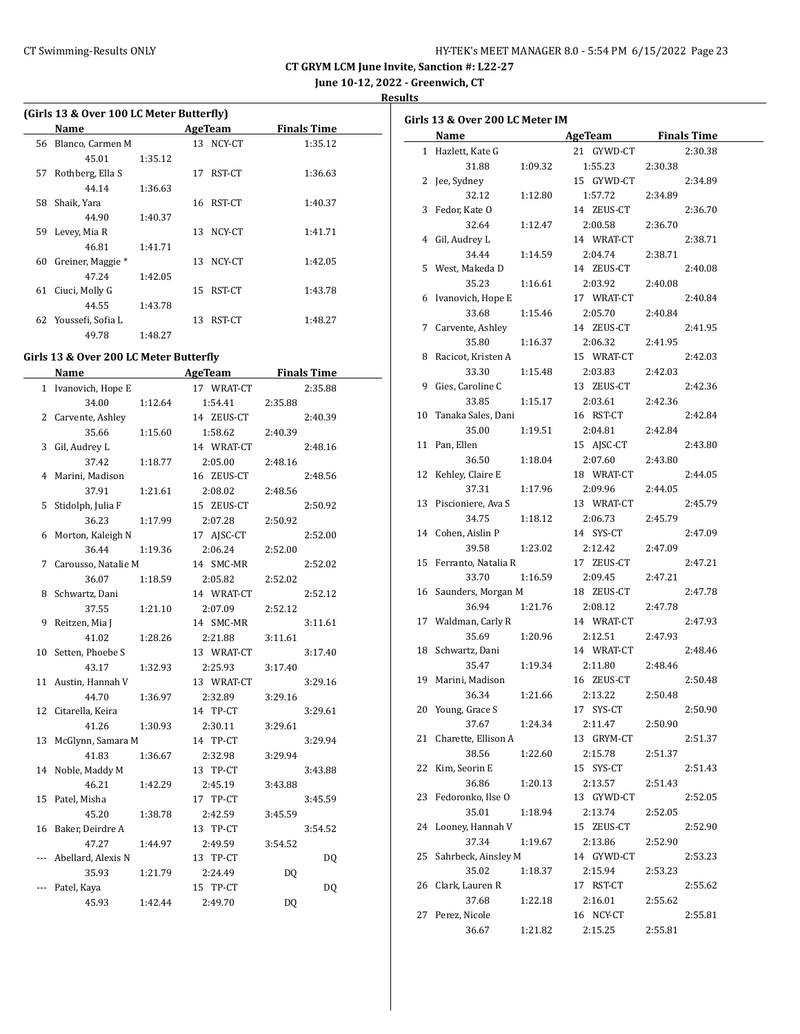## CT Swimming-Results ONLY HY-TEK's MEET MANAGER 8.0 - 5:54 PM 6/15/2022 Page 23

**CT GRYM LCM June Invite, Sanction #: L22-27**

**June 10-12, 2022 - Greenwich, CT**

**Results**

|  |  |  |  | (Girls 13 & Over 100 LC Meter Butterfly) |  |
|--|--|--|--|------------------------------------------|--|
|  |  |  |  |                                          |  |

|    | Name              |         |    | <b>AgeTeam</b> | <b>Finals Time</b> |
|----|-------------------|---------|----|----------------|--------------------|
| 56 | Blanco, Carmen M  |         | 13 | NCY-CT         | 1:35.12            |
|    | 45.01             | 1:35.12 |    |                |                    |
| 57 | Rothberg, Ella S  |         | 17 | RST-CT         | 1:36.63            |
|    | 44.14             | 1:36.63 |    |                |                    |
| 58 | Shaik, Yara       |         | 16 | RST-CT         | 1:40.37            |
|    | 44.90             | 1:40.37 |    |                |                    |
| 59 | Levey, Mia R      |         | 13 | NCY-CT         | 1:41.71            |
|    | 46.81             | 1:41.71 |    |                |                    |
| 60 | Greiner, Maggie * |         | 13 | NCY-CT         | 1:42.05            |
|    | 47.24             | 1:42.05 |    |                |                    |
| 61 | Ciuci, Molly G    |         | 15 | RST-CT         | 1:43.78            |
|    | 44.55             | 1:43.78 |    |                |                    |
| 62 | Youssefi, Sofia L |         | 13 | RST-CT         | 1:48.27            |
|    | 49.78             | 1:48.27 |    |                |                    |

## **Girls 13 & Over 200 LC Meter Butterfly**

|              | <b>Name</b>             |         | <b>AgeTeam</b>      | <b>Finals Time</b> |  |
|--------------|-------------------------|---------|---------------------|--------------------|--|
| $\mathbf{1}$ | Ivanovich, Hope E       |         | 17 WRAT-CT          | 2:35.88            |  |
|              | 34.00                   | 1:12.64 | 1:54.41             | 2:35.88            |  |
| 2            | Carvente, Ashley        |         | 14 ZEUS-CT          | 2:40.39            |  |
|              | 35.66                   | 1:15.60 | 1:58.62             | 2:40.39            |  |
| 3            | Gil, Audrey L           |         | 14 WRAT-CT          | 2:48.16            |  |
|              | 37.42                   | 1:18.77 | 2:05.00             | 2:48.16            |  |
| 4            | Marini, Madison         |         | 16 ZEUS-CT          | 2:48.56            |  |
|              | 37.91                   | 1:21.61 | 2:08.02             | 2:48.56            |  |
| 5            | Stidolph, Julia F       |         | 15 ZEUS-CT          | 2:50.92            |  |
|              | 36.23                   | 1:17.99 | 2:07.28             | 2:50.92            |  |
| 6            | Morton, Kaleigh N       |         | 17 AJSC-CT          | 2:52.00            |  |
|              | 36.44                   | 1:19.36 | 2:06.24             | 2:52.00            |  |
| 7            | Carousso, Natalie M     |         | 14 SMC-MR           | 2:52.02            |  |
|              | 36.07                   | 1:18.59 | 2:05.82             | 2:52.02            |  |
| 8            | Schwartz, Dani          |         | 14 WRAT-CT          | 2:52.12            |  |
|              | 37.55                   | 1:21.10 | 2:07.09             | 2:52.12            |  |
| 9            | Reitzen, Mia J          |         | 14 SMC-MR           | 3:11.61            |  |
|              | 41.02                   | 1:28.26 | 2:21.88             | 3:11.61            |  |
| 10           | Setten, Phoebe S        |         | 13 WRAT-CT          | 3:17.40            |  |
|              | 43.17                   | 1:32.93 | 2:25.93             | 3:17.40            |  |
| 11           | Austin, Hannah V        |         | 13 WRAT-CT          | 3:29.16            |  |
|              | 44.70                   | 1:36.97 | 2:32.89             | 3:29.16            |  |
| 12           | Citarella, Keira        |         | 14 TP-CT            | 3:29.61            |  |
|              | 41.26                   | 1:30.93 | 2:30.11             | 3:29.61            |  |
| 13           | McGlynn, Samara M       |         | 14 TP-CT            | 3:29.94            |  |
|              | 41.83                   | 1:36.67 | 2:32.98             | 3:29.94            |  |
| 14           | Noble, Maddy M<br>46.21 |         | 13 TP-CT            | 3:43.88            |  |
| 15           | Patel, Misha            | 1:42.29 | 2:45.19<br>17 TP-CT | 3:43.88<br>3:45.59 |  |
|              | 45.20                   | 1:38.78 | 2:42.59             |                    |  |
| 16           | Baker, Deirdre A        |         | 13 TP-CT            | 3:45.59<br>3:54.52 |  |
|              | 47.27                   | 1:44.97 | 2:49.59             | 3:54.52            |  |
| ---          | Abellard, Alexis N      |         | 13 TP-CT            | DO.                |  |
|              | 35.93                   | 1:21.79 | 2:24.49             | DQ                 |  |
|              | Patel, Kaya             |         | 15 TP-CT            | DQ                 |  |
|              | 45.93                   | 1:42.44 | 2:49.70             | DQ                 |  |
|              |                         |         |                     |                    |  |

|    | Girls 13 & Over 200 LC Meter IM |         |                     |         |         |
|----|---------------------------------|---------|---------------------|---------|---------|
|    | Name                            |         | AgeTeam Finals Time |         |         |
|    | 1 Hazlett, Kate G               |         | 21 GYWD-CT          |         | 2:30.38 |
|    | 31.88                           | 1:09.32 | 1:55.23             | 2:30.38 |         |
|    | 2 Jee, Sydney                   |         | 15 GYWD-CT          |         | 2:34.89 |
|    | 32.12                           | 1:12.80 | 1:57.72             | 2:34.89 |         |
|    | 3 Fedor, Kate O                 |         | 14 ZEUS-CT          |         | 2:36.70 |
|    | 32.64                           | 1:12.47 | 2:00.58             | 2:36.70 |         |
|    | 4 Gil, Audrey L                 |         | 14 WRAT-CT          |         | 2:38.71 |
|    | 34.44                           | 1:14.59 | 2:04.74             | 2:38.71 |         |
|    | 5 West, Makeda D                |         | 14 ZEUS-CT          |         | 2:40.08 |
|    | 35.23                           | 1:16.61 | 2:03.92             | 2:40.08 |         |
|    | 6 Ivanovich, Hope E             |         | 17 WRAT-CT          |         | 2:40.84 |
|    | 33.68                           | 1:15.46 | 2:05.70             | 2:40.84 |         |
|    | 7 Carvente, Ashley              |         | 14 ZEUS-CT          |         | 2:41.95 |
|    | 35.80                           | 1:16.37 | 2:06.32             | 2:41.95 |         |
|    | 8 Racicot, Kristen A            |         | 15 WRAT-CT          |         | 2:42.03 |
|    | 33.30                           | 1:15.48 | 2:03.83             | 2:42.03 |         |
| 9  | Gies, Caroline C                |         | 13 ZEUS-CT          |         | 2:42.36 |
|    |                                 |         |                     |         |         |
|    | 33.85                           | 1:15.17 | 2:03.61             | 2:42.36 |         |
|    | 10 Tanaka Sales, Dani           |         | 16 RST-CT           |         | 2:42.84 |
|    | 35.00                           | 1:19.51 | 2:04.81             | 2:42.84 |         |
|    | 11 Pan, Ellen                   |         | 15 AJSC-CT          |         | 2:43.80 |
|    | 36.50                           | 1:18.04 | 2:07.60             | 2:43.80 |         |
|    | 12 Kehley, Claire E             |         | 18 WRAT-CT          |         | 2:44.05 |
|    | 37.31                           | 1:17.96 | 2:09.96             | 2:44.05 |         |
|    | 13 Piscioniere, Ava S           |         | 13 WRAT-CT          |         | 2:45.79 |
|    | 34.75                           | 1:18.12 | 2:06.73             | 2:45.79 |         |
|    | 14 Cohen, Aislin P              |         | 14 SYS-CT           |         | 2:47.09 |
|    | 39.58                           | 1:23.02 | 2:12.42             | 2:47.09 |         |
|    | 15 Ferranto, Natalia R          |         | 17 ZEUS-CT          |         | 2:47.21 |
|    | 33.70                           | 1:16.59 | 2:09.45             | 2:47.21 |         |
|    | 16 Saunders, Morgan M           |         | 18 ZEUS-CT          |         | 2:47.78 |
|    | 36.94                           | 1:21.76 | 2:08.12             | 2:47.78 |         |
|    | 17 Waldman, Carly R             |         | 14 WRAT-CT          |         | 2:47.93 |
|    | 35.69                           | 1:20.96 | 2:12.51             | 2:47.93 |         |
|    | 18 Schwartz, Dani               |         | 14 WRAT-CT          |         | 2:48.46 |
|    | 35.47                           | 1:19.34 | 2:11.80             | 2:48.46 |         |
|    | 19 Marini, Madison              |         | 16 ZEUS-CT          |         | 2:50.48 |
|    | 36.34                           | 1:21.66 | 2:13.22             | 2:50.48 |         |
| 20 | Young, Grace S                  |         | 17 SYS-CT           |         | 2:50.90 |
|    | 37.67                           | 1:24.34 | 2:11.47             | 2:50.90 |         |
| 21 | Charette, Ellison A             |         | 13 GRYM-CT          |         | 2:51.37 |
|    | 38.56                           | 1:22.60 | 2:15.78             | 2:51.37 |         |
| 22 | Kim, Seorin E                   |         | 15 SYS-CT           |         | 2:51.43 |
|    | 36.86                           | 1:20.13 | 2:13.57             | 2:51.43 |         |
| 23 | Fedoronko, Ilse O               |         | 13 GYWD-CT          |         | 2:52.05 |
|    | 35.01                           | 1:18.94 | 2:13.74             | 2:52.05 |         |
| 24 | Looney, Hannah V                |         | 15 ZEUS-CT          |         | 2:52.90 |
|    | 37.34                           | 1:19.67 | 2:13.86             | 2:52.90 |         |
| 25 | Sahrbeck, Ainsley M             |         | 14 GYWD-CT          |         | 2:53.23 |
|    | 35.02                           | 1:18.37 | 2:15.94             | 2:53.23 |         |
|    | 26 Clark, Lauren R              |         | 17 RST-CT           |         | 2:55.62 |
|    | 37.68                           | 1:22.18 | 2:16.01             | 2:55.62 |         |
| 27 | Perez, Nicole                   |         | 16 NCY-CT           |         | 2:55.81 |
|    | 36.67                           | 1:21.82 | 2:15.25             | 2:55.81 |         |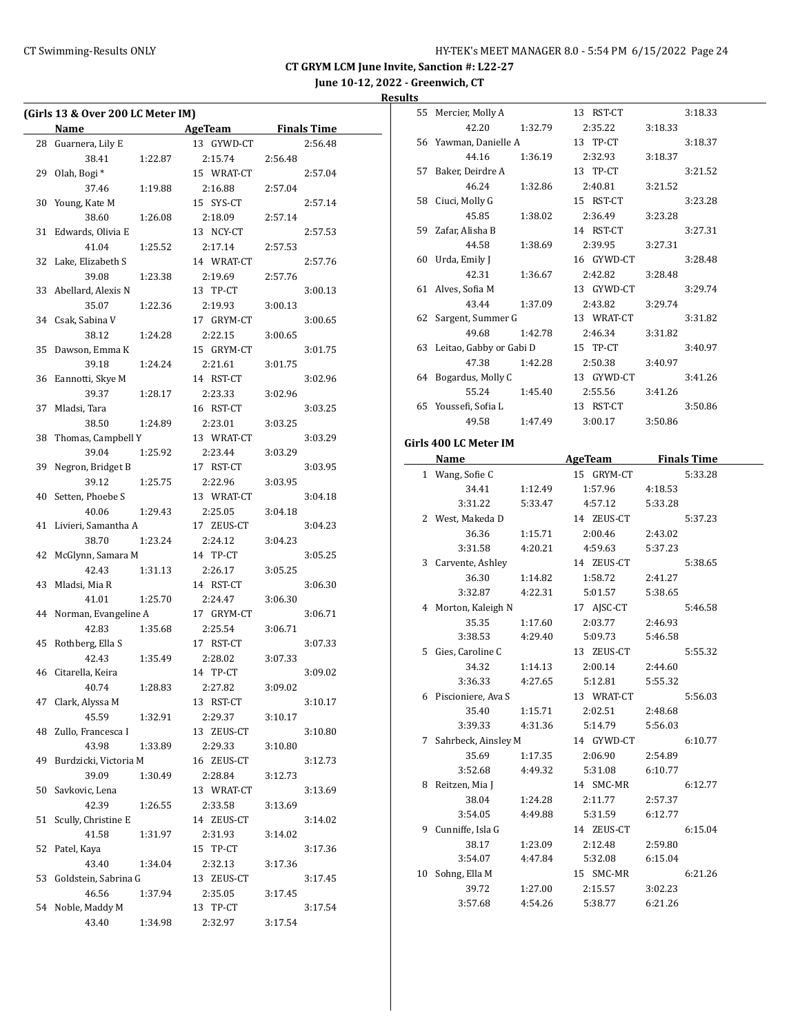**June 10-12, 2022 - Greenwich, CT**

|    | (Girls 13 & Over 200 LC Meter IM) |         |            |         |                    |
|----|-----------------------------------|---------|------------|---------|--------------------|
|    | Name                              |         | AgeTeam    |         | <b>Finals Time</b> |
| 28 | Guarnera, Lily E                  |         | 13 GYWD-CT |         | 2:56.48            |
|    | 38.41                             | 1:22.87 | 2:15.74    | 2:56.48 |                    |
| 29 | Olah, Bogi*                       |         | 15 WRAT-CT |         | 2:57.04            |
|    | 37.46                             | 1:19.88 | 2:16.88    | 2:57.04 |                    |
| 30 | Young, Kate M                     |         | 15 SYS-CT  |         | 2:57.14            |
|    | 38.60                             | 1:26.08 | 2:18.09    | 2:57.14 |                    |
| 31 | Edwards, Olivia E                 |         | 13 NCY-CT  |         | 2:57.53            |
|    | 41.04                             | 1:25.52 | 2:17.14    | 2:57.53 |                    |
| 32 | Lake, Elizabeth S                 |         | 14 WRAT-CT |         | 2:57.76            |
|    | 39.08                             | 1:23.38 | 2:19.69    | 2:57.76 |                    |
| 33 | Abellard, Alexis N                |         | 13 TP-CT   |         | 3:00.13            |
|    | 35.07                             | 1:22.36 | 2:19.93    | 3:00.13 |                    |
|    | 34 Csak, Sabina V                 |         | 17 GRYM-CT |         | 3:00.65            |
|    | 38.12                             | 1:24.28 | 2:22.15    | 3:00.65 |                    |
| 35 | Dawson, Emma K                    |         | 15 GRYM-CT |         | 3:01.75            |
|    | 39.18                             | 1:24.24 | 2:21.61    | 3:01.75 |                    |
| 36 | Eannotti, Skye M                  |         | 14 RST-CT  |         | 3:02.96            |
|    | 39.37                             | 1:28.17 | 2:23.33    | 3:02.96 |                    |
| 37 | Mladsi, Tara                      |         | 16 RST-CT  |         | 3:03.25            |
|    | 38.50                             | 1:24.89 | 2:23.01    | 3:03.25 |                    |
| 38 | Thomas, Campbell Y                |         | 13 WRAT-CT |         | 3:03.29            |
|    | 39.04                             | 1:25.92 | 2:23.44    | 3:03.29 |                    |
| 39 | Negron, Bridget B                 |         | 17 RST-CT  |         | 3:03.95            |
|    | 39.12                             | 1:25.75 | 2:22.96    | 3:03.95 |                    |
| 40 | Setten, Phoebe S                  |         | 13 WRAT-CT |         | 3:04.18            |
|    | 40.06                             | 1:29.43 | 2:25.05    | 3:04.18 |                    |
| 41 | Livieri, Samantha A               |         | 17 ZEUS-CT |         | 3:04.23            |
|    | 38.70                             | 1:23.24 | 2:24.12    | 3:04.23 |                    |
| 42 | McGlynn, Samara M                 |         | 14 TP-CT   |         | 3:05.25            |
|    | 42.43                             | 1:31.13 | 2:26.17    | 3:05.25 |                    |
| 43 | Mladsi, Mia R                     |         | 14 RST-CT  |         | 3:06.30            |
|    | 41.01                             | 1:25.70 | 2:24.47    | 3:06.30 |                    |
| 44 | Norman, Evangeline A              |         | 17 GRYM-CT |         | 3:06.71            |
|    | 42.83                             | 1:35.68 | 2:25.54    | 3:06.71 |                    |
| 45 | Rothberg, Ella S                  |         | 17 RST-CT  |         | 3:07.33            |
|    | 42.43                             | 1:35.49 | 2:28.02    | 3:07.33 |                    |
| 46 | Citarella, Keira                  |         | 14 TP-CT   |         | 3:09.02            |
|    | 40.74                             | 1:28.83 | 2:27.82    | 3:09.02 |                    |
| 47 | Clark, Alyssa M                   |         | 13 RST-CT  |         | 3:10.17            |
|    | 45.59                             | 1:32.91 | 2:29.37    | 3:10.17 |                    |
| 48 | Zullo, Francesca I                |         | 13 ZEUS-CT |         | 3:10.80            |
|    | 43.98                             | 1:33.89 | 2:29.33    | 3:10.80 |                    |
| 49 | Burdzicki, Victoria M             |         | 16 ZEUS-CT |         | 3:12.73            |
|    | 39.09                             | 1:30.49 | 2:28.84    | 3:12.73 |                    |
| 50 | Savkovic, Lena                    |         | 13 WRAT-CT |         | 3:13.69            |
|    | 42.39                             | 1:26.55 | 2:33.58    | 3:13.69 |                    |
| 51 | Scully, Christine E               |         | 14 ZEUS-CT |         | 3:14.02            |
|    | 41.58                             | 1:31.97 | 2:31.93    | 3:14.02 |                    |
| 52 | Patel, Kaya                       |         | 15 TP-CT   |         | 3:17.36            |
|    | 43.40                             | 1:34.04 | 2:32.13    | 3:17.36 |                    |
| 53 | Goldstein, Sabrina G              |         | 13 ZEUS-CT |         | 3:17.45            |
|    | 46.56                             | 1:37.94 | 2:35.05    | 3:17.45 |                    |
| 54 | Noble, Maddy M                    |         | 13 TP-CT   |         | 3:17.54            |
|    | 43.40                             | 1:34.98 | 2:32.97    | 3:17.54 |                    |
|    |                                   |         |            |         |                    |

| 55 | Mercier, Molly A        |         | 13 RST-CT  |         | 3:18.33 |
|----|-------------------------|---------|------------|---------|---------|
|    | 42.20                   | 1:32.79 | 2:35.22    | 3:18.33 |         |
|    | 56 Yawman, Danielle A   |         | 13 TP-CT   |         | 3:18.37 |
|    | 44.16                   | 1:36.19 | 2:32.93    | 3:18.37 |         |
| 57 | Baker, Deirdre A        |         | 13 TP-CT   |         | 3:21.52 |
|    | 46.24                   | 1:32.86 | 2:40.81    | 3:21.52 |         |
| 58 | Ciuci, Molly G          |         | 15 RST-CT  |         | 3:23.28 |
|    | 45.85                   | 1:38.02 | 2:36.49    | 3:23.28 |         |
|    | 59 Zafar, Alisha B      |         | 14 RST-CT  |         | 3:27.31 |
|    | 44.58                   | 1:38.69 | 2:39.95    | 3:27.31 |         |
| 60 | Urda, Emily J           |         | 16 GYWD-CT |         | 3:28.48 |
|    | 42.31                   | 1:36.67 | 2:42.82    | 3:28.48 |         |
| 61 | Alves, Sofia M          |         | 13 GYWD-CT |         | 3:29.74 |
|    | 43.44                   | 1:37.09 | 2:43.82    | 3:29.74 |         |
| 62 | Sargent, Summer G       |         | 13 WRAT-CT |         | 3:31.82 |
|    | 49.68                   | 1:42.78 | 2:46.34    | 3:31.82 |         |
| 63 | Leitao, Gabby or Gabi D |         | 15 TP-CT   |         | 3:40.97 |
|    | 47.38                   | 1:42.28 | 2:50.38    | 3:40.97 |         |
|    | 64 Bogardus, Molly C    |         | 13 GYWD-CT |         | 3:41.26 |
|    | 55.24                   | 1:45.40 | 2:55.56    | 3:41.26 |         |
| 65 | Youssefi, Sofia L       |         | 13 RST-CT  |         | 3:50.86 |
|    | 49.58                   | 1:47.49 | 3:00.17    | 3:50.86 |         |
|    | Girls 400 LC Meter IM   |         |            |         |         |
|    |                         |         |            |         |         |

| Name                  |         | <b>AgeTeam</b> | <b>Finals Time</b> |  |
|-----------------------|---------|----------------|--------------------|--|
| 1 Wang, Sofie C       |         | 15 GRYM-CT     | 5:33.28            |  |
| 34.41                 | 1:12.49 | 1:57.96        | 4:18.53            |  |
| 3:31.22               | 5:33.47 | 4:57.12        | 5:33.28            |  |
| 2 West, Makeda D      |         | 14 ZEUS-CT     | 5:37.23            |  |
| 36.36                 | 1:15.71 | 2:00.46        | 2:43.02            |  |
| 3:31.58               | 4:20.21 | 4:59.63        | 5:37.23            |  |
| 3 Carvente, Ashley    |         | 14 ZEUS-CT     | 5:38.65            |  |
| 36.30                 | 1:14.82 | 1:58.72        | 2:41.27            |  |
| 3:32.87 4:22.31       |         | 5:01.57        | 5:38.65            |  |
| 4 Morton, Kaleigh N   |         | 17 AJSC-CT     | 5:46.58            |  |
| 35.35                 | 1:17.60 | 2:03.77        | 2:46.93            |  |
| 3:38.53               | 4:29.40 | 5:09.73        | 5:46.58            |  |
| 5 Gies, Caroline C    |         | 13 ZEUS-CT     | 5:55.32            |  |
| 34.32                 | 1:14.13 | 2:00.14        | 2:44.60            |  |
| 3:36.33 4:27.65       |         | 5:12.81        | 5:55.32            |  |
| 6 Piscioniere, Ava S  |         | 13 WRAT-CT     | 5:56.03            |  |
| 35.40                 | 1:15.71 | 2:02.51        | 2:48.68            |  |
| 3:39.33 4:31.36       |         | 5:14.79        | 5:56.03            |  |
| 7 Sahrbeck, Ainsley M |         | 14 GYWD-CT     | 6:10.77            |  |
| 35.69                 | 1:17.35 | 2:06.90        | 2:54.89            |  |
| 3:52.68               | 4:49.32 | 5:31.08        | 6:10.77            |  |
| 8 Reitzen, Mia J      |         | 14 SMC-MR      | 6:12.77            |  |
| 38.04                 | 1:24.28 | 2:11.77        | 2:57.37            |  |
| 3:54.05               | 4:49.88 | 5:31.59        | 6:12.77            |  |
| 9 Cunniffe, Isla G    |         | 14 ZEUS-CT     | 6:15.04            |  |
| 38.17                 | 1:23.09 | 2:12.48        | 2:59.80            |  |
| 3:54.07               | 4:47.84 | 5:32.08        | 6:15.04            |  |
| 10 Sohng, Ella M      |         | 15 SMC-MR      | 6:21.26            |  |
| 39.72                 | 1:27.00 | 2:15.57        | 3:02.23            |  |
| 3:57.68               | 4:54.26 | 5:38.77        | 6:21.26            |  |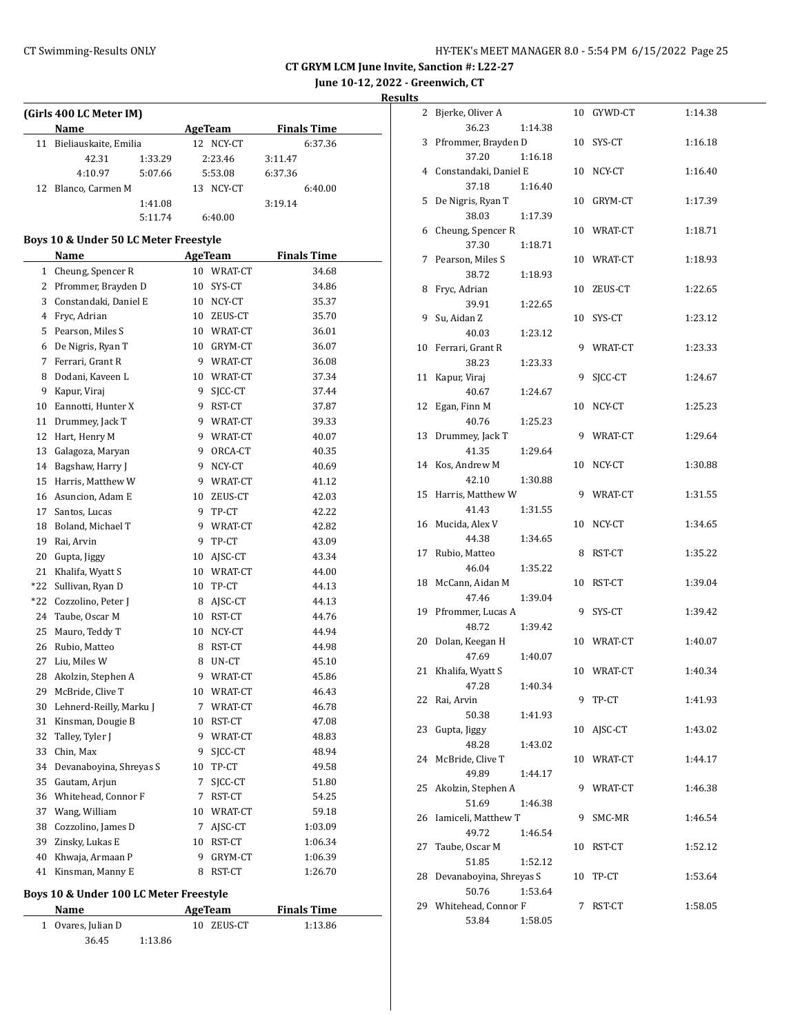**June 10-12, 2022 - Greenwich, CT**

**Results**

| (Girls 400 LC Meter IM)  |         |              |                    |
|--------------------------|---------|--------------|--------------------|
| <b>Name</b>              |         | AgeTeam      | <b>Finals Time</b> |
| 11 Bieliauskaite, Emilia |         | 12 NCY-CT    | 6:37.36            |
| 42.31                    | 1:33.29 | 2:23.46      | 3:11.47            |
| 4:10.97                  | 5:07.66 | 5:53.08      | 6:37.36            |
| 12 Blanco, Carmen M      |         | NCY-CT<br>13 | 6:40.00            |
|                          | 1:41.08 |              | 3:19.14            |
|                          | 5:11.74 | 6:40.00      |                    |

## **Boys 10 & Under 50 LC Meter Freestyle**

|              | Name                    |             | <b>AgeTeam</b> | <b>Finals Time</b> |
|--------------|-------------------------|-------------|----------------|--------------------|
| $\mathbf{1}$ | Cheung, Spencer R       |             | 10 WRAT-CT     | 34.68              |
|              | 2 Pfrommer, Brayden D   |             | 10 SYS-CT      | 34.86              |
|              | 3 Constandaki, Daniel E |             | 10 NCY-CT      | 35.37              |
|              | 4 Fryc, Adrian          |             | 10 ZEUS-CT     | 35.70              |
| 5            | Pearson, Miles S        |             | 10 WRAT-CT     | 36.01              |
|              | 6 De Nigris, Ryan T     |             | 10 GRYM-CT     | 36.07              |
|              | 7 Ferrari, Grant R      |             | 9 WRAT-CT      | 36.08              |
|              | 8 Dodani, Kaveen L      |             | 10 WRAT-CT     | 37.34              |
| 9            | Kapur, Viraj            | 9           | SICC-CT        | 37.44              |
|              | 10 Eannotti, Hunter X   |             | 9 RST-CT       | 37.87              |
| 11           | Drummey, Jack T         |             | 9 WRAT-CT      | 39.33              |
|              | 12 Hart, Henry M        |             | 9 WRAT-CT      | 40.07              |
| 13           | Galagoza, Maryan        | 9.          | ORCA-CT        | 40.35              |
|              | 14 Bagshaw, Harry J     | 9           | NCY-CT         | 40.69              |
|              | 15 Harris, Matthew W    |             | 9 WRAT-CT      | 41.12              |
|              | 16 Asuncion, Adam E     |             | 10 ZEUS-CT     | 42.03              |
|              | 17 Santos, Lucas        |             | 9 TP-CT        | 42.22              |
|              | 18 Boland, Michael T    |             | 9 WRAT-CT      | 42.82              |
|              | 19 Rai, Arvin           |             | 9 TP-CT        | 43.09              |
|              | 20 Gupta, Jiggy         |             | 10 AJSC-CT     | 43.34              |
| 21           | Khalifa, Wyatt S        |             | 10 WRAT-CT     | 44.00              |
| *22          | Sullivan, Ryan D        |             | 10 TP-CT       | 44.13              |
|              | *22 Cozzolino, Peter J  |             | 8 AJSC-CT      | 44.13              |
| 24           | Taube, Oscar M          |             | 10 RST-CT      | 44.76              |
| 25           | Mauro, Teddy T          |             | 10 NCY-CT      | 44.94              |
| 26           | Rubio, Matteo           | 8           | RST-CT         | 44.98              |
|              | 27 Liu, Miles W         |             | 8 UN-CT        | 45.10              |
|              | 28 Akolzin, Stephen A   |             | 9 WRAT-CT      | 45.86              |
|              | 29 McBride, Clive T     |             | 10 WRAT-CT     | 46.43              |
| 30           | Lehnerd-Reilly, Marku J |             | 7 WRAT-CT      | 46.78              |
| 31           | Kinsman, Dougie B       |             | 10 RST-CT      | 47.08              |
| 32           | Talley, Tyler J         |             | 9 WRAT-CT      | 48.83              |
| 33           | Chin, Max               |             | 9 SJCC-CT      | 48.94              |
| 34           | Devanaboyina, Shreyas S |             | 10 TP-CT       | 49.58              |
| 35           | Gautam, Arjun           | $7^{\circ}$ | SICC-CT        | 51.80              |
|              | 36 Whitehead, Connor F  |             | 7 RST-CT       | 54.25              |
|              | 37 Wang, William        |             | 10 WRAT-CT     | 59.18              |
|              | 38 Cozzolino, James D   |             | 7 AJSC-CT      | 1:03.09            |
| 39           | Zinsky, Lukas E         |             | 10 RST-CT      | 1:06.34            |
| 40           | Khwaja, Armaan P        | 9           | GRYM-CT        | 1:06.39            |
| 41           | Kinsman, Manny E        |             | 8 RST-CT       | 1:26.70            |
|              |                         |             |                |                    |

# **Boys 10 & Under 100 LC Meter Freestyle**

| Name               |         | AgeTeam    | <b>Finals Time</b> |  |  |
|--------------------|---------|------------|--------------------|--|--|
| 1 Ovares, Julian D |         | 10 ZEUS-CT | 1:13.86            |  |  |
| 36.45              | 1:13.86 |            |                    |  |  |

|    | 2 Bjerke, Oliver A      |    | 10 GYWD-CT | 1:14.38 |
|----|-------------------------|----|------------|---------|
|    | 36.23<br>1:14.38        |    |            |         |
|    | 3 Pfrommer, Brayden D   |    | 10 SYS-CT  | 1:16.18 |
|    | 37.20<br>1:16.18        |    |            |         |
|    | 4 Constandaki, Daniel E |    | 10 NCY-CT  | 1:16.40 |
|    | 37.18<br>1:16.40        |    |            |         |
|    | 5 De Nigris, Ryan T     |    | 10 GRYM-CT | 1:17.39 |
|    | 38.03<br>1:17.39        |    |            |         |
|    | 6 Cheung, Spencer R     |    | 10 WRAT-CT | 1:18.71 |
|    | 37.30<br>1:18.71        |    |            |         |
|    | 7 Pearson, Miles S      |    | 10 WRAT-CT | 1:18.93 |
|    | 38.72<br>1:18.93        |    |            |         |
|    | 8 Fryc, Adrian          |    | 10 ZEUS-CT | 1:22.65 |
|    | 39.91<br>1:22.65        |    |            |         |
|    | 9 Su, Aidan Z           |    | 10 SYS-CT  | 1:23.12 |
|    | 40.03<br>1:23.12        |    |            |         |
|    | 10 Ferrari, Grant R     |    | 9 WRAT-CT  | 1:23.33 |
|    | 38.23<br>1:23.33        |    | SICC-CT    |         |
| 11 | Kapur, Viraj            | 9  |            | 1:24.67 |
|    | 40.67<br>1:24.67        |    |            |         |
| 12 | Egan, Finn M            |    | 10 NCY-CT  | 1:25.23 |
|    | 40.76<br>1:25.23        |    |            |         |
|    | 13 Drummey, Jack T      |    | 9 WRAT-CT  | 1:29.64 |
|    | 41.35<br>1:29.64        |    |            |         |
|    | 14 Kos, Andrew M        |    | 10 NCY-CT  | 1:30.88 |
|    | 42.10<br>1:30.88        |    |            |         |
|    | 15 Harris, Matthew W    |    | 9 WRAT-CT  | 1:31.55 |
|    | 41.43<br>1:31.55        |    |            |         |
|    | 16 Mucida, Alex V       |    | 10 NCY-CT  | 1:34.65 |
|    | 44.38<br>1:34.65        |    |            |         |
|    | 17 Rubio, Matteo        | 8  | RST-CT     | 1:35.22 |
|    | 46.04<br>1:35.22        |    |            |         |
|    | 18 McCann, Aidan M      |    | 10 RST-CT  | 1:39.04 |
|    | 47.46<br>1:39.04        |    |            |         |
|    | 19 Pfrommer, Lucas A    | 9  | SYS-CT     | 1:39.42 |
|    | 48.72<br>1:39.42        |    |            |         |
|    | 20 Dolan, Keegan H      |    | 10 WRAT-CT | 1:40.07 |
|    | 47.69<br>1:40.07        |    |            |         |
|    | 21 Khalifa, Wyatt S     |    | 10 WRAT-CT | 1:40.34 |
|    | 47.28 1:40.34           |    |            |         |
|    | 22 Rai, Arvin           | 9. | TP-CT      | 1:41.93 |
|    | 50.38<br>1:41.93        |    |            |         |
| 23 | Gupta, Jiggy            |    | 10 AJSC-CT | 1:43.02 |
|    | 48.28<br>1:43.02        |    |            |         |
| 24 | McBride, Clive T        |    | 10 WRAT-CT | 1:44.17 |
|    | 49.89<br>1:44.17        |    |            |         |
| 25 | Akolzin, Stephen A      |    | 9 WRAT-CT  | 1:46.38 |
|    | 51.69<br>1:46.38        |    |            |         |
| 26 | Iamiceli, Matthew T     | 9  | SMC-MR     | 1:46.54 |
|    | 49.72<br>1:46.54        |    |            |         |
| 27 | Taube, Oscar M          | 10 | RST-CT     | 1:52.12 |
|    | 51.85<br>1:52.12        |    |            |         |
| 28 | Devanaboyina, Shreyas S | 10 | TP-CT      | 1:53.64 |
|    | 50.76<br>1:53.64        |    |            |         |
|    | 29 Whitehead, Connor F  | 7  | RST-CT     | 1:58.05 |
|    | 53.84<br>1:58.05        |    |            |         |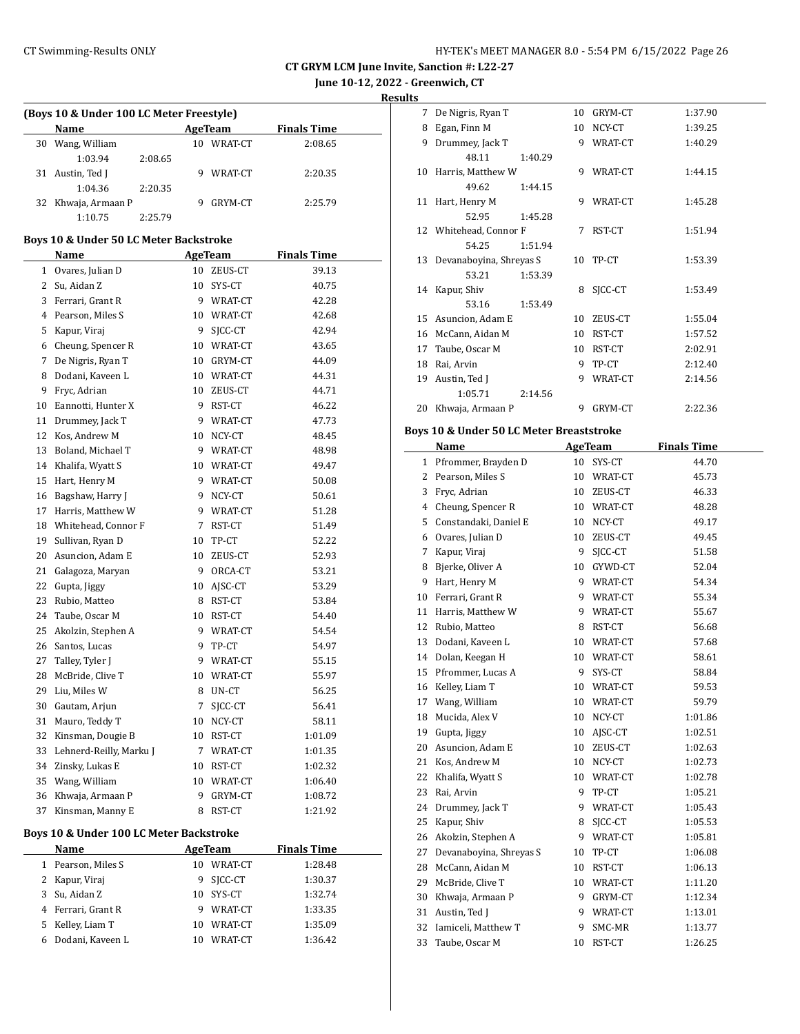$\overline{a}$ 

| HY-TEK's MEET MANAGER 8.0 - 5:54 PM 6/15/2022 Page 26 |  |  |  |
|-------------------------------------------------------|--|--|--|
|-------------------------------------------------------|--|--|--|

**CT GRYM LCM June Invite, Sanction #: L22-27**

**June 10-12, 2022 - Greenwich, CT**

**Results**

#### **(Boys 10 & Under 100 LC Meter Freestyle)**

|    | <b>Name</b>         |         |    | AgeTeam | <b>Finals Time</b> |  |
|----|---------------------|---------|----|---------|--------------------|--|
| 30 | Wang, William       |         | 10 | WRAT-CT | 2:08.65            |  |
|    | 1:03.94             | 2:08.65 |    |         |                    |  |
|    | Austin, Ted J       |         |    | WRAT-CT | 2:20.35            |  |
|    | 1:04.36             | 2:20.35 |    |         |                    |  |
|    | 32 Khwaja, Armaan P |         |    | GRYM-CT | 2:25.79            |  |
|    | 1:10.75             | 2.25.79 |    |         |                    |  |

#### **Boys 10 & Under 50 LC Meter Backstroke**

|                | Name                                    |             | <b>AgeTeam</b> | Finals Time        |  |
|----------------|-----------------------------------------|-------------|----------------|--------------------|--|
| 1              | Ovares, Julian D                        |             | 10 ZEUS-CT     | 39.13              |  |
| 2              | Su, Aidan Z                             |             | 10 SYS-CT      | 40.75              |  |
| 3              | Ferrari, Grant R                        |             | 9 WRAT-CT      | 42.28              |  |
| $\overline{4}$ | Pearson, Miles S                        |             | 10 WRAT-CT     | 42.68              |  |
| 5              | Kapur, Viraj                            |             | 9 SJCC-CT      | 42.94              |  |
| 6              | Cheung, Spencer R                       |             | 10 WRAT-CT     | 43.65              |  |
| 7              | De Nigris, Ryan T                       |             | 10 GRYM-CT     | 44.09              |  |
| 8              | Dodani, Kaveen L                        |             | 10 WRAT-CT     | 44.31              |  |
| 9              | Fryc, Adrian                            |             | 10 ZEUS-CT     | 44.71              |  |
| 10             | Eannotti, Hunter X                      |             | 9 RST-CT       | 46.22              |  |
| 11             | Drummey, Jack T                         |             | 9 WRAT-CT      | 47.73              |  |
| 12             | Kos, Andrew M                           |             | 10 NCY-CT      | 48.45              |  |
| 13             | Boland, Michael T                       |             | 9 WRAT-CT      | 48.98              |  |
| 14             | Khalifa, Wyatt S                        |             | 10 WRAT-CT     | 49.47              |  |
| 15             | Hart, Henry M                           |             | 9 WRAT-CT      | 50.08              |  |
| 16             | Bagshaw, Harry J                        |             | 9 NCY-CT       | 50.61              |  |
| 17             | Harris, Matthew W                       |             | 9 WRAT-CT      | 51.28              |  |
| 18             | Whitehead, Connor F                     |             | 7 RST-CT       | 51.49              |  |
| 19             | Sullivan, Ryan D                        |             | 10 TP-CT       | 52.22              |  |
| 20             | Asuncion, Adam E                        |             | 10 ZEUS-CT     | 52.93              |  |
| 21             | Galagoza, Maryan                        |             | 9 ORCA-CT      | 53.21              |  |
| 22             | Gupta, Jiggy                            |             | 10 AISC-CT     | 53.29              |  |
| 23             | Rubio, Matteo                           |             | 8 RST-CT       | 53.84              |  |
| 24             | Taube, Oscar M                          |             | 10 RST-CT      | 54.40              |  |
| 25             | Akolzin, Stephen A                      |             | 9 WRAT-CT      | 54.54              |  |
| 26             | Santos, Lucas                           |             | 9 TP-CT        | 54.97              |  |
| 27             | Talley, Tyler J                         |             | 9 WRAT-CT      | 55.15              |  |
| 28             | McBride, Clive T                        |             | 10 WRAT-CT     | 55.97              |  |
| 29             | Liu, Miles W                            |             | 8 UN-CT        | 56.25              |  |
| 30             | Gautam, Arjun                           | $7^{\circ}$ | SICC-CT        | 56.41              |  |
| 31             | Mauro, Teddy T                          |             | 10 NCY-CT      | 58.11              |  |
| 32             | Kinsman, Dougie B                       |             | 10 RST-CT      | 1:01.09            |  |
| 33             | Lehnerd-Reilly, Marku J                 |             | 7 WRAT-CT      | 1:01.35            |  |
| 34             | Zinsky, Lukas E                         |             | 10 RST-CT      | 1:02.32            |  |
| 35             | Wang, William                           |             | 10 WRAT-CT     | 1:06.40            |  |
| 36             | Khwaja, Armaan P                        | 9           | GRYM-CT        | 1:08.72            |  |
| 37             | Kinsman, Manny E                        |             | 8 RST-CT       | 1:21.92            |  |
|                | Boys 10 & Under 100 LC Meter Backstroke |             |                |                    |  |
|                | Name                                    |             | AgeTeam        | <b>Finals Time</b> |  |
| $\mathbf{1}$   | Pearson, Miles S                        |             | 10 WRAT-CT     | 1:28.48            |  |
| 2              | Kapur, Viraj                            | 9           | SICC-CT        | 1:30.37            |  |
| 3              | Su, Aidan Z                             | 10          | SYS-CT         | 1:32.74            |  |
| $\overline{4}$ | Ferrari, Grant R                        | 9           | WRAT-CT        | 1:33.35            |  |
|                |                                         |             |                |                    |  |

5 Kelley, Liam T 10 WRAT-CT 1:35.09 Dodani, Kaveen L 10 WRAT-CT 1:36.42

| 7            | De Nigris, Ryan T                                   | 10 | GRYM-CT        | 1:37.90            |
|--------------|-----------------------------------------------------|----|----------------|--------------------|
| 8            | Egan, Finn M                                        | 10 | NCY-CT         | 1:39.25            |
| 9            | Drummey, Jack T                                     | 9  | WRAT-CT        | 1:40.29            |
|              | 48.11<br>1:40.29                                    |    |                |                    |
|              | 10 Harris, Matthew W                                | 9  | WRAT-CT        | 1:44.15            |
|              | 49.62<br>1:44.15                                    |    |                |                    |
|              | 11 Hart, Henry M                                    | 9  | WRAT-CT        | 1:45.28            |
|              | 52.95<br>1:45.28                                    |    |                |                    |
|              | 12 Whitehead, Connor F                              | 7  | RST-CT         | 1:51.94            |
|              | 54.25<br>1:51.94                                    |    |                |                    |
| 13           | Devanaboyina, Shreyas S                             | 10 | TP-CT          | 1:53.39            |
|              | 53.21<br>1:53.39                                    |    |                |                    |
| 14           | Kapur, Shiv                                         | 8  | SJCC-CT        | 1:53.49            |
|              | 53.16<br>1:53.49                                    |    |                |                    |
| 15           | Asuncion, Adam E                                    | 10 | ZEUS-CT        | 1:55.04            |
| 16           | McCann, Aidan M                                     |    | 10 RST-CT      | 1:57.52            |
| 17           | Taube, Oscar M                                      |    | 10 RST-CT      | 2:02.91            |
| 18           | Rai, Arvin                                          | 9  | TP-CT          | 2:12.40            |
| 19           | Austin, Ted J                                       | 9  | WRAT-CT        | 2:14.56            |
|              | 1:05.71<br>2:14.56                                  |    |                |                    |
| 20           | Khwaja, Armaan P                                    | 9  | GRYM-CT        | 2:22.36            |
|              | <b>Boys 10 &amp; Under 50 LC Meter Breaststroke</b> |    |                |                    |
|              | Name                                                |    | <b>AgeTeam</b> | <b>Finals Time</b> |
| $\mathbf{1}$ | Pfrommer, Brayden D                                 |    | 10 SYS-CT      | 44.70              |
| 2            | Pearson, Miles S                                    |    | 10 WRAT-CT     | 45.73              |
| 3            | Fryc, Adrian                                        |    | 10 ZEUS-CT     | 46.33              |
| 4            | Cheung, Spencer R                                   |    | 10 WRAT-CT     | 48.28              |
| 5            | Constandaki, Daniel E                               |    | 10 NCY-CT      | 49.17              |
| 6            | Ovares, Julian D                                    |    | 10 ZEUS-CT     | 49.45              |
| 7            | Kapur, Viraj                                        | 9  | SJCC-CT        | 51.58              |
| 8            | Bjerke, Oliver A                                    |    | 10 GYWD-CT     | 52.04              |
| 9            | Hart, Henry M                                       |    | 9 WRAT-CT      | 54.34              |
| 10           | Ferrari, Grant R                                    |    | 9 WRAT-CT      | 55.34              |
| 11           | Harris, Matthew W                                   |    | 9 WRAT-CT      | 55.67              |
| 12           | Rubio, Matteo                                       | 8  | RST-CT         | 56.68              |

13 Dodani, Kaveen L 10 WRAT-CT 57.68 14 Dolan, Keegan H 10 WRAT-CT 58.61 15 Pfrommer, Lucas A 9 SYS-CT 58.84 16 Kelley, Liam T 10 WRAT-CT 59.53 17 Wang, William 10 WRAT-CT 59.79 18 Mucida, Alex V 10 NCY-CT 1:01.86 Gupta, Jiggy 10 AJSC-CT 1:02.51 20 Asuncion, Adam E 10 ZEUS-CT 1:02.63 21 Kos, Andrew M 10 NCY-CT 1:02.73 22 Khalifa, Wyatt S 10 WRAT-CT 1:02.78 23 Rai, Arvin 9 TP-CT 1:05.21 24 Drummey, Jack T 9 WRAT-CT 1:05.43 25 Kapur, Shiv 8 SJCC-CT 1:05.53 26 Akolzin, Stephen A 9 WRAT-CT 1:05.81 27 Devanaboyina, Shreyas S 10 TP-CT 1:06.08 28 McCann, Aidan M 10 RST-CT 1:06.13 29 McBride, Clive T 10 WRAT-CT 1:11.20 30 Khwaja, Armaan P 9 GRYM-CT 1:12.34 31 Austin, Ted J 9 WRAT-CT 1:13.01 32 Iamiceli, Matthew T 9 SMC-MR 1:13.77 33 Taube, Oscar M 10 RST-CT 1:26.25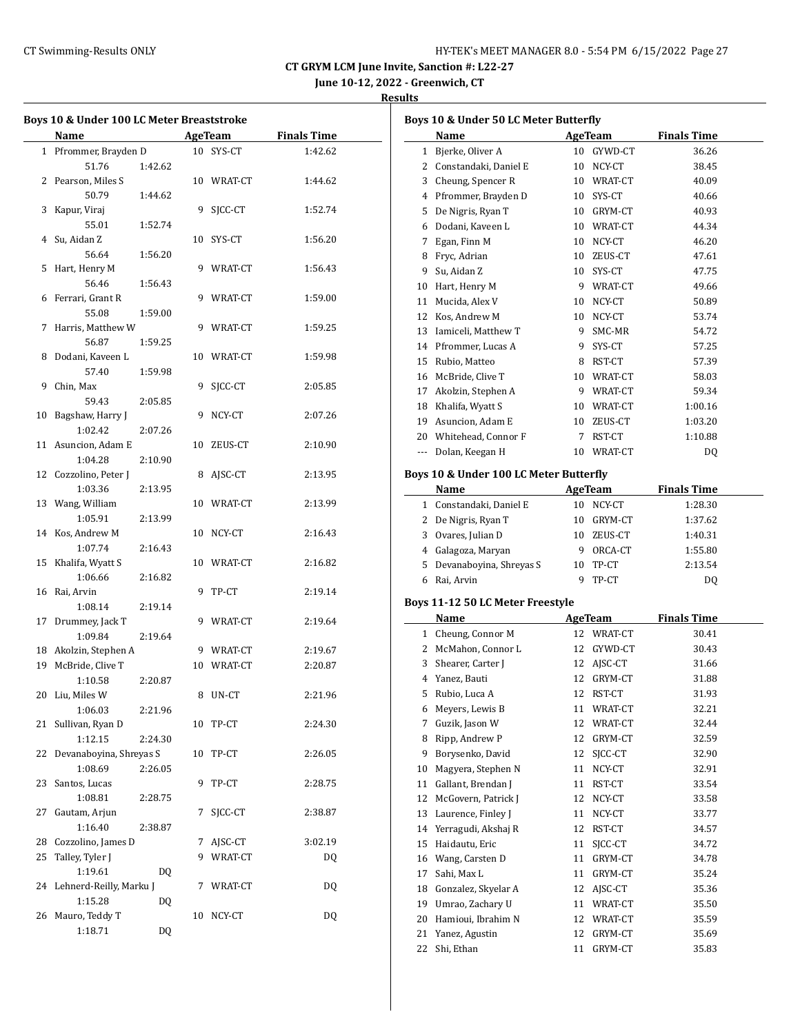| HY-TEK's MEET MANAGER 8.0 - 5:54 PM 6/15/2022 Page 27 |  |  |  |
|-------------------------------------------------------|--|--|--|
|-------------------------------------------------------|--|--|--|

**June 10-12, 2022 - Greenwich, CT**

|    | Name                    |         |    | AgeTeam    | <b>Finals Time</b> |
|----|-------------------------|---------|----|------------|--------------------|
|    | 1 Pfrommer, Brayden D   |         |    | 10 SYS-CT  | 1:42.62            |
|    | 51.76                   | 1:42.62 |    |            |                    |
|    | 2 Pearson, Miles S      |         |    | 10 WRAT-CT | 1:44.62            |
|    | 50.79                   | 1:44.62 |    |            |                    |
|    |                         |         |    |            |                    |
| 3  | Kapur, Viraj            |         | 9  | SICC-CT    | 1:52.74            |
|    | 55.01                   | 1:52.74 |    |            |                    |
| 4  | Su, Aidan Z             |         | 10 | SYS-CT     | 1:56.20            |
|    | 56.64                   | 1:56.20 |    |            |                    |
| 5  | Hart, Henry M           |         | 9  | WRAT-CT    | 1:56.43            |
|    | 56.46                   | 1:56.43 |    |            |                    |
|    | 6 Ferrari, Grant R      |         |    | 9 WRAT-CT  | 1:59.00            |
|    | 55.08                   | 1:59.00 |    |            |                    |
|    | 7 Harris, Matthew W     |         |    | 9 WRAT-CT  | 1:59.25            |
|    | 56.87                   | 1:59.25 |    |            |                    |
|    | 8 Dodani, Kaveen L      |         | 10 | WRAT-CT    | 1:59.98            |
|    | 57.40                   | 1:59.98 |    |            |                    |
| 9  | Chin, Max               |         | 9  | SICC-CT    | 2:05.85            |
|    | 59.43                   | 2:05.85 |    |            |                    |
| 10 | Bagshaw, Harry J        |         | 9  | NCY-CT     | 2:07.26            |
|    | 1:02.42                 | 2:07.26 |    |            |                    |
|    | 11 Asuncion, Adam E     |         | 10 | ZEUS-CT    | 2:10.90            |
|    | 1:04.28                 | 2:10.90 |    |            |                    |
|    | 12 Cozzolino, Peter J   |         | 8  | AJSC-CT    | 2:13.95            |
|    | 1:03.36                 | 2:13.95 |    |            |                    |
|    |                         |         |    |            |                    |
|    | 13 Wang, William        |         | 10 | WRAT-CT    | 2:13.99            |
|    | 1:05.91                 | 2:13.99 |    |            |                    |
|    | 14 Kos, Andrew M        |         | 10 | NCY-CT     | 2:16.43            |
|    | 1:07.74                 | 2:16.43 |    |            |                    |
|    | 15 Khalifa, Wyatt S     |         |    | 10 WRAT-CT | 2:16.82            |
|    | 1:06.66                 | 2:16.82 |    |            |                    |
|    | 16 Rai, Arvin           |         | 9  | TP-CT      | 2:19.14            |
|    | 1:08.14                 | 2:19.14 |    |            |                    |
|    | 17 Drummey, Jack T      |         |    | 9 WRAT-CT  | 2:19.64            |
|    | 1:09.84                 | 2:19.64 |    |            |                    |
|    | 18 Akolzin, Stephen A   |         |    | 9 WRAT-CT  | 2:19.67            |
|    | 19 McBride, Clive T     |         | 10 | WRAT-CT    | 2:20.87            |
|    | 1:10.58                 | 2:20.87 |    |            |                    |
| 20 | Liu. Miles W            |         | 8  | UN-CT      | 2:21.96            |
|    | 1:06.03                 | 2:21.96 |    |            |                    |
| 21 | Sullivan, Ryan D        |         |    | 10 TP-CT   | 2:24.30            |
|    | 1:12.15                 | 2:24.30 |    |            |                    |
| 22 | Devanaboyina, Shreyas S |         | 10 | TP-CT      | 2:26.05            |
|    | 1:08.69                 | 2:26.05 |    |            |                    |
| 23 | Santos, Lucas           |         | 9  | TP-CT      | 2:28.75            |
|    | 1:08.81                 | 2:28.75 |    |            |                    |
| 27 | Gautam, Arjun           |         | 7  | SJCC-CT    | 2:38.87            |
|    | 1:16.40                 |         |    |            |                    |
|    |                         | 2:38.87 |    |            |                    |
|    | 28 Cozzolino, James D   |         | 7  | AJSC-CT    | 3:02.19            |
| 25 | Talley, Tyler J         |         | 9  | WRAT-CT    | DQ                 |
|    | 1:19.61                 | DQ      |    |            |                    |
| 24 | Lehnerd-Reilly, Marku J |         | 7  | WRAT-CT    | DQ                 |
|    | 1:15.28                 | DQ      |    |            |                    |
| 26 | Mauro, Teddy T          |         | 10 | NCY-CT     | DQ                 |
|    | 1:18.71                 | DQ      |    |            |                    |

|          | Boys 10 & Under 50 LC Meter Butterfly   |    |                |                    |  |
|----------|-----------------------------------------|----|----------------|--------------------|--|
|          | Name                                    |    | AgeTeam        | <b>Finals Time</b> |  |
| 1        | Bjerke, Oliver A                        |    | 10 GYWD-CT     | 36.26              |  |
|          | 2 Constandaki, Daniel E                 |    | 10 NCY-CT      | 38.45              |  |
|          | 3 Cheung, Spencer R                     |    | 10 WRAT-CT     | 40.09              |  |
|          | 4 Pfrommer, Brayden D                   |    | 10 SYS-CT      | 40.66              |  |
| 5.       | De Nigris, Ryan T                       |    | 10 GRYM-CT     | 40.93              |  |
| 6        | Dodani, Kaveen L                        |    | 10 WRAT-CT     | 44.34              |  |
| 7        | Egan, Finn M                            |    | 10 NCY-CT      | 46.20              |  |
| 8        | Fryc, Adrian                            |    | 10 ZEUS-CT     | 47.61              |  |
| 9        | Su, Aidan Z                             |    | 10 SYS-CT      | 47.75              |  |
|          | 10 Hart, Henry M                        |    | 9 WRAT-CT      | 49.66              |  |
| 11       | Mucida, Alex V                          |    | 10 NCY-CT      | 50.89              |  |
|          | 12 Kos, Andrew M                        |    | 10 NCY-CT      | 53.74              |  |
|          | 13 Iamiceli, Matthew T                  |    | 9 SMC-MR       | 54.72              |  |
|          | 14 Pfrommer, Lucas A                    |    | 9 SYS-CT       | 57.25              |  |
|          | 15 Rubio, Matteo                        |    | 8 RST-CT       | 57.39              |  |
|          | 16 McBride, Clive T                     |    | 10 WRAT-CT     | 58.03              |  |
|          | 17 Akolzin, Stephen A                   |    | 9 WRAT-CT      | 59.34              |  |
|          | 18 Khalifa, Wyatt S                     |    | 10 WRAT-CT     | 1:00.16            |  |
|          | 19 Asuncion, Adam E                     |    | 10 ZEUS-CT     | 1:03.20            |  |
|          | 20 Whitehead, Connor F                  | 7  | RST-CT         | 1:10.88            |  |
|          | --- Dolan, Keegan H                     |    | 10 WRAT-CT     | DQ                 |  |
|          |                                         |    |                |                    |  |
|          | Boys 10 & Under 100 LC Meter Butterfly  |    |                |                    |  |
|          | Name                                    |    | AgeTeam        | <b>Finals Time</b> |  |
|          | 1 Constandaki, Daniel E                 |    | 10 NCY-CT      | 1:28.30            |  |
|          | 2 De Nigris, Ryan T                     |    | 10 GRYM-CT     | 1:37.62            |  |
|          | 3 Ovares, Julian D                      |    | 10 ZEUS-CT     | 1:40.31            |  |
|          | 4 Galagoza, Maryan                      |    | 9 ORCA-CT      | 1:55.80            |  |
|          | 5 Devanaboyina, Shreyas S               |    | 10 TP-CT       | 2:13.54            |  |
|          | 6 Rai, Arvin                            | 9  | TP-CT          | DQ                 |  |
|          | Boys 11-12 50 LC Meter Freestyle        |    |                |                    |  |
|          | Name                                    |    | <b>AgeTeam</b> | <b>Finals Time</b> |  |
|          | 1 Cheung, Connor M                      |    | 12 WRAT-CT     | 30.41              |  |
|          | 2 McMahon, Connor L                     |    | 12 GYWD-CT     | 30.43              |  |
|          | 3 Shearer, Carter J                     |    | 12 AJSC-CT     | 31.66              |  |
|          | 4 Yanez, Bauti                          |    | 12 GRYM-CT     | 31.88              |  |
| 5        | Rubio, Luca A                           | 12 | RST-CT         | 31.93              |  |
| 6        | Meyers, Lewis B                         | 11 | WRAT-CT        | 32.21              |  |
| 7        | Guzik, Jason W                          | 12 | WRAT-CT        | 32.44              |  |
| 8        | Ripp, Andrew P                          | 12 | GRYM-CT        | 32.59              |  |
| 9        | Borysenko, David                        | 12 | SICC-CT        | 32.90              |  |
| 10       | Magyera, Stephen N                      | 11 | NCY-CT         | 32.91              |  |
| 11       | Gallant, Brendan J                      | 11 | RST-CT         | 33.54              |  |
| 12       | McGovern, Patrick J                     | 12 | NCY-CT         | 33.58              |  |
| 13       | Laurence, Finley J                      | 11 | NCY-CT         | 33.77              |  |
| 14       | Yerragudi, Akshaj R                     | 12 | RST-CT         | 34.57              |  |
| 15       | Haidautu, Eric                          | 11 | SICC-CT        | 34.72              |  |
| 16       | Wang, Carsten D                         | 11 | GRYM-CT        | 34.78              |  |
| 17       | Sahi, Max L                             | 11 | GRYM-CT        | 35.24              |  |
| 18       |                                         | 12 |                |                    |  |
| 19       | Gonzalez, Skyelar A<br>Umrao, Zachary U | 11 | AJSC-CT        | 35.36<br>35.50     |  |
|          |                                         |    | WRAT-CT        |                    |  |
| 20<br>21 | Hamioui, Ibrahim N                      |    | 12 WRAT-CT     | 35.59              |  |
|          | Yanez, Agustin                          | 12 | GRYM-CT        | 35.69              |  |
| 22       | Shi, Ethan                              | 11 | GRYM-CT        | 35.83              |  |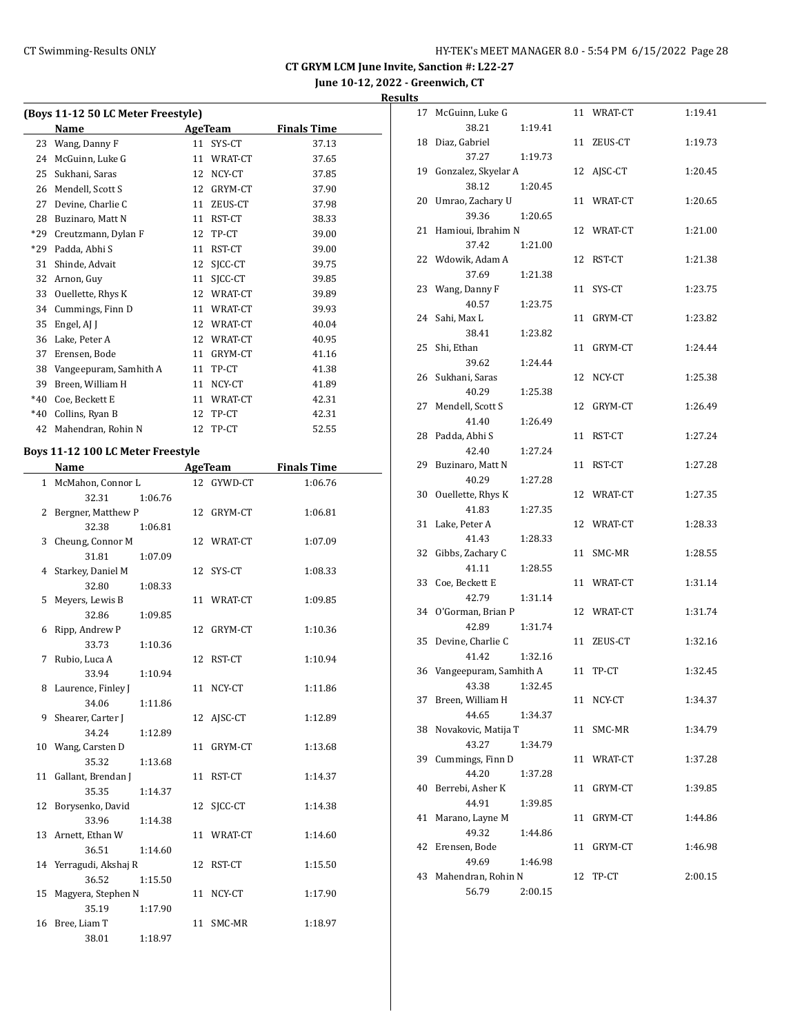**June 10-12, 2022 - Greenwich, CT**

| (Boys 11-12 50 LC Meter Freestyle) |                                   |    |            |                    |  |  |
|------------------------------------|-----------------------------------|----|------------|--------------------|--|--|
|                                    | Name                              |    | AgeTeam    | <b>Finals Time</b> |  |  |
| 23                                 | Wang, Danny F                     |    | 11 SYS-CT  | 37.13              |  |  |
| 24                                 | McGuinn, Luke G                   |    | 11 WRAT-CT | 37.65              |  |  |
|                                    | 25 Sukhani, Saras                 |    | 12 NCY-CT  | 37.85              |  |  |
|                                    | 26 Mendell, Scott S               |    | 12 GRYM-CT | 37.90              |  |  |
|                                    | 27 Devine, Charlie C              |    | 11 ZEUS-CT | 37.98              |  |  |
|                                    | 28 Buzinaro, Matt N               |    | 11 RST-CT  | 38.33              |  |  |
| *29                                | Creutzmann, Dylan F               |    | 12 TP-CT   | 39.00              |  |  |
|                                    | *29 Padda, Abhi S                 |    | 11 RST-CT  | 39.00              |  |  |
|                                    | 31 Shinde, Advait                 |    | 12 SJCC-CT | 39.75              |  |  |
|                                    | 32 Arnon, Guy                     |    | 11 SJCC-CT | 39.85              |  |  |
| 33                                 | Ouellette, Rhys K                 |    | 12 WRAT-CT | 39.89              |  |  |
|                                    | 34 Cummings, Finn D               |    | 11 WRAT-CT | 39.93              |  |  |
| 35                                 | Engel, AJ J                       |    | 12 WRAT-CT | 40.04              |  |  |
|                                    | 36 Lake, Peter A                  |    | 12 WRAT-CT | 40.95              |  |  |
|                                    | 37 Erensen, Bode                  |    | 11 GRYM-CT | 41.16              |  |  |
|                                    | 38 Vangeepuram, Samhith A         |    | 11 TP-CT   | 41.38              |  |  |
|                                    | 39 Breen, William H               |    | 11 NCY-CT  | 41.89              |  |  |
|                                    | *40 Coe, Beckett E                |    | 11 WRAT-CT | 42.31              |  |  |
|                                    | *40 Collins, Ryan B               |    | 12 TP-CT   | 42.31              |  |  |
|                                    | 42 Mahendran, Rohin N             |    | 12 TP-CT   | 52.55              |  |  |
|                                    | Boys 11-12 100 LC Meter Freestyle |    |            |                    |  |  |
|                                    | Name                              |    | AgeTeam    | <b>Finals Time</b> |  |  |
| $\mathbf{1}$                       | McMahon, Connor L                 | 12 | GYWD-CT    | 1:06.76            |  |  |
|                                    | 32.31<br>1:06.76                  |    |            |                    |  |  |
| 2                                  | Bergner, Matthew P                | 12 | GRYM-CT    | 1:06.81            |  |  |
|                                    | 32.38<br>1:06.81                  |    |            |                    |  |  |
| 3                                  | Cheung, Connor M                  |    | 12 WRAT-CT | 1:07.09            |  |  |
|                                    | 31.81<br>1:07.09                  |    |            |                    |  |  |
| 4                                  | Starkey, Daniel M                 | 12 | SYS-CT     | 1:08.33            |  |  |
|                                    | 32.80<br>1:08.33                  |    |            |                    |  |  |
| 5                                  | Meyers, Lewis B                   |    | 11 WRAT-CT | 1:09.85            |  |  |
|                                    | 32.86<br>1:09.85                  |    |            |                    |  |  |
| 6                                  | Ripp, Andrew P                    |    | 12 GRYM-CT | 1:10.36            |  |  |
|                                    | 33.73<br>1:10.36                  |    |            |                    |  |  |
| 7                                  | Rubio, Luca A                     |    | 12 RST-CT  | 1:10.94            |  |  |
|                                    | 33.94<br>1:10.94                  |    |            |                    |  |  |
| 8                                  | Laurence, Finley J                |    | 11 NCY-CT  | 1:11.86            |  |  |
|                                    | 34.06<br>1:11.86                  |    |            |                    |  |  |
| 9                                  | Shearer, Carter J                 |    | 12 AJSC-CT | 1:12.89            |  |  |
|                                    | 34.24<br>1:12.89                  |    |            |                    |  |  |
| 10                                 | Wang, Carsten D                   |    | 11 GRYM-CT | 1:13.68            |  |  |
|                                    | 35.32<br>1:13.68                  |    |            |                    |  |  |
| 11                                 | Gallant, Brendan J                |    | 11 RST-CT  | 1:14.37            |  |  |
|                                    | 35.35<br>1:14.37                  |    |            |                    |  |  |
| 12                                 | Borysenko, David                  | 12 | SICC-CT    | 1:14.38            |  |  |
|                                    | 33.96<br>1:14.38                  |    |            |                    |  |  |
| 13                                 | Arnett, Ethan W                   |    | 11 WRAT-CT | 1:14.60            |  |  |
|                                    | 36.51<br>1:14.60                  |    |            |                    |  |  |
|                                    | 14 Yerragudi, Akshaj R            |    | 12 RST-CT  | 1:15.50            |  |  |
|                                    | 36.52<br>1:15.50                  |    |            |                    |  |  |
| 15                                 | Magyera, Stephen N                |    | 11 NCY-CT  | 1:17.90            |  |  |
|                                    | 35.19<br>1:17.90                  |    |            |                    |  |  |
| 16                                 | Bree, Liam T                      |    | 11 SMC-MR  | 1:18.97            |  |  |
|                                    | 38.01<br>1:18.97                  |    |            |                    |  |  |

| 17 | McGuinn, Luke G        |         |    | 11 WRAT-CT | 1:19.41 |
|----|------------------------|---------|----|------------|---------|
|    | 38.21                  | 1:19.41 |    |            |         |
| 18 | Diaz, Gabriel          |         |    | 11 ZEUS-CT | 1:19.73 |
|    | 37.27                  | 1:19.73 |    |            |         |
| 19 | Gonzalez, Skyelar A    |         |    | 12 AJSC-CT | 1:20.45 |
|    | 38.12                  | 1:20.45 |    |            |         |
| 20 | Umrao, Zachary U       |         |    | 11 WRAT-CT | 1:20.65 |
|    | 39.36                  | 1:20.65 |    |            |         |
| 21 | Hamioui, Ibrahim N     |         |    | 12 WRAT-CT | 1:21.00 |
|    | 37.42                  | 1:21.00 |    |            |         |
| 22 | Wdowik, Adam A         |         | 12 | RST-CT     | 1:21.38 |
|    | 37.69                  | 1:21.38 |    |            |         |
| 23 | Wang, Danny F          |         | 11 | SYS-CT     | 1:23.75 |
|    | 40.57                  | 1:23.75 |    |            |         |
| 24 | Sahi, Max L            |         | 11 | GRYM-CT    | 1:23.82 |
|    | 38.41                  | 1:23.82 |    |            |         |
| 25 | Shi, Ethan             |         | 11 | GRYM-CT    | 1:24.44 |
|    | 39.62                  | 1:24.44 |    |            |         |
| 26 | Sukhani, Saras         |         | 12 | NCY-CT     | 1:25.38 |
|    | 40.29                  | 1:25.38 |    |            |         |
| 27 | Mendell, Scott S       |         | 12 | GRYM-CT    | 1:26.49 |
|    | 41.40                  | 1:26.49 |    |            |         |
| 28 | Padda, Abhi S          |         | 11 | RST-CT     | 1:27.24 |
|    | 42.40                  | 1:27.24 |    |            |         |
| 29 | Buzinaro, Matt N       |         | 11 | RST-CT     | 1:27.28 |
|    | 40.29                  | 1:27.28 |    |            |         |
| 30 | Ouellette, Rhys K      |         |    | 12 WRAT-CT | 1:27.35 |
|    | 41.83                  | 1:27.35 |    |            |         |
| 31 | Lake, Peter A          |         | 12 | WRAT-CT    | 1:28.33 |
|    | 41.43                  | 1:28.33 |    |            |         |
| 32 | Gibbs, Zachary C       |         | 11 | SMC-MR     | 1:28.55 |
|    | 41.11                  | 1:28.55 |    |            |         |
| 33 | Coe, Beckett E         |         |    | 11 WRAT-CT | 1:31.14 |
|    | 42.79                  | 1:31.14 |    |            |         |
| 34 | O'Gorman, Brian P      |         |    | 12 WRAT-CT | 1:31.74 |
|    | 42.89                  | 1:31.74 |    |            |         |
| 35 | Devine, Charlie C      |         | 11 | ZEUS-CT    | 1:32.16 |
|    | 41.42                  | 1:32.16 |    |            |         |
| 36 | Vangeepuram, Samhith A |         | 11 | TP-CT      | 1:32.45 |
|    | 43.38 1:32.45          |         |    |            |         |
| 37 | Breen, William H       |         | 11 | NCY-CT     | 1:34.37 |
|    | 44.65                  | 1:34.37 |    |            |         |
| 38 | Novakovic, Matija T    |         | 11 | SMC-MR     | 1:34.79 |
|    | 43.27                  | 1:34.79 |    |            |         |
| 39 | Cummings, Finn D       |         |    | 11 WRAT-CT | 1:37.28 |
|    | 44.20                  | 1:37.28 |    |            |         |
| 40 | Berrebi, Asher K       |         | 11 | GRYM-CT    | 1:39.85 |
|    | 44.91                  | 1:39.85 |    |            |         |
| 41 | Marano, Layne M        |         | 11 | GRYM-CT    | 1:44.86 |
|    | 49.32                  | 1:44.86 |    |            |         |
| 42 | Erensen, Bode          |         | 11 | GRYM-CT    | 1:46.98 |
|    | 49.69                  | 1:46.98 |    |            |         |
| 43 | Mahendran, Rohin N     |         | 12 | TP-CT      | 2:00.15 |
|    | 56.79                  | 2:00.15 |    |            |         |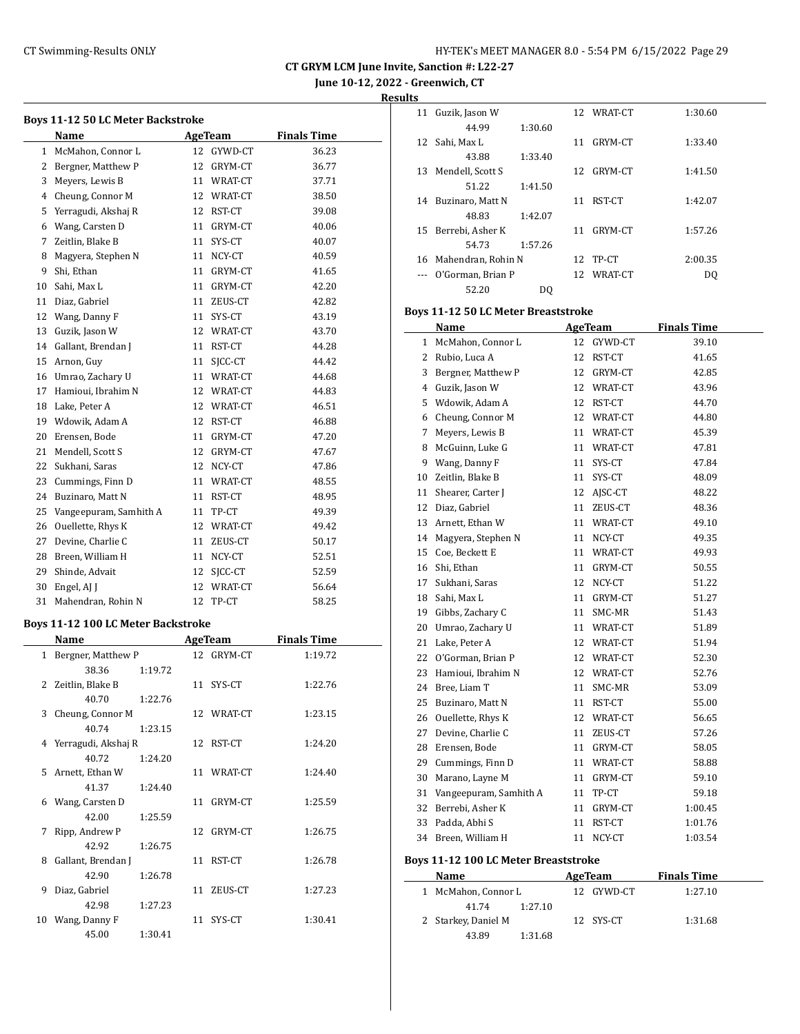**June 10-12, 2022 - Greenwich, CT**

**Results**

| Boys 11-12 50 LC Meter Backstroke |                                           |    |                              |                    |  |  |
|-----------------------------------|-------------------------------------------|----|------------------------------|--------------------|--|--|
|                                   | Name                                      |    | AgeTeam                      | <b>Finals Time</b> |  |  |
|                                   | 1 McMahon, Connor L                       |    | 12 GYWD-CT                   | 36.23              |  |  |
|                                   | 2 Bergner, Matthew P                      |    | 12 GRYM-CT                   | 36.77              |  |  |
| 3                                 | Meyers, Lewis B                           |    | 11 WRAT-CT                   | 37.71              |  |  |
|                                   | 4 Cheung, Connor M                        |    | 12 WRAT-CT                   | 38.50              |  |  |
| 5.                                | Yerragudi, Akshaj R                       |    | 12 RST-CT                    | 39.08              |  |  |
| 6                                 | Wang, Carsten D                           |    | 11 GRYM-CT                   | 40.06              |  |  |
| 7                                 | Zeitlin, Blake B                          |    | 11 SYS-CT                    | 40.07              |  |  |
| 8                                 | Magyera, Stephen N                        |    | 11 NCY-CT                    | 40.59              |  |  |
| 9                                 | Shi, Ethan                                |    | 11 GRYM-CT                   | 41.65              |  |  |
| 10                                | Sahi, Max L                               |    | 11 GRYM-CT                   | 42.20              |  |  |
| 11                                | Diaz, Gabriel                             |    | 11 ZEUS-CT                   | 42.82              |  |  |
| 12                                | Wang, Danny F                             |    | 11 SYS-CT                    | 43.19              |  |  |
| 13                                | Guzik, Jason W                            |    | 12 WRAT-CT                   | 43.70              |  |  |
| 14                                | Gallant, Brendan J                        |    | 11 RST-CT                    | 44.28              |  |  |
|                                   |                                           |    |                              | 44.42              |  |  |
| 15                                | Arnon, Guy                                |    | 11 SJCC-CT<br>11 WRAT-CT     | 44.68              |  |  |
|                                   | 16 Umrao, Zachary U                       |    |                              |                    |  |  |
|                                   | 17 Hamioui, Ibrahim N                     |    | 12 WRAT-CT                   | 44.83              |  |  |
| 18                                | Lake, Peter A                             |    | 12 WRAT-CT                   | 46.51              |  |  |
| 19                                | Wdowik, Adam A                            |    | 12 RST-CT                    | 46.88              |  |  |
| 20                                | Erensen, Bode                             |    | 11 GRYM-CT                   | 47.20              |  |  |
| 21                                | Mendell, Scott S                          |    | 12 GRYM-CT                   | 47.67              |  |  |
| 22                                | Sukhani, Saras                            |    | 12 NCY-CT                    | 47.86              |  |  |
| 23                                | Cummings, Finn D                          |    | 11 WRAT-CT                   | 48.55              |  |  |
| 24                                | Buzinaro, Matt N                          |    | 11 RST-CT                    | 48.95              |  |  |
| 25                                | Vangeepuram, Samhith A                    |    | 11 TP-CT                     | 49.39              |  |  |
| 26                                | Ouellette, Rhys K                         |    | 12 WRAT-CT                   | 49.42              |  |  |
|                                   | 27 Devine, Charlie C                      |    | 11 ZEUS-CT                   | 50.17              |  |  |
| 28                                | Breen, William H                          |    | 11 NCY-CT                    | 52.51              |  |  |
| 29                                | Shinde, Advait                            |    | 12 SJCC-CT                   | 52.59              |  |  |
| 30                                | Engel, AJ J                               |    | 12 WRAT-CT                   | 56.64              |  |  |
| 31                                | Mahendran, Rohin N                        |    | 12 TP-CT                     | 58.25              |  |  |
|                                   | <b>Boys 11-12 100 LC Meter Backstroke</b> |    |                              |                    |  |  |
|                                   |                                           |    |                              | <b>Finals Time</b> |  |  |
| $1 \quad$                         | Name                                      |    | <b>AgeTeam</b><br>12 GRYM-CT |                    |  |  |
|                                   | Bergner, Matthew P                        |    |                              | 1:19.72            |  |  |
|                                   | 38.36<br>1:19.72                          |    |                              |                    |  |  |
| 2                                 | Zeitlin, Blake B                          | 11 | SYS-CT                       | 1:22.76            |  |  |
|                                   | 40.70<br>1:22.76                          |    |                              |                    |  |  |
| 3                                 | Cheung, Connor M                          |    | 12 WRAT-CT                   | 1:23.15            |  |  |
|                                   | 40.74<br>1:23.15                          |    |                              |                    |  |  |
| 4                                 | Yerragudi, Akshaj R                       |    | 12 RST-CT                    | 1:24.20            |  |  |
|                                   | 40.72<br>1:24.20                          |    |                              |                    |  |  |
| 5                                 | Arnett, Ethan W                           |    | 11 WRAT-CT                   | 1:24.40            |  |  |
|                                   | 41.37<br>1:24.40                          |    |                              |                    |  |  |
|                                   | 6 Wang, Carsten D                         | 11 | GRYM-CT                      | 1:25.59            |  |  |
|                                   | 42.00<br>1:25.59                          |    |                              |                    |  |  |
| 7                                 | Ripp, Andrew P                            |    | 12 GRYM-CT                   | 1:26.75            |  |  |
|                                   | 42.92<br>1:26.75                          |    |                              |                    |  |  |
| 8                                 | Gallant, Brendan J                        | 11 | RST-CT                       | 1:26.78            |  |  |
|                                   | 42.90<br>1:26.78                          |    |                              |                    |  |  |
| 9                                 | Diaz, Gabriel                             | 11 | ZEUS-CT                      | 1:27.23            |  |  |
|                                   | 42.98<br>1:27.23                          |    |                              |                    |  |  |
|                                   | 10 Wang, Danny F                          | 11 | SYS-CT                       | 1:30.41            |  |  |
|                                   | 45.00<br>1:30.41                          |    |                              |                    |  |  |

| 11 | Guzik, Jason W     |         |    | 12 WRAT-CT | 1:30.60 |
|----|--------------------|---------|----|------------|---------|
|    | 44.99              | 1:30.60 |    |            |         |
| 12 | Sahi, Max L        |         | 11 | GRYM-CT    | 1:33.40 |
|    | 43.88              | 1:33.40 |    |            |         |
| 13 | Mendell, Scott S   |         | 12 | GRYM-CT    | 1:41.50 |
|    | 51.22              | 1:41.50 |    |            |         |
| 14 | Buzinaro, Matt N   |         | 11 | RST-CT     | 1:42.07 |
|    | 48.83              | 1:42.07 |    |            |         |
| 15 | Berrebi, Asher K   |         | 11 | GRYM-CT    | 1:57.26 |
|    | 54.73              | 1:57.26 |    |            |         |
| 16 | Mahendran, Rohin N |         | 12 | TP-CT      | 2:00.35 |
|    | O'Gorman, Brian P  |         |    | 12 WRAT-CT | DQ      |
|    | 52.20              | DO.     |    |            |         |

## **Boys 11-12 50 LC Meter Breaststroke**

|    | Name                   |    | AgeTeam    | <b>Finals Time</b> |
|----|------------------------|----|------------|--------------------|
| 1  | McMahon, Connor L      | 12 | GYWD-CT    | 39.10              |
| 2  | Rubio, Luca A          | 12 | RST-CT     | 41.65              |
| 3  | Bergner, Matthew P     | 12 | GRYM-CT    | 42.85              |
|    | 4 Guzik, Jason W       | 12 | WRAT-CT    | 43.96              |
| 5  | Wdowik, Adam A         | 12 | RST-CT     | 44.70              |
| 6  | Cheung, Connor M       |    | 12 WRAT-CT | 44.80              |
| 7  | Meyers, Lewis B        | 11 | WRAT-CT    | 45.39              |
| 8  | McGuinn, Luke G        | 11 | WRAT-CT    | 47.81              |
| 9  | Wang, Danny F          | 11 | SYS-CT     | 47.84              |
| 10 | Zeitlin, Blake B       | 11 | SYS-CT     | 48.09              |
| 11 | Shearer, Carter J      | 12 | AJSC-CT    | 48.22              |
| 12 | Diaz, Gabriel          | 11 | ZEUS-CT    | 48.36              |
| 13 | Arnett, Ethan W        | 11 | WRAT-CT    | 49.10              |
| 14 | Magyera, Stephen N     | 11 | NCY-CT     | 49.35              |
| 15 | Coe, Beckett E         | 11 | WRAT-CT    | 49.93              |
| 16 | Shi, Ethan             | 11 | GRYM-CT    | 50.55              |
| 17 | Sukhani, Saras         | 12 | NCY-CT     | 51.22              |
| 18 | Sahi, Max L            | 11 | GRYM-CT    | 51.27              |
| 19 | Gibbs, Zachary C       | 11 | SMC-MR     | 51.43              |
| 20 | Umrao, Zachary U       | 11 | WRAT-CT    | 51.89              |
| 21 | Lake, Peter A          |    | 12 WRAT-CT | 51.94              |
| 22 | O'Gorman, Brian P      |    | 12 WRAT-CT | 52.30              |
| 23 | Hamioui, Ibrahim N     |    | 12 WRAT-CT | 52.76              |
| 24 | Bree, Liam T           | 11 | SMC-MR     | 53.09              |
| 25 | Buzinaro, Matt N       | 11 | RST-CT     | 55.00              |
| 26 | Ouellette, Rhys K      | 12 | WRAT-CT    | 56.65              |
| 27 | Devine, Charlie C      | 11 | ZEUS-CT    | 57.26              |
| 28 | Erensen, Bode          | 11 | GRYM-CT    | 58.05              |
| 29 | Cummings, Finn D       | 11 | WRAT-CT    | 58.88              |
| 30 | Marano, Layne M        | 11 | GRYM-CT    | 59.10              |
| 31 | Vangeepuram, Samhith A | 11 | TP-CT      | 59.18              |
| 32 | Berrebi, Asher K       | 11 | GRYM-CT    | 1:00.45            |
| 33 | Padda. Abhi S          | 11 | RST-CT     | 1:01.76            |
| 34 | Breen, William H       | 11 | NCY-CT     | 1:03.54            |
|    |                        |    |            |                    |

## **Boys 11-12 100 LC Meter Breaststroke**

| Name                | AgeTeam    | <b>Finals Time</b> |
|---------------------|------------|--------------------|
| 1 McMahon, Connor L | 12 GYWD-CT | 1:27.10            |
| 1:27.10<br>41.74    |            |                    |
| 2 Starkey, Daniel M | 12 SYS-CT  | 1:31.68            |
| 43.89<br>1:31.68    |            |                    |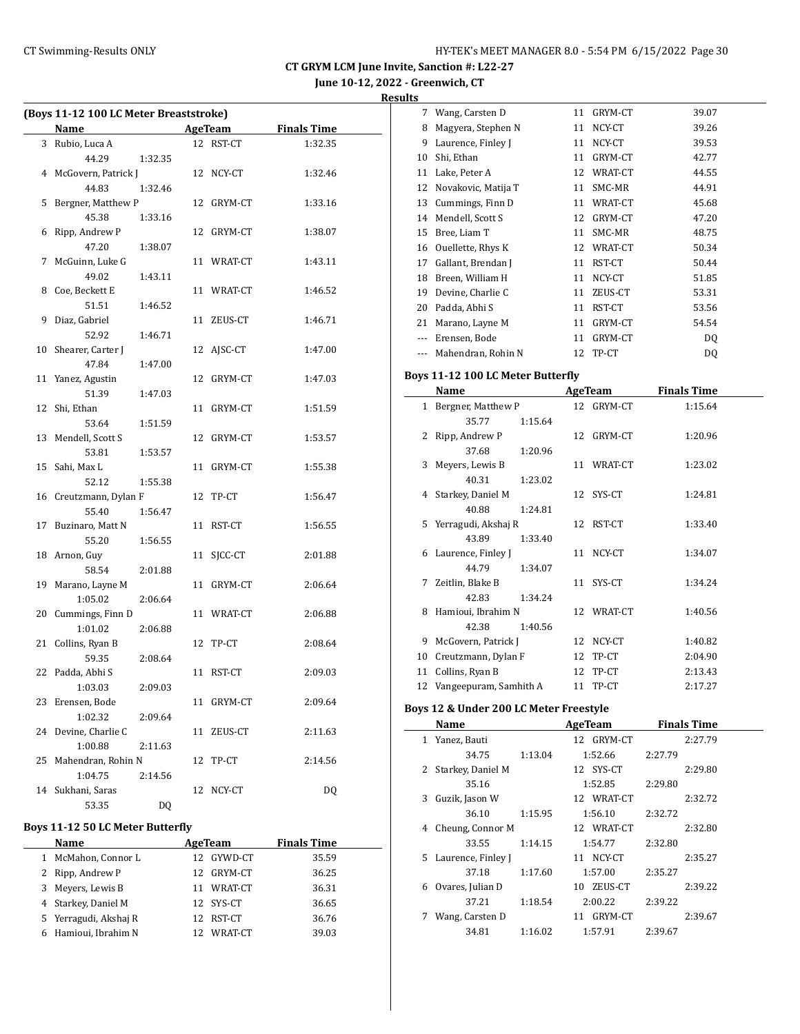**June 10-12, 2022 - Greenwich, CT Results**

|    | (Boys 11-12 100 LC Meter Breaststroke)<br>Name |         |    | AgeTeam    | <b>Finals Time</b> |  |  |
|----|------------------------------------------------|---------|----|------------|--------------------|--|--|
|    | 3 Rubio, Luca A                                |         |    | 12 RST-CT  | 1:32.35            |  |  |
|    | 44.29                                          |         |    |            |                    |  |  |
|    |                                                | 1:32.35 |    |            |                    |  |  |
|    | 4 McGovern, Patrick J                          |         |    | 12 NCY-CT  | 1:32.46            |  |  |
|    | 44.83                                          | 1:32.46 |    |            |                    |  |  |
| 5  | Bergner, Matthew P                             |         |    | 12 GRYM-CT | 1:33.16            |  |  |
|    | 45.38                                          | 1:33.16 |    |            |                    |  |  |
|    | 6 Ripp, Andrew P                               |         |    | 12 GRYM-CT | 1:38.07            |  |  |
|    | 47.20                                          | 1:38.07 |    |            |                    |  |  |
| 7  | McGuinn, Luke G                                |         |    | 11 WRAT-CT | 1:43.11            |  |  |
|    | 49.02                                          | 1:43.11 |    |            |                    |  |  |
| 8  | Coe, Beckett E                                 |         |    | 11 WRAT-CT | 1:46.52            |  |  |
|    | 51.51                                          | 1:46.52 |    |            |                    |  |  |
| 9  | Diaz, Gabriel                                  |         |    | 11 ZEUS-CT | 1:46.71            |  |  |
|    | 52.92                                          | 1:46.71 |    |            |                    |  |  |
| 10 | Shearer, Carter J                              |         |    | 12 AJSC-CT | 1:47.00            |  |  |
|    | 47.84                                          | 1:47.00 |    |            |                    |  |  |
|    | 11 Yanez, Agustin                              |         |    | 12 GRYM-CT | 1:47.03            |  |  |
|    | 51.39                                          | 1:47.03 |    |            |                    |  |  |
| 12 | Shi, Ethan                                     |         |    | 11 GRYM-CT | 1:51.59            |  |  |
|    | 53.64                                          | 1:51.59 |    |            |                    |  |  |
|    | 13 Mendell, Scott S                            |         |    | 12 GRYM-CT | 1:53.57            |  |  |
|    | 53.81                                          | 1:53.57 |    |            |                    |  |  |
|    | 15 Sahi, Max L                                 |         |    | 11 GRYM-CT | 1:55.38            |  |  |
|    | 52.12                                          | 1:55.38 |    |            |                    |  |  |
|    | 16 Creutzmann, Dylan F                         |         |    | 12 TP-CT   | 1:56.47            |  |  |
|    | 55.40                                          | 1:56.47 |    |            |                    |  |  |
| 17 | Buzinaro, Matt N                               |         |    | 11 RST-CT  | 1:56.55            |  |  |
|    | 55.20                                          | 1:56.55 |    |            |                    |  |  |
| 18 | Arnon, Guy                                     |         |    | 11 SJCC-CT | 2:01.88            |  |  |
|    | 58.54                                          | 2:01.88 |    |            |                    |  |  |
| 19 | Marano, Layne M                                |         |    | 11 GRYM-CT | 2:06.64            |  |  |
|    | 1:05.02                                        | 2:06.64 |    |            |                    |  |  |
|    | 20 Cummings, Finn D                            |         |    | 11 WRAT-CT | 2:06.88            |  |  |
|    | 1:01.02                                        | 2:06.88 |    |            |                    |  |  |
|    | 21 Collins, Ryan B                             |         |    | 12 TP-CT   | 2:08.64            |  |  |
|    | 59.35                                          | 2:08.64 |    |            |                    |  |  |
|    | 22 Padda, Abhi S                               |         |    | 11 RST-CT  | 2:09.03            |  |  |
|    | 1:03.03                                        | 2:09.03 |    |            |                    |  |  |
|    | 23 Erensen, Bode                               |         |    | 11 GRYM-CT | 2:09.64            |  |  |
|    | 1:02.32                                        | 2:09.64 |    |            |                    |  |  |
| 24 | Devine, Charlie C                              |         | 11 | ZEUS-CT    | 2:11.63            |  |  |
|    | 1:00.88                                        | 2:11.63 |    |            |                    |  |  |
| 25 | Mahendran, Rohin N                             |         | 12 | TP-CT      | 2:14.56            |  |  |
|    | 1:04.75                                        | 2:14.56 |    |            |                    |  |  |
| 14 | Sukhani, Saras                                 |         | 12 | NCY-CT     | DQ                 |  |  |
|    | 53.35                                          | DQ      |    |            |                    |  |  |

## **Boys 11-12 50 LC Meter Butterfly**

| <b>Name</b>           |    | AgeTeam    | <b>Finals Time</b> |
|-----------------------|----|------------|--------------------|
| 1 McMahon, Connor L   |    | 12 GYWD-CT | 35.59              |
| 2 Ripp, Andrew P      |    | 12 GRYM-CT | 36.25              |
| 3 Meyers, Lewis B     | 11 | WRAT-CT    | 36.31              |
| 4 Starkey, Daniel M   |    | 12 SYS-CT  | 36.65              |
| 5 Yerragudi, Akshaj R |    | 12 RST-CT  | 36.76              |
| 6 Hamioui, Ibrahim N  | 12 | WRAT-CT    | 39.03              |

|              | 44.79<br>1:34.07                  |    |                |                    |  |
|--------------|-----------------------------------|----|----------------|--------------------|--|
| 6            | Laurence, Finley J                | 11 | NCY-CT         | 1:34.07            |  |
|              | 43.89<br>1:33.40                  |    |                |                    |  |
| 5            | Yerragudi, Akshaj R               | 12 | RST-CT         | 1:33.40            |  |
|              | 40.88<br>1:24.81                  |    |                |                    |  |
| 4            | Starkey, Daniel M                 | 12 | SYS-CT         | 1:24.81            |  |
|              | 40.31<br>1:23.02                  |    |                |                    |  |
| 3            | Meyers, Lewis B                   | 11 | WRAT-CT        | 1:23.02            |  |
|              | 37.68<br>1:20.96                  |    |                |                    |  |
| 2            | Ripp, Andrew P                    | 12 | GRYM-CT        | 1:20.96            |  |
|              | 35.77<br>1:15.64                  |    |                |                    |  |
| $\mathbf{1}$ | Bergner, Matthew P                | 12 | GRYM-CT        | 1:15.64            |  |
|              | Name                              |    | <b>AgeTeam</b> | <b>Finals Time</b> |  |
|              |                                   |    |                |                    |  |
|              | Boys 11-12 100 LC Meter Butterfly |    |                |                    |  |
| ---          | Mahendran, Rohin N                |    | 12 TP-CT       | DQ                 |  |
| ---          | Erensen, Bode                     |    | 11 GRYM-CT     | DQ                 |  |
| 21           | Marano, Layne M                   |    | 11 GRYM-CT     | 54.54              |  |
| 20           | Padda, Abhi S                     |    | 11 RST-CT      | 53.56              |  |
| 19           | Devine, Charlie C                 |    | 11 ZEUS-CT     | 53.31              |  |
| 18           | Breen, William H                  |    | 11 NCY-CT      | 51.85              |  |
| 17           | Gallant, Brendan J                |    | 11 RST-CT      | 50.44              |  |
| 16           | Ouellette, Rhys K                 |    | 12 WRAT-CT     | 50.34              |  |
| 15           | Bree, Liam T                      |    | 11 SMC-MR      | 48.75              |  |
| 14           | Mendell, Scott S                  |    | 12 GRYM-CT     | 47.20              |  |
| 13           | Cummings, Finn D                  |    | 11 WRAT-CT     | 45.68              |  |
| 12           | Novakovic, Matija T               |    | 11 SMC-MR      | 44.91              |  |
| 11           | Lake, Peter A                     |    | 12 WRAT-CT     | 44.55              |  |
| 10           | Shi, Ethan                        |    | 11 GRYM-CT     | 42.77              |  |
| 9            | Laurence, Finley J                |    | 11 NCY-CT      | 39.53              |  |
| 8            | Magyera, Stephen N                | 11 | NCY-CT         | 39.26              |  |
| 7            | Wang, Carsten D                   |    | 11 GRYM-CT     | 39.07              |  |
|              |                                   |    |                |                    |  |

|    | Name               |         | <b>AgeTeam</b> | <b>Finals Time</b> |  |
|----|--------------------|---------|----------------|--------------------|--|
| 1  | Yanez, Bauti       |         | 12 GRYM-CT     | 2:27.79            |  |
|    | 34.75              | 1:13.04 | 1:52.66        | 2:27.79            |  |
| 2  | Starkey, Daniel M  |         | 12 SYS-CT      | 2:29.80            |  |
|    | 35.16              |         | 1:52.85        | 2:29.80            |  |
| 3  | Guzik, Jason W     |         | 12 WRAT-CT     | 2:32.72            |  |
|    | 36.10              | 1:15.95 | 1:56.10        | 2:32.72            |  |
| 4  | Cheung, Connor M   |         | 12 WRAT-CT     | 2:32.80            |  |
|    | 33.55              | 1:14.15 | 1:54.77        | 2:32.80            |  |
| 5. | Laurence, Finley J |         | 11 NCY-CT      | 2:35.27            |  |
|    | 37.18              | 1:17.60 | 1:57.00        | 2:35.27            |  |
| 6  | Ovares, Julian D   |         | 10 ZEUS-CT     | 2:39.22            |  |
|    | 37.21              | 1:18.54 | 2:00.22        | 2:39.22            |  |
|    | Wang, Carsten D    |         | 11 GRYM-CT     | 2:39.67            |  |
|    | 34.81              | 1:16.02 | 1:57.91        | 2:39.67            |  |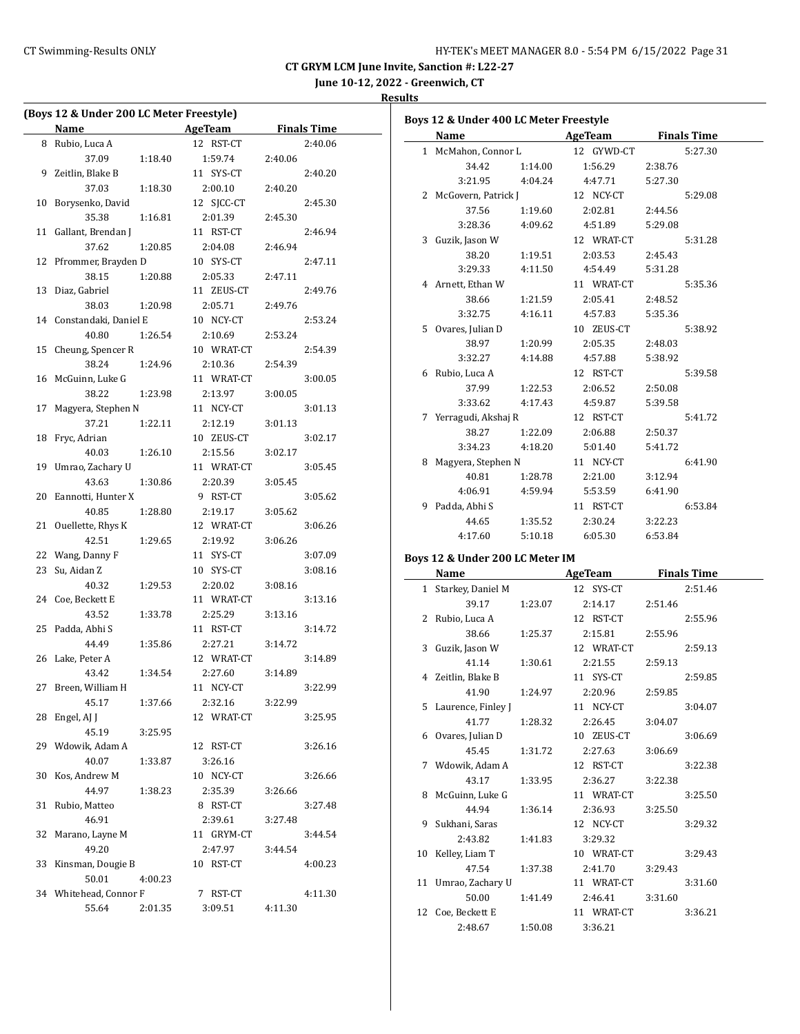**June 10-12, 2022 - Greenwich, CT**

#### **Results**

| (Boys 12 & Under 200 LC Meter Freestyle) |                        |         |              |         |                    |  |
|------------------------------------------|------------------------|---------|--------------|---------|--------------------|--|
|                                          | Name                   |         | AgeTeam      |         | <b>Finals Time</b> |  |
| 8                                        | Rubio, Luca A          |         | 12 RST-CT    |         | 2:40.06            |  |
|                                          | 37.09                  | 1:18.40 | 1:59.74      | 2:40.06 |                    |  |
| 9                                        | Zeitlin, Blake B       |         | 11 SYS-CT    |         | 2:40.20            |  |
|                                          | 37.03                  | 1:18.30 | 2:00.10      | 2:40.20 |                    |  |
| 10                                       | Borysenko, David       |         | 12 SJCC-CT   |         | 2:45.30            |  |
|                                          | 35.38                  | 1:16.81 | 2:01.39      | 2:45.30 |                    |  |
| 11                                       | Gallant, Brendan J     |         | 11 RST-CT    |         | 2:46.94            |  |
|                                          | 37.62                  | 1:20.85 | 2:04.08      | 2:46.94 |                    |  |
| 12                                       | Pfrommer, Brayden D    |         | 10 SYS-CT    |         | 2:47.11            |  |
|                                          | 38.15                  | 1:20.88 | 2:05.33      | 2:47.11 |                    |  |
| 13                                       | Diaz, Gabriel          |         | 11 ZEUS-CT   |         | 2:49.76            |  |
|                                          | 38.03                  | 1:20.98 | 2:05.71      | 2:49.76 |                    |  |
| 14                                       | Constandaki, Daniel E  |         | 10 NCY-CT    |         | 2:53.24            |  |
|                                          | 40.80                  | 1:26.54 | 2:10.69      | 2:53.24 |                    |  |
| 15                                       | Cheung, Spencer R      |         | 10 WRAT-CT   |         | 2:54.39            |  |
|                                          | 38.24                  | 1:24.96 | 2:10.36      | 2:54.39 |                    |  |
| 16                                       | McGuinn, Luke G        |         | 11 WRAT-CT   |         | 3:00.05            |  |
|                                          | 38.22                  | 1:23.98 | 2:13.97      | 3:00.05 |                    |  |
| 17                                       | Magyera, Stephen N     |         | 11 NCY-CT    |         | 3:01.13            |  |
|                                          | 37.21                  | 1:22.11 | 2:12.19      | 3:01.13 |                    |  |
| 18                                       | Fryc, Adrian           |         | 10 ZEUS-CT   |         | 3:02.17            |  |
|                                          | 40.03                  | 1:26.10 | 2:15.56      | 3:02.17 |                    |  |
| 19                                       | Umrao, Zachary U       |         | 11 WRAT-CT   |         | 3:05.45            |  |
|                                          | 43.63                  | 1:30.86 | 2:20.39      | 3:05.45 |                    |  |
| 20                                       | Eannotti, Hunter X     |         | 9 RST-CT     |         | 3:05.62            |  |
|                                          | 40.85                  | 1:28.80 | 2:19.17      | 3:05.62 |                    |  |
| 21                                       | Ouellette, Rhys K      |         | 12 WRAT-CT   |         | 3:06.26            |  |
|                                          | 42.51                  | 1:29.65 | 2:19.92      | 3:06.26 |                    |  |
| 22                                       | Wang, Danny F          |         | SYS-CT<br>11 |         | 3:07.09            |  |
| 23                                       | Su, Aidan Z            |         | 10 SYS-CT    |         | 3:08.16            |  |
|                                          | 40.32                  | 1:29.53 | 2:20.02      | 3:08.16 |                    |  |
| 24                                       | Coe, Beckett E         |         | 11 WRAT-CT   |         | 3:13.16            |  |
|                                          | 43.52                  | 1:33.78 | 2:25.29      | 3:13.16 |                    |  |
| 25                                       | Padda, Abhi S          |         | 11 RST-CT    |         | 3:14.72            |  |
|                                          | 44.49                  | 1:35.86 | 2:27.21      | 3:14.72 |                    |  |
| 26                                       | Lake, Peter A          |         | 12 WRAT-CT   |         | 3:14.89            |  |
|                                          | 43.42                  | 1:34.54 | 2:27.60      | 3:14.89 |                    |  |
| 27                                       | Breen, William H       |         | 11 NCY-CT    |         | 3:22.99            |  |
|                                          | 45.17                  | 1:37.66 | 2:32.16      | 3:22.99 |                    |  |
| 28                                       | Engel, AJ J            |         | 12 WRAT-CT   |         | 3:25.95            |  |
|                                          | 45.19                  | 3:25.95 |              |         |                    |  |
| 29                                       | Wdowik, Adam A         |         | 12 RST-CT    |         |                    |  |
|                                          |                        |         |              |         | 3:26.16            |  |
|                                          | 40.07<br>Kos, Andrew M | 1:33.87 | 3:26.16      |         |                    |  |
| 30                                       |                        |         | 10 NCY-CT    |         | 3:26.66            |  |
|                                          | 44.97                  | 1:38.23 | 2:35.39      | 3:26.66 |                    |  |
| 31                                       | Rubio, Matteo          |         | 8 RST-CT     |         | 3:27.48            |  |
|                                          | 46.91                  |         | 2:39.61      | 3:27.48 |                    |  |
| 32                                       | Marano, Layne M        |         | 11 GRYM-CT   |         | 3:44.54            |  |
|                                          | 49.20                  |         | 2:47.97      | 3:44.54 |                    |  |
| 33                                       | Kinsman, Dougie B      |         | 10 RST-CT    |         | 4:00.23            |  |
|                                          | 50.01                  | 4:00.23 |              |         |                    |  |
| 34                                       | Whitehead, Connor F    |         | 7 RST-CT     |         | 4:11.30            |  |
|                                          | 55.64                  | 2:01.35 | 3:09.51      | 4:11.30 |                    |  |

|              | Boys 12 & Under 400 LC Meter Freestyle |         |            |         |                    |
|--------------|----------------------------------------|---------|------------|---------|--------------------|
|              | <b>Name</b>                            |         | AgeTeam    |         | <b>Finals Time</b> |
| $\mathbf{1}$ | McMahon, Connor L                      |         | 12 GYWD-CT |         | 5:27.30            |
|              | 34.42                                  | 1:14.00 | 1:56.29    | 2:38.76 |                    |
|              | 3:21.95                                | 4:04.24 | 4:47.71    | 5:27.30 |                    |
| 2            | McGovern, Patrick J                    |         | 12 NCY-CT  |         | 5:29.08            |
|              | 37.56                                  | 1:19.60 | 2:02.81    | 2:44.56 |                    |
|              | 3:28.36                                | 4:09.62 | 4:51.89    | 5:29.08 |                    |
|              | 3 Guzik, Jason W                       |         | 12 WRAT-CT |         | 5:31.28            |
|              | 38.20                                  | 1:19.51 | 2:03.53    | 2:45.43 |                    |
|              | 3:29.33                                | 4:11.50 | 4:54.49    | 5:31.28 |                    |
| 4            | Arnett, Ethan W                        |         | 11 WRAT-CT |         | 5:35.36            |
|              | 38.66                                  | 1:21.59 | 2:05.41    | 2:48.52 |                    |
|              | 3:32.75                                | 4:16.11 | 4:57.83    | 5:35.36 |                    |
|              | 5 Ovares, Julian D                     |         | 10 ZEUS-CT |         | 5:38.92            |
|              | 38.97                                  | 1:20.99 | 2:05.35    | 2:48.03 |                    |
|              | 3:32.27                                | 4:14.88 | 4:57.88    | 5:38.92 |                    |
| 6            | Rubio, Luca A                          |         | 12 RST-CT  |         | 5:39.58            |
|              | 37.99                                  | 1:22.53 | 2:06.52    | 2:50.08 |                    |
|              | 3:33.62                                | 4:17.43 | 4:59.87    | 5:39.58 |                    |
| 7            | Yerragudi, Akshaj R                    |         | 12 RST-CT  |         | 5:41.72            |
|              | 38.27                                  | 1:22.09 | 2:06.88    | 2:50.37 |                    |
|              | 3:34.23                                | 4:18.20 | 5:01.40    | 5:41.72 |                    |
| 8            | Magyera, Stephen N                     |         | 11 NCY-CT  |         | 6:41.90            |
|              | 40.81                                  | 1:28.78 | 2:21.00    | 3:12.94 |                    |
|              | 4:06.91                                | 4:59.94 | 5:53.59    | 6:41.90 |                    |
| 9            | Padda, Abhi S                          |         | 11 RST-CT  |         | 6:53.84            |
|              | 44.65                                  | 1:35.52 | 2:30.24    | 3:22.23 |                    |
|              | 4:17.60                                | 5:10.18 | 6:05.30    | 6:53.84 |                    |
|              | Boys 12 & Under 200 LC Meter IM        |         |            |         |                    |
|              | <b>Name</b>                            |         | AgeTeam    |         | <b>Finals Time</b> |
| $\mathbf{1}$ | Starkey, Daniel M                      |         | 12 SYS-CT  |         | 2:51.46            |
|              | 39.17                                  | 1:23.07 | 2:14.17    | 2:51.46 |                    |
| 2            | Rubio, Luca A                          |         | 12 RST-CT  |         | 2:55.96            |
|              | 38.66                                  | 1:25.37 | 2:15.81    | 2:55.96 |                    |
| 3            | Guzik, Jason W                         |         | 12 WRAT-CT |         | 2:59.13            |
|              | 41.14                                  | 1:30.61 | 2:21.55    | 2:59.13 |                    |
| 4            | Zeitlin, Blake B                       |         | 11 SYS-CT  |         | 2:59.85            |
|              | 41.90                                  | 1:24.97 | 2:20.96    | 2:59.85 |                    |
| 5            | Laurence, Finley J                     |         | 11 NCY-CT  |         | 3:04.07            |
|              | 41.77                                  | 1:28.32 | 2:26.45    | 3:04.07 |                    |
|              | 6 Ovares, Julian D                     |         | 10 ZEUS-CT |         | 3:06.69            |
|              | 45.45                                  | 1:31.72 | 2:27.63    | 3:06.69 |                    |
| 7            | Wdowik, Adam A                         |         | 12 RST-CT  |         | 3:22.38            |

43.17 1:33.95 2:36.27 3:22.38 8 McGuinn, Luke G 11 WRAT-CT 3:25.50 44.94 1:36.14 2:36.93 3:25.50 9 Sukhani, Saras 12 NCY-CT 3:29.32

10 Kelley, Liam T 10 WRAT-CT 3:29.43 47.54 1:37.38 2:41.70 3:29.43 11 Umrao, Zachary U 11 WRAT-CT 3:31.60 50.00 1:41.49 2:46.41 3:31.60 12 Coe, Beckett E 11 WRAT-CT 3:36.21

2:43.82 1:41.83 3:29.32

2:48.67 1:50.08 3:36.21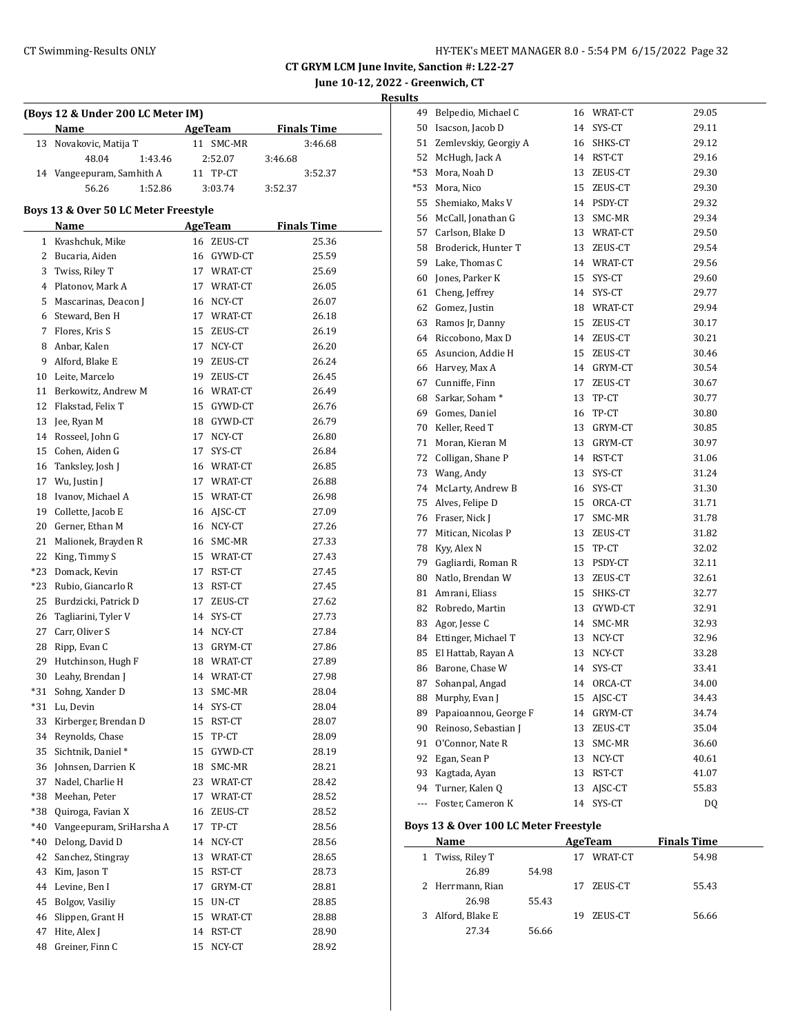# CT Swimming-Results ONLY **CONCER 8.0 - 5:54 PM 6/15/2022** Page 32

**CT GRYM LCM June Invite, Sanction #: L22-27 June 10-12, 2022 - Greenwich, CT**

**Results**

| (Boys 12 & Under 200 LC Meter IM) |                                      |    |                   |                    |  |  |
|-----------------------------------|--------------------------------------|----|-------------------|--------------------|--|--|
|                                   | Name                                 |    | <b>AgeTeam</b>    | <b>Finals Time</b> |  |  |
| 13                                | Novakovic, Matija T                  |    | 11 SMC-MR         | 3:46.68            |  |  |
|                                   | 48.04<br>1:43.46                     |    | 2:52.07           | 3:46.68            |  |  |
|                                   | 14 Vangeepuram, Samhith A            |    | 11 TP-CT          | 3:52.37            |  |  |
|                                   | 56.26<br>1:52.86                     |    | 3:03.74           | 3:52.37            |  |  |
|                                   | Boys 13 & Over 50 LC Meter Freestyle |    |                   |                    |  |  |
|                                   | Name                                 |    | AgeTeam           | <b>Finals Time</b> |  |  |
|                                   | 1 Kvashchuk, Mike                    |    | 16 ZEUS-CT        | 25.36              |  |  |
|                                   | 2 Bucaria, Aiden                     |    | 16 GYWD-CT        | 25.59              |  |  |
| 3                                 | Twiss, Riley T                       |    | 17 WRAT-CT        | 25.69              |  |  |
| 4                                 | Platonov, Mark A                     |    | 17 WRAT-CT        | 26.05              |  |  |
| 5                                 | Mascarinas, Deacon J                 |    | 16 NCY-CT         | 26.07              |  |  |
|                                   | 6 Steward, Ben H                     |    | 17 WRAT-CT        | 26.18              |  |  |
|                                   | 7 Flores, Kris S                     |    | 15 ZEUS-CT        | 26.19              |  |  |
|                                   | 8 Anbar, Kalen                       |    | 17 NCY-CT         | 26.20              |  |  |
|                                   | 9 Alford, Blake E                    |    | 19 ZEUS-CT        | 26.24              |  |  |
|                                   | 10 Leite, Marcelo                    |    | 19 ZEUS-CT        | 26.45              |  |  |
|                                   | 11 Berkowitz, Andrew M               |    | 16 WRAT-CT        | 26.49              |  |  |
|                                   | 12 Flakstad, Felix T                 |    | 15 GYWD-CT        | 26.76              |  |  |
| 13                                | Jee, Ryan M                          |    | 18 GYWD-CT        | 26.79              |  |  |
|                                   | 14 Rosseel, John G                   | 17 | NCY-CT            | 26.80              |  |  |
|                                   | 15 Cohen, Aiden G                    | 17 | SYS-CT            | 26.84              |  |  |
| 16                                | Tanksley, Josh J                     |    | 16 WRAT-CT        | 26.85              |  |  |
|                                   | 17 Wu, Justin J                      |    | 17 WRAT-CT        | 26.88              |  |  |
| 18                                | Ivanov, Michael A                    |    | 15 WRAT-CT        | 26.98              |  |  |
| 19                                | Collette, Jacob E                    |    | 16 AJSC-CT        | 27.09              |  |  |
| 20                                | Gerner, Ethan M                      |    | 16 NCY-CT         | 27.26              |  |  |
| 21                                | Malionek, Brayden R                  |    | 16 SMC-MR         | 27.33              |  |  |
| 22                                | King, Timmy S                        |    | 15 WRAT-CT        | 27.43              |  |  |
| *23                               | Domack, Kevin                        |    | 17 RST-CT         | 27.45              |  |  |
| $*23$                             | Rubio, Giancarlo R                   |    | 13 RST-CT         | 27.45              |  |  |
| 25                                | Burdzicki, Patrick D                 |    | 17 ZEUS-CT        | 27.62              |  |  |
| 26                                | Tagliarini, Tyler V                  |    | 14 SYS-CT         | 27.73              |  |  |
|                                   | 27 Carr, Oliver S                    |    | 14 NCY-CT         | 27.84              |  |  |
| 28                                | Ripp, Evan C                         |    | 13 GRYM-CT        | 27.86              |  |  |
| 29                                | Hutchinson, Hugh F                   |    | 18 WRAT-CT        | 27.89              |  |  |
| 30                                | Leahy, Brendan J                     |    | 14 WRAT-CT        | 27.98              |  |  |
| *31                               | Sohng, Xander D                      | 13 | SMC-MR            | 28.04              |  |  |
| *31                               | Lu, Devin                            | 14 | SYS-CT            | 28.04              |  |  |
| 33                                | Kirberger, Brendan D                 | 15 | RST-CT            | 28.07              |  |  |
| 34                                | Reynolds, Chase                      | 15 | TP-CT             | 28.09              |  |  |
| 35                                | Sichtnik, Daniel*                    |    |                   | 28.19              |  |  |
|                                   | Johnsen, Darrien K                   | 15 | GYWD-CT           |                    |  |  |
| 36                                |                                      | 18 | $\texttt{SMC-MR}$ | 28.21              |  |  |
| 37                                | Nadel, Charlie H                     | 23 | WRAT-CT           | 28.42              |  |  |
| *38                               | Meehan, Peter                        | 17 | WRAT-CT           | 28.52              |  |  |
| *38                               | Quiroga, Favian X                    | 16 | ZEUS-CT           | 28.52              |  |  |
| *40                               | Vangeepuram, SriHarsha A             | 17 | TP-CT             | 28.56              |  |  |
| $*40$                             | Delong, David D                      | 14 | NCY-CT            | 28.56              |  |  |
| 42                                | Sanchez, Stingray                    | 13 | WRAT-CT           | 28.65              |  |  |
| 43                                | Kim, Jason T                         | 15 | RST-CT            | 28.73              |  |  |
| 44                                | Levine, Ben I                        | 17 | GRYM-CT           | 28.81              |  |  |
| 45                                | Bolgov, Vasiliy                      | 15 | UN-CT             | 28.85              |  |  |
| 46                                | Slippen, Grant H                     | 15 | WRAT-CT           | 28.88              |  |  |
| 47                                | Hite, Alex J                         | 14 | RST-CT            | 28.90              |  |  |
| 48                                | Greiner, Finn C                      | 15 | NCY-CT            | 28.92              |  |  |
|                                   |                                      |    |                   |                    |  |  |

| 49    | Belpedio, Michael C        | 16 | WRAT-CT    | 29.05 |
|-------|----------------------------|----|------------|-------|
| 50    | Isacson, Jacob D           | 14 | SYS-CT     | 29.11 |
| 51    | Zemlevskiy, Georgiy A      | 16 | SHKS-CT    | 29.12 |
| 52    | McHugh, Jack A             | 14 | RST-CT     | 29.16 |
| $*53$ | Mora, Noah D               | 13 | ZEUS-CT    | 29.30 |
| *53   | Mora, Nico                 | 15 | ZEUS-CT    | 29.30 |
| 55    | Shemiako, Maks V           |    | 14 PSDY-CT | 29.32 |
| 56    | McCall, Jonathan G         | 13 | SMC-MR     | 29.34 |
| 57    | Carlson, Blake D           |    | 13 WRAT-CT | 29.50 |
| 58    | Broderick, Hunter T        | 13 | ZEUS-CT    | 29.54 |
| 59    | Lake, Thomas C             |    | 14 WRAT-CT | 29.56 |
| 60    | Jones, Parker K            | 15 | SYS-CT     | 29.60 |
| 61    | Cheng, Jeffrey             | 14 | SYS-CT     | 29.77 |
| 62    | Gomez, Justin              | 18 | WRAT-CT    | 29.94 |
| 63    | Ramos Jr, Danny            | 15 | ZEUS-CT    | 30.17 |
| 64    | Riccobono, Max D           | 14 | ZEUS-CT    | 30.21 |
| 65    | Asuncion, Addie H          | 15 | ZEUS-CT    | 30.46 |
| 66    | Harvey, Max A              | 14 | GRYM-CT    | 30.54 |
| 67    | Cunniffe, Finn             | 17 | ZEUS-CT    | 30.67 |
| 68    | Sarkar, Soham <sup>*</sup> | 13 | TP-CT      | 30.77 |
| 69    | Gomes, Daniel              | 16 | TP-CT      | 30.80 |
| 70    | Keller, Reed T             | 13 | GRYM-CT    | 30.85 |
| 71    | Moran, Kieran M            | 13 | GRYM-CT    | 30.97 |
| 72    | Colligan, Shane P          | 14 | RST-CT     | 31.06 |
| 73    | Wang, Andy                 | 13 | SYS-CT     | 31.24 |
| 74    | McLarty, Andrew B          | 16 | SYS-CT     | 31.30 |
| 75    | Alves, Felipe D            | 15 | ORCA-CT    | 31.71 |
| 76    | Fraser, Nick J             | 17 | SMC-MR     | 31.78 |
| 77    | Mitican, Nicolas P         | 13 | ZEUS-CT    | 31.82 |
| 78    | Kyy, Alex N                | 15 | TP-CT      | 32.02 |
| 79    | Gagliardi, Roman R         | 13 | PSDY-CT    | 32.11 |
| 80    | Natlo, Brendan W           | 13 | ZEUS-CT    | 32.61 |
| 81    | Amrani, Eliass             | 15 | SHKS-CT    | 32.77 |
| 82    | Robredo, Martin            | 13 | GYWD-CT    | 32.91 |
| 83    | Agor, Jesse C              | 14 | SMC-MR     | 32.93 |
| 84    | Ettinger, Michael T        | 13 | NCY-CT     | 32.96 |
| 85    | El Hattab, Rayan A         | 13 | NCY-CT     | 33.28 |
| 86    | Barone, Chase W            | 14 | SYS-CT     | 33.41 |
| 87    | Sohanpal, Angad            | 14 | ORCA-CT    | 34.00 |
| 88    | Murphy, Evan J             | 15 | AJSC-CT    | 34.43 |
| 89    | Papaioannou, George F      | 14 | GRYM-CT    | 34.74 |
| 90    | Reinoso, Sebastian J       | 13 | ZEUS-CT    | 35.04 |
| 91    | O'Connor, Nate R           | 13 | SMC-MR     | 36.60 |
| 92    | Egan, Sean P               | 13 | NCY-CT     | 40.61 |
| 93    | Kagtada, Ayan              | 13 | RST-CT     | 41.07 |
| 94    | Turner, Kalen Q            | 13 | AJSC-CT    | 55.83 |
| ---   | Foster, Cameron K          | 14 | SYS-CT     | DQ    |

## **Boys 13 & Over 100 LC Meter Freestyle**

|   | Name             |       |    | AgeTeam | <b>Finals Time</b> |  |
|---|------------------|-------|----|---------|--------------------|--|
|   | 1 Twiss, Riley T |       | 17 | WRAT-CT | 54.98              |  |
|   | 26.89            | 54.98 |    |         |                    |  |
|   | 2 Herrmann, Rian |       | 17 | ZEUS-CT | 55.43              |  |
|   | 26.98            | 55.43 |    |         |                    |  |
| 3 | Alford, Blake E  |       | 19 | ZEUS-CT | 56.66              |  |
|   | 27.34            | 56.66 |    |         |                    |  |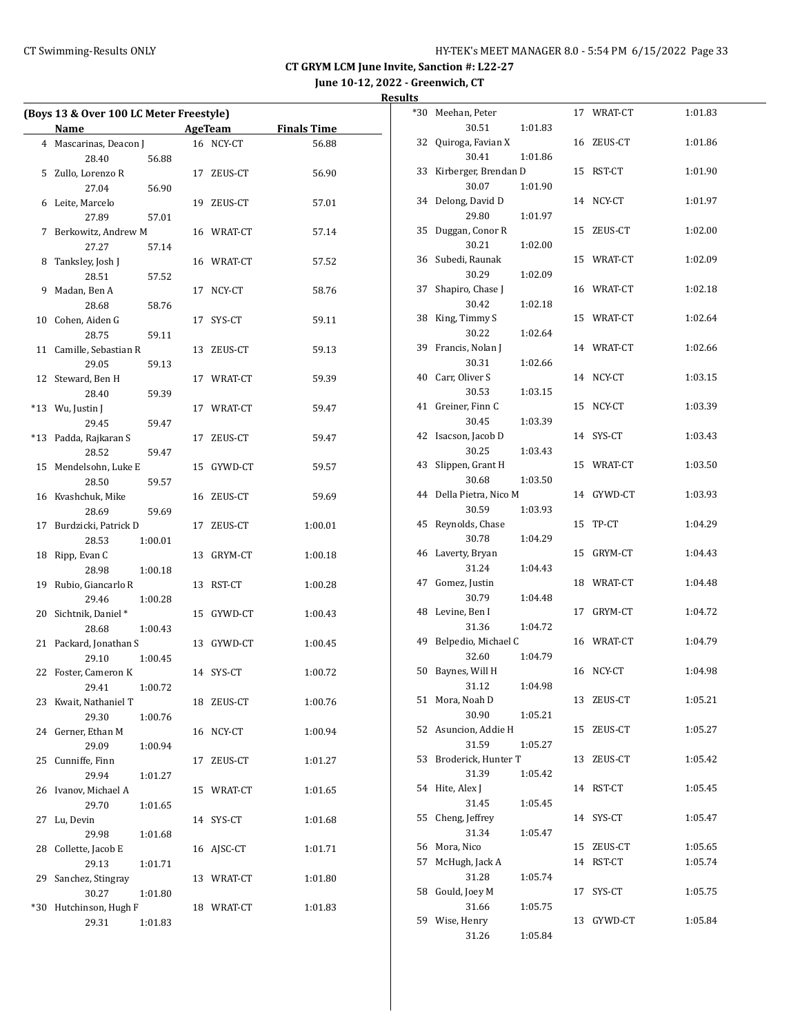**June 10-12, 2022 - Greenwich, CT**

|     | (Boys 13 & Over 100 LC Meter Freestyle) |  |                |                    |  |  |
|-----|-----------------------------------------|--|----------------|--------------------|--|--|
|     | Name                                    |  | <b>AgeTeam</b> | <b>Finals Time</b> |  |  |
|     | 4 Mascarinas, Deacon J                  |  | 16 NCY-CT      | 56.88              |  |  |
|     | 28.40<br>56.88                          |  |                |                    |  |  |
|     | 5 Zullo, Lorenzo R                      |  | 17 ZEUS-CT     | 56.90              |  |  |
|     | 27.04<br>56.90                          |  |                |                    |  |  |
|     | 6 Leite, Marcelo                        |  | 19 ZEUS-CT     | 57.01              |  |  |
|     | 27.89<br>57.01                          |  |                |                    |  |  |
|     | 7 Berkowitz, Andrew M                   |  | 16 WRAT-CT     | 57.14              |  |  |
|     | 27.27<br>57.14                          |  |                |                    |  |  |
| 8   | Tanksley, Josh J                        |  | 16 WRAT-CT     | 57.52              |  |  |
|     | 28.51<br>57.52                          |  |                |                    |  |  |
| 9   | Madan, Ben A                            |  | 17 NCY-CT      | 58.76              |  |  |
|     | 28.68<br>58.76                          |  |                |                    |  |  |
|     | 10 Cohen, Aiden G                       |  | 17 SYS-CT      | 59.11              |  |  |
|     | 28.75                                   |  |                |                    |  |  |
| 11  | 59.11<br>Camille, Sebastian R           |  | 13 ZEUS-CT     | 59.13              |  |  |
|     |                                         |  |                |                    |  |  |
|     | 29.05<br>59.13                          |  |                |                    |  |  |
| 12  | Steward, Ben H                          |  | 17 WRAT-CT     | 59.39              |  |  |
|     | 28.40<br>59.39                          |  |                |                    |  |  |
|     | *13 Wu, Justin J                        |  | 17 WRAT-CT     | 59.47              |  |  |
|     | 29.45<br>59.47                          |  |                |                    |  |  |
|     | *13 Padda, Rajkaran S                   |  | 17 ZEUS-CT     | 59.47              |  |  |
|     | 28.52<br>59.47                          |  |                |                    |  |  |
|     | 15 Mendelsohn, Luke E                   |  | 15 GYWD-CT     | 59.57              |  |  |
|     | 28.50<br>59.57                          |  |                |                    |  |  |
|     | 16 Kvashchuk, Mike                      |  | 16 ZEUS-CT     | 59.69              |  |  |
|     | 28.69<br>59.69                          |  |                |                    |  |  |
|     | 17 Burdzicki, Patrick D                 |  | 17 ZEUS-CT     | 1:00.01            |  |  |
|     | 28.53<br>1:00.01                        |  |                |                    |  |  |
| 18  | Ripp, Evan C                            |  | 13 GRYM-CT     | 1:00.18            |  |  |
|     | 28.98<br>1:00.18                        |  |                |                    |  |  |
| 19  | Rubio, Giancarlo R                      |  | 13 RST-CT      | 1:00.28            |  |  |
|     | 29.46<br>1:00.28                        |  |                |                    |  |  |
| 20  | Sichtnik, Daniel*                       |  | 15 GYWD-CT     | 1:00.43            |  |  |
|     | 28.68<br>1:00.43                        |  |                |                    |  |  |
| 21  | Packard, Jonathan S                     |  | 13 GYWD-CT     | 1:00.45            |  |  |
|     | 29.10<br>1:00.45                        |  |                |                    |  |  |
|     | 22 Foster, Cameron K                    |  | 14 SYS-CT      | 1:00.72            |  |  |
|     | 29.41 1:00.72                           |  |                |                    |  |  |
| 23  | Kwait, Nathaniel T                      |  | 18 ZEUS-CT     | 1:00.76            |  |  |
|     | 29.30<br>1:00.76                        |  |                |                    |  |  |
| 24  | Gerner, Ethan M                         |  | 16 NCY-CT      | 1:00.94            |  |  |
|     | 29.09<br>1:00.94                        |  |                |                    |  |  |
| 25  | Cunniffe, Finn                          |  | 17 ZEUS-CT     | 1:01.27            |  |  |
|     | 29.94<br>1:01.27                        |  |                |                    |  |  |
| 26  | Ivanov, Michael A                       |  | 15 WRAT-CT     | 1:01.65            |  |  |
|     | 29.70<br>1:01.65                        |  |                |                    |  |  |
| 27  | Lu, Devin                               |  | 14 SYS-CT      | 1:01.68            |  |  |
|     | 29.98<br>1:01.68                        |  |                |                    |  |  |
| 28  | Collette, Jacob E                       |  | 16 AJSC-CT     | 1:01.71            |  |  |
|     | 29.13<br>1:01.71                        |  |                |                    |  |  |
| 29  | Sanchez, Stingray                       |  | 13 WRAT-CT     | 1:01.80            |  |  |
|     | 30.27<br>1:01.80                        |  |                |                    |  |  |
| *30 | Hutchinson, Hugh F                      |  | 18 WRAT-CT     | 1:01.83            |  |  |
|     | 29.31<br>1:01.83                        |  |                |                    |  |  |

| *30 | Meehan, Peter            |         |    | 17 WRAT-CT | 1:01.83 |
|-----|--------------------------|---------|----|------------|---------|
|     | 30.51                    | 1:01.83 |    |            |         |
| 32  | Quiroga, Favian X        |         | 16 | ZEUS-CT    | 1:01.86 |
|     | 30.41                    | 1:01.86 |    |            |         |
| 33  | Kirberger, Brendan D     |         | 15 | RST-CT     | 1:01.90 |
|     | 30.07                    | 1:01.90 |    |            |         |
| 34  | Delong, David D          |         | 14 | NCY-CT     | 1:01.97 |
|     | 29.80                    | 1:01.97 |    |            |         |
| 35  | Duggan, Conor R          |         | 15 | ZEUS-CT    | 1:02.00 |
|     | 30.21                    | 1:02.00 |    |            |         |
| 36  | Subedi, Raunak           |         | 15 | WRAT-CT    | 1:02.09 |
|     | 30.29                    | 1:02.09 |    |            |         |
| 37  | Shapiro, Chase J         |         | 16 | WRAT-CT    | 1:02.18 |
|     | 30.42                    | 1:02.18 |    |            |         |
| 38  | King, Timmy S            |         | 15 | WRAT-CT    | 1:02.64 |
|     | 30.22                    | 1:02.64 |    |            |         |
| 39  | Francis, Nolan J         |         | 14 | WRAT-CT    | 1:02.66 |
|     | 30.31                    | 1:02.66 |    |            |         |
| 40  | Carr, Oliver S           |         | 14 | NCY-CT     | 1:03.15 |
|     | 30.53                    | 1:03.15 |    |            |         |
| 41  | Greiner, Finn C          |         | 15 | NCY-CT     | 1:03.39 |
|     | 30.45                    | 1:03.39 |    |            |         |
| 42  | Isacson, Jacob D         |         | 14 | SYS-CT     | 1:03.43 |
|     | 30.25                    | 1:03.43 |    |            |         |
| 43  | Slippen, Grant H         |         | 15 | WRAT-CT    | 1:03.50 |
|     | 30.68                    | 1:03.50 |    |            |         |
| 44  | Della Pietra, Nico M     |         | 14 | GYWD-CT    | 1:03.93 |
| 45  | 30.59                    | 1:03.93 |    |            |         |
|     | Reynolds, Chase<br>30.78 |         | 15 | TP-CT      | 1:04.29 |
| 46  | Laverty, Bryan           | 1:04.29 | 15 | GRYM-CT    | 1:04.43 |
|     | 31.24                    | 1:04.43 |    |            |         |
| 47  | Gomez, Justin            |         | 18 | WRAT-CT    | 1:04.48 |
|     | 30.79                    | 1:04.48 |    |            |         |
| 48  | Levine, Ben I            |         | 17 | GRYM-CT    | 1:04.72 |
|     | 31.36                    | 1:04.72 |    |            |         |
| 49  | Belpedio, Michael C      |         | 16 | WRAT-CT    | 1:04.79 |
|     | 32.60                    | 1:04.79 |    |            |         |
| 50  | Baynes, Will H           |         | 16 | NCY-CT     | 1:04.98 |
|     | 31.12                    | 1:04.98 |    |            |         |
| 51  | Mora, Noah D             |         | 13 | ZEUS-CT    | 1:05.21 |
|     | 30.90                    | 1:05.21 |    |            |         |
| 52  | Asuncion, Addie H        |         | 15 | ZEUS-CT    | 1:05.27 |
|     | 31.59                    | 1:05.27 |    |            |         |
| 53  | Broderick, Hunter T      |         | 13 | ZEUS-CT    | 1:05.42 |
|     | 31.39                    | 1:05.42 |    |            |         |
| 54  | Hite, Alex J             |         | 14 | RST-CT     | 1:05.45 |
|     | 31.45                    | 1:05.45 |    |            |         |
| 55  | Cheng, Jeffrey           |         | 14 | SYS-CT     | 1:05.47 |
|     | 31.34                    | 1:05.47 |    |            |         |
| 56  | Mora, Nico               |         | 15 | ZEUS-CT    | 1:05.65 |
| 57  | McHugh, Jack A           |         | 14 | RST-CT     | 1:05.74 |
|     | 31.28                    | 1:05.74 |    |            |         |
| 58  | Gould, Joey M            |         | 17 | SYS-CT     | 1:05.75 |
|     | 31.66                    | 1:05.75 |    |            |         |
| 59  | Wise, Henry              |         | 13 | GYWD-CT    | 1:05.84 |
|     | 31.26                    | 1:05.84 |    |            |         |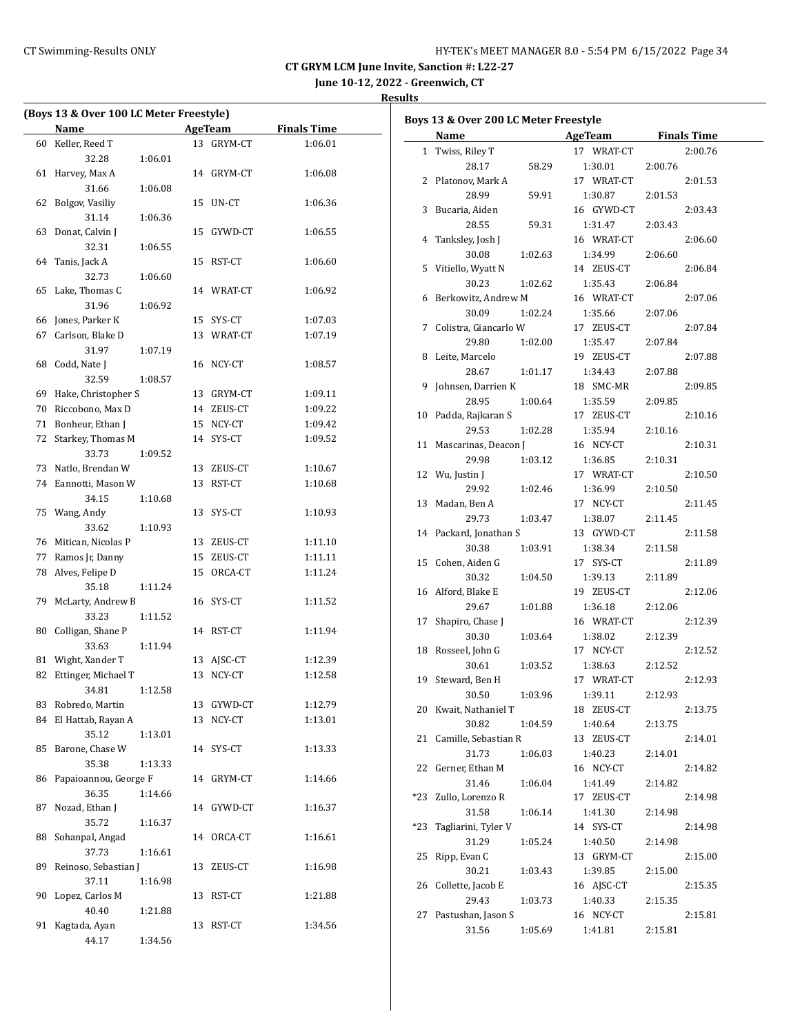## CT Swimming-Results ONLY **CT Swimming-Results ONLY** 15 AMPLE 120 AMPLE 120 AMPLE 120 AMPLE 120 AMPLE 120 AMPLE 120 AMPLE 120 AMPLE 120 AMPLE 120 AMPLE 120 AMPLE 120 AMPLE 120 AMPLE 120 AMPLE 120 AMPLE 120 AMPLE 120 AMPLE 1

**CT GRYM LCM June Invite, Sanction #: L22-27**

**June 10-12, 2022 - Greenwich, CT**

|    | (Boys 13 & Over 100 LC Meter Freestyle) |         |                |            |                    |
|----|-----------------------------------------|---------|----------------|------------|--------------------|
|    | Name                                    |         | <b>AgeTeam</b> |            | <b>Finals Time</b> |
| 60 | Keller, Reed T                          |         | 13             | GRYM-CT    | 1:06.01            |
|    | 32.28                                   | 1:06.01 |                |            |                    |
| 61 | Harvey, Max A                           |         | 14             | GRYM-CT    | 1:06.08            |
|    | 31.66                                   | 1:06.08 |                |            |                    |
| 62 | Bolgov, Vasiliy                         |         | 15             | UN-CT      | 1:06.36            |
|    | 31.14                                   | 1:06.36 |                |            |                    |
| 63 | Donat, Calvin J                         |         | 15             | GYWD-CT    | 1:06.55            |
|    | 32.31                                   | 1:06.55 |                |            |                    |
| 64 | Tanis, Jack A                           |         | 15             | RST-CT     | 1:06.60            |
|    | 32.73                                   | 1:06.60 |                |            |                    |
| 65 | Lake, Thomas C                          |         | 14             | WRAT-CT    | 1:06.92            |
|    | 31.96                                   | 1:06.92 |                |            |                    |
| 66 | Jones, Parker K                         |         | 15             | SYS-CT     | 1:07.03            |
| 67 | Carlson, Blake D                        |         | 13             | WRAT-CT    | 1:07.19            |
|    | 31.97                                   | 1:07.19 |                |            |                    |
| 68 | Codd, Nate J                            |         |                | 16 NCY-CT  | 1:08.57            |
|    | 32.59                                   | 1:08.57 |                |            |                    |
| 69 | Hake, Christopher S                     |         | 13             | GRYM-CT    | 1:09.11            |
| 70 | Riccobono, Max D                        |         |                | 14 ZEUS-CT | 1:09.22            |
| 71 | Bonheur, Ethan J                        |         |                | 15 NCY-CT  | 1:09.42            |
| 72 | Starkey, Thomas M                       |         | 14             | SYS-CT     | 1:09.52            |
|    | 33.73                                   | 1:09.52 |                |            |                    |
| 73 | Natlo, Brendan W                        |         |                | 13 ZEUS-CT | 1:10.67            |
| 74 | Eannotti, Mason W                       |         | 13             | RST-CT     | 1:10.68            |
|    | 34.15                                   | 1:10.68 |                |            |                    |
| 75 | Wang, Andy                              |         | 13             | SYS-CT     | 1:10.93            |
|    | 33.62                                   | 1:10.93 |                |            |                    |
| 76 | Mitican, Nicolas P                      |         | 13             | ZEUS-CT    | 1:11.10            |
| 77 | Ramos Jr, Danny                         |         | 15             | ZEUS-CT    | 1:11.11            |
| 78 | Alves, Felipe D                         |         | 15             | ORCA-CT    | 1:11.24            |
|    | 35.18                                   | 1:11.24 |                |            |                    |
| 79 | McLarty, Andrew B                       |         | 16             | SYS-CT     | 1:11.52            |
|    | 33.23                                   | 1:11.52 |                |            |                    |
| 80 | Colligan, Shane P                       |         |                | 14 RST-CT  | 1:11.94            |
|    | 33.63                                   | 1:11.94 |                |            |                    |
| 81 | Wight, Xander T                         |         | 13             | AJSC-CT    | 1:12.39            |
| 82 | Ettinger, Michael T                     |         | 13             | NCY-CT     | 1:12.58            |
|    | 34.81                                   | 1:12.58 |                |            |                    |
| 83 | Robredo, Martin                         |         | 13             | GYWD-CT    | 1:12.79            |
| 84 | El Hattab, Rayan A                      |         | 13             | $NCY-CT$   | 1:13.01            |
|    | 35.12                                   | 1:13.01 |                |            |                    |
| 85 | Barone, Chase W                         |         | 14             | SYS-CT     | 1:13.33            |
|    | 35.38                                   | 1:13.33 |                |            |                    |
| 86 | Papaioannou, George F                   |         | 14             | GRYM-CT    | 1:14.66            |
|    | 36.35                                   | 1:14.66 |                |            |                    |
| 87 | Nozad, Ethan J                          |         | 14             | GYWD-CT    | 1:16.37            |
|    | 35.72                                   | 1:16.37 |                |            |                    |
| 88 | Sohanpal, Angad                         |         | 14             | ORCA-CT    | 1:16.61            |
|    | 37.73                                   | 1:16.61 |                |            |                    |
| 89 | Reinoso, Sebastian J                    |         | 13             | ZEUS-CT    | 1:16.98            |
|    | 37.11                                   | 1:16.98 |                |            |                    |
| 90 | Lopez, Carlos M                         |         | 13             | RST-CT     | 1:21.88            |
|    | 40.40                                   | 1:21.88 |                |            |                    |
| 91 | Kagtada, Ayan                           |         | 13             | RST-CT     | 1:34.56            |
|    | 44.17                                   | 1:34.56 |                |            |                    |

|     | Boys 13 & Over 200 LC Meter Freestyle<br><b>Name</b> |         | AgeTeam Finals Time |         |         |
|-----|------------------------------------------------------|---------|---------------------|---------|---------|
|     | 1 Twiss, Riley T                                     |         | 17 WRAT-CT          |         | 2:00.76 |
|     | 28.17                                                | 58.29   | 1:30.01             | 2:00.76 |         |
|     | 2 Platonov, Mark A                                   |         | 17 WRAT-CT          |         | 2:01.53 |
|     | 28.99                                                | 59.91   | 1:30.87             | 2:01.53 |         |
|     | 3 Bucaria, Aiden                                     |         | 16 GYWD-CT          |         | 2:03.43 |
|     | 28.55                                                | 59.31   | 1:31.47             | 2:03.43 |         |
|     | 4 Tanksley, Josh J                                   |         | 16 WRAT-CT          |         | 2:06.60 |
|     | 30.08                                                | 1:02.63 | 1:34.99             | 2:06.60 |         |
|     | 5 Vitiello, Wyatt N                                  |         | 14 ZEUS-CT          |         | 2:06.84 |
|     | 30.23                                                | 1:02.62 | 1:35.43             | 2:06.84 |         |
| 6   | Berkowitz, Andrew M                                  |         | 16 WRAT-CT          |         | 2:07.06 |
|     | 30.09                                                | 1:02.24 | 1:35.66             | 2:07.06 |         |
| 7   | Colistra, Giancarlo W                                |         | 17 ZEUS-CT          |         | 2:07.84 |
|     | 29.80                                                | 1:02.00 | 1:35.47             | 2:07.84 |         |
|     | 8 Leite, Marcelo                                     |         | 19 ZEUS-CT          |         | 2:07.88 |
|     | 28.67                                                | 1:01.17 | 1:34.43             | 2:07.88 |         |
| 9   | Johnsen, Darrien K                                   |         | 18 SMC-MR           |         | 2:09.85 |
|     | 28.95                                                | 1:00.64 | 1:35.59             | 2:09.85 |         |
| 10  | Padda, Rajkaran S                                    |         | 17 ZEUS-CT          |         | 2:10.16 |
|     | 29.53                                                | 1:02.28 | 1:35.94             | 2:10.16 |         |
|     | 11 Mascarinas, Deacon J                              |         | 16 NCY-CT           |         | 2:10.31 |
|     | 29.98                                                | 1:03.12 | 1:36.85             | 2:10.31 |         |
|     | 12 Wu, Justin J                                      |         | 17 WRAT-CT          |         | 2:10.50 |
|     | 29.92                                                | 1:02.46 | 1:36.99             | 2:10.50 |         |
|     | 13 Madan, Ben A                                      |         | 17 NCY-CT           |         | 2:11.45 |
|     | 29.73                                                | 1:03.47 | 1:38.07             | 2:11.45 |         |
|     | 14 Packard, Jonathan S                               |         | 13 GYWD-CT          |         | 2:11.58 |
|     | 30.38                                                | 1:03.91 | 1:38.34             | 2:11.58 |         |
| 15  | Cohen, Aiden G                                       |         | 17 SYS-CT           |         | 2:11.89 |
|     | 30.32                                                | 1:04.50 | 1:39.13             | 2:11.89 |         |
|     | 16 Alford, Blake E                                   |         | 19 ZEUS-CT          |         | 2:12.06 |
|     | 29.67                                                | 1:01.88 | 1:36.18             | 2:12.06 |         |
| 17  | Shapiro, Chase J                                     |         | 16 WRAT-CT          |         | 2:12.39 |
|     | 30.30                                                | 1:03.64 | 1:38.02             | 2:12.39 |         |
|     | 18 Rosseel, John G                                   |         | 17 NCY-CT           |         | 2:12.52 |
|     | 30.61                                                | 1:03.52 | 1:38.63             | 2:12.52 |         |
|     | 19 Steward, Ben H                                    |         | 17 WRAT-CT          |         | 2:12.93 |
|     | 30.50                                                | 1:03.96 | 1:39.11             | 2:12.93 |         |
| 20  | Kwait, Nathaniel T                                   |         | 18 ZEUS-CT          |         | 2:13.75 |
|     | 30.82                                                | 1:04.59 | 1:40.64             | 2:13.75 |         |
| 21  | Camille, Sebastian R                                 |         | 13 ZEUS-CT          |         | 2:14.01 |
|     | 31.73                                                | 1:06.03 | 1:40.23             | 2:14.01 |         |
| 22  | Gerner, Ethan M                                      |         | 16 NCY-CT           |         | 2:14.82 |
|     | 31.46                                                | 1:06.04 | 1:41.49             | 2:14.82 |         |
| *23 | Zullo, Lorenzo R                                     |         | 17 ZEUS-CT          |         | 2:14.98 |
|     | 31.58                                                | 1:06.14 | 1:41.30             | 2:14.98 |         |
| *23 | Tagliarini, Tyler V                                  |         | 14 SYS-CT           |         | 2:14.98 |
|     | 31.29                                                | 1:05.24 | 1:40.50             | 2:14.98 |         |
| 25  | Ripp, Evan C                                         |         | 13 GRYM-CT          |         | 2:15.00 |
|     | 30.21                                                | 1:03.43 | 1:39.85             | 2:15.00 |         |
| 26  | Collette, Jacob E                                    |         | 16 AJSC-CT          |         | 2:15.35 |
|     | 29.43                                                | 1:03.73 | 1:40.33             | 2:15.35 |         |
| 27  | Pastushan, Jason S                                   |         | 16 NCY-CT           |         | 2:15.81 |
|     | 31.56                                                | 1:05.69 | 1:41.81             | 2:15.81 |         |
|     |                                                      |         |                     |         |         |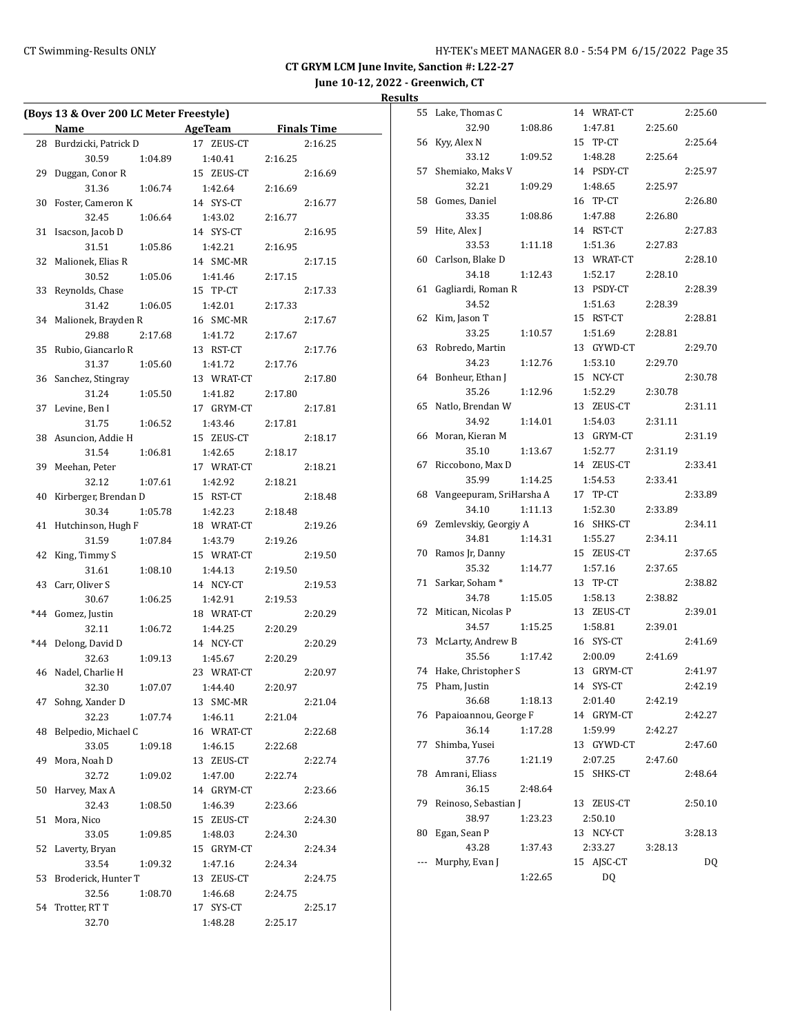**June 10-12, 2022 - Greenwich, CT**

|       | (Boys 13 & Over 200 LC Meter Freestyle) |         |            |         |                    |
|-------|-----------------------------------------|---------|------------|---------|--------------------|
|       | Name                                    |         | AgeTeam    |         | <b>Finals Time</b> |
| 28    | Burdzicki, Patrick D                    |         | 17 ZEUS-CT |         | 2:16.25            |
|       | 30.59                                   | 1:04.89 | 1:40.41    | 2:16.25 |                    |
| 29    | Duggan, Conor R                         |         | 15 ZEUS-CT |         | 2:16.69            |
|       | 31.36                                   | 1:06.74 | 1:42.64    | 2:16.69 |                    |
| 30    | Foster, Cameron K                       |         | 14 SYS-CT  |         | 2:16.77            |
|       | 32.45                                   | 1:06.64 | 1:43.02    | 2:16.77 |                    |
| 31    | Isacson, Jacob D                        |         | 14 SYS-CT  |         | 2:16.95            |
|       | 31.51                                   | 1:05.86 | 1:42.21    | 2:16.95 |                    |
| 32    | Malionek, Elias R                       |         | 14 SMC-MR  |         | 2:17.15            |
|       | 30.52                                   | 1:05.06 | 1:41.46    | 2:17.15 |                    |
| 33    | Reynolds, Chase                         |         | 15 TP-CT   |         | 2:17.33            |
|       | 31.42                                   | 1:06.05 | 1:42.01    | 2:17.33 |                    |
| 34    | Malionek, Brayden R                     |         | 16 SMC-MR  |         | 2:17.67            |
|       | 29.88                                   | 2:17.68 | 1:41.72    | 2:17.67 |                    |
| 35    | Rubio, Giancarlo R                      |         | 13 RST-CT  |         | 2:17.76            |
|       | 31.37                                   | 1:05.60 | 1:41.72    | 2:17.76 |                    |
| 36    | Sanchez, Stingray                       |         | 13 WRAT-CT |         | 2:17.80            |
|       | 31.24                                   | 1:05.50 | 1:41.82    | 2:17.80 |                    |
| 37    | Levine, Ben I                           |         | 17 GRYM-CT |         | 2:17.81            |
|       | 31.75                                   | 1:06.52 | 1:43.46    | 2:17.81 |                    |
| 38    | Asuncion, Addie H                       |         | 15 ZEUS-CT |         | 2:18.17            |
|       | 31.54                                   | 1:06.81 | 1:42.65    | 2:18.17 |                    |
| 39    | Meehan, Peter                           |         | 17 WRAT-CT |         | 2:18.21            |
|       | 32.12                                   | 1:07.61 | 1:42.92    | 2:18.21 |                    |
| 40    | Kirberger, Brendan D                    |         | 15 RST-CT  |         | 2:18.48            |
|       | 30.34                                   | 1:05.78 | 1:42.23    | 2:18.48 |                    |
| 41    | Hutchinson, Hugh F                      |         | 18 WRAT-CT |         | 2:19.26            |
|       | 31.59                                   | 1:07.84 | 1:43.79    | 2:19.26 |                    |
| 42    | King, Timmy S                           |         | 15 WRAT-CT |         | 2:19.50            |
|       | 31.61                                   | 1:08.10 | 1:44.13    | 2:19.50 |                    |
| 43    | Carr, Oliver S                          |         | 14 NCY-CT  |         | 2:19.53            |
|       | 30.67                                   | 1:06.25 | 1:42.91    | 2:19.53 |                    |
| $*44$ | Gomez, Justin                           |         | 18 WRAT-CT |         | 2:20.29            |
|       | 32.11                                   | 1:06.72 | 1:44.25    | 2:20.29 |                    |
| $*44$ | Delong, David D                         |         | 14 NCY-CT  |         | 2:20.29            |
|       | 32.63                                   | 1:09.13 | 1:45.67    | 2:20.29 |                    |
| 46    | Nadel, Charlie H                        |         | 23 WRAT-CT |         | 2:20.97            |
|       | 32.30                                   | 1:07.07 | 1:44.40    | 2:20.97 |                    |
| 47    | Sohng, Xander D                         |         | 13 SMC-MR  |         | 2:21.04            |
|       | 32.23                                   | 1:07.74 | 1:46.11    | 2:21.04 |                    |
| 48    | Belpedio, Michael C                     |         | 16 WRAT-CT |         | 2:22.68            |
|       | 33.05                                   | 1:09.18 | 1:46.15    | 2:22.68 |                    |
| 49    | Mora, Noah D                            |         | 13 ZEUS-CT |         | 2:22.74            |
|       | 32.72                                   | 1:09.02 | 1:47.00    | 2:22.74 |                    |
| 50    | Harvey, Max A                           |         | 14 GRYM-CT |         | 2:23.66            |
|       | 32.43                                   | 1:08.50 | 1:46.39    | 2:23.66 |                    |
| 51    | Mora, Nico                              |         | 15 ZEUS-CT |         | 2:24.30            |
|       | 33.05                                   | 1:09.85 | 1:48.03    | 2:24.30 |                    |
| 52    | Laverty, Bryan                          |         | 15 GRYM-CT |         | 2:24.34            |
|       | 33.54                                   | 1:09.32 | 1:47.16    | 2:24.34 |                    |
| 53    | Broderick, Hunter T                     |         | 13 ZEUS-CT |         | 2:24.75            |
|       | 32.56                                   | 1:08.70 | 1:46.68    | 2:24.75 |                    |
| 54    | Trotter, RT T                           |         | 17 SYS-CT  |         | 2:25.17            |
|       |                                         |         |            |         |                    |
|       | 32.70                                   |         | 1:48.28    | 2:25.17 |                    |

| 55    | Lake, Thomas C           |         | 14 WRAT-CT    |         | 2:25.60 |
|-------|--------------------------|---------|---------------|---------|---------|
|       | 32.90                    | 1:08.86 | 1:47.81       | 2:25.60 |         |
| 56    | Kyy, Alex N              |         | 15<br>TP-CT   |         | 2:25.64 |
|       | 33.12                    | 1:09.52 | 1:48.28       | 2:25.64 |         |
| 57    | Shemiako, Maks V         |         | 14 PSDY-CT    |         | 2:25.97 |
|       | 32.21                    | 1:09.29 | 1:48.65       | 2:25.97 |         |
| 58    | Gomes, Daniel            |         | 16 TP-CT      |         | 2:26.80 |
|       | 33.35                    | 1:08.86 | 1:47.88       | 2:26.80 |         |
| 59    | Hite, Alex J             |         | 14 RST-CT     |         | 2:27.83 |
|       | 33.53                    | 1:11.18 | 1:51.36       | 2:27.83 |         |
| 60    | Carlson, Blake D         |         | 13 WRAT-CT    |         | 2:28.10 |
|       | 34.18                    | 1:12.43 | 1:52.17       | 2:28.10 |         |
| 61    | Gagliardi, Roman R       |         | 13 PSDY-CT    |         | 2:28.39 |
|       | 34.52                    |         | 1:51.63       | 2:28.39 |         |
| 62    | Kim, Jason T             |         | 15 RST-CT     |         | 2:28.81 |
|       |                          |         |               |         |         |
|       | 33.25                    | 1:10.57 | 1:51.69       | 2:28.81 |         |
| 63    | Robredo, Martin          |         | 13 GYWD-CT    |         | 2:29.70 |
|       | 34.23                    | 1:12.76 | 1:53.10       | 2:29.70 |         |
| 64    | Bonheur, Ethan J         |         | 15<br>NCY-CT  |         | 2:30.78 |
|       | 35.26                    | 1:12.96 | 1:52.29       | 2:30.78 |         |
| 65    | Natlo, Brendan W         |         | ZEUS-CT<br>13 |         | 2:31.11 |
|       | 34.92                    | 1:14.01 | 1:54.03       | 2:31.11 |         |
| 66    | Moran, Kieran M          |         | 13 GRYM-CT    |         | 2:31.19 |
|       | 35.10                    | 1:13.67 | 1:52.77       | 2:31.19 |         |
| 67    | Riccobono, Max D         |         | 14 ZEUS-CT    |         | 2:33.41 |
|       | 35.99                    | 1:14.25 | 1:54.53       | 2:33.41 |         |
| 68    | Vangeepuram, SriHarsha A |         | 17 TP-CT      |         | 2:33.89 |
|       | 34.10                    | 1:11.13 | 1:52.30       | 2:33.89 |         |
| 69    | Zemlevskiy, Georgiy A    |         | 16 SHKS-CT    |         | 2:34.11 |
|       | 34.81                    | 1:14.31 | 1:55.27       | 2:34.11 |         |
| 70    | Ramos Jr, Danny          |         | 15 ZEUS-CT    |         | 2:37.65 |
|       | 35.32                    | 1:14.77 | 1:57.16       | 2:37.65 |         |
| 71    | Sarkar, Soham*           |         | 13 TP-CT      |         | 2:38.82 |
|       | 34.78                    | 1:15.05 | 1:58.13       | 2:38.82 |         |
| 72    | Mitican, Nicolas P       |         | 13<br>ZEUS-CT |         | 2:39.01 |
|       | 34.57                    | 1:15.25 | 1:58.81       | 2:39.01 |         |
| 73    | McLarty, Andrew B        |         | 16 SYS-CT     |         | 2:41.69 |
|       | 35.56                    | 1:17.42 | 2:00.09       | 2:41.69 |         |
| 74    | Hake, Christopher S      |         | 13 GRYM-CT    |         | 2:41.97 |
| 75    | Pham, Justin             |         | SYS-CT<br>14  |         | 2:42.19 |
|       | 36.68                    | 1:18.13 | 2:01.40       | 2:42.19 |         |
| 76    | Papaioannou, George F    |         | 14 GRYM-CT    |         | 2:42.27 |
|       | 36.14                    | 1:17.28 | 1:59.99       | 2:42.27 |         |
| 77    | Shimba, Yusei            |         | GYWD-CT<br>13 |         | 2:47.60 |
|       | 37.76                    |         | 2:07.25       | 2:47.60 |         |
|       | Amrani, Eliass           | 1:21.19 |               |         |         |
| 78    |                          |         | SHKS-CT<br>15 |         | 2:48.64 |
|       | 36.15                    | 2:48.64 |               |         |         |
| 79    | Reinoso, Sebastian J     |         | 13<br>ZEUS-CT |         | 2:50.10 |
|       | 38.97                    | 1:23.23 | 2:50.10       |         |         |
| 80    | Egan, Sean P             |         | NCY-CT<br>13  |         | 3:28.13 |
|       | 43.28                    | 1:37.43 | 2:33.27       | 3:28.13 |         |
| $---$ | Murphy, Evan J           |         | AJSC-CT<br>15 |         | DQ      |
|       |                          | 1:22.65 | DQ            |         |         |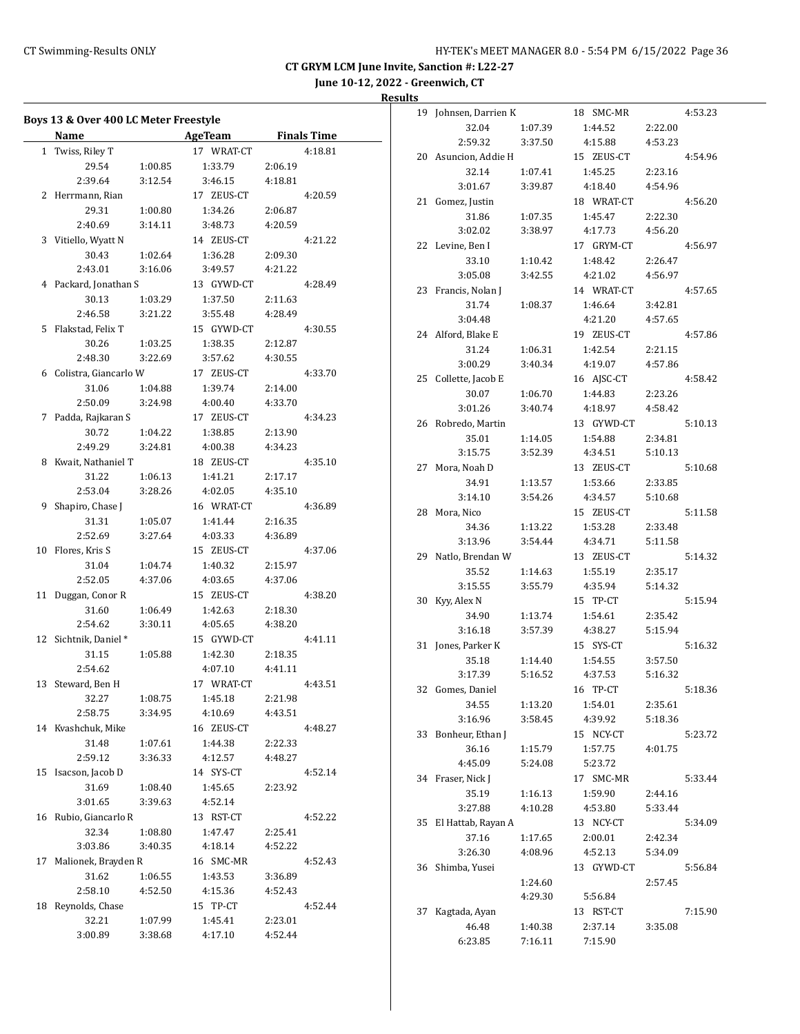**June 10-12, 2022 - Greenwich, CT**

**Results**<br><sup>19</sup> John

|    | Boys 13 & Over 400 LC Meter Freestyle |         |                |         |                    |
|----|---------------------------------------|---------|----------------|---------|--------------------|
|    | Name                                  |         | <b>AgeTeam</b> |         | <b>Finals Time</b> |
|    | 1 Twiss, Riley T                      |         | 17 WRAT-CT     |         | 4:18.81            |
|    | 29.54                                 | 1:00.85 | 1:33.79        | 2:06.19 |                    |
|    | 2:39.64                               | 3:12.54 | 3:46.15        | 4:18.81 |                    |
|    | 2 Herrmann, Rian                      |         | 17 ZEUS-CT     |         | 4:20.59            |
|    | 29.31                                 | 1:00.80 | 1:34.26        | 2:06.87 |                    |
|    | 2:40.69                               | 3:14.11 | 3:48.73        | 4:20.59 |                    |
|    | 3 Vitiello, Wyatt N                   |         | 14 ZEUS-CT     |         | 4:21.22            |
|    | 30.43                                 | 1:02.64 | 1:36.28        | 2:09.30 |                    |
|    | 2:43.01                               | 3:16.06 | 3:49.57        | 4:21.22 |                    |
|    | 4 Packard, Jonathan S                 |         | 13 GYWD-CT     |         | 4:28.49            |
|    | 30.13                                 | 1:03.29 | 1:37.50        | 2:11.63 |                    |
|    | 2:46.58                               | 3:21.22 | 3:55.48        | 4:28.49 |                    |
|    | 5 Flakstad, Felix T                   |         | 15 GYWD-CT     |         | 4:30.55            |
|    | 30.26                                 | 1:03.25 | 1:38.35        | 2:12.87 |                    |
|    | 2:48.30                               | 3:22.69 | 3:57.62        | 4:30.55 |                    |
|    | 6 Colistra, Giancarlo W               |         | 17 ZEUS-CT     |         | 4:33.70            |
|    | 31.06                                 | 1:04.88 | 1:39.74        | 2:14.00 |                    |
|    | 2:50.09                               | 3:24.98 | 4:00.40        | 4:33.70 |                    |
|    | 7 Padda, Rajkaran S                   |         | 17 ZEUS-CT     |         | 4:34.23            |
|    | 30.72                                 | 1:04.22 | 1:38.85        | 2:13.90 |                    |
|    | 2:49.29                               | 3:24.81 | 4:00.38        | 4:34.23 |                    |
|    | 8 Kwait, Nathaniel T                  |         | 18 ZEUS-CT     |         | 4:35.10            |
|    | 31.22                                 | 1:06.13 | 1:41.21        | 2:17.17 |                    |
|    | 2:53.04                               | 3:28.26 | 4:02.05        | 4:35.10 |                    |
| 9  | Shapiro, Chase J                      |         | 16 WRAT-CT     |         | 4:36.89            |
|    | 31.31                                 | 1:05.07 | 1:41.44        | 2:16.35 |                    |
|    | 2:52.69                               | 3:27.64 | 4:03.33        | 4:36.89 |                    |
|    | 10 Flores, Kris S                     |         | 15 ZEUS-CT     |         | 4:37.06            |
|    | 31.04                                 | 1:04.74 | 1:40.32        | 2:15.97 |                    |
|    | 2:52.05                               | 4:37.06 | 4:03.65        | 4:37.06 |                    |
|    | 11 Duggan, Conor R                    |         | 15 ZEUS-CT     |         | 4:38.20            |
|    | 31.60                                 | 1:06.49 | 1:42.63        | 2:18.30 |                    |
|    | 2:54.62                               | 3:30.11 | 4:05.65        | 4:38.20 |                    |
|    | 12 Sichtnik, Daniel*                  |         | 15 GYWD-CT     |         | 4:41.11            |
|    | 31.15                                 | 1:05.88 | 1:42.30        | 2:18.35 |                    |
|    | 2:54.62                               |         | 4:07.10        | 4:41.11 |                    |
|    | 13 Steward, Ben H                     |         | 17 WRAT-CT     |         | 4:43.51            |
|    | 32.27                                 | 1:08.75 | 1:45.18        | 2:21.98 |                    |
|    | 2:58.75                               | 3:34.95 | 4:10.69        | 4:43.51 |                    |
|    | 14 Kvashchuk, Mike                    |         | 16 ZEUS-CT     |         | 4:48.27            |
|    | 31.48                                 | 1:07.61 | 1:44.38        | 2:22.33 |                    |
|    | 2:59.12                               | 3:36.33 | 4:12.57        | 4:48.27 |                    |
|    | 15 Isacson, Jacob D                   |         | 14 SYS-CT      |         | 4:52.14            |
|    | 31.69                                 | 1:08.40 | 1:45.65        | 2:23.92 |                    |
|    | 3:01.65                               | 3:39.63 | 4:52.14        |         |                    |
|    | 16 Rubio, Giancarlo R                 |         | 13 RST-CT      |         | 4:52.22            |
|    | 32.34                                 | 1:08.80 | 1:47.47        | 2:25.41 |                    |
|    | 3:03.86                               | 3:40.35 | 4:18.14        | 4:52.22 |                    |
| 17 | Malionek, Brayden R                   |         | 16 SMC-MR      |         | 4:52.43            |
|    | 31.62                                 | 1:06.55 | 1:43.53        | 3:36.89 |                    |
|    | 2:58.10                               | 4:52.50 | 4:15.36        | 4:52.43 |                    |
|    | 18 Reynolds, Chase                    |         | 15 TP-CT       |         | 4:52.44            |
|    | 32.21                                 | 1:07.99 | 1:45.41        | 2:23.01 |                    |
|    | 3:00.89                               | 3:38.68 | 4:17.10        | 4:52.44 |                    |

| 19 | Johnsen, Darrien K |         | SMC-MR<br>18  |         | 4:53.23 |
|----|--------------------|---------|---------------|---------|---------|
|    | 32.04              | 1:07.39 | 1:44.52       | 2:22.00 |         |
|    | 2:59.32            | 3:37.50 | 4:15.88       | 4:53.23 |         |
| 20 | Asuncion, Addie H  |         | ZEUS-CT<br>15 |         | 4:54.96 |
|    | 32.14              | 1:07.41 | 1:45.25       | 2:23.16 |         |
|    | 3:01.67            | 3:39.87 | 4:18.40       | 4:54.96 |         |
| 21 | Gomez, Justin      |         | 18 WRAT-CT    |         | 4:56.20 |
|    | 31.86              | 1:07.35 | 1:45.47       | 2:22.30 |         |
|    | 3:02.02            | 3:38.97 | 4:17.73       | 4:56.20 |         |
| 22 | Levine, Ben I      |         | 17 GRYM-CT    |         | 4:56.97 |
|    | 33.10              | 1:10.42 | 1:48.42       | 2:26.47 |         |
|    | 3:05.08            | 3:42.55 | 4:21.02       | 4:56.97 |         |
| 23 | Francis, Nolan J   |         | 14 WRAT-CT    |         | 4:57.65 |
|    | 31.74              | 1:08.37 | 1:46.64       | 3:42.81 |         |
|    | 3:04.48            |         | 4:21.20       | 4:57.65 |         |
| 24 | Alford, Blake E    |         | 19 ZEUS-CT    |         | 4:57.86 |
|    | 31.24              | 1:06.31 | 1:42.54       | 2:21.15 |         |
|    | 3:00.29            | 3:40.34 | 4:19.07       | 4:57.86 |         |
| 25 |                    |         |               |         | 4:58.42 |
|    | Collette, Jacob E  |         | 16 AJSC-CT    |         |         |
|    | 30.07              | 1:06.70 | 1:44.83       | 2:23.26 |         |
|    | 3:01.26            | 3:40.74 | 4:18.97       | 4:58.42 |         |
| 26 | Robredo, Martin    |         | 13 GYWD-CT    |         | 5:10.13 |
|    | 35.01              | 1:14.05 | 1:54.88       | 2:34.81 |         |
|    | 3:15.75            | 3:52.39 | 4:34.51       | 5:10.13 |         |
| 27 | Mora, Noah D       |         | 13 ZEUS-CT    |         | 5:10.68 |
|    | 34.91              | 1:13.57 | 1:53.66       | 2:33.85 |         |
|    | 3:14.10            | 3:54.26 | 4:34.57       | 5:10.68 |         |
| 28 | Mora, Nico         |         | 15 ZEUS-CT    |         | 5:11.58 |
|    | 34.36              | 1:13.22 | 1:53.28       | 2:33.48 |         |
|    | 3:13.96            | 3:54.44 | 4:34.71       | 5:11.58 |         |
| 29 | Natlo, Brendan W   |         | 13 ZEUS-CT    |         | 5:14.32 |
|    | 35.52              | 1:14.63 | 1:55.19       | 2:35.17 |         |
|    | 3:15.55            | 3:55.79 | 4:35.94       | 5:14.32 |         |
| 30 | Kyy, Alex N        |         | 15 TP-CT      |         | 5:15.94 |
|    | 34.90              | 1:13.74 | 1:54.61       | 2:35.42 |         |
|    | 3:16.18            | 3:57.39 | 4:38.27       | 5:15.94 |         |
| 31 | Jones, Parker K    |         | SYS-CT<br>15  |         | 5:16.32 |
|    | 35.18              | 1:14.40 | 1:54.55       | 3:57.50 |         |
|    | 3:17.39            | 5:16.52 | 4:37.53       | 5:16.32 |         |
|    | 32 Gomes, Daniel   |         | 16 TP-CT      |         | 5:18.36 |
|    | 34.55              | 1:13.20 | 1:54.01       | 2:35.61 |         |
|    | 3:16.96            | 3:58.45 | 4:39.92       | 5:18.36 |         |
| 33 | Bonheur, Ethan J   |         | 15 NCY-CT     |         | 5:23.72 |
|    | 36.16              | 1:15.79 | 1:57.75       | 4:01.75 |         |
|    | 4:45.09            | 5:24.08 | 5:23.72       |         |         |
| 34 | Fraser, Nick J     |         | 17 SMC-MR     |         | 5:33.44 |
|    | 35.19              | 1:16.13 | 1:59.90       | 2:44.16 |         |
|    | 3:27.88            | 4:10.28 | 4:53.80       | 5:33.44 |         |
| 35 | El Hattab, Rayan A |         | 13 NCY-CT     |         | 5:34.09 |
|    | 37.16              | 1:17.65 | 2:00.01       | 2:42.34 |         |
|    | 3:26.30            | 4:08.96 | 4:52.13       | 5:34.09 |         |
| 36 | Shimba, Yusei      |         | 13 GYWD-CT    |         | 5:56.84 |
|    |                    | 1:24.60 |               | 2:57.45 |         |
|    |                    | 4:29.30 | 5:56.84       |         |         |
| 37 | Kagtada, Ayan      |         | RST-CT<br>13  |         | 7:15.90 |
|    | 46.48              | 1:40.38 | 2:37.14       | 3:35.08 |         |
|    | 6:23.85            | 7:16.11 | 7:15.90       |         |         |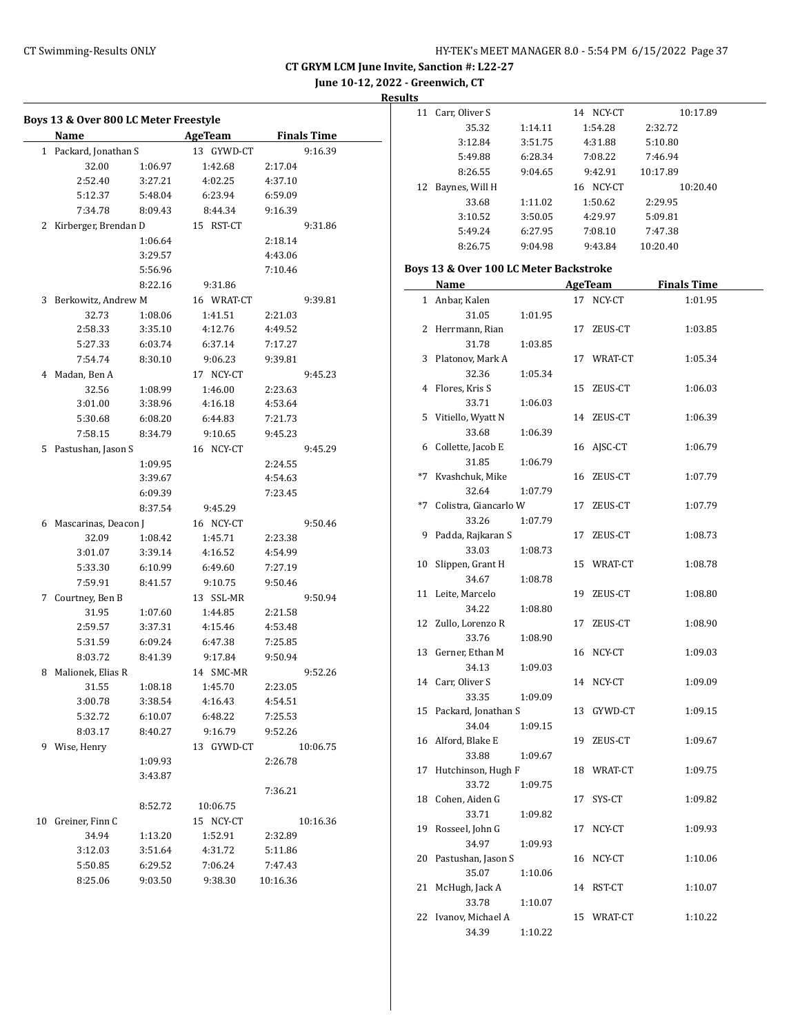$\overline{a}$ 

**CT GRYM LCM June Invite, Sanction #: L22-27**

**June 10-12, 2022 - Greenwich, CT**

|              | Name                 |         | Boys 13 & Over 800 LC Meter Freestyle<br><b>AgeTeam</b> | <b>Finals Time</b> |
|--------------|----------------------|---------|---------------------------------------------------------|--------------------|
| $\mathbf{1}$ | Packard, Jonathan S  |         | 13 GYWD-CT                                              | 9:16.39            |
|              | 32.00                | 1:06.97 | 1:42.68                                                 | 2:17.04            |
|              | 2:52.40              | 3:27.21 | 4:02.25                                                 | 4:37.10            |
|              | 5:12.37              | 5:48.04 | 6:23.94                                                 | 6:59.09            |
|              | 7:34.78              | 8:09.43 | 8:44.34                                                 | 9:16.39            |
| 2            |                      |         | RST-CT<br>15                                            | 9:31.86            |
|              | Kirberger, Brendan D | 1:06.64 |                                                         | 2:18.14            |
|              |                      | 3:29.57 |                                                         | 4:43.06            |
|              |                      | 5:56.96 |                                                         | 7:10.46            |
|              |                      | 8:22.16 | 9:31.86                                                 |                    |
| 3            | Berkowitz, Andrew M  |         | 16 WRAT-CT                                              | 9:39.81            |
|              | 32.73                | 1:08.06 | 1:41.51                                                 | 2:21.03            |
|              | 2:58.33              | 3:35.10 | 4:12.76                                                 | 4:49.52            |
|              | 5:27.33              | 6:03.74 | 6:37.14                                                 | 7:17.27            |
|              | 7:54.74              | 8:30.10 | 9:06.23                                                 | 9:39.81            |
| 4            | Madan, Ben A         |         | NCY-CT<br>17                                            | 9:45.23            |
|              | 32.56                | 1:08.99 | 1:46.00                                                 | 2:23.63            |
|              | 3:01.00              | 3:38.96 | 4:16.18                                                 | 4:53.64            |
|              | 5:30.68              | 6:08.20 | 6:44.83                                                 | 7:21.73            |
|              | 7:58.15              | 8:34.79 | 9:10.65                                                 | 9:45.23            |
| 5.           | Pastushan, Jason S   |         | NCY-CT<br>16                                            | 9:45.29            |
|              |                      | 1:09.95 |                                                         | 2:24.55            |
|              |                      | 3:39.67 |                                                         | 4:54.63            |
|              |                      | 6:09.39 |                                                         | 7:23.45            |
|              |                      | 8:37.54 | 9:45.29                                                 |                    |
| 6            | Mascarinas, Deacon J |         | 16 NCY-CT                                               | 9:50.46            |
|              | 32.09                | 1:08.42 | 1:45.71                                                 | 2:23.38            |
|              | 3:01.07              | 3:39.14 | 4:16.52                                                 | 4:54.99            |
|              | 5:33.30              | 6:10.99 | 6:49.60                                                 | 7:27.19            |
|              | 7:59.91              | 8:41.57 | 9:10.75                                                 | 9:50.46            |
| 7            | Courtney, Ben B      |         | 13 SSL-MR                                               | 9:50.94            |
|              | 31.95                | 1:07.60 | 1:44.85                                                 | 2:21.58            |
|              | 2:59.57              | 3:37.31 | 4:15.46                                                 | 4:53.48            |
|              | 5:31.59              | 6:09.24 | 6:47.38                                                 | 7:25.85            |
|              | 8:03.72              | 8:41.39 | 9:17.84                                                 | 9:50.94            |
| 8            | Malionek, Elias R    |         | 14 SMC-MR                                               | 9:52.26            |
|              | 31.55                | 1:08.18 | 1:45.70                                                 | 2:23.05            |
|              | 3:00.78              | 3:38.54 | 4:16.43                                                 | 4:54.51            |
|              | 5:32.72              | 6:10.07 | 6:48.22                                                 | 7:25.53            |
|              | 8:03.17              | 8:40.27 | 9:16.79                                                 | 9:52.26            |
| 9            | Wise, Henry          |         | 13 GYWD-CT                                              | 10:06.75           |
|              |                      | 1:09.93 |                                                         | 2:26.78            |
|              |                      | 3:43.87 |                                                         |                    |
|              |                      |         |                                                         | 7:36.21            |
|              |                      | 8:52.72 | 10:06.75                                                |                    |
| 10           | Greiner, Finn C      |         | NCY-CT<br>15                                            | 10:16.36           |
|              | 34.94                | 1:13.20 | 1:52.91                                                 | 2:32.89            |
|              | 3:12.03              | 3:51.64 | 4:31.72                                                 | 5:11.86            |
|              |                      |         |                                                         |                    |
|              | 5:50.85              | 6:29.52 | 7:06.24                                                 | 7:47.43            |

| πь                                     |                   |         |           |          |  |  |  |  |  |
|----------------------------------------|-------------------|---------|-----------|----------|--|--|--|--|--|
|                                        | 11 Carr, Oliver S |         | 14 NCY-CT | 10:17.89 |  |  |  |  |  |
|                                        | 35.32             | 1:14.11 | 1:54.28   | 2:32.72  |  |  |  |  |  |
|                                        | 3:12.84           | 3:51.75 | 4:31.88   | 5:10.80  |  |  |  |  |  |
|                                        | 5:49.88           | 6:28.34 | 7:08.22   | 7:46.94  |  |  |  |  |  |
|                                        | 8:26.55           | 9:04.65 | 9:42.91   | 10:17.89 |  |  |  |  |  |
| 12                                     | Baynes, Will H    |         | 16 NCY-CT | 10:20.40 |  |  |  |  |  |
|                                        | 33.68             | 1:11.02 | 1:50.62   | 2:29.95  |  |  |  |  |  |
|                                        | 3:10.52           | 3:50.05 | 4:29.97   | 5:09.81  |  |  |  |  |  |
|                                        | 5:49.24           | 6:27.95 | 7:08.10   | 7:47.38  |  |  |  |  |  |
|                                        | 8:26.75           | 9:04.98 | 9:43.84   | 10:20.40 |  |  |  |  |  |
| Boys 13 & Over 100 LC Meter Backstroke |                   |         |           |          |  |  |  |  |  |
|                                        |                   |         |           |          |  |  |  |  |  |

|              | Name                                  |    | <u>AgeTeam</u> | <b>Finals Time</b> |
|--------------|---------------------------------------|----|----------------|--------------------|
| $\mathbf{1}$ | Anbar, Kalen                          | 17 | NCY-CT         | 1:01.95            |
|              | 31.05<br>1:01.95                      |    |                |                    |
| 2            | Herrmann, Rian                        |    | 17 ZEUS-CT     | 1:03.85            |
|              | 31.78<br>1:03.85                      |    |                |                    |
| 3            | Platonov, Mark A                      |    | 17 WRAT-CT     | 1:05.34            |
|              | 32.36<br>1:05.34                      |    |                |                    |
| 4            | Flores, Kris S                        |    | 15 ZEUS-CT     | 1:06.03            |
|              | 33.71<br>1:06.03                      |    |                |                    |
| 5            | Vitiello, Wyatt N                     |    | 14 ZEUS-CT     | 1:06.39            |
|              | 33.68<br>1:06.39                      |    |                |                    |
| 6            | Collette, Jacob E                     |    | 16 AJSC-CT     | 1:06.79            |
|              | 31.85<br>1:06.79                      |    |                |                    |
| $*7$         | Kvashchuk, Mike                       |    | 16 ZEUS-CT     | 1:07.79            |
|              | 32.64<br>1:07.79                      |    |                |                    |
|              | *7 Colistra, Giancarlo W              |    | 17 ZEUS-CT     | 1:07.79            |
|              | 33.26<br>1:07.79                      |    |                |                    |
| 9            | Padda, Rajkaran S                     |    | 17 ZEUS-CT     | 1:08.73            |
|              | 33.03<br>1:08.73                      |    |                |                    |
| 10           | Slippen, Grant H                      |    | 15 WRAT-CT     | 1:08.78            |
|              | 34.67<br>1:08.78                      |    |                |                    |
|              | 11 Leite, Marcelo                     |    | 19 ZEUS-CT     | 1:08.80            |
|              | 34.22<br>1:08.80                      |    |                |                    |
| 12           | Zullo, Lorenzo R                      | 17 | ZEUS-CT        | 1:08.90            |
|              | 33.76<br>1:08.90                      |    |                |                    |
|              | 13 Gerner, Ethan M                    |    | 16 NCY-CT      | 1:09.03            |
|              | 34.13<br>1:09.03                      |    |                |                    |
|              | 14 Carr, Oliver S                     |    | 14 NCY-CT      | 1:09.09            |
|              | 33.35<br>1:09.09                      |    |                |                    |
| 15           | Packard, Jonathan S                   |    | 13 GYWD-CT     | 1:09.15            |
|              | 34.04<br>1:09.15                      |    |                |                    |
|              | 16 Alford, Blake E                    |    | 19 ZEUS-CT     | 1:09.67            |
| 17           | 33.88<br>1:09.67                      |    |                |                    |
|              | Hutchinson, Hugh F                    |    | 18 WRAT-CT     | 1:09.75            |
|              | 33.72<br>1:09.75<br>18 Cohen, Aiden G | 17 | SYS-CT         | 1:09.82            |
|              | 33.71                                 |    |                |                    |
| 19           | 1:09.82<br>Rosseel, John G            |    | 17 NCY-CT      | 1:09.93            |
|              | 34.97<br>1:09.93                      |    |                |                    |
| 20           | Pastushan, Jason S                    |    | 16 NCY-CT      | 1:10.06            |
|              | 35.07<br>1:10.06                      |    |                |                    |
| 21           | McHugh, Jack A                        |    | 14 RST-CT      | 1:10.07            |
|              | 33.78<br>1:10.07                      |    |                |                    |
| 22           | Ivanov, Michael A                     |    | 15 WRAT-CT     | 1:10.22            |
|              | 34.39<br>1:10.22                      |    |                |                    |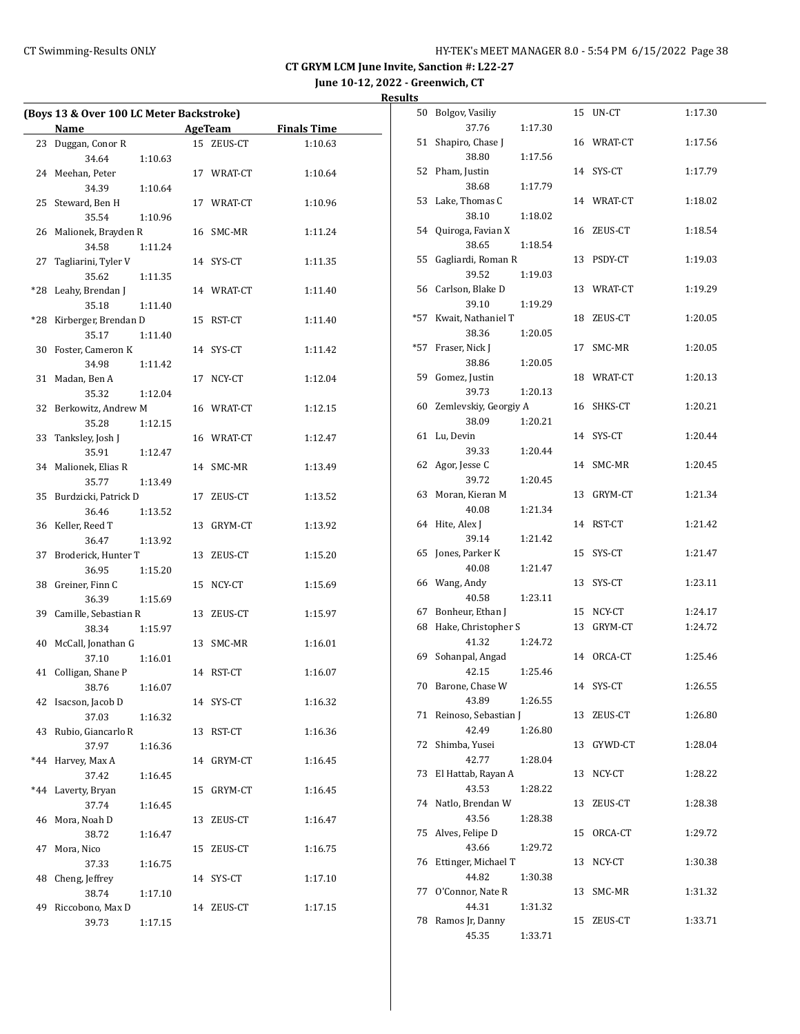**June 10-12, 2022 - Greenwich, CT**

| <b>Results</b> |
|----------------|
|                |

| (Boys 13 & Over 100 LC Meter Backstroke) |                         |         |    |            |                    |  |
|------------------------------------------|-------------------------|---------|----|------------|--------------------|--|
|                                          | Name                    |         |    | AgeTeam    | <b>Finals Time</b> |  |
| 23                                       | Duggan, Conor R         |         |    | 15 ZEUS-CT | 1:10.63            |  |
|                                          | 34.64                   | 1:10.63 |    |            |                    |  |
| 24                                       | Meehan, Peter           |         |    | 17 WRAT-CT | 1:10.64            |  |
|                                          | 34.39                   | 1:10.64 |    |            |                    |  |
| 25                                       | Steward, Ben H          |         |    | 17 WRAT-CT | 1:10.96            |  |
|                                          | 35.54                   | 1:10.96 |    |            |                    |  |
| 26                                       | Malionek, Brayden R     |         |    | 16 SMC-MR  | 1:11.24            |  |
|                                          | 34.58                   | 1:11.24 |    |            |                    |  |
| 27                                       | Tagliarini, Tyler V     |         |    | 14 SYS-CT  | 1:11.35            |  |
|                                          | 35.62                   | 1:11.35 |    |            |                    |  |
| *28                                      | Leahy, Brendan J        |         |    | 14 WRAT-CT | 1:11.40            |  |
|                                          | 35.18                   | 1:11.40 |    |            |                    |  |
| *28                                      | Kirberger, Brendan D    |         | 15 | RST-CT     | 1:11.40            |  |
|                                          | 35.17                   | 1:11.40 |    |            |                    |  |
| 30                                       | Foster, Cameron K       |         |    | 14 SYS-CT  | 1:11.42            |  |
|                                          | 34.98                   | 1:11.42 |    |            |                    |  |
| 31                                       | Madan, Ben A            |         |    | 17 NCY-CT  | 1:12.04            |  |
|                                          | 35.32                   | 1:12.04 |    |            |                    |  |
| 32                                       | Berkowitz, Andrew M     |         |    | 16 WRAT-CT | 1:12.15            |  |
|                                          | 35.28                   | 1:12.15 |    |            |                    |  |
| 33                                       | Tanksley, Josh J        |         |    | 16 WRAT-CT | 1:12.47            |  |
|                                          | 35.91                   | 1:12.47 |    |            |                    |  |
| 34                                       | Malionek, Elias R       |         |    | 14 SMC-MR  | 1:13.49            |  |
|                                          | 35.77                   | 1:13.49 |    |            |                    |  |
| 35                                       | Burdzicki, Patrick D    |         |    | 17 ZEUS-CT | 1:13.52            |  |
|                                          | 36.46                   | 1:13.52 |    |            |                    |  |
|                                          | 36 Keller, Reed T       |         |    | 13 GRYM-CT | 1:13.92            |  |
|                                          | 36.47                   | 1:13.92 |    |            |                    |  |
| 37                                       | Broderick, Hunter T     |         |    | 13 ZEUS-CT | 1:15.20            |  |
|                                          | 36.95                   | 1:15.20 |    |            |                    |  |
| 38                                       | Greiner, Finn C         |         |    | 15 NCY-CT  | 1:15.69            |  |
|                                          | 36.39                   | 1:15.69 |    |            |                    |  |
|                                          | 39 Camille, Sebastian R |         |    | 13 ZEUS-CT | 1:15.97            |  |
|                                          | 38.34                   | 1:15.97 |    |            |                    |  |
| 40                                       | McCall, Jonathan G      |         |    | 13 SMC-MR  | 1:16.01            |  |
|                                          | 37.10                   | 1:16.01 |    |            |                    |  |
| 41                                       | Colligan, Shane P       |         |    | 14 RST-CT  | 1:16.07            |  |
|                                          | 38.76                   | 1:16.07 |    |            |                    |  |
| 42                                       | Isacson, Jacob D        |         |    | 14 SYS-CT  | 1:16.32            |  |
|                                          | 37.03                   | 1:16.32 |    |            |                    |  |
| 43                                       | Rubio, Giancarlo R      |         | 13 | RST-CT     | 1:16.36            |  |
|                                          | 37.97                   | 1:16.36 |    |            |                    |  |
| $*44$                                    | Harvey, Max A           |         | 14 | GRYM-CT    | 1:16.45            |  |
|                                          | 37.42                   | 1:16.45 |    |            |                    |  |
| *44                                      | Laverty, Bryan          |         | 15 | GRYM-CT    | 1:16.45            |  |
|                                          | 37.74                   | 1:16.45 |    |            |                    |  |
| 46                                       | Mora, Noah D            |         | 13 | ZEUS-CT    | 1:16.47            |  |
|                                          | 38.72                   | 1:16.47 |    |            |                    |  |
| 47                                       | Mora, Nico              |         | 15 | ZEUS-CT    | 1:16.75            |  |
|                                          | 37.33                   | 1:16.75 |    |            |                    |  |
| 48                                       | Cheng, Jeffrey          |         | 14 | SYS-CT     | 1:17.10            |  |
|                                          | 38.74                   | 1:17.10 |    |            |                    |  |
| 49                                       | Riccobono, Max D        |         | 14 | ZEUS-CT    | 1:17.15            |  |
|                                          | 39.73                   | 1:17.15 |    |            |                    |  |

| 50  | Bolgov, Vasiliy       |         | 15 | UN-CT      | 1:17.30 |
|-----|-----------------------|---------|----|------------|---------|
|     | 37.76                 | 1:17.30 |    |            |         |
| 51  | Shapiro, Chase J      |         | 16 | WRAT-CT    | 1:17.56 |
| 52  | 38.80<br>Pham, Justin | 1:17.56 | 14 | SYS-CT     | 1:17.79 |
|     | 38.68                 | 1:17.79 |    |            |         |
| 53  | Lake, Thomas C        |         | 14 | WRAT-CT    | 1:18.02 |
|     | 38.10                 | 1:18.02 |    |            |         |
| 54  | Quiroga, Favian X     |         | 16 | ZEUS-CT    | 1:18.54 |
|     | 38.65                 | 1:18.54 |    |            |         |
| 55  | Gagliardi, Roman R    |         | 13 | PSDY-CT    | 1:19.03 |
|     | 39.52                 | 1:19.03 |    |            |         |
| 56  | Carlson, Blake D      |         | 13 | WRAT-CT    | 1:19.29 |
|     | 39.10                 | 1:19.29 |    |            |         |
| *57 | Kwait, Nathaniel T    |         | 18 | ZEUS-CT    | 1:20.05 |
|     | 38.36                 | 1:20.05 |    |            |         |
| *57 | Fraser, Nick J        |         | 17 | SMC-MR     | 1:20.05 |
|     | 38.86                 | 1:20.05 |    |            |         |
| 59  | Gomez, Justin         |         | 18 | WRAT-CT    | 1:20.13 |
|     | 39.73                 | 1:20.13 |    |            |         |
| 60  | Zemlevskiy, Georgiy A |         | 16 | SHKS-CT    | 1:20.21 |
|     | 38.09                 | 1:20.21 |    |            |         |
| 61  | Lu, Devin             |         | 14 | SYS-CT     | 1:20.44 |
|     | 39.33                 | 1:20.44 |    |            |         |
| 62  | Agor, Jesse C         |         | 14 | SMC-MR     | 1:20.45 |
|     | 39.72                 | 1:20.45 |    |            |         |
| 63  | Moran, Kieran M       |         | 13 | GRYM-CT    | 1:21.34 |
|     | 40.08                 | 1:21.34 |    |            |         |
| 64  | Hite, Alex J          |         | 14 | RST-CT     | 1:21.42 |
|     | 39.14                 | 1:21.42 |    |            |         |
| 65  | Jones, Parker K       |         | 15 | SYS-CT     | 1:21.47 |
|     | 40.08                 | 1:21.47 |    |            |         |
| 66  | Wang, Andy            |         | 13 | SYS-CT     | 1:23.11 |
|     | 40.58                 | 1:23.11 |    |            |         |
| 67  | Bonheur, Ethan J      |         | 15 | NCY-CT     | 1:24.17 |
| 68  | Hake, Christopher S   |         | 13 | GRYM-CT    | 1:24.72 |
|     | 41.32                 | 1:24.72 |    |            |         |
| 69  | Sohanpal, Angad       |         | 14 | ORCA-CT    | 1:25.46 |
|     | 42.15                 | 1:25.46 |    |            |         |
| 70  | Barone, Chase W       |         |    | 14 SYS-CT  | 1:26.55 |
|     | 43.89                 | 1:26.55 |    |            |         |
| 71  | Reinoso, Sebastian J  |         |    | 13 ZEUS-CT | 1:26.80 |
|     | 42.49                 | 1:26.80 |    |            |         |
| 72  | Shimba, Yusei         |         | 13 | GYWD-CT    | 1:28.04 |
|     | 42.77                 | 1:28.04 |    |            |         |
| 73  | El Hattab, Rayan A    |         | 13 | NCY-CT     | 1:28.22 |
|     | 43.53                 | 1:28.22 |    |            |         |
| 74  | Natlo, Brendan W      |         | 13 | ZEUS-CT    | 1:28.38 |
|     | 43.56                 | 1:28.38 |    |            |         |
| 75  | Alves, Felipe D       |         | 15 | ORCA-CT    | 1:29.72 |
|     | 43.66                 | 1:29.72 |    |            |         |
| 76  | Ettinger, Michael T   |         | 13 | NCY-CT     | 1:30.38 |
|     | 44.82                 | 1:30.38 |    |            |         |
|     | 77 O'Connor, Nate R   |         | 13 | SMC-MR     | 1:31.32 |
|     | 44.31                 | 1:31.32 |    |            |         |
|     | 78 Ramos Jr, Danny    |         | 15 | ZEUS-CT    | 1:33.71 |
|     | 45.35                 | 1:33.71 |    |            |         |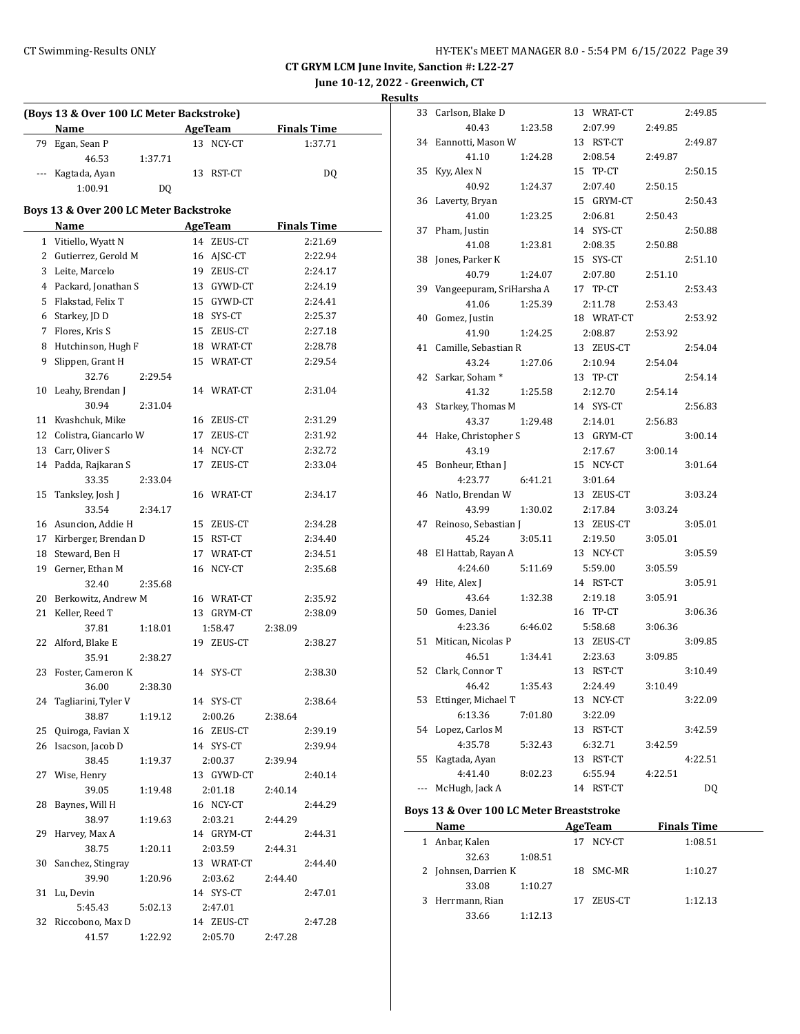**June 10-12, 2022 - Greenwich, CT**

**Results**

| (Boys 13 & Over 100 LC Meter Backstroke) |                                              |         |    |                          |         |                               |  |
|------------------------------------------|----------------------------------------------|---------|----|--------------------------|---------|-------------------------------|--|
|                                          | Name                                         |         |    | <b>AgeTeam</b>           |         | <b>Finals Time</b>            |  |
| 79                                       | Egan, Sean P                                 |         |    | 13 NCY-CT                |         | 1:37.71                       |  |
|                                          | 46.53                                        | 1:37.71 |    |                          |         |                               |  |
|                                          | Kagtada, Ayan                                |         |    | 13 RST-CT                |         | DQ                            |  |
|                                          | 1:00.91                                      | DQ      |    |                          |         |                               |  |
|                                          | Boys 13 & Over 200 LC Meter Backstroke       |         |    |                          |         |                               |  |
|                                          |                                              |         |    |                          |         |                               |  |
|                                          | <b>Name</b>                                  |         |    | AgeTeam<br>14 ZEUS-CT    |         | <b>Finals Time</b><br>2:21.69 |  |
|                                          | 1 Vitiello, Wyatt N<br>2 Gutierrez, Gerold M |         |    |                          |         |                               |  |
| 3                                        | Leite, Marcelo                               |         |    | 16 AJSC-CT               |         | 2:22.94<br>2:24.17            |  |
|                                          | 4 Packard, Jonathan S                        |         |    | 19 ZEUS-CT<br>13 GYWD-CT |         | 2:24.19                       |  |
| 5.                                       | Flakstad, Felix T                            |         |    | 15 GYWD-CT               |         | 2:24.41                       |  |
|                                          | 6 Starkey, JD D                              |         |    | 18 SYS-CT                |         | 2:25.37                       |  |
| 7                                        | Flores, Kris S                               |         |    | 15 ZEUS-CT               |         | 2:27.18                       |  |
| 8                                        | Hutchinson, Hugh F                           |         |    | 18 WRAT-CT               |         | 2:28.78                       |  |
| 9                                        | Slippen, Grant H                             |         |    | 15 WRAT-CT               |         | 2:29.54                       |  |
|                                          | 32.76                                        | 2:29.54 |    |                          |         |                               |  |
| 10                                       | Leahy, Brendan J                             |         |    | 14 WRAT-CT               |         | 2:31.04                       |  |
|                                          | 30.94                                        | 2:31.04 |    |                          |         |                               |  |
| 11                                       | Kvashchuk, Mike                              |         |    | 16 ZEUS-CT               |         | 2:31.29                       |  |
| 12                                       | Colistra, Giancarlo W                        |         | 17 | ZEUS-CT                  |         | 2:31.92                       |  |
| 13                                       | Carr, Oliver S                               |         |    | 14 NCY-CT                |         | 2:32.72                       |  |
| 14                                       | Padda, Rajkaran S                            |         | 17 | ZEUS-CT                  |         | 2:33.04                       |  |
|                                          | 33.35                                        | 2:33.04 |    |                          |         |                               |  |
| 15                                       | Tanksley, Josh J                             |         |    | 16 WRAT-CT               |         | 2:34.17                       |  |
|                                          | 33.54                                        | 2:34.17 |    |                          |         |                               |  |
|                                          | 16 Asuncion, Addie H                         |         |    | 15 ZEUS-CT               |         | 2:34.28                       |  |
|                                          | 17 Kirberger, Brendan D                      |         |    | 15 RST-CT                |         | 2:34.40                       |  |
|                                          | 18 Steward, Ben H                            |         |    | 17 WRAT-CT               |         | 2:34.51                       |  |
|                                          | 19 Gerner, Ethan M                           |         |    | 16 NCY-CT                |         | 2:35.68                       |  |
|                                          | 32.40                                        | 2:35.68 |    |                          |         |                               |  |
| 20                                       | Berkowitz, Andrew M                          |         |    | 16 WRAT-CT               |         | 2:35.92                       |  |
| 21                                       | Keller, Reed T                               |         |    | 13 GRYM-CT               |         | 2:38.09                       |  |
|                                          | 37.81                                        | 1:18.01 |    | 1:58.47                  | 2:38.09 |                               |  |
|                                          | 22 Alford, Blake E                           |         | 19 | ZEUS-CT                  |         | 2:38.27                       |  |
|                                          | 35.91                                        | 2:38.27 |    |                          |         |                               |  |
| 23                                       | Foster, Cameron K                            |         |    | 14 SYS-CT                |         | 2:38.30                       |  |
|                                          | 36.00                                        | 2:38.30 |    |                          |         |                               |  |
| 24                                       | Tagliarini, Tyler V                          |         |    | 14 SYS-CT                |         | 2:38.64                       |  |
|                                          | 38.87                                        | 1:19.12 |    | 2:00.26                  | 2:38.64 |                               |  |
| 25                                       | Quiroga, Favian X                            |         |    | 16 ZEUS-CT               |         | 2:39.19                       |  |
| 26                                       | Isacson, Jacob D                             |         |    | 14 SYS-CT                |         | 2:39.94                       |  |
|                                          | 38.45                                        | 1:19.37 |    | 2:00.37                  | 2:39.94 |                               |  |
| 27                                       | Wise, Henry                                  |         |    | 13 GYWD-CT               |         | 2:40.14                       |  |
|                                          | 39.05                                        | 1:19.48 |    | 2:01.18<br>16 NCY-CT     | 2:40.14 |                               |  |
| 28                                       | Baynes, Will H<br>38.97                      | 1:19.63 |    | 2:03.21                  | 2:44.29 | 2:44.29                       |  |
| 29                                       | Harvey, Max A                                |         |    | 14 GRYM-CT               |         | 2:44.31                       |  |
|                                          | 38.75                                        | 1:20.11 |    | 2:03.59                  | 2:44.31 |                               |  |
| 30                                       | Sanchez, Stingray                            |         |    | 13 WRAT-CT               |         | 2:44.40                       |  |
|                                          | 39.90                                        | 1:20.96 |    | 2:03.62                  | 2:44.40 |                               |  |
| 31                                       | Lu, Devin                                    |         |    | 14 SYS-CT                |         | 2:47.01                       |  |
|                                          | 5:45.43                                      | 5:02.13 |    | 2:47.01                  |         |                               |  |
| 32                                       | Riccobono, Max D                             |         |    | 14 ZEUS-CT               |         | 2:47.28                       |  |
|                                          | 41.57                                        | 1:22.92 |    | 2:05.70                  | 2:47.28 |                               |  |
|                                          |                                              |         |    |                          |         |                               |  |

| 33                       | Carlson, Blake D         | 13 WRAT-CT   |         | 2:49.85   |
|--------------------------|--------------------------|--------------|---------|-----------|
|                          | 40.43<br>1:23.58         | 2:07.99      | 2:49.85 |           |
| 34                       | Eannotti, Mason W        | 13 RST-CT    |         | 2:49.87   |
|                          | 41.10<br>1:24.28         | 2:08.54      | 2:49.87 |           |
| 35                       | Kyy, Alex N              | 15 TP-CT     |         | 2:50.15   |
|                          | 40.92<br>1:24.37         | 2:07.40      | 2:50.15 |           |
| 36                       | Laverty, Bryan           | 15 GRYM-CT   |         | 2:50.43   |
|                          | 41.00<br>1:23.25         | 2:06.81      | 2:50.43 |           |
| 37                       | Pham, Justin             | 14 SYS-CT    |         | 2:50.88   |
|                          | 41.08<br>1:23.81         | 2:08.35      | 2:50.88 |           |
| 38                       | Jones, Parker K          | 15 SYS-CT    |         | 2:51.10   |
|                          | 40.79<br>1:24.07         | 2:07.80      | 2:51.10 |           |
| 39                       | Vangeepuram, SriHarsha A | 17 TP-CT     |         | 2:53.43   |
|                          | 41.06<br>1:25.39         | 2:11.78      | 2:53.43 |           |
| 40                       | Gomez, Justin            | 18 WRAT-CT   |         | 2:53.92   |
|                          | 41.90<br>1:24.25         | 2:08.87      | 2:53.92 |           |
| 41                       | Camille, Sebastian R     | 13 ZEUS-CT   |         | 2:54.04   |
|                          | 43.24<br>1:27.06         | 2:10.94      | 2:54.04 |           |
| 42                       | Sarkar, Soham*           | 13 TP-CT     |         | 2:54.14   |
|                          | 41.32<br>1:25.58         | 2:12.70      | 2:54.14 |           |
| 43                       | Starkey, Thomas M        | 14 SYS-CT    |         | 2:56.83   |
|                          | 43.37<br>1:29.48         | 2:14.01      | 2:56.83 |           |
| 44                       | Hake, Christopher S      | 13 GRYM-CT   |         | 3:00.14   |
|                          | 43.19                    | 2:17.67      | 3:00.14 |           |
| 45                       | Bonheur, Ethan J         | 15 NCY-CT    |         | 3:01.64   |
|                          | 4:23.77<br>6:41.21       | 3:01.64      |         |           |
| 46                       | Natlo, Brendan W         | 13 ZEUS-CT   |         | 3:03.24   |
|                          | 43.99<br>1:30.02         | 2:17.84      | 3:03.24 |           |
| 47                       | Reinoso, Sebastian J     | 13 ZEUS-CT   |         | 3:05.01   |
|                          | 45.24<br>3:05.11         | 2:19.50      | 3:05.01 |           |
| 48                       | El Hattab, Rayan A       | 13 NCY-CT    |         | 3:05.59   |
|                          | 4:24.60<br>5:11.69       | 5:59.00      | 3:05.59 |           |
| 49                       | Hite, Alex J             | 14 RST-CT    |         | 3:05.91   |
|                          | 43.64<br>1:32.38         | 2:19.18      | 3:05.91 |           |
| 50                       | Gomes, Daniel            | 16 TP-CT     |         | 3:06.36   |
|                          | 4:23.36<br>6:46.02       | 5:58.68      | 3:06.36 |           |
| 51                       | Mitican, Nicolas P       | 13 ZEUS-CT   |         | 3:09.85   |
|                          | 46.51<br>1:34.41         | 2:23.63      | 3:09.85 |           |
| 52                       | Clark, Connor T          | 13 RST-CT    |         | 3:10.49   |
|                          | 1:35.43<br>46.42         | 2:24.49      | 3:10.49 |           |
| 53                       | Ettinger, Michael T      | 13 NCY-CT    |         | 3:22.09   |
|                          | 6:13.36<br>7:01.80       | 3:22.09      |         |           |
| 54                       | Lopez, Carlos M          | 13<br>RST-CT |         | 3:42.59   |
|                          | 4:35.78<br>5:32.43       | 6:32.71      | 3:42.59 |           |
| 55                       | Kagtada, Ayan            | 13 RST-CT    |         | 4:22.51   |
|                          | 4:41.40<br>8:02.23       | 6:55.94      | 4:22.51 |           |
| $\overline{\phantom{a}}$ | McHugh, Jack A           | 14<br>RST-CT |         | <b>DQ</b> |

## **Boys 13 & Over 100 LC Meter Breaststroke**

| Name                 | AgeTeam       | <b>Finals Time</b> |  |
|----------------------|---------------|--------------------|--|
| Anbar, Kalen<br>1    | NCY-CT<br>17  | 1:08.51            |  |
| 32.63<br>1:08.51     |               |                    |  |
| 2 Johnsen, Darrien K | 18 SMC-MR     | 1:10.27            |  |
| 33.08<br>1:10.27     |               |                    |  |
| 3 Herrmann, Rian     | ZEUS-CT<br>17 | 1:12.13            |  |
| 33.66<br>1:12.13     |               |                    |  |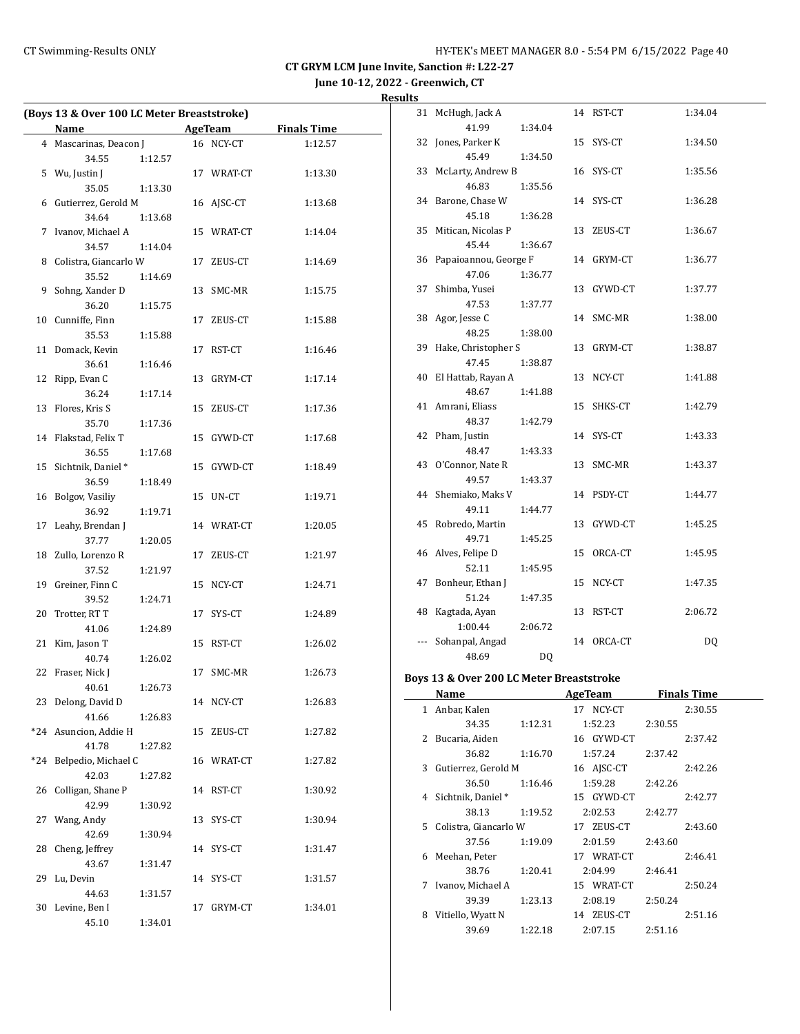**June 10-12, 2022 - Greenwich, CT**

| Ξ |
|---|
|   |

| (Boys 13 & Over 100 LC Meter Breaststroke) |                       |         |         |            |                    |
|--------------------------------------------|-----------------------|---------|---------|------------|--------------------|
|                                            | Name                  |         | AgeTeam |            | <b>Finals Time</b> |
| 4                                          | Mascarinas, Deacon J  |         |         | 16 NCY-CT  | 1:12.57            |
|                                            | 34.55                 | 1:12.57 |         |            |                    |
| 5                                          | Wu, Justin J          |         |         | 17 WRAT-CT | 1:13.30            |
|                                            | 35.05                 | 1:13.30 |         |            |                    |
| 6                                          | Gutierrez, Gerold M   |         |         | 16 AJSC-CT | 1:13.68            |
|                                            | 34.64                 | 1:13.68 |         |            |                    |
| 7                                          | Ivanov, Michael A     |         |         | 15 WRAT-CT | 1:14.04            |
|                                            | 34.57                 | 1:14.04 |         |            |                    |
| 8                                          | Colistra, Giancarlo W |         | 17      | ZEUS-CT    | 1:14.69            |
|                                            | 35.52                 | 1:14.69 |         |            |                    |
| 9                                          | Sohng, Xander D       |         | 13      | SMC-MR     | 1:15.75            |
|                                            | 36.20                 | 1:15.75 |         |            |                    |
| 10                                         | Cunniffe, Finn        |         | 17      | ZEUS-CT    | 1:15.88            |
|                                            | 35.53                 | 1:15.88 |         |            |                    |
| 11                                         | Domack, Kevin         |         | 17      | RST-CT     | 1:16.46            |
|                                            | 36.61                 | 1:16.46 |         |            |                    |
| 12                                         | Ripp, Evan C          |         | 13      | GRYM-CT    | 1:17.14            |
|                                            | 36.24                 | 1:17.14 |         |            |                    |
| 13                                         | Flores, Kris S        |         |         | 15 ZEUS-CT | 1:17.36            |
|                                            | 35.70                 | 1:17.36 |         |            |                    |
| 14                                         | Flakstad, Felix T     |         | 15      | GYWD-CT    | 1:17.68            |
|                                            | 36.55                 | 1:17.68 |         |            |                    |
| 15                                         | Sichtnik, Daniel*     |         | 15      | GYWD-CT    | 1:18.49            |
|                                            | 36.59                 | 1:18.49 |         |            |                    |
| 16                                         | Bolgov, Vasiliy       |         | 15      | UN-CT      | 1:19.71            |
|                                            | 36.92                 | 1:19.71 |         |            |                    |
| 17                                         | Leahy, Brendan J      |         |         | 14 WRAT-CT | 1:20.05            |
|                                            | 37.77                 | 1:20.05 |         |            |                    |
| 18                                         | Zullo, Lorenzo R      |         | 17      | ZEUS-CT    | 1:21.97            |
|                                            | 37.52                 | 1:21.97 |         |            |                    |
| 19                                         | Greiner, Finn C       |         | 15      | NCY-CT     | 1:24.71            |
|                                            | 39.52                 | 1:24.71 |         |            |                    |
| 20                                         | Trotter, RT T         |         | 17      | SYS-CT     | 1:24.89            |
|                                            | 41.06                 | 1:24.89 |         |            |                    |
| 21                                         | Kim, Jason T          |         |         | 15 RST-CT  | 1:26.02            |
|                                            | 40.74                 | 1:26.02 |         |            |                    |
| 22                                         | Fraser, Nick J        |         | 17      | SMC-MR     | 1:26.73            |
|                                            | 40.61                 | 1:26.73 |         |            |                    |
| 23                                         | Delong, David D       |         |         | 14 NCY-CT  | 1:26.83            |
|                                            | 41.66                 | 1:26.83 |         |            |                    |
| *24                                        | Asuncion, Addie H     |         | 15      | ZEUS-CT    | 1:27.82            |
|                                            | 41.78                 | 1:27.82 |         |            |                    |
| *24                                        | Belpedio, Michael C   |         |         | 16 WRAT-CT | 1:27.82            |
|                                            | 42.03                 | 1:27.82 |         |            |                    |
| 26                                         | Colligan, Shane P     |         | 14      | RST-CT     | 1:30.92            |
|                                            | 42.99                 | 1:30.92 |         |            |                    |
| 27                                         | Wang, Andy            |         | 13      | SYS-CT     | 1:30.94            |
|                                            | 42.69                 | 1:30.94 |         |            |                    |
| 28                                         | Cheng, Jeffrey        |         | 14      | SYS-CT     | 1:31.47            |
|                                            | 43.67                 | 1:31.47 |         |            |                    |
| 29                                         | Lu, Devin             |         | 14      | SYS-CT     | 1:31.57            |
|                                            | 44.63                 | 1:31.57 |         |            |                    |
| 30                                         | Levine, Ben I         |         | 17      | GRYM-CT    | 1:34.01            |
|                                            | 45.10                 | 1:34.01 |         |            |                    |

| 31             | McHugh, Jack A        |         |    | 14 RST-CT  | 1:34.04 |
|----------------|-----------------------|---------|----|------------|---------|
|                | 41.99                 | 1:34.04 |    |            |         |
| 32             | Jones, Parker K       |         | 15 | SYS-CT     | 1:34.50 |
|                | 45.49                 | 1:34.50 |    |            |         |
| 33             | McLarty, Andrew B     |         | 16 | SYS-CT     | 1:35.56 |
|                | 46.83                 | 1:35.56 |    |            |         |
| 34             | Barone, Chase W       |         |    | 14 SYS-CT  | 1:36.28 |
|                | 45.18                 | 1:36.28 |    |            |         |
| 35             | Mitican, Nicolas P    |         | 13 | ZEUS-CT    | 1:36.67 |
|                | 45.44                 | 1:36.67 |    |            |         |
| 36             | Papaioannou, George F |         |    | 14 GRYM-CT | 1:36.77 |
|                | 47.06                 | 1:36.77 |    |            |         |
| 37             | Shimba, Yusei         |         |    | 13 GYWD-CT | 1:37.77 |
|                | 47.53                 | 1:37.77 |    |            |         |
| 38             | Agor, Jesse C         |         | 14 | SMC-MR     | 1:38.00 |
|                | 48.25                 | 1:38.00 |    |            |         |
| 39             | Hake, Christopher S   |         | 13 | GRYM-CT    | 1:38.87 |
|                | 47.45                 | 1:38.87 |    |            |         |
| 40             | El Hattab, Rayan A    |         | 13 | NCY-CT     | 1:41.88 |
|                | 48.67                 | 1:41.88 |    |            |         |
| 41             | Amrani, Eliass        |         | 15 | SHKS-CT    | 1:42.79 |
|                | 48.37                 | 1:42.79 |    |            |         |
|                | 42 Pham, Justin       |         | 14 | SYS-CT     | 1:43.33 |
|                | 48.47                 | 1:43.33 |    |            |         |
| 43             | O'Connor, Nate R      |         | 13 | SMC-MR     | 1:43.37 |
|                | 49.57                 | 1:43.37 |    |            |         |
| 44             | Shemiako, Maks V      |         |    | 14 PSDY-CT | 1:44.77 |
|                | 49.11                 | 1:44.77 |    |            |         |
| 45             | Robredo, Martin       |         | 13 | GYWD-CT    | 1:45.25 |
|                | 49.71                 | 1:45.25 |    |            |         |
|                | 46 Alves, Felipe D    |         | 15 | ORCA-CT    | 1:45.95 |
|                | 52.11                 | 1:45.95 |    |            |         |
| 47             | Bonheur, Ethan J      |         | 15 | NCY-CT     | 1:47.35 |
|                | 51.24                 | 1:47.35 |    |            |         |
| 48             | Kagtada, Ayan         |         | 13 | RST-CT     | 2:06.72 |
|                | 1:00.44               | 2:06.72 |    |            |         |
| $\overline{a}$ | Sohanpal, Angad       |         | 14 | ORCA-CT    | DQ      |
|                | 48.69                 | DQ      |    |            |         |

# **Boys 13 & Over 200 LC Meter Breaststroke**

|   | Name                    |         | <b>AgeTeam</b> | <b>Finals Time</b> |
|---|-------------------------|---------|----------------|--------------------|
| 1 | Anbar, Kalen            |         | 17 NCY-CT      | 2:30.55            |
|   | 34.35                   | 1:12.31 | 1:52.23        | 2:30.55            |
|   | 2 Bucaria, Aiden        |         | 16 GYWD-CT     | 2:37.42            |
|   | 36.82                   | 1:16.70 | 1:57.24        | 2:37.42            |
|   | 3 Gutierrez, Gerold M   |         | 16 AISC-CT     | 2:42.26            |
|   | 36.50                   | 1:16.46 | 1:59.28        | 2:42.26            |
|   | 4 Sichtnik, Daniel *    |         | 15 GYWD-CT     | 2:42.77            |
|   | 38.13                   | 1:19.52 | 2:02.53        | 2:42.77            |
|   | 5 Colistra, Giancarlo W |         | 17 ZEUS-CT     | 2:43.60            |
|   | 37.56                   | 1:19.09 | 2:01.59        | 2:43.60            |
| 6 | Meehan, Peter           |         | 17 WRAT-CT     | 2:46.41            |
|   | 38.76                   | 1:20.41 | 2:04.99        | 2:46.41            |
| 7 | Ivanov, Michael A       |         | 15 WRAT-CT     | 2:50.24            |
|   | 39.39                   | 1:23.13 | 2:08.19        | 2:50.24            |
| 8 | Vitiello, Wyatt N       |         | 14 ZEUS-CT     | 2:51.16            |
|   | 39.69                   | 1:22.18 | 2:07.15        | 2:51.16            |
|   |                         |         |                |                    |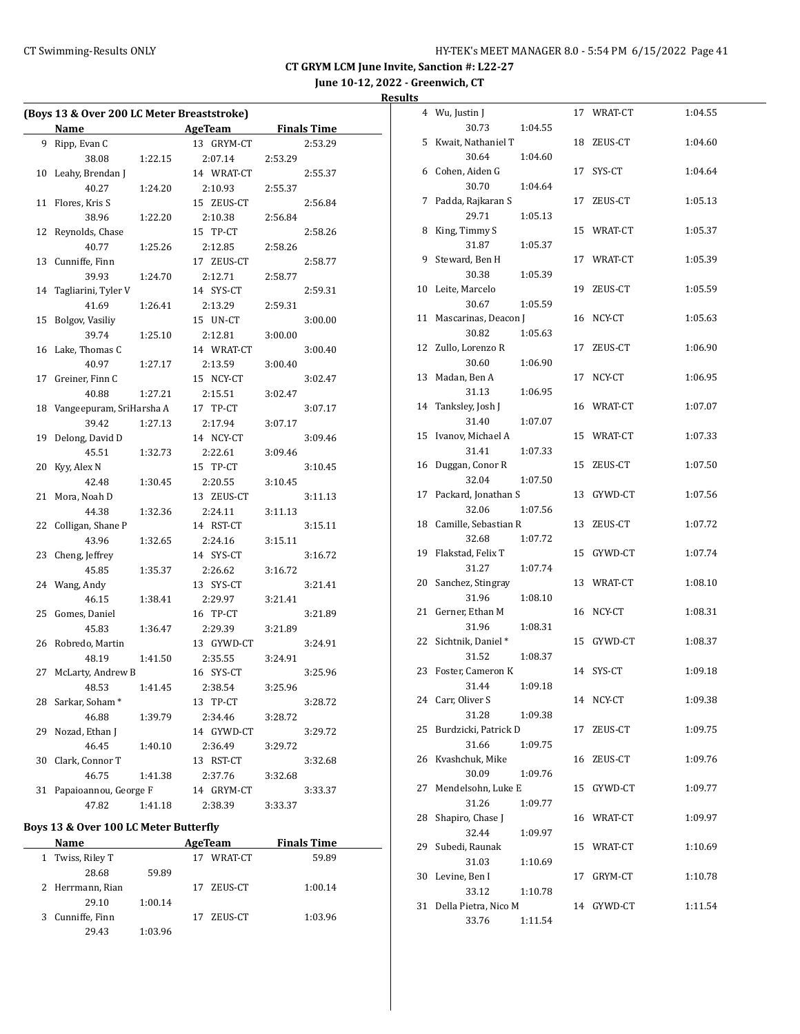# **June 10-12, 2022 - Greenwich, CT**

| Results |  |
|---------|--|
|         |  |

| (Boys 13 & Over 200 LC Meter Breaststroke) |                          |         |                |         |                    |
|--------------------------------------------|--------------------------|---------|----------------|---------|--------------------|
|                                            | Name                     |         | <b>AgeTeam</b> |         | <b>Finals Time</b> |
| 9                                          | Ripp, Evan C             |         | 13 GRYM-CT     |         | 2:53.29            |
|                                            | 38.08                    | 1:22.15 | 2:07.14        | 2:53.29 |                    |
| 10                                         | Leahy, Brendan J         |         | 14 WRAT-CT     |         | 2:55.37            |
|                                            | 40.27                    | 1:24.20 | 2:10.93        | 2:55.37 |                    |
| 11                                         | Flores, Kris S           |         | 15 ZEUS-CT     |         | 2:56.84            |
|                                            | 38.96                    | 1:22.20 | 2:10.38        | 2:56.84 |                    |
| 12                                         | Reynolds, Chase          |         | 15 TP-CT       |         | 2:58.26            |
|                                            | 40.77                    | 1:25.26 | 2:12.85        | 2:58.26 |                    |
| 13                                         | Cunniffe, Finn           |         | 17 ZEUS-CT     |         | 2:58.77            |
|                                            | 39.93                    | 1:24.70 | 2:12.71        | 2:58.77 |                    |
| 14                                         | Tagliarini, Tyler V      |         | 14 SYS-CT      |         | 2:59.31            |
|                                            | 41.69                    | 1:26.41 | 2:13.29        | 2:59.31 |                    |
| 15                                         | Bolgov, Vasiliy          |         | 15 UN-CT       |         | 3:00.00            |
|                                            | 39.74                    | 1:25.10 | 2:12.81        | 3:00.00 |                    |
| 16                                         | Lake, Thomas C           |         | 14 WRAT-CT     |         | 3:00.40            |
|                                            | 40.97                    | 1:27.17 | 2:13.59        | 3:00.40 |                    |
| 17                                         | Greiner, Finn C          |         | 15 NCY-CT      |         | 3:02.47            |
|                                            | 40.88                    | 1:27.21 | 2:15.51        | 3:02.47 |                    |
| 18                                         | Vangeepuram, SriHarsha A |         | 17 TP-CT       |         | 3:07.17            |
|                                            | 39.42                    | 1:27.13 | 2:17.94        | 3:07.17 |                    |
| 19                                         | Delong, David D          |         | 14 NCY-CT      |         | 3:09.46            |
|                                            | 45.51                    | 1:32.73 | 2:22.61        | 3:09.46 |                    |
| 20                                         | Kyy, Alex N              |         | 15 TP-CT       |         | 3:10.45            |
|                                            | 42.48                    | 1:30.45 | 2:20.55        | 3:10.45 |                    |
| 21                                         | Mora, Noah D             |         | 13 ZEUS-CT     |         | 3:11.13            |
|                                            | 44.38                    | 1:32.36 | 2:24.11        | 3:11.13 |                    |
| 22                                         | Colligan, Shane P        |         | 14 RST-CT      |         | 3:15.11            |
|                                            | 43.96                    | 1:32.65 | 2:24.16        | 3:15.11 |                    |
| 23                                         | Cheng, Jeffrey           |         | 14 SYS-CT      |         | 3:16.72            |
|                                            | 45.85                    | 1:35.37 | 2:26.62        | 3:16.72 |                    |
| 24                                         | Wang, Andy               |         | 13 SYS-CT      |         | 3:21.41            |
|                                            | 46.15                    | 1:38.41 | 2:29.97        | 3:21.41 |                    |
| 25                                         | Gomes, Daniel            |         | 16 TP-CT       |         | 3:21.89            |
|                                            | 45.83                    | 1:36.47 | 2:29.39        | 3:21.89 |                    |
| 26                                         | Robredo, Martin          |         | 13 GYWD-CT     |         | 3:24.91            |
|                                            | 48.19                    | 1:41.50 | 2:35.55        | 3:24.91 |                    |
| 27                                         | McLarty, Andrew B        |         | 16 SYS-CT      |         | 3:25.96            |
|                                            | 48.53                    | 1:41.45 | 2:38.54        | 3:25.96 |                    |
| 28                                         | Sarkar, Soham*           |         | 13 TP-CT       |         | 3:28.72            |
|                                            | 46.88                    | 1:39.79 | 2:34.46        | 3:28.72 |                    |
| 29                                         | Nozad, Ethan J           |         | 14 GYWD-CT     |         | 3:29.72            |
|                                            | 46.45                    | 1:40.10 | 2:36.49        | 3:29.72 |                    |
| 30                                         | Clark, Connor T          |         | 13 RST-CT      |         | 3:32.68            |
|                                            | 46.75                    | 1:41.38 | 2:37.76        | 3:32.68 |                    |
| 31                                         | Papaioannou, George F    |         | 14 GRYM-CT     |         | 3:33.37            |
|                                            | 47.82                    | 1:41.18 | 2:38.39        | 3:33.37 |                    |

# **Boys 13 & Over 100 LC Meter Butterfly**

| Name             |         | AgeTeam |         | <b>Finals Time</b> |  |
|------------------|---------|---------|---------|--------------------|--|
| 1 Twiss, Riley T |         | 17      | WRAT-CT | 59.89              |  |
| 28.68            | 59.89   |         |         |                    |  |
| 2 Herrmann, Rian |         | 17      | ZEUS-CT | 1:00.14            |  |
| 29.10            | 1:00.14 |         |         |                    |  |
| 3 Cunniffe, Finn |         | 17      | ZEUS-CT | 1:03.96            |  |
| 29.43            | 1:03.96 |         |         |                    |  |

|    | 4 Wu, Justin J       |         |    | 17 WRAT-CT | 1:04.55 |
|----|----------------------|---------|----|------------|---------|
|    | 30.73                | 1:04.55 |    |            |         |
| 5  | Kwait, Nathaniel T   |         |    | 18 ZEUS-CT | 1:04.60 |
|    | 30.64                | 1:04.60 |    |            |         |
| 6  | Cohen, Aiden G       |         |    | 17 SYS-CT  | 1:04.64 |
|    | 30.70                | 1:04.64 |    |            |         |
| 7  | Padda, Rajkaran S    |         |    | 17 ZEUS-CT | 1:05.13 |
|    | 29.71                | 1:05.13 |    |            |         |
| 8  | King, Timmy S        |         |    | 15 WRAT-CT | 1:05.37 |
|    | 31.87                | 1:05.37 |    |            |         |
| 9  | Steward, Ben H       |         |    | 17 WRAT-CT | 1:05.39 |
|    | 30.38                | 1:05.39 |    |            |         |
| 10 | Leite, Marcelo       |         |    | 19 ZEUS-CT | 1:05.59 |
|    | 30.67                | 1:05.59 |    |            |         |
| 11 | Mascarinas, Deacon J |         |    | 16 NCY-CT  | 1:05.63 |
|    | 30.82                | 1:05.63 |    |            |         |
| 12 | Zullo, Lorenzo R     |         | 17 | ZEUS-CT    | 1:06.90 |
|    | 30.60                | 1:06.90 |    |            |         |
| 13 | Madan, Ben A         |         |    | 17 NCY-CT  | 1:06.95 |
|    | 31.13                | 1:06.95 |    |            |         |
| 14 | Tanksley, Josh J     |         |    | 16 WRAT-CT | 1:07.07 |
|    | 31.40                | 1:07.07 |    |            |         |
| 15 | Ivanov, Michael A    |         |    | 15 WRAT-CT | 1:07.33 |
|    | 31.41                | 1:07.33 |    |            |         |
| 16 | Duggan, Conor R      |         |    | 15 ZEUS-CT | 1:07.50 |
|    | 32.04                | 1:07.50 |    |            |         |
| 17 | Packard, Jonathan S  |         |    | 13 GYWD-CT | 1:07.56 |
|    | 32.06                | 1:07.56 |    |            |         |
| 18 | Camille, Sebastian R |         |    | 13 ZEUS-CT | 1:07.72 |
|    | 32.68                | 1:07.72 |    |            |         |
| 19 | Flakstad, Felix T    |         |    | 15 GYWD-CT | 1:07.74 |
|    | 31.27                | 1:07.74 |    |            |         |
| 20 | Sanchez, Stingray    |         |    | 13 WRAT-CT | 1:08.10 |
|    | 31.96                | 1:08.10 |    |            |         |
| 21 | Gerner, Ethan M      |         |    | 16 NCY-CT  | 1:08.31 |
|    | 31.96                | 1:08.31 |    |            |         |
| 22 | Sichtnik, Daniel*    |         |    | 15 GYWD-CT | 1:08.37 |
|    | 31.52                | 1:08.37 |    |            |         |
| 23 | Foster, Cameron K    |         |    | 14 SYS-CT  | 1:09.18 |
|    | 31.44                | 1:09.18 |    |            |         |
|    | 24 Carr, Oliver S    |         |    | 14 NCY-CT  | 1:09.38 |
|    | 31.28                | 1:09.38 |    |            |         |
| 25 | Burdzicki, Patrick D |         | 17 | ZEUS-CT    | 1:09.75 |
|    | 31.66                | 1:09.75 |    |            |         |
| 26 | Kvashchuk, Mike      |         | 16 | ZEUS-CT    | 1:09.76 |
|    | 30.09                | 1:09.76 |    |            |         |
| 27 | Mendelsohn, Luke E   |         | 15 | GYWD-CT    | 1:09.77 |
|    | 31.26                | 1:09.77 |    |            |         |
| 28 | Shapiro, Chase J     |         |    | 16 WRAT-CT | 1:09.97 |
|    | 32.44                | 1:09.97 |    |            |         |
| 29 | Subedi, Raunak       |         | 15 | WRAT-CT    | 1:10.69 |
|    | 31.03                | 1:10.69 |    |            |         |
| 30 | Levine, Ben I        |         | 17 | GRYM-CT    | 1:10.78 |
|    | 33.12                | 1:10.78 |    |            |         |
| 31 | Della Pietra, Nico M |         |    | 14 GYWD-CT | 1:11.54 |
|    | 33.76                | 1:11.54 |    |            |         |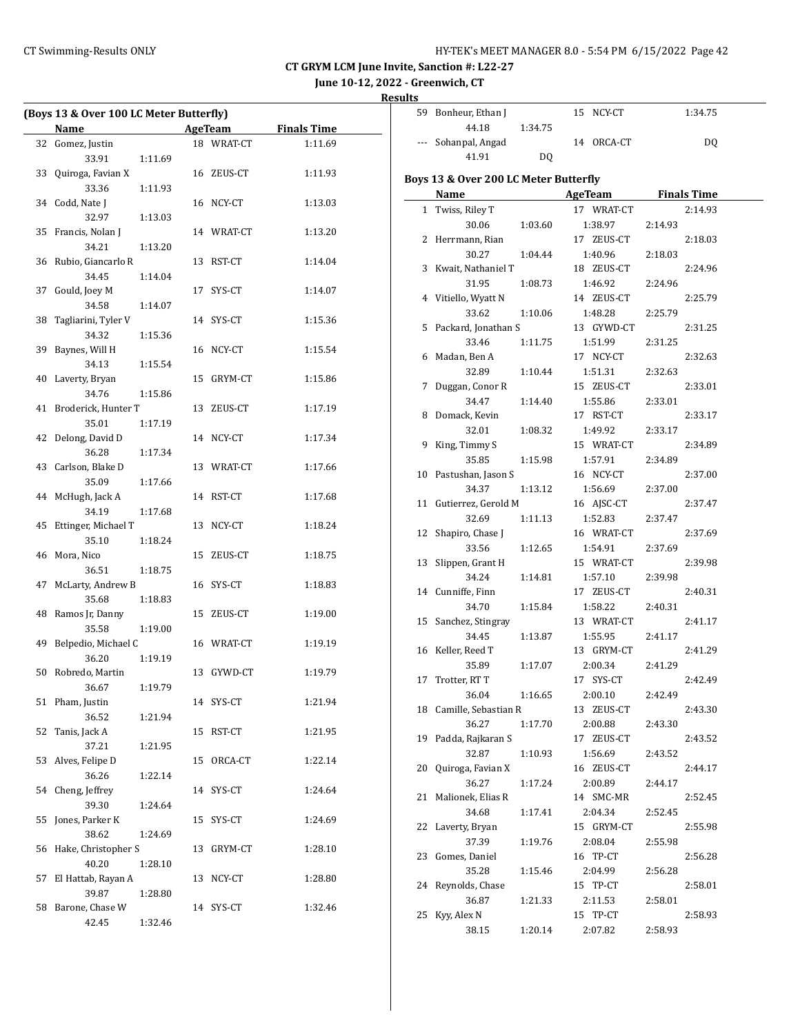**June 10-12, 2022 - Greenwich, CT**

| (Boys 13 & Over 100 LC Meter Butterfly) |                          |         |    |            |         |
|-----------------------------------------|--------------------------|---------|----|------------|---------|
|                                         | Name AgeTeam Finals Time |         |    |            |         |
| 32                                      | Gomez, Justin            |         |    | 18 WRAT-CT | 1:11.69 |
|                                         | 33.91                    | 1:11.69 |    |            |         |
| 33                                      | Quiroga, Favian X        |         |    | 16 ZEUS-CT | 1:11.93 |
|                                         | 33.36                    | 1:11.93 |    |            |         |
|                                         | 34 Codd, Nate J          |         |    | 16 NCY-CT  | 1:13.03 |
|                                         | 32.97                    | 1:13.03 |    |            |         |
| 35                                      | Francis, Nolan J         |         |    | 14 WRAT-CT | 1:13.20 |
|                                         | 34.21                    | 1:13.20 |    |            |         |
|                                         | 36 Rubio, Giancarlo R    |         |    | 13 RST-CT  | 1:14.04 |
|                                         | 34.45                    | 1:14.04 |    |            |         |
|                                         | 37 Gould, Joey M         |         |    | 17 SYS-CT  | 1:14.07 |
|                                         | 34.58                    | 1:14.07 |    |            |         |
| 38                                      | Tagliarini, Tyler V      |         |    | 14 SYS-CT  | 1:15.36 |
|                                         | 34.32                    | 1:15.36 |    |            |         |
| 39                                      | Baynes, Will H           |         |    | 16 NCY-CT  | 1:15.54 |
|                                         | 34.13                    | 1:15.54 |    |            |         |
|                                         | 40 Laverty, Bryan        |         |    | 15 GRYM-CT | 1:15.86 |
|                                         | 34.76                    | 1:15.86 |    |            |         |
| 41                                      | Broderick, Hunter T      |         |    | 13 ZEUS-CT | 1:17.19 |
|                                         | 35.01                    | 1:17.19 |    |            |         |
| 42                                      | Delong, David D          |         |    | 14 NCY-CT  | 1:17.34 |
|                                         | 36.28                    | 1:17.34 |    |            |         |
|                                         | 43 Carlson, Blake D      |         |    | 13 WRAT-CT | 1:17.66 |
|                                         | 35.09                    | 1:17.66 |    |            |         |
|                                         | 44 McHugh, Jack A        |         |    | 14 RST-CT  | 1:17.68 |
|                                         | 34.19                    | 1:17.68 |    |            |         |
| 45                                      | Ettinger, Michael T      |         |    | 13 NCY-CT  | 1:18.24 |
| 46                                      | 35.10<br>Mora, Nico      | 1:18.24 |    | 15 ZEUS-CT |         |
|                                         | 36.51                    |         |    |            | 1:18.75 |
| 47                                      | McLarty, Andrew B        | 1:18.75 |    | 16 SYS-CT  | 1:18.83 |
|                                         | 35.68                    | 1:18.83 |    |            |         |
|                                         | 48 Ramos Jr, Danny       |         |    | 15 ZEUS-CT | 1:19.00 |
|                                         | 35.58                    | 1:19.00 |    |            |         |
| 49                                      | Belpedio, Michael C      |         |    | 16 WRAT-CT | 1:19.19 |
|                                         | 36.20                    | 1:19.19 |    |            |         |
| 50                                      | Robredo, Martin          |         |    | 13 GYWD-CT | 1:19.79 |
|                                         | 36.67 1:19.79            |         |    |            |         |
|                                         | 51 Pham, Justin          |         |    | 14 SYS-CT  | 1:21.94 |
|                                         | 36.52                    | 1:21.94 |    |            |         |
| 52                                      | Tanis, Jack A            |         | 15 | RST-CT     | 1:21.95 |
|                                         | 37.21                    | 1:21.95 |    |            |         |
| 53                                      | Alves, Felipe D          |         |    | 15 ORCA-CT | 1:22.14 |
|                                         | 36.26                    | 1:22.14 |    |            |         |
| 54                                      | Cheng, Jeffrey           |         | 14 | SYS-CT     | 1:24.64 |
|                                         | 39.30                    | 1:24.64 |    |            |         |
| 55                                      | Jones, Parker K          |         | 15 | SYS-CT     | 1:24.69 |
|                                         | 38.62                    | 1:24.69 |    |            |         |
| 56                                      | Hake, Christopher S      |         | 13 | GRYM-CT    | 1:28.10 |
|                                         | 40.20                    | 1:28.10 |    |            |         |
| 57                                      | El Hattab, Rayan A       |         | 13 | NCY-CT     | 1:28.80 |
|                                         | 39.87                    | 1:28.80 |    |            |         |
| 58                                      | Barone, Chase W          |         |    | 14 SYS-CT  | 1:32.46 |
|                                         | 42.45                    | 1:32.46 |    |            |         |

| ults |                                       |         |                       |                    |  |
|------|---------------------------------------|---------|-----------------------|--------------------|--|
|      | 59 Bonheur, Ethan J                   |         | 15 NCY-CT             | 1:34.75            |  |
|      | 44.18                                 | 1:34.75 |                       |                    |  |
|      | Sohanpal, Angad                       |         | 14 ORCA-CT            | <b>DQ</b>          |  |
|      | 41.91                                 | DQ      |                       |                    |  |
|      | Boys 13 & Over 200 LC Meter Butterfly |         |                       |                    |  |
|      | Name                                  |         | <b>AgeTeam</b>        | <b>Finals Time</b> |  |
|      | 1 Twiss, Riley T                      |         | 17 WRAT-CT            | 2:14.93            |  |
|      | 30.06                                 | 1:03.60 | 1:38.97               | 2:14.93            |  |
|      | 2 Herrmann, Rian                      |         | 17 ZEUS-CT            | 2:18.03            |  |
|      | 30.27                                 | 1:04.44 | 1:40.96               | 2:18.03            |  |
|      | 3 Kwait, Nathaniel T                  |         | 18 ZEUS-CT            | 2:24.96            |  |
|      | 31.95                                 | 1:08.73 | 1:46.92               | 2:24.96            |  |
|      | 4 Vitiello, Wyatt N                   |         | 14 ZEUS-CT            | 2:25.79            |  |
|      | 33.62                                 | 1:10.06 | 1:48.28               | 2:25.79            |  |
| 5    | Packard, Jonathan S                   |         | 13 GYWD-CT            | 2:31.25            |  |
|      | 33.46                                 | 1:11.75 | 1:51.99               | 2:31.25            |  |
|      | 6 Madan, Ben A                        |         | 17 NCY-CT             | 2:32.63            |  |
|      | 32.89                                 | 1:10.44 | 1:51.31               | 2:32.63            |  |
| 7    | Duggan, Conor R                       |         | 15 ZEUS-CT            | 2:33.01            |  |
|      | 34.47                                 | 1:14.40 | 1:55.86               | 2:33.01            |  |
|      | 8 Domack, Kevin                       |         | 17 RST-CT             | 2:33.17            |  |
|      | 32.01                                 | 1:08.32 | 1:49.92               | 2:33.17            |  |
|      | 9 King, Timmy S<br>35.85              | 1:15.98 | 15 WRAT-CT<br>1:57.91 | 2:34.89<br>2:34.89 |  |
|      | 10 Pastushan, Jason S                 |         | 16 NCY-CT             | 2:37.00            |  |
|      | 34.37                                 | 1:13.12 | 1:56.69               | 2:37.00            |  |
|      | 11 Gutierrez, Gerold M                |         | 16 AJSC-CT            | 2:37.47            |  |
|      | 32.69                                 | 1:11.13 | 1:52.83               | 2:37.47            |  |
| 12   | Shapiro, Chase J                      |         | 16 WRAT-CT            | 2:37.69            |  |
|      | 33.56                                 | 1:12.65 | 1:54.91               | 2:37.69            |  |
| 13   | Slippen, Grant H                      |         | 15 WRAT-CT            | 2:39.98            |  |
|      | 34.24                                 | 1:14.81 | 1:57.10               | 2:39.98            |  |
|      | 14 Cunniffe, Finn                     |         | 17 ZEUS-CT            | 2:40.31            |  |
|      | 34.70                                 | 1:15.84 | 1:58.22               | 2:40.31            |  |
|      | 15 Sanchez, Stingray                  |         | 13 WRAT-CT            | 2:41.17            |  |
|      | 34.45                                 | 1:13.87 | 1:55.95               | 2:41.17            |  |
|      | 16 Keller, Reed T                     |         | 13 GRYM-CT            | 2:41.29            |  |
|      | 35.89                                 | 1:17.07 | 2:00.34               | 2:41.29            |  |
|      | 17 Trotter, RT T                      |         | 17 SYS-CT             | 2:42.49            |  |
|      | 36.04                                 | 1:16.65 | 2:00.10               | 2:42.49            |  |
|      | 18 Camille, Sebastian R<br>36.27      |         | 13 ZEUS-CT            | 2:43.30<br>2:43.30 |  |
| 19   | Padda, Rajkaran S                     | 1:17.70 | 2:00.88<br>17 ZEUS-CT | 2:43.52            |  |
|      | 32.87                                 | 1:10.93 | 1:56.69               | 2:43.52            |  |
| 20   | Quiroga, Favian X                     |         | 16 ZEUS-CT            | 2:44.17            |  |
|      | 36.27                                 | 1:17.24 | 2:00.89               | 2:44.17            |  |
| 21   | Malionek, Elias R                     |         | 14 SMC-MR             | 2:52.45            |  |
|      | 34.68                                 | 1:17.41 | 2:04.34               | 2:52.45            |  |
| 22   | Laverty, Bryan                        |         | 15 GRYM-CT            | 2:55.98            |  |
|      | 37.39                                 | 1:19.76 | 2:08.04               | 2:55.98            |  |
| 23   | Gomes, Daniel                         |         | 16 TP-CT              | 2:56.28            |  |
|      | 35.28                                 | 1:15.46 | 2:04.99               | 2:56.28            |  |
| 24   | Reynolds, Chase                       |         | 15 TP-CT              | 2:58.01            |  |
|      | 36.87                                 | 1:21.33 | 2:11.53               | 2:58.01            |  |
| 25   | Kyy, Alex N                           |         | 15 TP-CT              | 2:58.93            |  |
|      | 38.15                                 | 1:20.14 | 2:07.82               | 2:58.93            |  |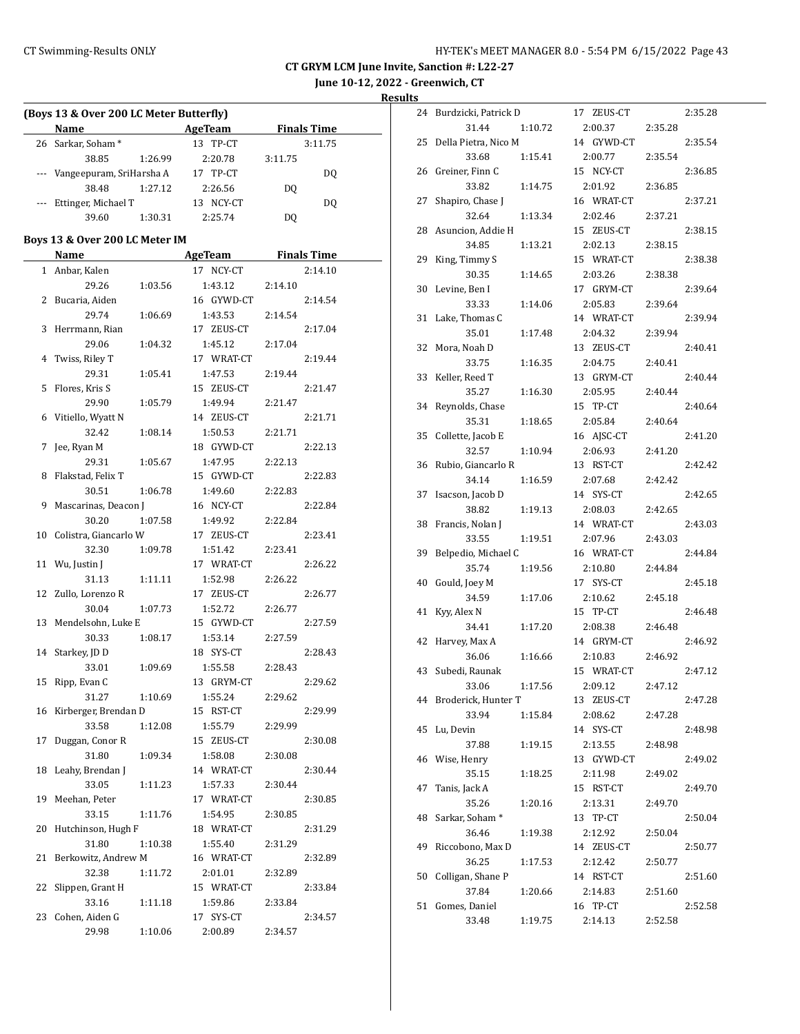**June 10-12, 2022 - Greenwich, CT**

|    | <b>Name</b>                    |         | (Boys 13 & Over 200 LC Meter Butterfly)<br><b>Example 21 AgeTeam</b> |         | <b>Finals Time</b> |
|----|--------------------------------|---------|----------------------------------------------------------------------|---------|--------------------|
|    | 26 Sarkar, Soham*              |         | 13 TP-CT                                                             |         | 3:11.75            |
|    | 38.85                          | 1:26.99 | 2:20.78                                                              | 3:11.75 |                    |
|    | --- Vangeepuram, SriHarsha A   |         | 17 TP-CT                                                             |         | DQ                 |
|    | 38.48                          | 1:27.12 | 2:26.56                                                              | DQ      |                    |
|    | Ettinger, Michael T            |         | 13 NCY-CT                                                            |         | DQ                 |
|    | 39.60                          | 1:30.31 | 2:25.74                                                              | DQ      |                    |
|    |                                |         |                                                                      |         |                    |
|    | Boys 13 & Over 200 LC Meter IM |         |                                                                      |         |                    |
|    | Name                           |         | AgeTeam                                                              |         | <b>Finals Time</b> |
|    | 1 Anbar, Kalen                 |         | 17 NCY-CT                                                            |         | 2:14.10            |
|    | 29.26                          | 1:03.56 | 1:43.12                                                              | 2:14.10 |                    |
| 2  | Bucaria, Aiden                 |         | 16 GYWD-CT                                                           |         | 2:14.54            |
|    | 29.74                          | 1:06.69 | 1:43.53                                                              | 2:14.54 |                    |
|    | 3 Herrmann, Rian               |         | 17 ZEUS-CT                                                           |         | 2:17.04            |
|    | 29.06                          | 1:04.32 | 1:45.12                                                              | 2:17.04 |                    |
|    | 4 Twiss, Riley T               |         | 17 WRAT-CT                                                           |         | 2:19.44            |
|    | 29.31                          | 1:05.41 | 1:47.53                                                              | 2:19.44 |                    |
| 5  | Flores, Kris S                 |         | 15 ZEUS-CT                                                           |         | 2:21.47            |
|    | 29.90                          | 1:05.79 | 1:49.94                                                              | 2:21.47 |                    |
| 6  | Vitiello, Wyatt N              |         | 14 ZEUS-CT                                                           |         | 2:21.71            |
|    | 32.42                          | 1:08.14 | 1:50.53                                                              | 2:21.71 |                    |
| 7  | Jee, Ryan M                    |         | 18 GYWD-CT                                                           |         | 2:22.13            |
|    | 29.31                          | 1:05.67 | 1:47.95                                                              | 2:22.13 |                    |
| 8  | Flakstad, Felix T              |         | 15 GYWD-CT                                                           |         | 2:22.83            |
|    | 30.51                          | 1:06.78 | 1:49.60                                                              | 2:22.83 |                    |
| 9  | Mascarinas, Deacon J           |         | 16 NCY-CT                                                            |         | 2:22.84            |
|    | 30.20                          | 1:07.58 | 1:49.92                                                              | 2:22.84 |                    |
|    | 10 Colistra, Giancarlo W       |         | 17 ZEUS-CT                                                           |         | 2:23.41            |
|    | 32.30                          |         | 1:51.42                                                              | 2:23.41 |                    |
|    |                                | 1:09.78 | 17 WRAT-CT                                                           |         | 2:26.22            |
|    | 11 Wu, Justin J                |         |                                                                      |         |                    |
|    | 31.13                          | 1:11.11 | 1:52.98                                                              | 2:26.22 |                    |
|    | 12 Zullo, Lorenzo R            |         | 17 ZEUS-CT                                                           |         | 2:26.77            |
|    | 30.04                          | 1:07.73 | 1:52.72                                                              | 2:26.77 |                    |
|    | 13 Mendelsohn, Luke E          |         | 15 GYWD-CT                                                           |         | 2:27.59            |
|    | 30.33                          | 1:08.17 | 1:53.14                                                              | 2:27.59 |                    |
|    | 14 Starkey, JD D               |         | 18 SYS-CT                                                            |         | 2:28.43            |
|    | 33.01                          | 1:09.69 | 1:55.58                                                              | 2:28.43 |                    |
|    | 15 Ripp, Evan C                |         | 13 GRYM-CT                                                           |         | 2:29.62            |
|    | 31.27                          | 1:10.69 | 1:55.24                                                              | 2:29.62 |                    |
| 16 | Kirberger, Brendan D           |         | 15 RST-CT                                                            |         | 2:29.99            |
|    | 33.58                          | 1:12.08 | 1:55.79                                                              | 2:29.99 |                    |
| 17 | Duggan, Conor R                |         | 15 ZEUS-CT                                                           |         | 2:30.08            |
|    | 31.80                          | 1:09.34 | 1:58.08                                                              | 2:30.08 |                    |
| 18 | Leahy, Brendan J               |         | 14 WRAT-CT                                                           |         | 2:30.44            |
|    | 33.05                          | 1:11.23 | 1:57.33                                                              | 2:30.44 |                    |
| 19 | Meehan, Peter                  |         | 17 WRAT-CT                                                           |         | 2:30.85            |
|    | 33.15                          | 1:11.76 | 1:54.95                                                              | 2:30.85 |                    |
| 20 | Hutchinson, Hugh F             |         | 18 WRAT-CT                                                           |         | 2:31.29            |
|    | 31.80                          | 1:10.38 | 1:55.40                                                              | 2:31.29 |                    |
| 21 | Berkowitz, Andrew M            |         | 16 WRAT-CT                                                           |         | 2:32.89            |
|    | 32.38                          | 1:11.72 | 2:01.01                                                              | 2:32.89 |                    |
| 22 | Slippen, Grant H               |         | 15 WRAT-CT                                                           |         | 2:33.84            |
|    |                                |         |                                                                      |         |                    |
|    | 33.16                          | 1:11.18 | 1:59.86                                                              | 2:33.84 |                    |
| 23 | Cohen, Aiden G                 |         | 17 SYS-CT                                                            |         | 2:34.57            |
|    | 29.98                          | 1:10.06 | 2:00.89                                                              | 2:34.57 |                    |

| 24 | Burdzicki, Patrick D |         | 17 ZEUS-CT |         | 2:35.28 |
|----|----------------------|---------|------------|---------|---------|
|    | 31.44                | 1:10.72 | 2:00.37    | 2:35.28 |         |
| 25 | Della Pietra, Nico M |         | 14 GYWD-CT |         | 2:35.54 |
|    | 33.68                | 1:15.41 | 2:00.77    | 2:35.54 |         |
| 26 | Greiner, Finn C      |         | 15 NCY-CT  |         | 2:36.85 |
|    | 33.82                | 1:14.75 | 2:01.92    | 2:36.85 |         |
| 27 | Shapiro, Chase J     |         | 16 WRAT-CT |         | 2:37.21 |
|    | 32.64                | 1:13.34 | 2:02.46    | 2:37.21 |         |
| 28 | Asuncion, Addie H    |         | 15 ZEUS-CT |         | 2:38.15 |
|    | 34.85                | 1:13.21 | 2:02.13    | 2:38.15 |         |
| 29 | King, Timmy S        |         | 15 WRAT-CT |         | 2:38.38 |
|    | 30.35                | 1:14.65 | 2:03.26    | 2:38.38 |         |
| 30 | Levine, Ben I        |         | 17 GRYM-CT |         | 2:39.64 |
|    | 33.33                | 1:14.06 | 2:05.83    | 2:39.64 |         |
| 31 | Lake, Thomas C       |         | 14 WRAT-CT |         | 2:39.94 |
|    | 35.01                | 1:17.48 | 2:04.32    | 2:39.94 |         |
| 32 | Mora, Noah D         |         | 13 ZEUS-CT |         | 2:40.41 |
|    | 33.75                | 1:16.35 | 2:04.75    | 2:40.41 |         |
| 33 | Keller, Reed T       |         | 13 GRYM-CT |         | 2:40.44 |
|    | 35.27                | 1:16.30 | 2:05.95    | 2:40.44 |         |
| 34 | Reynolds, Chase      |         | 15 TP-CT   |         | 2:40.64 |
|    | 35.31                | 1:18.65 | 2:05.84    | 2:40.64 |         |
| 35 | Collette, Jacob E    |         | 16 AJSC-CT |         | 2:41.20 |
|    | 32.57                | 1:10.94 | 2:06.93    | 2:41.20 |         |
| 36 | Rubio, Giancarlo R   |         | 13 RST-CT  |         | 2:42.42 |
|    | 34.14                | 1:16.59 | 2:07.68    | 2:42.42 |         |
| 37 | Isacson, Jacob D     |         | 14 SYS-CT  |         | 2:42.65 |
|    | 38.82                | 1:19.13 | 2:08.03    | 2:42.65 |         |
| 38 | Francis, Nolan J     |         | 14 WRAT-CT |         | 2:43.03 |
|    | 33.55                | 1:19.51 | 2:07.96    | 2:43.03 |         |
| 39 | Belpedio, Michael C  |         | 16 WRAT-CT |         | 2:44.84 |
|    | 35.74                | 1:19.56 | 2:10.80    | 2:44.84 |         |
| 40 | Gould, Joey M        |         | 17 SYS-CT  |         | 2:45.18 |
|    | 34.59                | 1:17.06 | 2:10.62    | 2:45.18 |         |
| 41 | Kyy, Alex N          |         | 15 TP-CT   |         | 2:46.48 |
|    | 34.41                | 1:17.20 | 2:08.38    | 2:46.48 |         |
| 42 | Harvey, Max A        |         | 14 GRYM-CT |         | 2:46.92 |
|    | 36.06                | 1:16.66 | 2:10.83    | 2:46.92 |         |
| 43 | Subedi, Raunak       |         | 15 WRAT-CT |         | 2:47.12 |
|    | 33.06                | 1:17.56 | 2:09.12    | 2:47.12 |         |
| 44 | Broderick, Hunter T  |         | 13 ZEUS-CT |         | 2:47.28 |
|    | 33.94                | 1:15.84 | 2:08.62    | 2:47.28 |         |
| 45 | Lu, Devin            |         | 14 SYS-CT  |         | 2:48.98 |
|    | 37.88                | 1:19.15 | 2:13.55    | 2:48.98 |         |
| 46 | Wise, Henry          |         | 13 GYWD-CT |         | 2:49.02 |
|    | 35.15                | 1:18.25 | 2:11.98    | 2:49.02 |         |
| 47 | Tanis, Jack A        |         | 15 RST-CT  |         | 2:49.70 |
|    | 35.26                | 1:20.16 | 2:13.31    | 2:49.70 |         |
| 48 | Sarkar, Soham*       |         | 13 TP-CT   |         | 2:50.04 |
|    | 36.46                | 1:19.38 | 2:12.92    | 2:50.04 |         |
| 49 | Riccobono, Max D     |         | 14 ZEUS-CT |         | 2:50.77 |
|    | 36.25                | 1:17.53 | 2:12.42    | 2:50.77 |         |
| 50 | Colligan, Shane P    |         | 14 RST-CT  |         | 2:51.60 |
|    | 37.84                | 1:20.66 | 2:14.83    | 2:51.60 |         |
| 51 | Gomes, Daniel        |         | 16 TP-CT   |         | 2:52.58 |
|    | 33.48                | 1:19.75 | 2:14.13    | 2:52.58 |         |